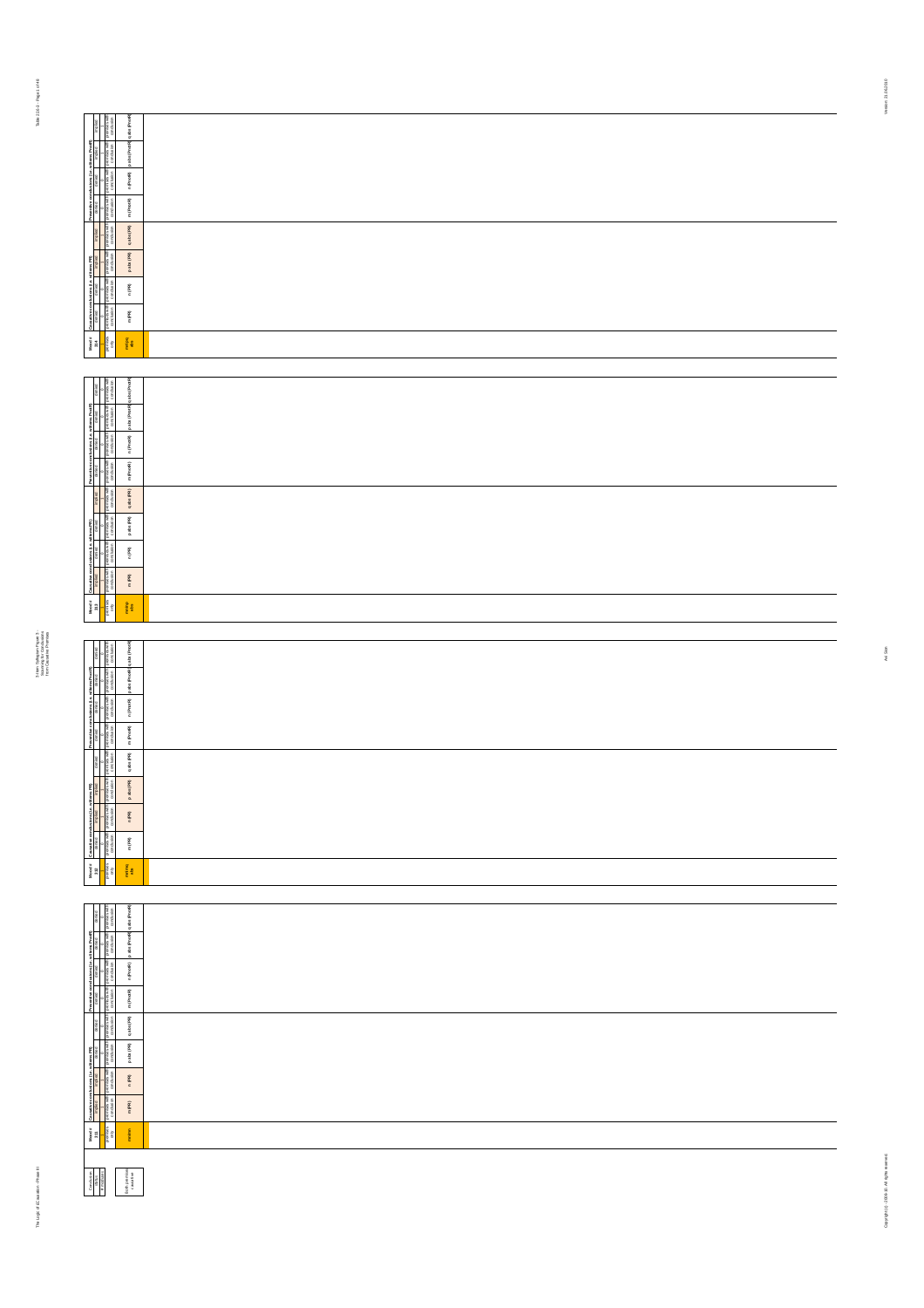Logic of £Causation - Phase II

|                                                                                                                                                                                                                                                     | pabs (ProtR) q abs (Prooft)                                                                      |  |
|-----------------------------------------------------------------------------------------------------------------------------------------------------------------------------------------------------------------------------------------------------|--------------------------------------------------------------------------------------------------|--|
|                                                                                                                                                                                                                                                     | $n$ (ProofR)                                                                                     |  |
|                                                                                                                                                                                                                                                     | $\mathfrak{m}$ (P rooff)                                                                         |  |
|                                                                                                                                                                                                                                                     |                                                                                                  |  |
|                                                                                                                                                                                                                                                     | $\begin{tabular}{ c c } \hline \textbf{p abs (PR)} & \textbf{q abs (PR)} \\\hline \end{tabular}$ |  |
|                                                                                                                                                                                                                                                     | $_{\rm n}$ (e s)                                                                                 |  |
| pearlase.with promise.with pearlase with pearlase.with promise with promise with pearlase with pearlase.with<br>conclusion   conclusion   conclusion   conclusion   conclusion   conclusion   conclusion   conclusion                               | $\frac{\widehat{\mathbf{g}}}{\mathbf{g}}$                                                        |  |
| $\frac{1}{\text{pounds}}$                                                                                                                                                                                                                           | $\frac{3}{8}$ 8                                                                                  |  |
|                                                                                                                                                                                                                                                     |                                                                                                  |  |
|                                                                                                                                                                                                                                                     |                                                                                                  |  |
|                                                                                                                                                                                                                                                     | p abs (Pn ofR) q abs (PnotR)                                                                     |  |
|                                                                                                                                                                                                                                                     | $n$ (Prooff)                                                                                     |  |
|                                                                                                                                                                                                                                                     | $m (Proof R)$                                                                                    |  |
| pomissi uth pomissi uth pomissi uth pomissi uth pomissi uth<br>condusion condusion condusion condusion condusion                                                                                                                                    | $\bf q$ abs $\langle \bf P R \rangle$                                                            |  |
|                                                                                                                                                                                                                                                     | p abs (PR)                                                                                       |  |
|                                                                                                                                                                                                                                                     | $\frac{\widehat{\mathfrak{g}}}{\mathfrak{g}}$                                                    |  |
| pombia with pombias with pramises with<br>condusion conclusion conclusion                                                                                                                                                                           | $\omega_{\rm{d}}$                                                                                |  |
| pomises<br>ofly                                                                                                                                                                                                                                     | $\frac{9}{3}$                                                                                    |  |
|                                                                                                                                                                                                                                                     |                                                                                                  |  |
|                                                                                                                                                                                                                                                     |                                                                                                  |  |
|                                                                                                                                                                                                                                                     | pates (Prooft) quite (Prooft)                                                                    |  |
|                                                                                                                                                                                                                                                     | n (Pro 69)                                                                                       |  |
|                                                                                                                                                                                                                                                     | $m$ (ProofR)                                                                                     |  |
|                                                                                                                                                                                                                                                     | $q$ abs $\langle \theta   R \rangle$                                                             |  |
|                                                                                                                                                                                                                                                     |                                                                                                  |  |
|                                                                                                                                                                                                                                                     | $p \text{ abs}\left(PR\right)$                                                                   |  |
|                                                                                                                                                                                                                                                     | $m(\mathsf{PR})$                                                                                 |  |
| manas pranisa un pometa un pometa de pometa ven para un pometa un pometa un pometa un pometa un pometa un pome<br>Pometa pranisa un pometa un pometa de pometa un pometa para un pometa un pometa un pometa pometa de pometa un                     |                                                                                                  |  |
|                                                                                                                                                                                                                                                     | $\frac{g}{\epsilon}$ 8                                                                           |  |
|                                                                                                                                                                                                                                                     |                                                                                                  |  |
|                                                                                                                                                                                                                                                     |                                                                                                  |  |
|                                                                                                                                                                                                                                                     |                                                                                                  |  |
|                                                                                                                                                                                                                                                     | m (Prodit) n (Prodit) p abs (Prodit) q abs (Prodit)                                              |  |
|                                                                                                                                                                                                                                                     | q abs (PR)                                                                                       |  |
|                                                                                                                                                                                                                                                     | pats (PR)                                                                                        |  |
|                                                                                                                                                                                                                                                     | $n(\mathsf{PR})$                                                                                 |  |
|                                                                                                                                                                                                                                                     | $\frac{\partial}{\partial t}$                                                                    |  |
| pon <mark>ibas portisa vien pomiska urb prenios urb pornies urb pornies urb pomisa urb prenisa urb pornies urb.<br/>Pornies – portisa vien pomiska urb prenios urb pornies urb pornies urb prenisa urb prenisa urb pornies urb.<br/>DV – ove</mark> | movimo                                                                                           |  |
|                                                                                                                                                                                                                                                     |                                                                                                  |  |
|                                                                                                                                                                                                                                                     | Both premises<br>causative                                                                       |  |

|                         | p abs (ProtR)<br>premises with<br>condusion<br>Preventive conclusions (i.e., witems Proof)<br>derived derived implied<br>premises with premises with<br>conclusion condusion<br>n (ProdR)<br>$m$ (ProofR)                                                                                                                                                                                                                                                                                                                                                                                                                     |
|-------------------------|-------------------------------------------------------------------------------------------------------------------------------------------------------------------------------------------------------------------------------------------------------------------------------------------------------------------------------------------------------------------------------------------------------------------------------------------------------------------------------------------------------------------------------------------------------------------------------------------------------------------------------|
|                         | premises with<br>$q\,abs\,(PR)$<br><b>beidui</b><br>premises with<br>$p$ abs $\langle \theta R \rangle$<br>Causative condustors (i.e. willettes PR)<br>dirivid<br>promises with<br>$_{\rm n}$ (PR)                                                                                                                                                                                                                                                                                                                                                                                                                            |
|                         | premises with<br>conclusion<br>$\frac{60}{10}$<br>$\frac{m}{3}$<br>promises<br>$\frac{5}{6}$ &                                                                                                                                                                                                                                                                                                                                                                                                                                                                                                                                |
|                         | p abs (Pn ofR) q abs (PnotR)<br>nov so suusno<br>condusion<br>denied<br>Preventive conclusions (i.e. willems ProtR)<br>deviad division division division<br>promises with<br>condusion<br>premises with<br>conclusion<br>$n$ (Prooff)<br>premises with<br>condusion<br>$m(Proot R)$                                                                                                                                                                                                                                                                                                                                           |
|                         | premises with<br>q abs (PR)<br>impied<br>premises with<br>conclusion<br>p also (PR)<br>Causative conclusions (i.e., witems PR)<br>Implied directors (i.e., witems PR)<br>premises with<br>$\alpha$ (PR)<br>premises with<br>$\mathfrak{m}$ (PR)                                                                                                                                                                                                                                                                                                                                                                               |
| from Causative Premises | $\begin{array}{c} \texttt{Mood} \\ \texttt{31} \end{array}$<br><b>The Company</b><br>ł<br>pates (Proofk) q alss (Proofk)<br>dened<br>oserusos<br>contas<br>Preventive condustions (i.e. w/learns Prooft)<br>derived deviated deviated<br>promises with<br>conclusion<br>promises with p<br>condusion<br>$n$ (Pro $\theta$ )                                                                                                                                                                                                                                                                                                   |
|                         | promises with p<br>condusion<br>$m$ (P rooff)<br>promises with<br>conclusion<br>dense<br>$q$ ab s $\langle \mathsf{PR} \rangle$<br>promises with<br>$p$ abs (PR)<br>$\begin{tabular}{ c c c c } \hline \textbf{Ca} & \textbf{m} & \textbf{m} & \textbf{m} & \textbf{m} & \textbf{m} & \textbf{m} & \textbf{m} \\ \hline \textbf{Ca} & \textbf{m} & \textbf{m} & \textbf{m} & \textbf{m} & \textbf{m} & \textbf{m} \\ \hline \textbf{a} & \textbf{m} & \textbf{m} & \textbf{m} & \textbf{m} & \textbf{m} & \textbf{m} \\ \hline \textbf{a} & \textbf{m} & \textbf{m} & \textbf{m} & \textbf{m} & \textbf$<br>n (PR)<br>$m(pR)$ |
|                         | $\begin{array}{c} \text{Mod } n \\ 312 \end{array}$<br>i<br>4<br>pomises<br>pates (ProtR) q abs (ProtR<br><b>OBOB</b><br>promises<br>v sesmong<br>Preventive conclusions (Le, willems Prodit)<br>denied denied denied<br>premises with<br>condusion<br>$n$ (ProofR)<br>$m$ (P roofR)                                                                                                                                                                                                                                                                                                                                          |
|                         | Causative conclusions (i.e., witems PR)<br>Implied I Implied deviced deviced<br>qabs (PR)<br>pats (PR)<br>premises with<br>condusion<br>promises with<br>conclusion<br>$n$ (PR)<br>premises with<br>$\mathfrak{m}(\mathsf{PR})$                                                                                                                                                                                                                                                                                                                                                                                               |
|                         | $\begin{array}{c} \text{M model} \\ \text{3.11} \end{array}$<br>molton<br>promises<br>oh premises<br>causative<br>ionclusion<br>Status<br>Emodues                                                                                                                                                                                                                                                                                                                                                                                                                                                                             |

|                    |                                                                                                                                                                                                                                 | palos (PR) quas (PR) m (Proces) n (Proces) palos (Proces) quas (Proc                                                                                                                                                           |  |
|--------------------|---------------------------------------------------------------------------------------------------------------------------------------------------------------------------------------------------------------------------------|--------------------------------------------------------------------------------------------------------------------------------------------------------------------------------------------------------------------------------|--|
|                    |                                                                                                                                                                                                                                 |                                                                                                                                                                                                                                |  |
|                    |                                                                                                                                                                                                                                 |                                                                                                                                                                                                                                |  |
|                    |                                                                                                                                                                                                                                 | $_{\rm n}(\rho\,R)$                                                                                                                                                                                                            |  |
|                    |                                                                                                                                                                                                                                 | $\frac{1}{n}$                                                                                                                                                                                                                  |  |
|                    |                                                                                                                                                                                                                                 | $\frac{a}{b}$                                                                                                                                                                                                                  |  |
|                    |                                                                                                                                                                                                                                 |                                                                                                                                                                                                                                |  |
|                    |                                                                                                                                                                                                                                 | p also (PR) a also (PR) in (Prooff) in (Prooff) p also (Prooff) q also (Prooff)                                                                                                                                                |  |
|                    |                                                                                                                                                                                                                                 |                                                                                                                                                                                                                                |  |
|                    |                                                                                                                                                                                                                                 | $n$ (PR)<br>$m \left( \rho \, R \right)$                                                                                                                                                                                       |  |
|                    |                                                                                                                                                                                                                                 | $\frac{9}{8}$ is                                                                                                                                                                                                               |  |
|                    |                                                                                                                                                                                                                                 |                                                                                                                                                                                                                                |  |
|                    |                                                                                                                                                                                                                                 |                                                                                                                                                                                                                                |  |
|                    |                                                                                                                                                                                                                                 |                                                                                                                                                                                                                                |  |
|                    |                                                                                                                                                                                                                                 | on the basic of the coup of the couple and the basic of the basic of the couple of the couple of the couple of the couple of the couple of the couple of the couple of the couple of the couple of the couple of the couple of |  |
|                    |                                                                                                                                                                                                                                 | $m(\mathsf{PR})$                                                                                                                                                                                                               |  |
|                    |                                                                                                                                                                                                                                 | $\frac{1}{3}$ is                                                                                                                                                                                                               |  |
|                    |                                                                                                                                                                                                                                 |                                                                                                                                                                                                                                |  |
|                    | мость Сандари сообщеми в можно в 19 мин. В решение особывали (в можно под него в 19 мин. 19 мин. 19 мин. 19 мин<br>19 мин. 19 мин. 19 мин. 19 мин. 19 мин. 19 мин. 19 мин. 19 мин. 19 мин. 19 мин. 19 мин. 19 мин. 19 мин. 19 м | quite (PR) m (PnotR) n (PnotR) puts (PhotR) quite (Pnot                                                                                                                                                                        |  |
|                    |                                                                                                                                                                                                                                 |                                                                                                                                                                                                                                |  |
|                    |                                                                                                                                                                                                                                 |                                                                                                                                                                                                                                |  |
|                    |                                                                                                                                                                                                                                 |                                                                                                                                                                                                                                |  |
|                    |                                                                                                                                                                                                                                 | $n(PR)$ pais $(PR)$                                                                                                                                                                                                            |  |
|                    |                                                                                                                                                                                                                                 | $m(\theta R)$                                                                                                                                                                                                                  |  |
|                    |                                                                                                                                                                                                                                 | movimo                                                                                                                                                                                                                         |  |
| nclusion<br>status |                                                                                                                                                                                                                                 | $proms$<br>$postive$                                                                                                                                                                                                           |  |

| promises with<br>conclusion<br>ê<br>impled<br>å<br>$\overline{a}$                                                                                                                        |  |
|------------------------------------------------------------------------------------------------------------------------------------------------------------------------------------------|--|
| ଟ୍ଟା<br>p abs (Prot R)<br>a<br>promises with<br>condusion                                                                                                                                |  |
| n (ProdR)                                                                                                                                                                                |  |
| Perventive conclusion s(a, willenma Proce)<br>- General Martial (Mortel Hamburg)<br>- permana with premise in permana with<br>- conclusion (conclusion conclusion<br>$m(p \text{ node})$ |  |
| promises with<br>conduston<br>$\mathbf{q}$ abs (PR)<br>pikbu                                                                                                                             |  |
| with<br>Ion<br>$p$ abs $\langle \theta R \rangle$                                                                                                                                        |  |
| $n(\theta R)$                                                                                                                                                                            |  |
| Causative conclusions (i.e. whenes PR)<br>- Original Causative Conclusions<br>- Pontianus   Conclusion   Conclusion<br>- Conclusion   Conclusion   Conclusion<br>$\frac{60}{10}$         |  |
| Mood #<br>314<br>promises<br>$\frac{5}{6}$ is                                                                                                                                            |  |

Copyright (c) - 2008-10. All rights reserved. Avi Sion Version: 21.06.2010

ui Son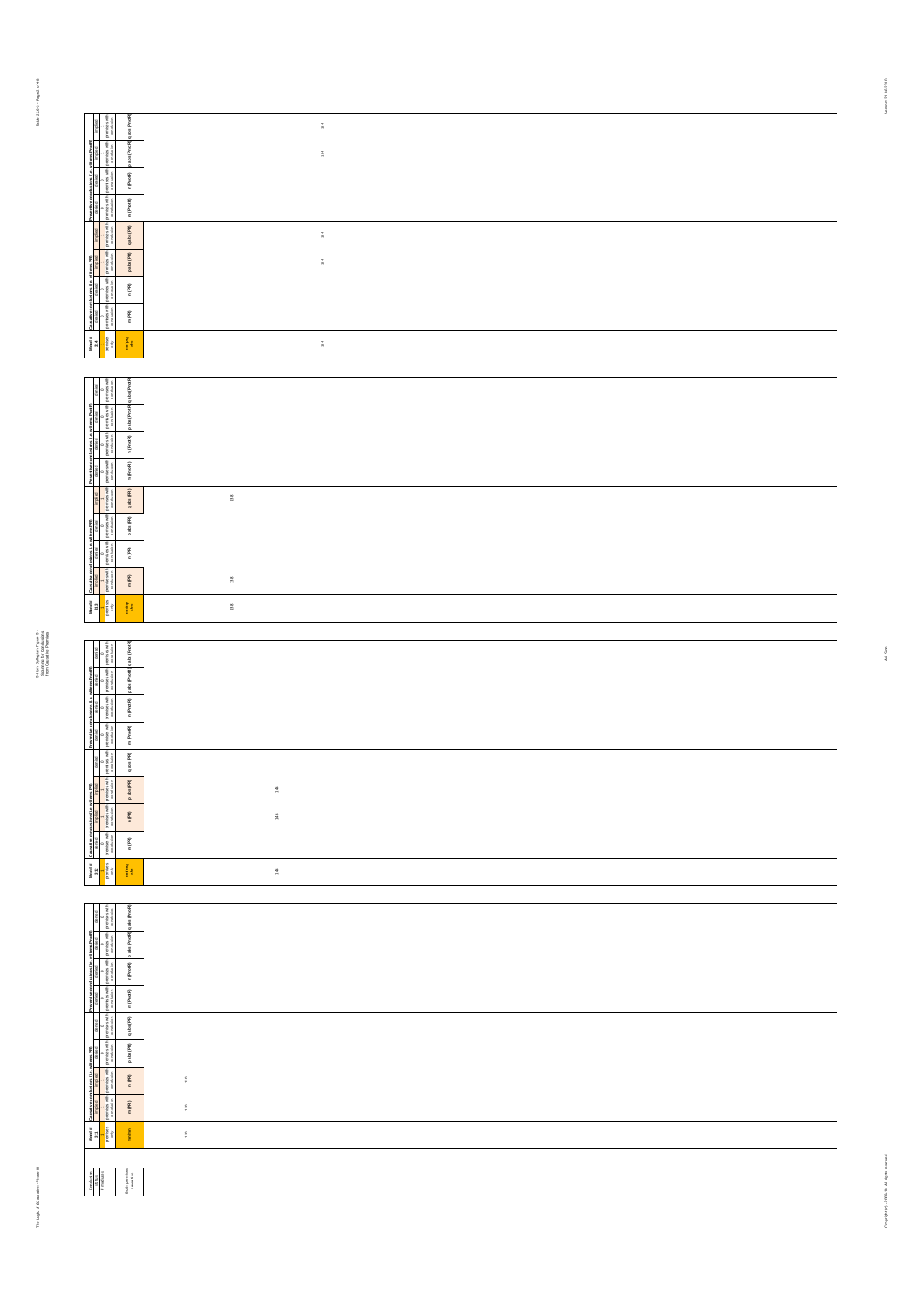| ł<br>j<br>֦֘<br> <br> <br> <br>i<br>3-ltem Sylopism<br>į<br>$\overline{a}$<br>֦֦֧ׅ֧֖֖֧֧֧֧ׅ֧֧֧ׅ֧ׅ֧֪֧ׅ֧ׅ֧֧֧֧֧֧֧֧֧֧֧֧֧֧֧֧֧֧֧֚֚֚֚֚֚֚֚֚֚֚֚֚֚֚֚֚֚֡֕֡֡֡֡֜֝֬֝֝֬֝֝֬֝֬֜֝֬֝֬֜֜֜֜֝֬֝֬֝֬ | Conclusions<br><b><i>Search existent</i></b> |
|-----------------------------------------------------------------------------------------------------------------------------------------------------------------------------|----------------------------------------------|
|                                                                                                                                                                             |                                              |
|                                                                                                                                                                             |                                              |
|                                                                                                                                                                             |                                              |
|                                                                                                                                                                             |                                              |
|                                                                                                                                                                             |                                              |
|                                                                                                                                                                             |                                              |
|                                                                                                                                                                             |                                              |
| III easil 4 - no bas:                                                                                                                                                       |                                              |
| of £Caus<br><b>Magico</b><br>Ĕ                                                                                                                                              |                                              |

| I abs (P notR<br>nnises wit<br>on:bailon<br>perdui                                                                                                                                                                           | $\frac{3}{4}$                |  |  |
|------------------------------------------------------------------------------------------------------------------------------------------------------------------------------------------------------------------------------|------------------------------|--|--|
| Preventive conclusions (i.e. witems Prooft)<br>derival director (implied<br>p abs (ProtR)<br>imises wit<br>ondusion<br>emises with<br>$n$ (ProofR)                                                                           | $_{\rm 34}$                  |  |  |
| $m$ (ProofR)<br>remises with<br>conclusion                                                                                                                                                                                   |                              |  |  |
| implied<br>q abs (PR)<br>hiera with<br>p abs (PR)                                                                                                                                                                            | $\frac{3}{2}$<br>$_{\rm 34}$ |  |  |
| Causative conclusions (i.e. wille ms PR)<br>direkt direkt direction<br>$_{\rm n}$ (e s)                                                                                                                                      |                              |  |  |
| wmises with<br>conclusion<br>$\frac{\partial \widehat{E}}{\partial t}$<br>$M_{\rm cool}$<br>premises<br>only<br>$\frac{5}{6}$ ).                                                                                             | $_{\rm 34}$                  |  |  |
|                                                                                                                                                                                                                              |                              |  |  |
| atos (Pn ofR) q atos (PnotR)<br>emises with<br>perdusion<br>denied<br>emises with<br>condusion                                                                                                                               |                              |  |  |
| Preventive conclusions (i.e. witems PhotR)<br>deviati<br>$n$ (P rooff)<br>remises with<br>conclusion                                                                                                                         |                              |  |  |
| $m (Proof R)$<br>emises with<br>perdusion<br>impied<br>raas with<br>$\overset{\text{\tiny{0}}}{\pi}$                                                                                                                         |                              |  |  |
| $p$ atos (PR) $q$ alos (PR)<br>amises with<br>conclusion                                                                                                                                                                     |                              |  |  |
| Causative conclusions (Le. willems PR)<br>Timples Timples<br>venises with<br>contitusion<br>$_{\rm e}$ (eq.<br>mses with<br>edusion<br>$\mathfrak{m}\varphi\mathfrak{K}$<br>$\substack{38\\-11}$                             |                              |  |  |
| $\frac{M \cos \theta}{313}$<br>comises<br>orly<br>$\frac{9}{3}$<br>$\overset{\text{\tiny{0}}}{\mathbb{B}}$                                                                                                                   |                              |  |  |
| qabs (PnofR)                                                                                                                                                                                                                 |                              |  |  |
| o abs (ProdR) q<br>Preventive con diusions (i.e. w/leams PnotR)<br>dented denied denied<br>imises with<br>cockieson<br>amises with<br>xxrdusion<br>$n$ (Pro $\mathfrak{M})$                                                  |                              |  |  |
| $m$ (ProofR)<br>ramises with<br>condusion                                                                                                                                                                                    |                              |  |  |
| $q$ at $\theta$ (PR)<br>chastons (A a Wheam PR)<br>Institute of the Highles of Section<br>pontes with pompais with ponensia with p<br>conclusion conclusion conclusion<br>conclusion conclusion conclusion                   | $_{\rm 146}$                 |  |  |
| n (PR) = p abs (PR)                                                                                                                                                                                                          | $\frac{9}{24}$               |  |  |
| Mood # Causative.conclusions<br>312 001100 00100<br>premises with<br>$\mathfrak{m}(\mathsf{PR})$<br>penissa<br>only<br>$\frac{g}{4}$ is                                                                                      | $\boldsymbol{^{146}}$        |  |  |
| dining<br>o<br>omissa v<br>porto                                                                                                                                                                                             |                              |  |  |
| pato (PR) aleto (PR) im (ProcR) in (ProcR) pato (ProcR) qube (ProcR)                                                                                                                                                         |                              |  |  |
|                                                                                                                                                                                                                              |                              |  |  |
| Causal Maria Causal de William PR)<br>1990 - Andrea Causal de Causal (m. 1990)<br>1990 - Andrea Causal de Causal (m. 1990)<br>1990 - Andrea Causal de Causal (m. 1990)<br>1990 - Andrea Causal de Causal de Causal (m. 1990) |                              |  |  |
| $_{\rm n}$ (PR)<br>$\frac{9}{14}$                                                                                                                                                                                            |                              |  |  |
| $\frac{1}{m}$ (PR)<br>$\frac{9}{13}$                                                                                                                                                                                         |                              |  |  |
| $M_{\rm cool}$<br>xemises<br>only<br>movino<br>$_{\rm 30}$                                                                                                                                                                   |                              |  |  |
| th premises<br>causative<br>nclusion<br>Status                                                                                                                                                                               |                              |  |  |

Copyright (c) - 2008-10. All rights reserved. Avi Sion Version: 21.06.2010

Avi Sion

jit (c) - 2008-10

|                                                                 | 0<br>remises with<br>corclusion                                                          | $q$ abs $\left( \mathsf{PR}\right)$    |                          |  |  |
|-----------------------------------------------------------------|------------------------------------------------------------------------------------------|----------------------------------------|--------------------------|--|--|
|                                                                 | history<br>holosion                                                                      | p abs (PR)                             | $\frac{9}{2}$            |  |  |
|                                                                 | amises with<br>padusion                                                                  | $\omega_{\theta}$                      | $\frac{\omega}{\lambda}$ |  |  |
| Carana Mw ang persiang person ang pag-                          | premises with<br>condusion                                                               | $\mathfrak{g}_{\mathfrak{m}}$          |                          |  |  |
|                                                                 | $\begin{array}{c}\n\text{Mod } n \\ 312 \\ \text{pounds}\n\end{array}$                   | $\frac{q}{\epsilon}$ a                 | $\frac{9}{2}$            |  |  |
|                                                                 |                                                                                          |                                        |                          |  |  |
|                                                                 | $\frac{5}{6}$                                                                            | qabs@nc                                |                          |  |  |
|                                                                 | Prevantive conclude na (u. witems Prock)<br>- Genied - Genied - Genied - 0<br>- 0<br>- 0 | abs (Pn                                |                          |  |  |
|                                                                 | ies with<br>Iusion<br>e<br>Tili                                                          | $n$ (ProofR)                           |                          |  |  |
|                                                                 | premises with<br>conclusion                                                              | m (ProdR)                              |                          |  |  |
|                                                                 | denied<br>premiess with<br>condusion                                                     | $\bf q$ abs $\left(\mathsf{PR}\right)$ |                          |  |  |
|                                                                 | 0<br>remises with<br>candusion                                                           | pats (PR)                              |                          |  |  |
|                                                                 | mises with<br>contain                                                                    | $_{\rm n}$ (PR)                        | $\Xi$                    |  |  |
| Causaliw condusions (i.e. willems PR)<br>Implied implied device | ten and with                                                                             | $\mathfrak{m}(\mathsf{PR})$            | $\frac{9}{13}$           |  |  |
| $\begin{array}{c}\n\text{Mod } n \\ 311\n\end{array}$           | promises<br>any                                                                          |                                        | $\frac{9}{13}$           |  |  |
|                                                                 |                                                                                          |                                        |                          |  |  |
|                                                                 |                                                                                          | Both premise<br>causative              |                          |  |  |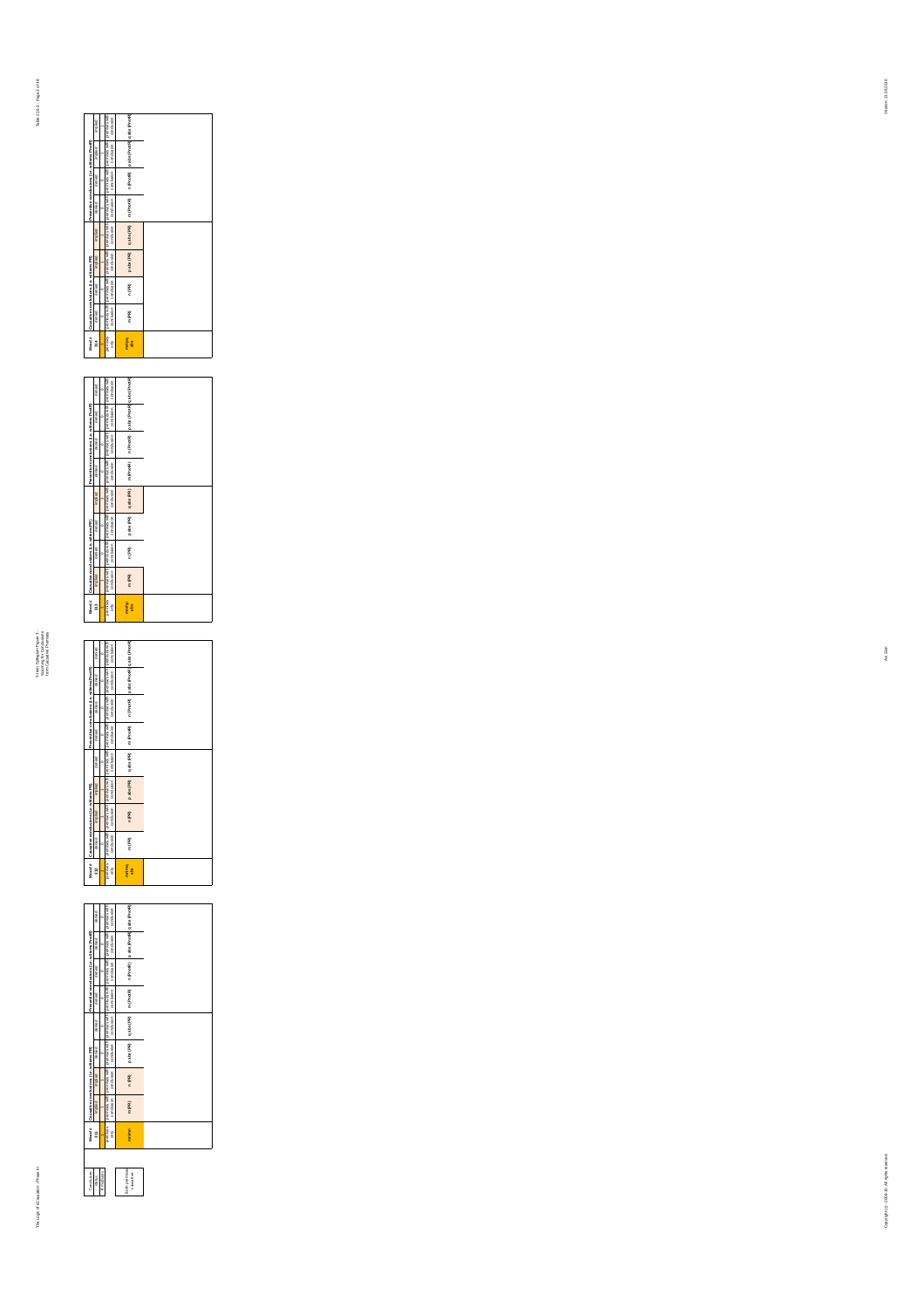| <b>ROTOR</b><br>Į<br>i<br>I                                                             | š | omi ses<br>an un Pr<br>I |
|-----------------------------------------------------------------------------------------|---|--------------------------|
|                                                                                         |   |                          |
|                                                                                         |   |                          |
|                                                                                         |   |                          |
|                                                                                         |   |                          |
|                                                                                         |   |                          |
|                                                                                         |   |                          |
|                                                                                         |   |                          |
| ×<br>ş<br>i<br>á<br>antion<br>-1.00-<br>į<br>5<br>al ania c<br>i<br>Á<br>$\overline{a}$ |   |                          |

|                                                | impled                           | premises with<br>operation                                |                                             |  |
|------------------------------------------------|----------------------------------|-----------------------------------------------------------|---------------------------------------------|--|
|                                                | implied                          | premises with<br>oondusion                                | pate (ProtR) q also (ProtR)                 |  |
| Preventive conclusions (i.e., wiltems Profit)  | denied                           | premises with<br>candusion                                | n (ProofR)                                  |  |
|                                                | denied                           | promises with<br>conclusion                               | m (ProtR)                                   |  |
|                                                | implied                          | promises with<br>oondusion                                | qabs (PR)                                   |  |
|                                                | implied                          | promises with<br>oondusion                                | pats (PR)                                   |  |
|                                                | denied                           | promises with<br>canduaton                                | n (PR)                                      |  |
| Causaire conclusions (i.e. wiltems PR)         | dinind                           | onmises with<br>operation                                 | m (PR)                                      |  |
| <b>Rood</b> #                                  | 11                               | D/01/11 905<br>only                                       | ă                                           |  |
|                                                |                                  |                                                           |                                             |  |
|                                                | denied                           | premises with<br>oondusion                                |                                             |  |
|                                                | denied                           | promises with promises with<br>condusion                  | pates (Pn ofR) qates (PnotR)                |  |
|                                                | dinied                           | operation                                                 | n (Prooff)                                  |  |
| Preventive conclusions (i.e. wiltems Pnot R)   | dening                           | premises with<br>oondusion                                | m (Proot R)                                 |  |
|                                                | implied                          | premises with premises with premises with<br>condusion    | qabs (PR)                                   |  |
|                                                | denied                           | conclusion                                                | p abs (PR)                                  |  |
|                                                | denied                           | operation                                                 | n (PR)                                      |  |
| Causative conclusions (i.e. witems PR)         | implied                          | hiv as with<br>oondusion                                  | $\omega$ or $\omega$                        |  |
| Mood #                                         | ក្ដ                              | premises<br>ğ                                             | ł                                           |  |
|                                                |                                  |                                                           |                                             |  |
|                                                | denied                           | promises with<br>conclusion                               | n (Prio IR) patris (P notR) quites (P notR) |  |
|                                                | dinind                           | oprehasion<br>DON'T SAS WITH                              |                                             |  |
| Preventive con dustons (i.e. w/ltems PnotR)    | denied                           | premises with<br>oondusion                                |                                             |  |
|                                                | denied                           | promises with<br>candusion                                | m (Prooff)                                  |  |
|                                                | denied                           | premises with<br>conclusion                               | $q$ ab $s$ (PR)                             |  |
| (i.e. w/tems PR)                               | implied                          | or emises with creamises with creamises with<br>oondusion | pabs (PR)                                   |  |
|                                                | imple                            | oondusion                                                 | n@R                                         |  |
| Causative conclusions                          | denied                           | condusion                                                 | m (PR)                                      |  |
| Mood #                                         | 312                              | promises<br>č                                             | maring<br>45                                |  |
|                                                | dicial                           | condusion                                                 |                                             |  |
|                                                | denied                           | premises with premises with<br>candusion                  | pabs (PnotR) qabs (PnotR)                   |  |
|                                                | denied                           | promises with<br>conclusion                               | n (ProtR)                                   |  |
| Preventive conclusions (i.e., wilterns Prooff) | denied                           | Dream ses with<br>operation                               | m (Prooff)                                  |  |
|                                                | denied                           | premises with<br>oondusion                                | qabs (PR)                                   |  |
|                                                | denied                           | condusion                                                 | pate (PR)                                   |  |
|                                                | mpled                            | promises with premises with<br>conclusion                 | n (PR)                                      |  |
| Causative condusions (i.e. wilterns PR)        | mpland                           | onmises with<br>oprehasion                                | m(PR)                                       |  |
| food #                                         | 5                                | comissi<br>ă                                              | movimo                                      |  |
|                                                |                                  |                                                           |                                             |  |
|                                                | Conclusion<br>Status<br>Amoduzes |                                                           | Both premises<br>causative                  |  |
|                                                |                                  |                                                           |                                             |  |

|  |                                             | dened   |   | promises with<br>conclusion                                 |                                      |
|--|---------------------------------------------|---------|---|-------------------------------------------------------------|--------------------------------------|
|  |                                             | denied  |   | operation                                                   | n (Pro IR) pais (ProfR) qabs (ProfR) |
|  |                                             | denied  | ö | oondusion                                                   |                                      |
|  | Preventive con dusions (i.e. w/ltems ProfR) | dened   |   | or emisses with Loremis es with Loremises with<br>canduaton | m (Prooff)                           |
|  |                                             | denied  | ö | premises with<br>conclusion                                 | $q$ at $s$ (PR)                      |
|  |                                             | implied |   | oondusion                                                   | pabs (PR)                            |
|  | Causative conclusions (i.e. witems PR)      | implied |   | premises with premises with premises with<br>oondusion      | n (PR)                               |
|  |                                             | dened   |   | condusion                                                   | m (PR)                               |
|  | Mood #                                      | 32      |   | premises<br>on)                                             | maring<br>45                         |

|                           |           | ausative conclusions (Le. wiltems PR)                                 |                         |            |                             | Preventive conclusions (i.e. wiltems ProtR) |                            |
|---------------------------|-----------|-----------------------------------------------------------------------|-------------------------|------------|-----------------------------|---------------------------------------------|----------------------------|
| implied                   | denied    | denied                                                                | mpled                   | denied     | dining                      | dened                                       | Contag                     |
|                           |           |                                                                       |                         |            |                             |                                             |                            |
| comises with<br>oondusion | operation | premises with premises with premises with premises with<br>conclusion | candusion               | oondusion  | premises with<br>conclusion | promises with<br>condusion                  | premises with<br>oondusion |
| $\omega$ or $\omega$      | n (PR)    |                                                                       | p atos (PR) q also (PR) | m(Proot R) |                             | n (PnotR)   pabs (PnotR) qabs (PnotR)       |                            |
|                           |           |                                                                       |                         |            |                             |                                             |                            |

| Mood#            |                   | Causaive con dusions (i.e. witems PR)                                                                                        |            |           |            | Preventive conclusions (i.e. witems Prooft) |                                         |           |
|------------------|-------------------|------------------------------------------------------------------------------------------------------------------------------|------------|-----------|------------|---------------------------------------------|-----------------------------------------|-----------|
| ă                | denied            | dened                                                                                                                        | impland    | implied   | denied     | denied                                      | implied                                 | mpled     |
|                  | ö                 |                                                                                                                              |            |           |            |                                             |                                         |           |
| >remises<br>cely | conclusion        | premises with premises with premises with premises with premises with premises with premises with premises with<br>candusion | oondusion  | oondusion | conclusion | candusion                                   | oondusion                               | operation |
| mang<br>ats      | $\frac{m(PR)}{E}$ | n (PR)                                                                                                                       | pates (PR) | qabs (PR) | m (Prooft) |                                             | n (Prooft) pabs (Prot R) q abs (Prooft) |           |
|                  |                   |                                                                                                                              |            |           |            |                                             |                                         |           |

 $\n 4800$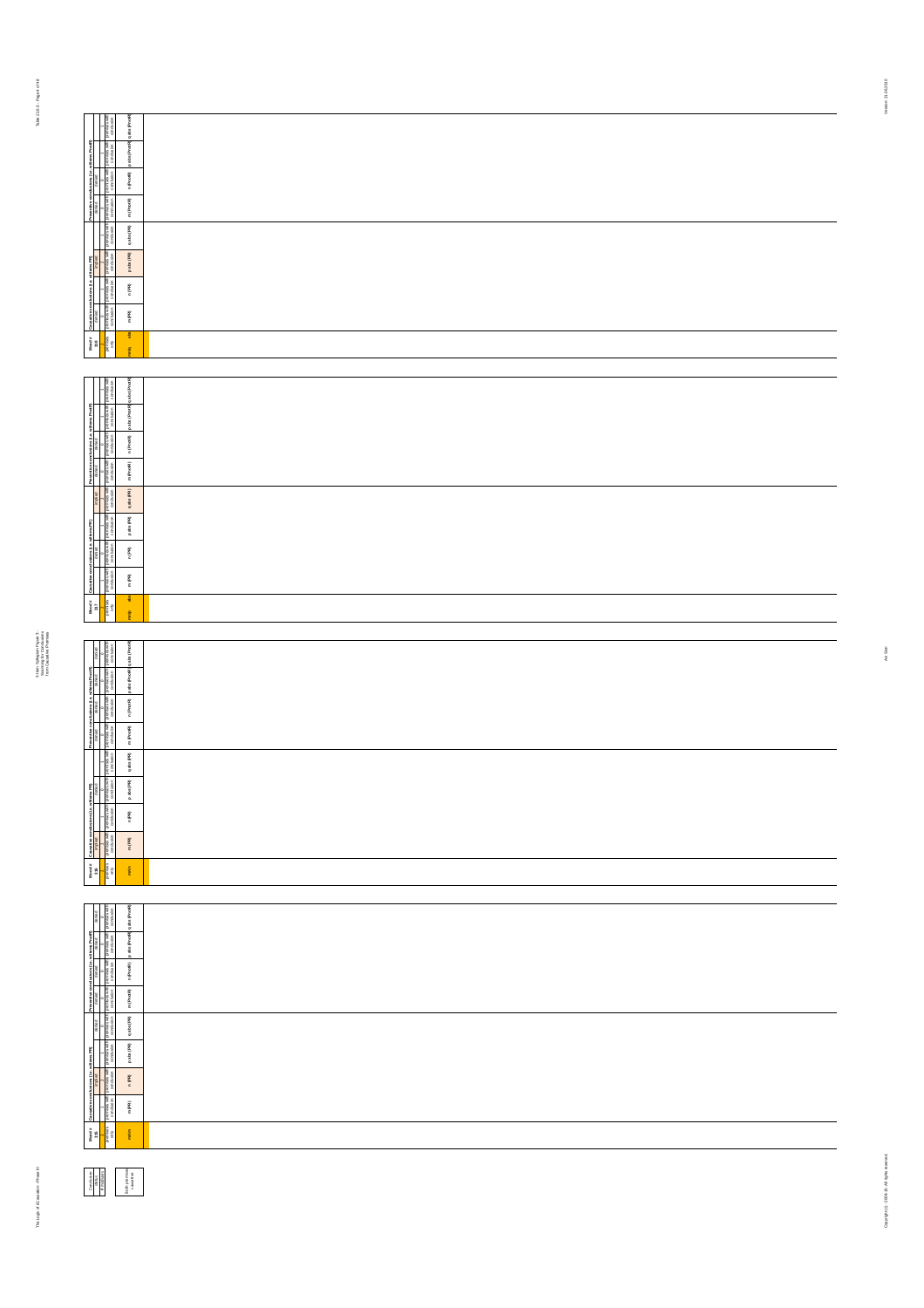| oondusion             | candusion     | conclusion    | oondusion         | oondusion                  |  |
|-----------------------|---------------|---------------|-------------------|----------------------------|--|
| 16 09 W               | promises with | こうそう でんき ここのこ | <b>TRANSVILLE</b> | <b>NEW WITH</b>            |  |
|                       |               |               |                   |                            |  |
| denied                | denied        |               | <b>Carden</b>     |                            |  |
| entive condusions (i. | š             |               |                   | nclusions (i.e. witems PR) |  |
|                       |               |               |                   |                            |  |

|                                                                                             | a<br>university<br>compared                                                                                                                                                                                                                      |                                                                                                                             |  |
|---------------------------------------------------------------------------------------------|--------------------------------------------------------------------------------------------------------------------------------------------------------------------------------------------------------------------------------------------------|-----------------------------------------------------------------------------------------------------------------------------|--|
|                                                                                             |                                                                                                                                                                                                                                                  | pates (ProtR) q also (ProtF                                                                                                 |  |
|                                                                                             |                                                                                                                                                                                                                                                  | $n$ (ProofR)                                                                                                                |  |
| Pavantia conclusions (i.e. witems PnotR)<br>derival                                         |                                                                                                                                                                                                                                                  |                                                                                                                             |  |
|                                                                                             |                                                                                                                                                                                                                                                  | $\begin{tabular}{ c c c c } \hline \textbf{p abs (PR)} & \textbf{q abs (PR)} & \textbf{m (P node)} \\ \hline \end{tabular}$ |  |
|                                                                                             |                                                                                                                                                                                                                                                  |                                                                                                                             |  |
|                                                                                             |                                                                                                                                                                                                                                                  |                                                                                                                             |  |
|                                                                                             |                                                                                                                                                                                                                                                  | $n$ (PR)                                                                                                                    |  |
|                                                                                             |                                                                                                                                                                                                                                                  | $\frac{1}{2}$                                                                                                               |  |
|                                                                                             | pontas pomas win primisa vir pomas vir pomas viri pomas viri primisa viri pomas viri pomas viri<br>Pody - occidenta pomas viriam pomas viriam pomas viri pomas viri primisa viri pomas viri                                                      | $\frac{1}{2}$<br>ş                                                                                                          |  |
|                                                                                             |                                                                                                                                                                                                                                                  |                                                                                                                             |  |
|                                                                                             |                                                                                                                                                                                                                                                  |                                                                                                                             |  |
|                                                                                             |                                                                                                                                                                                                                                                  | n (Prooft) pate (Phoeft) qabs (Prooft)                                                                                      |  |
|                                                                                             |                                                                                                                                                                                                                                                  |                                                                                                                             |  |
| Preventive conclusions (i.e. witems ProtR).<br>Genied denied                                |                                                                                                                                                                                                                                                  |                                                                                                                             |  |
|                                                                                             | ondata permula unh permain premiera un <mark>2 de la c</mark> onsegue de la permeta de la permaina via de la permeta auto<br>Permeta de la consegue de la consegue de la permeta permeta de la consegue de la permeta permeta de la consegu<br>P | $m(\mbox{Proof}\,R)$                                                                                                        |  |
|                                                                                             |                                                                                                                                                                                                                                                  | q abs (PR)                                                                                                                  |  |
|                                                                                             |                                                                                                                                                                                                                                                  | p also (PR)                                                                                                                 |  |
|                                                                                             |                                                                                                                                                                                                                                                  | $_{\rm n}$ (PR)                                                                                                             |  |
|                                                                                             |                                                                                                                                                                                                                                                  | $\omega$ or $\omega$                                                                                                        |  |
| Mood # Causative conclusions (Le, witterss PR)<br>317                                       |                                                                                                                                                                                                                                                  | $\frac{1}{2}$                                                                                                               |  |
|                                                                                             |                                                                                                                                                                                                                                                  | $\frac{b}{\epsilon}$                                                                                                        |  |
|                                                                                             |                                                                                                                                                                                                                                                  |                                                                                                                             |  |
|                                                                                             |                                                                                                                                                                                                                                                  |                                                                                                                             |  |
|                                                                                             |                                                                                                                                                                                                                                                  |                                                                                                                             |  |
|                                                                                             |                                                                                                                                                                                                                                                  |                                                                                                                             |  |
|                                                                                             |                                                                                                                                                                                                                                                  | n (Pno IR) p abs (PnoR) q abs (PnoR                                                                                         |  |
|                                                                                             |                                                                                                                                                                                                                                                  | $m$ (ProdR)                                                                                                                 |  |
|                                                                                             |                                                                                                                                                                                                                                                  |                                                                                                                             |  |
|                                                                                             |                                                                                                                                                                                                                                                  |                                                                                                                             |  |
|                                                                                             |                                                                                                                                                                                                                                                  | $\begin{array}{ c c } \hline \text{p abs (PR)} & \text{q abs (PR)} \hline \end{array}$                                      |  |
|                                                                                             |                                                                                                                                                                                                                                                  | a do a                                                                                                                      |  |
|                                                                                             |                                                                                                                                                                                                                                                  | $m(\mathsf{PR})$                                                                                                            |  |
|                                                                                             | акоия (ализовесонными бликаками) (в собена)<br>1996 — Верний Санковский (в собена) (в собена) (в собена) (в собена) (в собена) (в собена) (в собена) (в собе<br>1996 — Верний Санковский (в собена) (в собена) (в собена) (в собен               | $\mathfrak{f}$                                                                                                              |  |
|                                                                                             |                                                                                                                                                                                                                                                  |                                                                                                                             |  |
|                                                                                             |                                                                                                                                                                                                                                                  |                                                                                                                             |  |
|                                                                                             |                                                                                                                                                                                                                                                  |                                                                                                                             |  |
|                                                                                             |                                                                                                                                                                                                                                                  |                                                                                                                             |  |
|                                                                                             |                                                                                                                                                                                                                                                  |                                                                                                                             |  |
|                                                                                             |                                                                                                                                                                                                                                                  |                                                                                                                             |  |
| Preventive conclusions (Le, witems Protet)<br>Onled Derival Control Control Onled           |                                                                                                                                                                                                                                                  |                                                                                                                             |  |
|                                                                                             |                                                                                                                                                                                                                                                  | patos (PR) a atos (PR) in (Proces) in (Proces) is a bas (Proces) is ato (Proces)                                            |  |
| susative condusions (i.e. witems PR)<br>Inp <mark>ăed di</mark> Impăed de Serie (i.e. 1991) | nomiala with <mark>comme</mark> and Tommala with pointing is pointing awth Trammala with Tommala with<br>- Conclusion - Conclusion - Conclusion - Conclusion - Conclusion - Conclusion - Conclusion - Conclusion - Conclusion                    | $n$ (PR)<br>$\frac{\partial \mathbf{R}}{\partial \mathbf{r}}$                                                               |  |

|                                                                                                                                                                                                                               | ē.<br>۽<br>÷                             |  |
|-------------------------------------------------------------------------------------------------------------------------------------------------------------------------------------------------------------------------------|------------------------------------------|--|
| ohnikid<br>pomtasa with promiasa with pomta as with<br>conclusion condusion condusion                                                                                                                                         | $\overline{z}$<br>ε<br>$\mathbf{a}$      |  |
|                                                                                                                                                                                                                               | $\widehat{\mathfrak{g}}$<br>n (Prot      |  |
| denied<br>premissi with<br>oordusion                                                                                                                                                                                          | $\frac{\widehat{w}}{8}$<br>$\frac{8}{8}$ |  |
| promise with promise with promise with promise with processors and the processors of the conduistion of the conduistion of the conduistion of the conduistion of the conduistion of the conduistion of the conduistion of the | $\bf q$ abs $\left( \mathrm{PR}\right)$  |  |
|                                                                                                                                                                                                                               | p atos (PR)                              |  |
| dhridd<br>promises with<br>ooclusion                                                                                                                                                                                          | $_{\rm n}$ (PR)                          |  |
| $\begin{array}{c}\n1 \\ \hline\n\text{pounds as with}\n\end{array}$                                                                                                                                                           | $\mathfrak{m} \neq \mathfrak{N}$         |  |
| $\frac{317}{2}$<br>promises                                                                                                                                                                                                   | 優<br>÷                                   |  |

|                             | promises with<br>conclusion       | q also (Prooff)                    |  |
|-----------------------------|-----------------------------------|------------------------------------|--|
| ts Prooff)<br>š             | premises with<br>condusion        | p abs (Prot R)                     |  |
| nclusions (i.e. v           | premises with<br>condusion        | n (ProfR)                          |  |
| 8I<br>Preventive            | $rac{0}{\text{normal area with}}$ | $m(p \text{ node})$                |  |
|                             | premises with<br>conclusion       | $\bf{q}$ abs (PR)                  |  |
| <b>Distium</b><br>Distaura  | premises with<br>condusion        | $p$ abs $\langle \theta R \rangle$ |  |
| islons (i.e.<br>б           | premises with<br>condusion        | n (PR)                             |  |
| Causative con c             | promises with<br>corolusion       | $\mathfrak{m}(\mathsf{PR})$        |  |
| $\frac{M \cos \theta}{318}$ | promises                          | 暑<br>ř                             |  |

Scanning for Conclusions from Causative Premises

3-ltem Syllogism Figure 3-<br>Scaming for Conclusions<br>from Causative Premises

The Logic of Economic of Economic of Economic of Economic Sylvism Figure 3 - Phase III 3-Item Sylvism Figure 3 - Phase III 30-Item Sylvism Figure 3 - Phase III 3-Item Sylvism Figure 3 - Phase III 3-Item Sylvism Figure 3 -

 $rac{6}{3}$ 

Conclusion status # moduses causative Both premises

Mood # $315$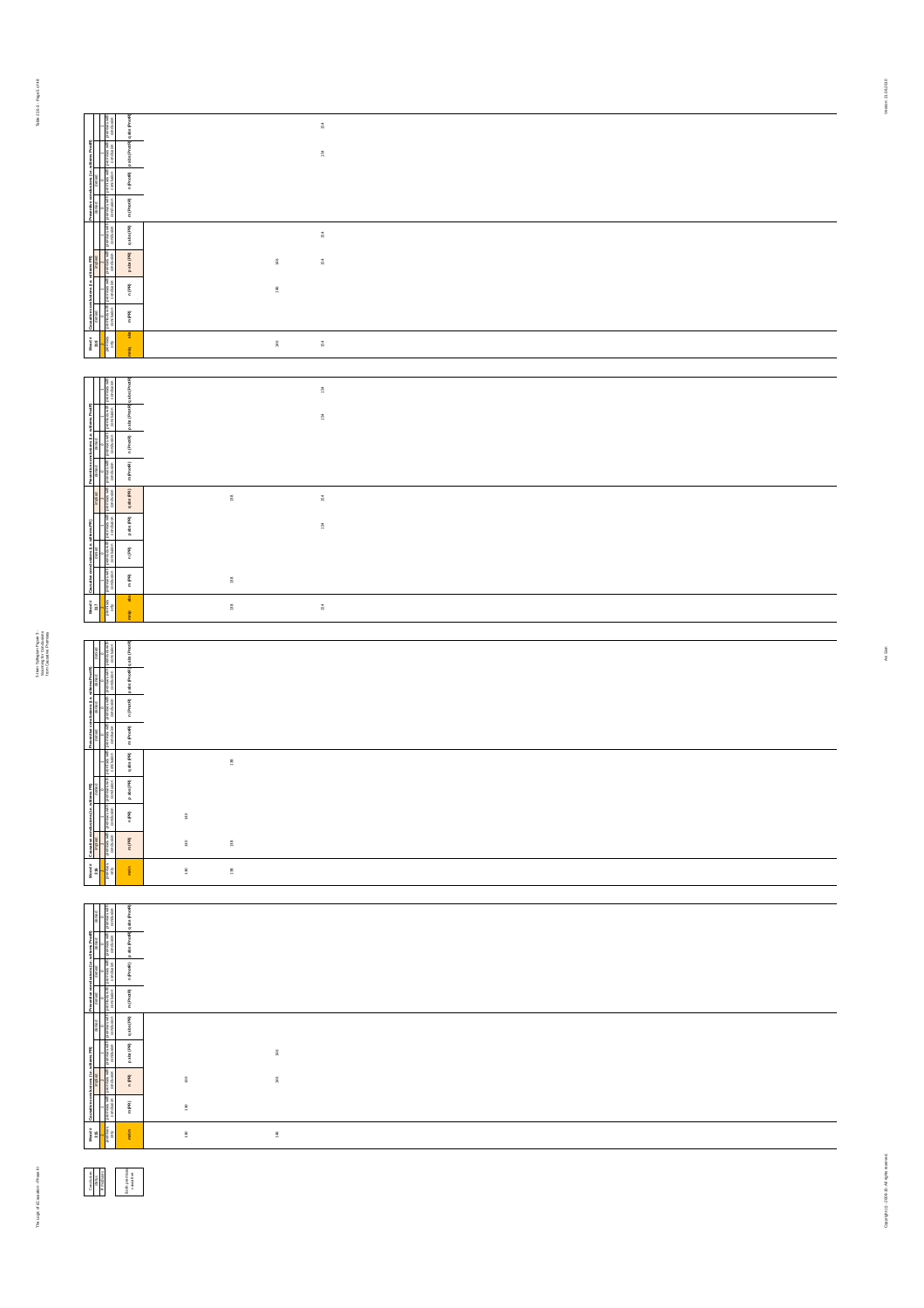Table 22.6-3 - Page 5 of 48 Table 22.6-3 - Page 5 of 48

|                                                                                                                                                                                                                                                                                                             |                                                                                                |                         |                 | $_{\rm 154}$                     |  |  |
|-------------------------------------------------------------------------------------------------------------------------------------------------------------------------------------------------------------------------------------------------------------------------------------------------------------|------------------------------------------------------------------------------------------------|-------------------------|-----------------|----------------------------------|--|--|
|                                                                                                                                                                                                                                                                                                             | ato (Pro                                                                                       |                         |                 |                                  |  |  |
| Pavastive conclusions (i.e. witems Profit)<br>Gented                                                                                                                                                                                                                                                        | o abs (Pnot R)                                                                                 |                         |                 | $_{\rm 34}$                      |  |  |
|                                                                                                                                                                                                                                                                                                             |                                                                                                |                         |                 |                                  |  |  |
|                                                                                                                                                                                                                                                                                                             |                                                                                                |                         |                 |                                  |  |  |
|                                                                                                                                                                                                                                                                                                             | $n$ (ProofR)                                                                                   |                         |                 |                                  |  |  |
|                                                                                                                                                                                                                                                                                                             |                                                                                                |                         |                 |                                  |  |  |
|                                                                                                                                                                                                                                                                                                             | $m$ (P roofR)<br>xamises with<br>conclusion                                                    |                         |                 |                                  |  |  |
|                                                                                                                                                                                                                                                                                                             | ≸ s                                                                                            |                         |                 |                                  |  |  |
|                                                                                                                                                                                                                                                                                                             | $q$ abs (PR)                                                                                   |                         |                 | $_{\rm 154}$                     |  |  |
|                                                                                                                                                                                                                                                                                                             |                                                                                                |                         |                 |                                  |  |  |
| Causative conditations (i.e., willease PR)<br>denial                                                                                                                                                                                                                                                        | $p$ abs $\langle \theta R \rangle$                                                             |                         |                 | $_{\rm 34}$<br>$\frac{146}{1}$   |  |  |
|                                                                                                                                                                                                                                                                                                             |                                                                                                |                         |                 |                                  |  |  |
|                                                                                                                                                                                                                                                                                                             |                                                                                                |                         |                 |                                  |  |  |
|                                                                                                                                                                                                                                                                                                             | $_{\alpha \, (\beta \, R)}$                                                                    |                         |                 | $\frac{6}{36}$                   |  |  |
|                                                                                                                                                                                                                                                                                                             |                                                                                                |                         |                 |                                  |  |  |
|                                                                                                                                                                                                                                                                                                             | imises with<br>on:bailon<br>$\frac{1}{\epsilon}$                                               |                         |                 |                                  |  |  |
|                                                                                                                                                                                                                                                                                                             | 暮                                                                                              |                         |                 |                                  |  |  |
| $\frac{M \cos \theta}{318}$                                                                                                                                                                                                                                                                                 | premises<br>g.                                                                                 |                         |                 | $\frac{9}{24}$<br>$\frac{3}{24}$ |  |  |
|                                                                                                                                                                                                                                                                                                             |                                                                                                |                         |                 |                                  |  |  |
|                                                                                                                                                                                                                                                                                                             |                                                                                                |                         |                 |                                  |  |  |
|                                                                                                                                                                                                                                                                                                             |                                                                                                |                         |                 |                                  |  |  |
|                                                                                                                                                                                                                                                                                                             | i qabs (Prot R)<br>condus<br>Condus                                                            |                         |                 | $\overline{\mathbb{R}}$          |  |  |
|                                                                                                                                                                                                                                                                                                             |                                                                                                |                         |                 |                                  |  |  |
|                                                                                                                                                                                                                                                                                                             | abs (Pnoff)                                                                                    |                         |                 | $\frac{35}{14}$                  |  |  |
|                                                                                                                                                                                                                                                                                                             |                                                                                                |                         |                 |                                  |  |  |
|                                                                                                                                                                                                                                                                                                             | n (ProdR)                                                                                      |                         |                 |                                  |  |  |
|                                                                                                                                                                                                                                                                                                             |                                                                                                |                         |                 |                                  |  |  |
| Preventive conclusions (i.e. willems PnotR)<br>denied                                                                                                                                                                                                                                                       | $m(\mathsf{Proof}\,\mathsf{R})$                                                                |                         |                 |                                  |  |  |
|                                                                                                                                                                                                                                                                                                             | commons<br>conclusi                                                                            |                         |                 |                                  |  |  |
|                                                                                                                                                                                                                                                                                                             |                                                                                                |                         |                 |                                  |  |  |
| implied                                                                                                                                                                                                                                                                                                     | q abs (PR)                                                                                     |                         | $\mathbbmss{3}$ | $\frac{\pi}{10}$                 |  |  |
|                                                                                                                                                                                                                                                                                                             |                                                                                                |                         |                 |                                  |  |  |
| Causative conclusions (i.e. witems PR)                                                                                                                                                                                                                                                                      | $p$ aba $\langle PR\rangle$                                                                    |                         |                 | $\frac{3}{12}$                   |  |  |
|                                                                                                                                                                                                                                                                                                             |                                                                                                |                         |                 |                                  |  |  |
|                                                                                                                                                                                                                                                                                                             | rem ses wer<br>oorclusion<br>$\alpha$ (PR)                                                     |                         |                 |                                  |  |  |
|                                                                                                                                                                                                                                                                                                             |                                                                                                |                         |                 |                                  |  |  |
|                                                                                                                                                                                                                                                                                                             | $\frac{1}{2}$                                                                                  |                         | $_{\rm 33}$     |                                  |  |  |
|                                                                                                                                                                                                                                                                                                             |                                                                                                |                         |                 |                                  |  |  |
|                                                                                                                                                                                                                                                                                                             | 菁                                                                                              |                         |                 |                                  |  |  |
| $\begin{array}{c} \text{M model} \\ \text{317} \end{array}$                                                                                                                                                                                                                                                 | premises<br>orly<br>$\frac{a}{2}$                                                              |                         | $\mathfrak{A}$  | $\frac{4}{33}$                   |  |  |
|                                                                                                                                                                                                                                                                                                             |                                                                                                |                         |                 |                                  |  |  |
|                                                                                                                                                                                                                                                                                                             |                                                                                                |                         |                 |                                  |  |  |
|                                                                                                                                                                                                                                                                                                             |                                                                                                |                         |                 |                                  |  |  |
|                                                                                                                                                                                                                                                                                                             |                                                                                                |                         |                 |                                  |  |  |
| dened                                                                                                                                                                                                                                                                                                       | abs (ProfR)                                                                                    |                         |                 |                                  |  |  |
|                                                                                                                                                                                                                                                                                                             |                                                                                                |                         |                 |                                  |  |  |
|                                                                                                                                                                                                                                                                                                             |                                                                                                |                         |                 |                                  |  |  |
|                                                                                                                                                                                                                                                                                                             |                                                                                                |                         |                 |                                  |  |  |
|                                                                                                                                                                                                                                                                                                             |                                                                                                |                         |                 |                                  |  |  |
|                                                                                                                                                                                                                                                                                                             | n (ProfR)                                                                                      |                         |                 |                                  |  |  |
|                                                                                                                                                                                                                                                                                                             |                                                                                                |                         |                 |                                  |  |  |
| Preventive con diusions (i.e. w/leans Prooft)<br>Ginted (Context Constant)                                                                                                                                                                                                                                  | $m$ (ProofR)<br>premises w<br>condusion                                                        |                         |                 |                                  |  |  |
|                                                                                                                                                                                                                                                                                                             |                                                                                                |                         | $\frac{33}{14}$ |                                  |  |  |
|                                                                                                                                                                                                                                                                                                             | $q$ abs $\left( \mathsf{PR}\right)$<br>remises with<br>conclusion                              |                         |                 |                                  |  |  |
|                                                                                                                                                                                                                                                                                                             |                                                                                                |                         |                 |                                  |  |  |
| $n$ ams $PR$ )<br>$90 \text{ and }$                                                                                                                                                                                                                                                                         | $p$ abs (PR)<br>xemises with<br>conclusion                                                     |                         |                 |                                  |  |  |
|                                                                                                                                                                                                                                                                                                             |                                                                                                |                         |                 |                                  |  |  |
|                                                                                                                                                                                                                                                                                                             | promises with<br>condusion<br>n@R                                                              | $\frac{\Omega}{\Omega}$ |                 |                                  |  |  |
|                                                                                                                                                                                                                                                                                                             |                                                                                                |                         |                 |                                  |  |  |
|                                                                                                                                                                                                                                                                                                             | $\mathfrak{m}(\mathsf{PR})$                                                                    | $\frac{9}{14}$          | $\frac{33}{14}$ |                                  |  |  |
|                                                                                                                                                                                                                                                                                                             | premises with<br>condusion                                                                     |                         |                 |                                  |  |  |
|                                                                                                                                                                                                                                                                                                             | $\mathbf{f}$                                                                                   | $\frac{3}{13}$          | $\frac{33}{14}$ |                                  |  |  |
| $\frac{1}{36}$ $\frac{1}{36}$ $\frac{1}{36}$ $\frac{1}{36}$ $\frac{1}{36}$ $\frac{1}{36}$ $\frac{1}{36}$ $\frac{1}{36}$ $\frac{1}{36}$ $\frac{1}{36}$ $\frac{1}{36}$ $\frac{1}{36}$ $\frac{1}{36}$ $\frac{1}{36}$ $\frac{1}{36}$ $\frac{1}{36}$ $\frac{1}{36}$ $\frac{1}{36}$ $\frac{1}{36}$ $\frac{1}{36}$ | $\frac{2}{\text{pounds}}$                                                                      |                         |                 |                                  |  |  |
|                                                                                                                                                                                                                                                                                                             |                                                                                                |                         |                 |                                  |  |  |
|                                                                                                                                                                                                                                                                                                             |                                                                                                |                         |                 |                                  |  |  |
|                                                                                                                                                                                                                                                                                                             |                                                                                                |                         |                 |                                  |  |  |
|                                                                                                                                                                                                                                                                                                             |                                                                                                |                         |                 |                                  |  |  |
|                                                                                                                                                                                                                                                                                                             |                                                                                                |                         |                 |                                  |  |  |
|                                                                                                                                                                                                                                                                                                             | premises with<br>condusion                                                                     |                         |                 |                                  |  |  |
|                                                                                                                                                                                                                                                                                                             |                                                                                                |                         |                 |                                  |  |  |
|                                                                                                                                                                                                                                                                                                             | premises with<br>conclusion                                                                    |                         |                 |                                  |  |  |
|                                                                                                                                                                                                                                                                                                             |                                                                                                |                         |                 |                                  |  |  |
|                                                                                                                                                                                                                                                                                                             | premises with<br>conclusion                                                                    |                         |                 |                                  |  |  |
|                                                                                                                                                                                                                                                                                                             |                                                                                                |                         |                 |                                  |  |  |
|                                                                                                                                                                                                                                                                                                             | premises with p<br>condusion                                                                   |                         |                 |                                  |  |  |
|                                                                                                                                                                                                                                                                                                             |                                                                                                |                         |                 |                                  |  |  |
|                                                                                                                                                                                                                                                                                                             | pates (PR) quates (PR) in (Proces) in (Proces) is also (Proces) quate (Proces<br>premises with |                         | $\frac{9}{36}$  |                                  |  |  |
|                                                                                                                                                                                                                                                                                                             |                                                                                                |                         |                 |                                  |  |  |
|                                                                                                                                                                                                                                                                                                             | $_{\rm n}$ (PR)                                                                                | $\frac{9}{14}$          |                 | $\frac{46}{3}$                   |  |  |
|                                                                                                                                                                                                                                                                                                             | promises with<br>conclusion                                                                    |                         |                 |                                  |  |  |
|                                                                                                                                                                                                                                                                                                             |                                                                                                | $\frac{9}{130}$         |                 |                                  |  |  |
|                                                                                                                                                                                                                                                                                                             | promises with<br>conclusion<br>$\frac{\partial}{\partial t}$                                   |                         |                 |                                  |  |  |
| Micolat Causaline conclusions (A. Whemas PR) deviat Preventive conclusions (Le. Whemas Proces).<br>315 15 <mark>contra protect (</mark>                                                                                                                                                                     | premises<br>$\frac{1}{2}$                                                                      | $\frac{9}{13}$          |                 | $\frac{9}{146}$                  |  |  |

Conclusion status # moduses causative Both premises

 $gt(6) - 2008 - 10$ 

Copyright (c) - 2008-10. All rights reserved. Avi Sion Version: 21.06.2010

Avi Sion

2106.2010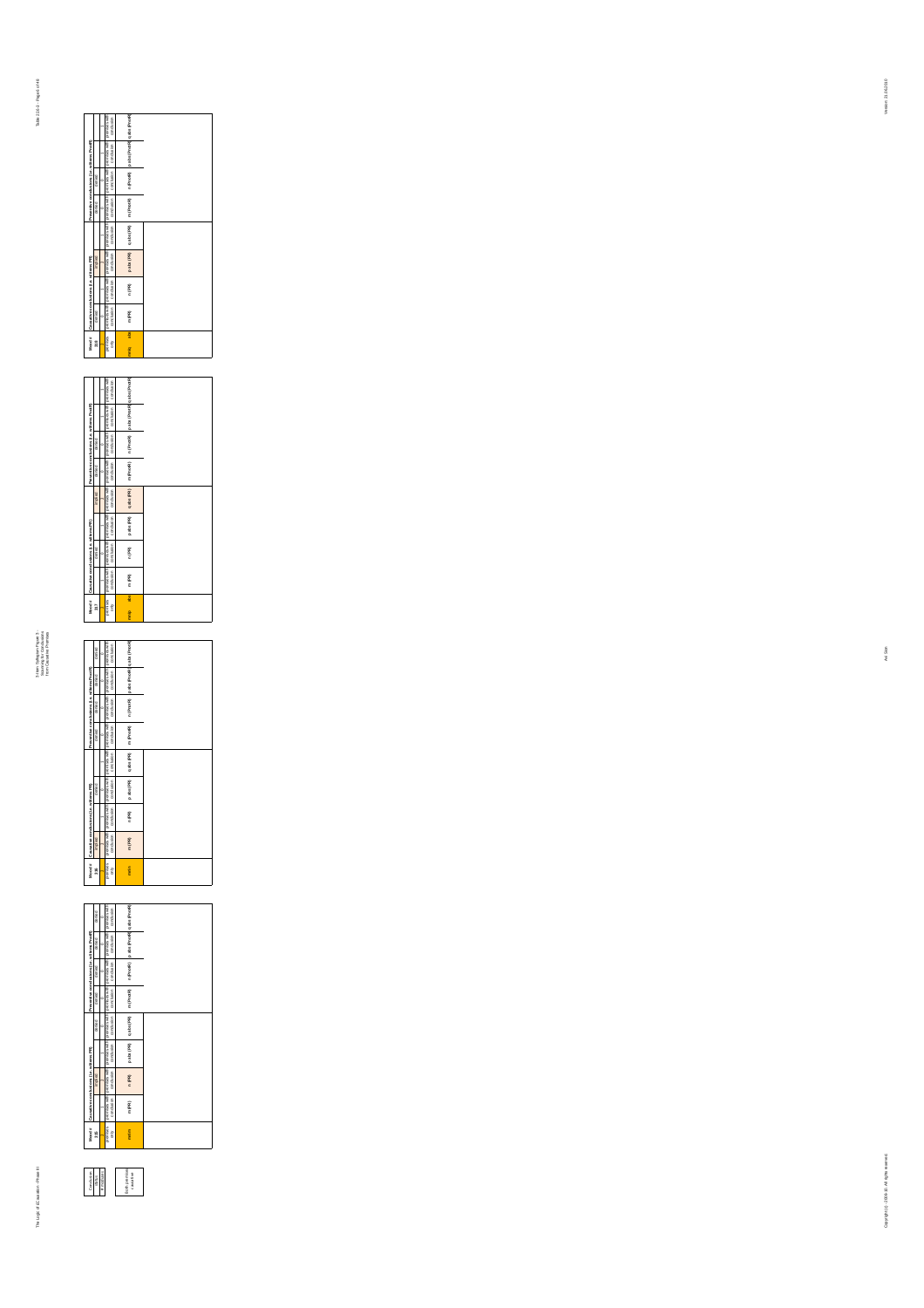| dining<br>denied<br>denied<br>dining      |         | ۰<br>ö<br>ö | promises with<br>oondusion<br>promises with<br>candusion<br>premises with premises with<br>conclusion<br>operation | pabs (PnotR) qabs (PnotR)<br>n (Prooff)<br>$m$ (P roofR) |  |
|-------------------------------------------|---------|-------------|--------------------------------------------------------------------------------------------------------------------|----------------------------------------------------------|--|
| Preventive conclusions (Le. witems ProfR) | denied  | ö           | oondusion                                                                                                          | qabs (PR)                                                |  |
|                                           |         |             | premises with premises with<br>candusion                                                                           | pates (PR)                                               |  |
|                                           | implied |             | combision                                                                                                          | n (PR)                                                   |  |
| Causative condusions (i.e. wiltems PR)    |         |             | premises with promises with<br>operation                                                                           | m (PR)                                                   |  |
| Mood #                                    | 515     |             | promises<br>only                                                                                                   | movim                                                    |  |

Conclusion status # moduses causative Both premises

|                                              |         |   | DYNT 905 WET<br>operation           |                                     |  |
|----------------------------------------------|---------|---|-------------------------------------|-------------------------------------|--|
|                                              |         |   | DYNTHIS OS WITH<br>oondusion        | pates (Priot R) q also (P notR)     |  |
|                                              | denied  |   | promises with<br>candusion          | n (ProtR)                           |  |
| Preventive conclusions (i.e. willems Prooff) | denied  |   | promises with<br>conclusion         | m (ProtR)                           |  |
|                                              |         |   | promises with<br>oondusion          | qabs (PR)                           |  |
|                                              | implied |   | premises with<br>oondusion          | pats (PR)                           |  |
|                                              |         |   | promises with<br>candusion          | n (PR)                              |  |
| ausative conclusions (i.e. wiltems PR)       | dicial  |   | com ses with<br>oprobasion          | $\frac{1}{n}$                       |  |
| <b>Accord #</b>                              | H       |   | 200 m 905<br>only                   | ä                                   |  |
|                                              |         |   |                                     | movia                               |  |
|                                              |         |   | promises with<br>oondusion          | pates (Pn ofR) q alss (PnotR)       |  |
|                                              |         |   | pright sea with<br>condusion        |                                     |  |
|                                              | dinind  |   | promises with<br>oprehasion         | n (ProtR)                           |  |
| Preventive conclusions (i.e. wiltems PnotR)  | denied  |   | premises with<br>oondusion          | m(Proot R)                          |  |
|                                              | implied |   | premises with<br>candusion          | qabs (PR)                           |  |
|                                              |         |   | D'emission Vilh<br>conclusion       | p abs (PR)                          |  |
|                                              | denied  | ò | promises with<br>operation          | n (PR)                              |  |
| Causative conclusions (Le. wiltems PR)       |         |   | comman with<br>oondusion            | m (PR)                              |  |
| Mood #                                       | ā       |   | premises<br>ğ                       | ă<br>ten de                         |  |
|                                              |         |   |                                     |                                     |  |
|                                              | denied  |   | ロマン やらの こになるこ<br>conclusion         | n (Pro R) pats (ProfR) qabs (ProfR) |  |
|                                              | denied  |   | www.sea.with<br>operchasion         |                                     |  |
| Preventive con dusions (i.e. w/ltems Prooff) | denied  |   | ロック 切りにない<br>oondusion              |                                     |  |
|                                              | denied  |   | promises with<br>candusion          | $m$ (P roofR)                       |  |
|                                              |         |   | Dream ses with<br>operation         | $q$ abs $(PR)$                      |  |
| (i.e. w/toms PR)                             | dining  |   | Dremlees with<br>oondusion          | pabs (PR)                           |  |
|                                              |         |   | <b>With</b><br>oondusion            | n (PR)                              |  |
| Causative conclusions                        | impled  |   | promises with premises<br>condusion | m(PR)                               |  |
| Mood #                                       | g       |   | DYOTH 50%<br>only                   | movin                               |  |
|                                              |         |   |                                     |                                     |  |
|                                              | dicial  |   | premises with<br>condusion          | pabs (PnotR) qabs (PnotR)           |  |
| Preventive conclusions (Le. witems ProfR)    | denied  |   | promises with<br>candusion          |                                     |  |
|                                              | denied  |   | <b>Systems</b><br>conclusion        | n (ProtR)                           |  |
|                                              | denied  |   | premises with<br>operchasines       | m (ProtR)                           |  |
|                                              | denied  |   | promises with<br>oondusion          | qabs (PR)                           |  |
|                                              |         |   | promises with<br>condusion          | pate (PR)                           |  |
| Causalive coindu sions (i.e. willems PR)     | impled  |   | promises with<br>conclusion         | n (PR)                              |  |
|                                              |         |   | hom sea with<br>oprobasion          | m (PR)                              |  |
| tood #                                       | 315     |   | vemices<br>$\frac{3}{6}$            | <b>Tarita</b>                       |  |

|                           | ausative conclusions (Le. wiltems PR) |                                                                       |           |            | Preventive conclusions (i.e. witems Pnot R) |                                                        |           |
|---------------------------|---------------------------------------|-----------------------------------------------------------------------|-----------|------------|---------------------------------------------|--------------------------------------------------------|-----------|
|                           | denied                                |                                                                       | lmpled    | denied     | denied                                      |                                                        |           |
|                           |                                       |                                                                       |           |            |                                             |                                                        |           |
| comises with<br>oondusion | oorchasion                            | premises with premises with premises with premiers with<br>conclusion | candusion | oondusion  | conclusion                                  | premises with premises with premises with<br>condusion | oondusion |
| m (PR)                    | n (PR)                                | p atos (PR)                                                           | qabs (PR) | m(Proot R) |                                             | n (Prooft) pates (Pn offt) qabs (Prot ft)              |           |
|                           |                                       |                                                                       |           |            |                                             |                                                        |           |
|                           |                                       |                                                                       |           |            |                                             |                                                        |           |

| Mood#<br>318  |                             |                                        |                            |                            |                             |                                              |                            |                                |
|---------------|-----------------------------|----------------------------------------|----------------------------|----------------------------|-----------------------------|----------------------------------------------|----------------------------|--------------------------------|
|               |                             | Causaive con dusions (i.e. wiltems PR) |                            |                            |                             | Preventive conclusions (i.e. wittems Prooff) |                            |                                |
|               | dining                      |                                        | impland                    |                            | denied                      | dened                                        |                            |                                |
|               | ۰                           |                                        |                            |                            | ۰                           | ö                                            |                            |                                |
| 200 mosc<br>č | premises with<br>conclusion | promises with<br>candusion             | premises with<br>oondusion | premises with<br>oondusion | promises with<br>conclusion | premises with<br>candusion                   | premises with<br>oondusion | premises with<br>operation     |
| ã<br>혼        | $\frac{m(PR)}{E}$           | n (PR)                                 | pabs (PR)                  | qabs (PR)                  | m (Prooft)                  | n (Prooff)                                   |                            | pates (Priot R) q abs (P notR) |
|               |                             |                                        |                            |                            |                             |                                              |                            |                                |

2106.2010

Avi Sion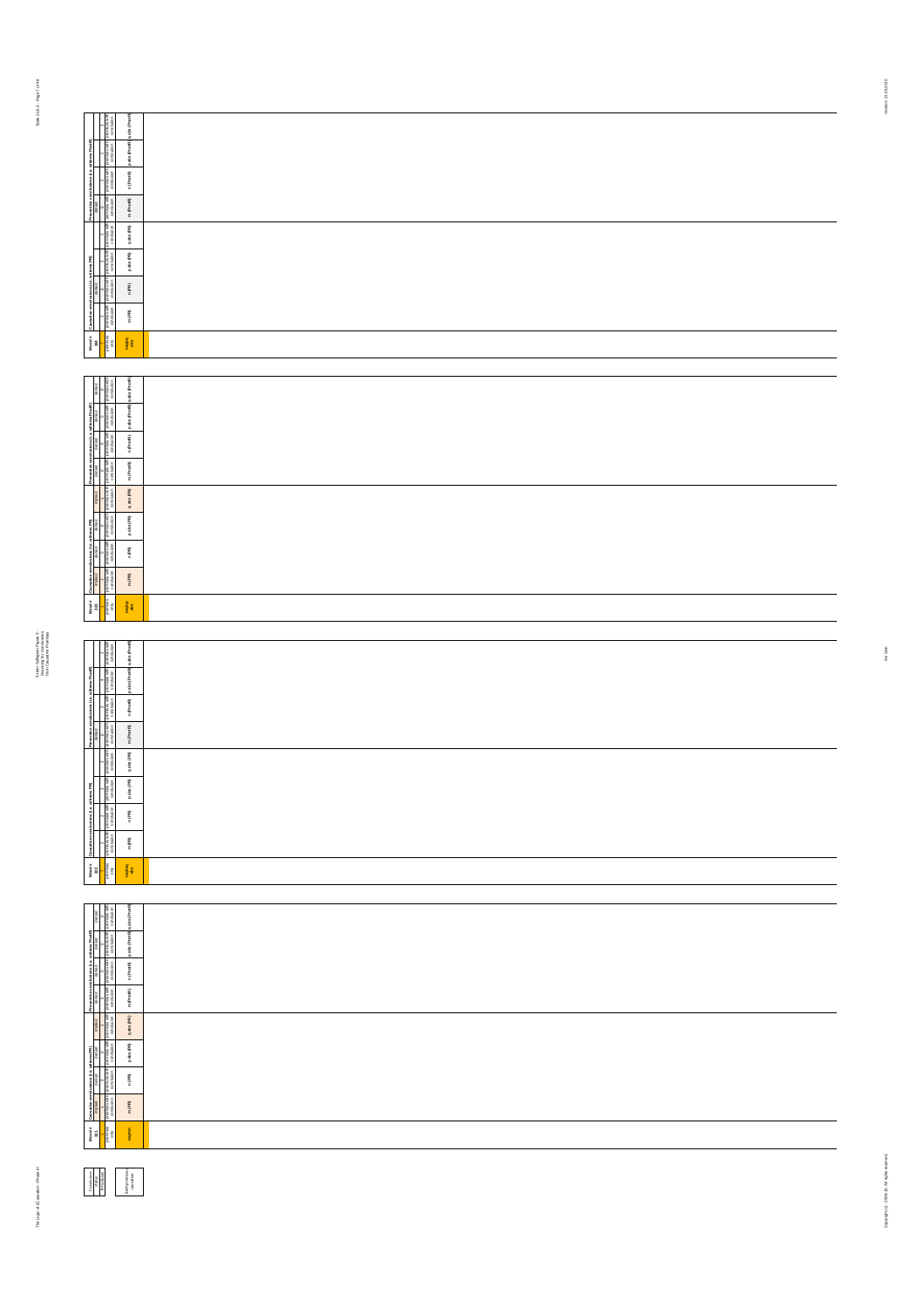| Preventive co                          | denied |   | promises with<br>candualon  | $m$ (ProofR) |  |
|----------------------------------------|--------|---|-----------------------------|--------------|--|
|                                        |        |   | premises with<br>oonclusion | $q$ abs (PR) |  |
|                                        |        |   | premises with<br>oondusion  | pabs (PR)    |  |
| Causative conclusions (i.e. w/tems PR) | denied | ċ | premises with<br>oondusion  | nopRy        |  |
|                                        |        |   | promises with<br>condusion  | m (PR)       |  |

|                       |                                                                                                                                                                                                     | $\mathbf{r}$                                            |  |
|-----------------------|-----------------------------------------------------------------------------------------------------------------------------------------------------------------------------------------------------|---------------------------------------------------------|--|
|                       | oleniad<br>promises with promises with<br>condusion condusion                                                                                                                                       | ଛ<br>۽<br>$\alpha$                                      |  |
|                       | $\begin{array}{c c}\n\hline\n\text{} & \text{} \\ \hline\n\text{} & \text{} \\ \hline\n\text{} & \text{} \\ \hline\n\text{} & \text{} \\ \hline\n\text{} & \text{} \\ \hline\n\end{array}$          | $\widehat{\alpha}$<br>튑                                 |  |
| www.exe               | 0<br>promises with<br>corclusion                                                                                                                                                                    | e<br>s.<br>€                                            |  |
|                       | implied<br>th promises with<br>oonclusion                                                                                                                                                           | Ē<br>$\overline{z}$<br>÷                                |  |
| dened                 | promises with<br>condusion                                                                                                                                                                          | $\frac{\mathcal{C}}{\mathcal{C}}$<br>$\mathbf{x}$<br>ã. |  |
| П<br>avansus<br>Gerne | coping on<br>up a segundo                                                                                                                                                                           | $\frac{1}{n}$ (PR)                                      |  |
| bispillan<br>Turkiya  | $\frac{1}{2}$                                                                                                                                                                                       | Ē<br>$\epsilon$                                         |  |
|                       | <b>te de la partidad de la partidad de la partidad de la p</b><br>La partidad de la parti <mark>o d</mark><br>La partidad de la partidad de la partidad de la partidad de la partidad de la partida | $\frac{3}{2}$ is                                        |  |

| abs (Proof)                                                                                                                                                                                                                                                                                                                                                                                                                                                                           |  |
|---------------------------------------------------------------------------------------------------------------------------------------------------------------------------------------------------------------------------------------------------------------------------------------------------------------------------------------------------------------------------------------------------------------------------------------------------------------------------------------|--|
| premises with<br>condusion<br>pates (Proof                                                                                                                                                                                                                                                                                                                                                                                                                                            |  |
| Preventive con diusions (i.e. willens PnotR)<br>2<br>comises with<br>condusion<br>n (Pn ofR)                                                                                                                                                                                                                                                                                                                                                                                          |  |
| 5<br>premises with promises with<br>conclusion condusion<br>$q\sin(\theta^iR) \qquad \text{in (Proof 8)}$                                                                                                                                                                                                                                                                                                                                                                             |  |
|                                                                                                                                                                                                                                                                                                                                                                                                                                                                                       |  |
| p abs (PR)<br>0<br>premises with premises with<br>condusion condusion<br>n (PR)                                                                                                                                                                                                                                                                                                                                                                                                       |  |
| Causaire conclusions (i.e. w/tems PR)<br>Causaire conclusions<br>promises with<br>condusion<br>$\mathfrak{m}(\mathsf{PR})$                                                                                                                                                                                                                                                                                                                                                            |  |
| Mood #<br>promises<br>$\frac{g}{\theta}$ is                                                                                                                                                                                                                                                                                                                                                                                                                                           |  |
|                                                                                                                                                                                                                                                                                                                                                                                                                                                                                       |  |
| qabs@no                                                                                                                                                                                                                                                                                                                                                                                                                                                                               |  |
| abs (Pro IR)<br>$\mathbf{a}$                                                                                                                                                                                                                                                                                                                                                                                                                                                          |  |
| Pavantina conclusions (La wikema ProcR)<br>- dunica - dunica - dunica<br>- pamisan - conclusion - conclusion - co<br>- conclusion - conclusion - conclusion - co<br>$n$ (ProofR)                                                                                                                                                                                                                                                                                                      |  |
| m (ProtR)                                                                                                                                                                                                                                                                                                                                                                                                                                                                             |  |
| <b>Distant</b><br>comises with<br>qabs (PR)                                                                                                                                                                                                                                                                                                                                                                                                                                           |  |
| promises with<br>condusion<br>pabs (PR)<br>$\begin{array}{c c}\n0 & \text{with} \\ \hline\n0 & \text{with} \\ \hline\n0 & \text{with}\n\end{array}$<br>$\frac{1}{\alpha}$                                                                                                                                                                                                                                                                                                             |  |
| Causalve conclusions (i.e. willettes PR)<br> -<br>  Implied   derival<br>$\frac{1}{2}$                                                                                                                                                                                                                                                                                                                                                                                                |  |
| $\begin{array}{c} \text{Mood} \# \\ 323 \end{array}$<br>promises<br>only<br>$\frac{9}{9}$ is                                                                                                                                                                                                                                                                                                                                                                                          |  |
|                                                                                                                                                                                                                                                                                                                                                                                                                                                                                       |  |
|                                                                                                                                                                                                                                                                                                                                                                                                                                                                                       |  |
| paise (Pro IR)                                                                                                                                                                                                                                                                                                                                                                                                                                                                        |  |
| -<br>oomses with<br>corclusion<br>pate (P)                                                                                                                                                                                                                                                                                                                                                                                                                                            |  |
| Premises with<br>condusion<br>n (ProtR)                                                                                                                                                                                                                                                                                                                                                                                                                                               |  |
| Preventive conclusions (i.e. wittens Pro IR)<br>u<br>premises with<br>condusion<br>$m$ (Pn ofR)                                                                                                                                                                                                                                                                                                                                                                                       |  |
| qabs (PR)<br>3<br>promises with<br>condusion                                                                                                                                                                                                                                                                                                                                                                                                                                          |  |
| $p$ ab s $\langle \rho\vert R\rangle$                                                                                                                                                                                                                                                                                                                                                                                                                                                 |  |
| $\frac{\partial \mathbf{E}}{\partial \mathbf{r}}$                                                                                                                                                                                                                                                                                                                                                                                                                                     |  |
| $\frac{1}{2}$                                                                                                                                                                                                                                                                                                                                                                                                                                                                         |  |
| $\begin{tabular}{ c  c  c  } \hline \textbf{Mod 8} & \textbf{Caussian coordinates (a, whose RB)} \\ \hline 322 & \textbf{33} \\ \hline 720 & \textbf{35} \\ \hline 810 & \textbf{36} \\ \hline 910 & \textbf{37} \\ \hline \end{tabular} \begin{tabular}{ c  c  c  } \hline \textbf{36} & \textbf{36} \\ \hline \textbf{37} & \textbf{38} \\ \hline \textbf{38} & \textbf{39} \\ \hline \end{tabular} \begin{tabular}{ c  c  c  } \hline \textbf{38} & \textbf{3$<br>$\frac{q}{q}$ is |  |
| 1 abs (Pr                                                                                                                                                                                                                                                                                                                                                                                                                                                                             |  |
|                                                                                                                                                                                                                                                                                                                                                                                                                                                                                       |  |
| uorenpuo<br>segunaa vapi baaristata<br>0<br>n (ProdR) pabs (ProdR                                                                                                                                                                                                                                                                                                                                                                                                                     |  |
| Preventive conductions (i.e. witems PhotP.)<br>$m$ (Prooff)                                                                                                                                                                                                                                                                                                                                                                                                                           |  |
| <b>Examples</b><br>Francisco valori pomiles pomiles p<br>Francisco pomiles pomiles pomiles<br>q abs (PR)                                                                                                                                                                                                                                                                                                                                                                              |  |
| pats (PR)                                                                                                                                                                                                                                                                                                                                                                                                                                                                             |  |
| 0<br>premises with premises with<br>condusion condusion<br>tive condusions (i.e. where PR)<br>Stad denial denial<br>$_{\rm n}$ (kd $_{\rm n}$<br>$m(\theta R)$                                                                                                                                                                                                                                                                                                                        |  |

Copyright (c) - 2008-10. All rights reserved. Avi Sion Version: 21.06.2010

 $rac{6}{3}$ 

 $-2106.2010$ 

|                                                                  | ß.<br>premise<br>conta            | s.<br>$\mathbf{r}$                   |  |
|------------------------------------------------------------------|-----------------------------------|--------------------------------------|--|
| εr<br>s (i.e. witems Pr                                          | F.<br>wth premise<br>on ponds     | ø<br>s.<br>$\bullet$<br>$\mathbf{a}$ |  |
| condusion                                                        | positive property                 | ę<br>ì                               |  |
| 쵧<br>$\frac{8}{6}$                                               | $\frac{6}{3}$<br>promi            | æ<br>s<br>€                          |  |
|                                                                  | promises with                     | $q$ abs (PR)                         |  |
| w/term PR                                                        | ight.<br>promised<br>Santa        | Ê<br>ъ<br>$\mathbf{a}$               |  |
| dusions (i.e                                                     | wth <sub>s</sub><br>$\frac{1}{2}$ | $_{\rm n}$ (PR)                      |  |
| Causative conc                                                   | as with<br>promise<br>conta       | æ<br>ĭ                               |  |
| $\begin{array}{c} \text{Mood } \text{\tt \#} \\ 321 \end{array}$ | ise<br>T                          |                                      |  |
|                                                                  |                                   |                                      |  |

Conclusion<br># moduses<br>xh premis<br>causative Both premises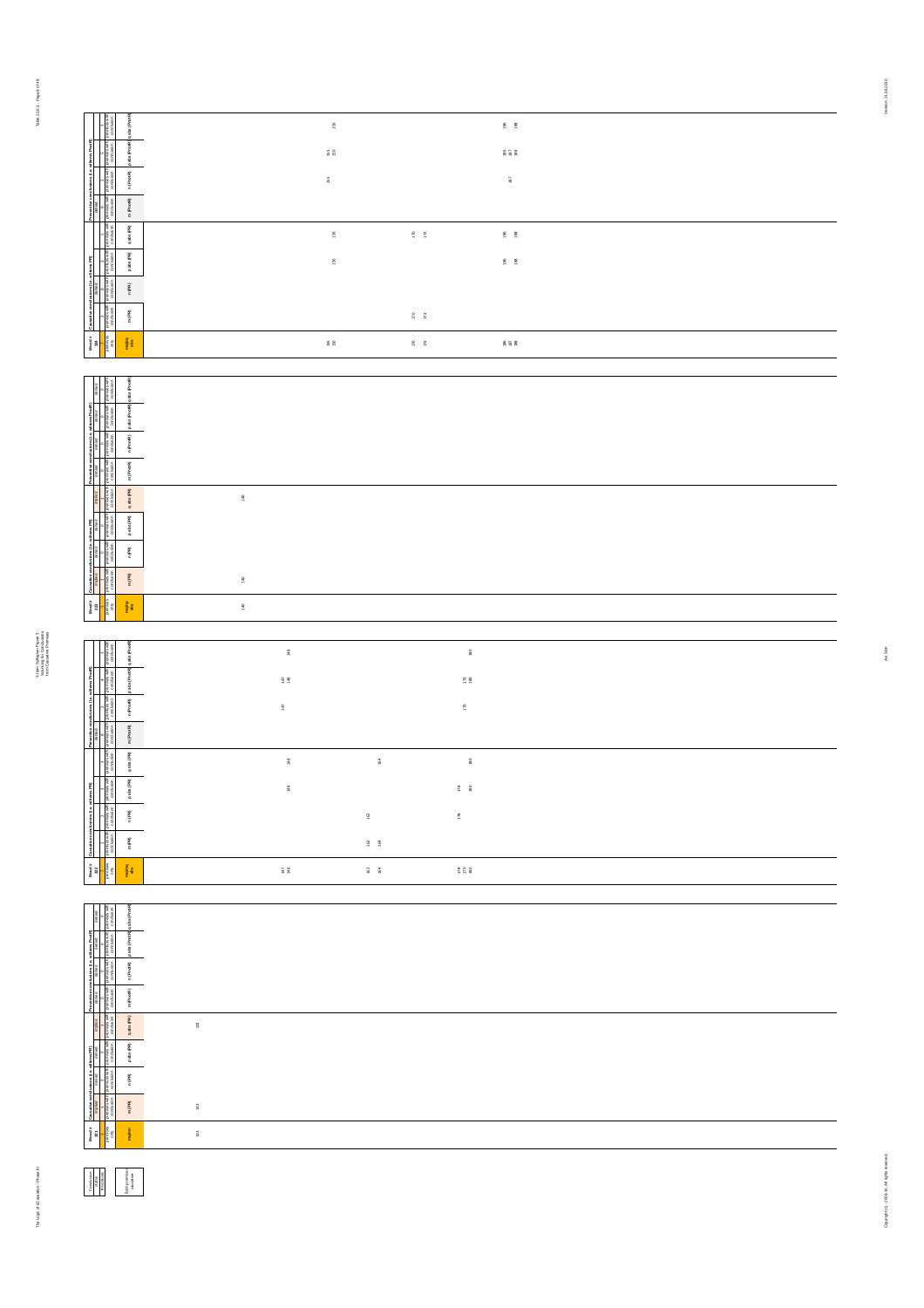Table 22.6-3 - Page 8 of 48

Table 22.6-3 - Page 8 of 48

|                              |                                                                                                                                                                             | å                                      |              |                 |                         | $\widetilde{\mathbf{z}}$ |                                                 |                                                            |                                                                                                                         | $\frac{8}{10}$ – $\frac{8}{10}$                                       |  |  |  |
|------------------------------|-----------------------------------------------------------------------------------------------------------------------------------------------------------------------------|----------------------------------------|--------------|-----------------|-------------------------|--------------------------|-------------------------------------------------|------------------------------------------------------------|-------------------------------------------------------------------------------------------------------------------------|-----------------------------------------------------------------------|--|--|--|
|                              |                                                                                                                                                                             |                                        |              |                 |                         | $\substack{55 \\ 156}$   |                                                 |                                                            |                                                                                                                         | $\frac{8}{13}\frac{8}{13}$                                            |  |  |  |
| ર્દ                          |                                                                                                                                                                             |                                        |              |                 |                         | $155\,$                  |                                                 |                                                            |                                                                                                                         | $^{\rm 187}$                                                          |  |  |  |
|                              |                                                                                                                                                                             | န့်                                    |              |                 |                         |                          |                                                 |                                                            |                                                                                                                         |                                                                       |  |  |  |
|                              |                                                                                                                                                                             | $q$ at $q$ (PR)                        |              |                 |                         | $\frac{95}{120}$         |                                                 | $\frac{m}{n}$                                              |                                                                                                                         | $\frac{8}{10}$ – $\frac{8}{10}$                                       |  |  |  |
| toms PR)                     |                                                                                                                                                                             | pabs (PR)                              |              |                 |                         | $_{\rm 156}$             |                                                 |                                                            |                                                                                                                         | $\begin{array}{cc} 38 \\ 38 \end{array}$                              |  |  |  |
|                              |                                                                                                                                                                             | o (PR)                                 |              |                 |                         |                          |                                                 |                                                            |                                                                                                                         |                                                                       |  |  |  |
|                              |                                                                                                                                                                             | $\mathfrak{m}(\mathsf{PR})$            |              |                 |                         |                          |                                                 | $\begin{array}{cc} 2.75 & 2.75 \\ 2.75 & 2.75 \end{array}$ |                                                                                                                         |                                                                       |  |  |  |
| $\bar{3}$<br>$\frac{1}{324}$ | omissi                                                                                                                                                                      | ă.                                     |              |                 |                         | $\substack{55 \\ 356}$   |                                                 | $\frac{m}{n}$                                              |                                                                                                                         | $\begin{smallmatrix} 16 & 16 \\ 21 & 23 \\ 13 & 24 \end{smallmatrix}$ |  |  |  |
|                              |                                                                                                                                                                             |                                        |              |                 |                         |                          |                                                 |                                                            |                                                                                                                         |                                                                       |  |  |  |
|                              |                                                                                                                                                                             |                                        |              |                 |                         |                          |                                                 |                                                            |                                                                                                                         |                                                                       |  |  |  |
| š                            |                                                                                                                                                                             |                                        |              |                 |                         |                          |                                                 |                                                            |                                                                                                                         |                                                                       |  |  |  |
|                              |                                                                                                                                                                             |                                        |              |                 |                         |                          |                                                 |                                                            |                                                                                                                         |                                                                       |  |  |  |
| .<br>Waxa                    |                                                                                                                                                                             | $m(p \mod R)$                          |              |                 |                         |                          |                                                 |                                                            |                                                                                                                         |                                                                       |  |  |  |
|                              |                                                                                                                                                                             | q abs $\langle \mathsf{PR} \rangle$    |              | $\frac{9}{240}$ |                         |                          |                                                 |                                                            |                                                                                                                         |                                                                       |  |  |  |
| 15 PR)                       |                                                                                                                                                                             | $p$ abs $\langle \mathbb{P} R \rangle$ |              |                 |                         |                          |                                                 |                                                            |                                                                                                                         |                                                                       |  |  |  |
|                              |                                                                                                                                                                             | $_{\rm n}$ (PR)                        |              |                 |                         |                          |                                                 |                                                            |                                                                                                                         |                                                                       |  |  |  |
|                              |                                                                                                                                                                             | $\mathfrak{m}(\mathsf{PR})$            |              | $_{\rm 140}$    |                         |                          |                                                 |                                                            |                                                                                                                         |                                                                       |  |  |  |
| $M_{\rm cool}$               | amia<br>only                                                                                                                                                                | $\frac{1}{2}$                          |              | $_{\rm 140}$    |                         |                          |                                                 |                                                            |                                                                                                                         |                                                                       |  |  |  |
|                              |                                                                                                                                                                             |                                        |              |                 |                         |                          |                                                 |                                                            |                                                                                                                         |                                                                       |  |  |  |
|                              |                                                                                                                                                                             |                                        |              |                 | $\frac{\infty}{24}$     |                          |                                                 |                                                            | $\frac{\alpha}{24}$                                                                                                     |                                                                       |  |  |  |
| Pro (R)                      |                                                                                                                                                                             |                                        |              |                 | $\frac{16}{16}$         |                          |                                                 |                                                            | $\mathop{\mathbb{R}}\limits^{\infty}_{\rm n}$                                                                           |                                                                       |  |  |  |
|                              |                                                                                                                                                                             | ĭ                                      |              |                 | $\frac{1}{2}$           |                          |                                                 |                                                            | $\frac{1}{2}$                                                                                                           |                                                                       |  |  |  |
|                              |                                                                                                                                                                             | ę<br>e<br>E                            |              |                 |                         |                          |                                                 |                                                            |                                                                                                                         |                                                                       |  |  |  |
|                              |                                                                                                                                                                             | qabs (PR)                              |              |                 | $^{\rm 148}$            |                          | $\frac{3}{2}$                                   |                                                            | $\frac{80}{180}$                                                                                                        |                                                                       |  |  |  |
| æ                            |                                                                                                                                                                             | $p$ at $\left( \mathsf{PR}\right)$     |              |                 | $\frac{32}{14}$         |                          |                                                 |                                                            | $\begin{array}{c} 2.78 \\ 1.80 \end{array}$                                                                             |                                                                       |  |  |  |
|                              | $\begin{array}{c c c} a & \mbox{\scriptsize \#the} \\ \hline a & \mbox{\scriptsize \#the} \\ \hline a & \mbox{\scriptsize \#th} \\ a & \mbox{\scriptsize \#th} \end{array}$ | $_{\rm n}$ (PR)                        |              |                 |                         |                          | $162\,$                                         |                                                            | $\mathbb{R}^3$                                                                                                          |                                                                       |  |  |  |
| Causative                    |                                                                                                                                                                             | $\mathfrak{g}d$                        |              |                 |                         |                          | $\widetilde{\mathbf{g}}=\widetilde{\mathbf{g}}$ |                                                            |                                                                                                                         |                                                                       |  |  |  |
| $\frac{\text{Mod } n}{322}$  | $rac{1}{2}$                                                                                                                                                                 | $\frac{g}{2}$ is                       |              |                 | $\frac{\alpha}{\alpha}$ |                          | $\frac{\alpha}{2}$ – $\frac{\alpha}{2}$         |                                                            | $\mathop{\mathbb{R}}\limits^{\mathbb{R}}\mathop{\mathbb{R}}\limits^{\mathbb{R}}\mathop{\mathbb{R}}\limits^{\mathbb{R}}$ |                                                                       |  |  |  |
|                              |                                                                                                                                                                             |                                        |              |                 |                         |                          |                                                 |                                                            |                                                                                                                         |                                                                       |  |  |  |
|                              |                                                                                                                                                                             |                                        |              |                 |                         |                          |                                                 |                                                            |                                                                                                                         |                                                                       |  |  |  |
|                              |                                                                                                                                                                             |                                        |              |                 |                         |                          |                                                 |                                                            |                                                                                                                         |                                                                       |  |  |  |
|                              |                                                                                                                                                                             | ₹                                      |              |                 |                         |                          |                                                 |                                                            |                                                                                                                         |                                                                       |  |  |  |
|                              |                                                                                                                                                                             |                                        |              |                 |                         |                          |                                                 |                                                            |                                                                                                                         |                                                                       |  |  |  |
|                              |                                                                                                                                                                             | $q$ abs (PR)                           | $^{\rm 132}$ |                 |                         |                          |                                                 |                                                            |                                                                                                                         |                                                                       |  |  |  |
|                              |                                                                                                                                                                             |                                        |              |                 |                         |                          |                                                 |                                                            |                                                                                                                         |                                                                       |  |  |  |
|                              |                                                                                                                                                                             | Ê<br>pate                              |              |                 |                         |                          |                                                 |                                                            |                                                                                                                         |                                                                       |  |  |  |
|                              |                                                                                                                                                                             | $_{\rm n}$ (PR)                        |              |                 |                         |                          |                                                 |                                                            |                                                                                                                         |                                                                       |  |  |  |
|                              |                                                                                                                                                                             | $\mathfrak{m}(\mathsf{PR})$            | $\Xi$        |                 |                         |                          |                                                 |                                                            |                                                                                                                         |                                                                       |  |  |  |
| $\frac{M \cos \theta}{321}$  | ing<br>S                                                                                                                                                                    |                                        | $_{\rm 132}$ |                 |                         |                          |                                                 |                                                            |                                                                                                                         |                                                                       |  |  |  |

Conclusion<br># moduses<br>xh premis<br>causative Both premises

rlight (c) - 2008-10. All rights reserved

Avi Sion

micr: 21.06.2010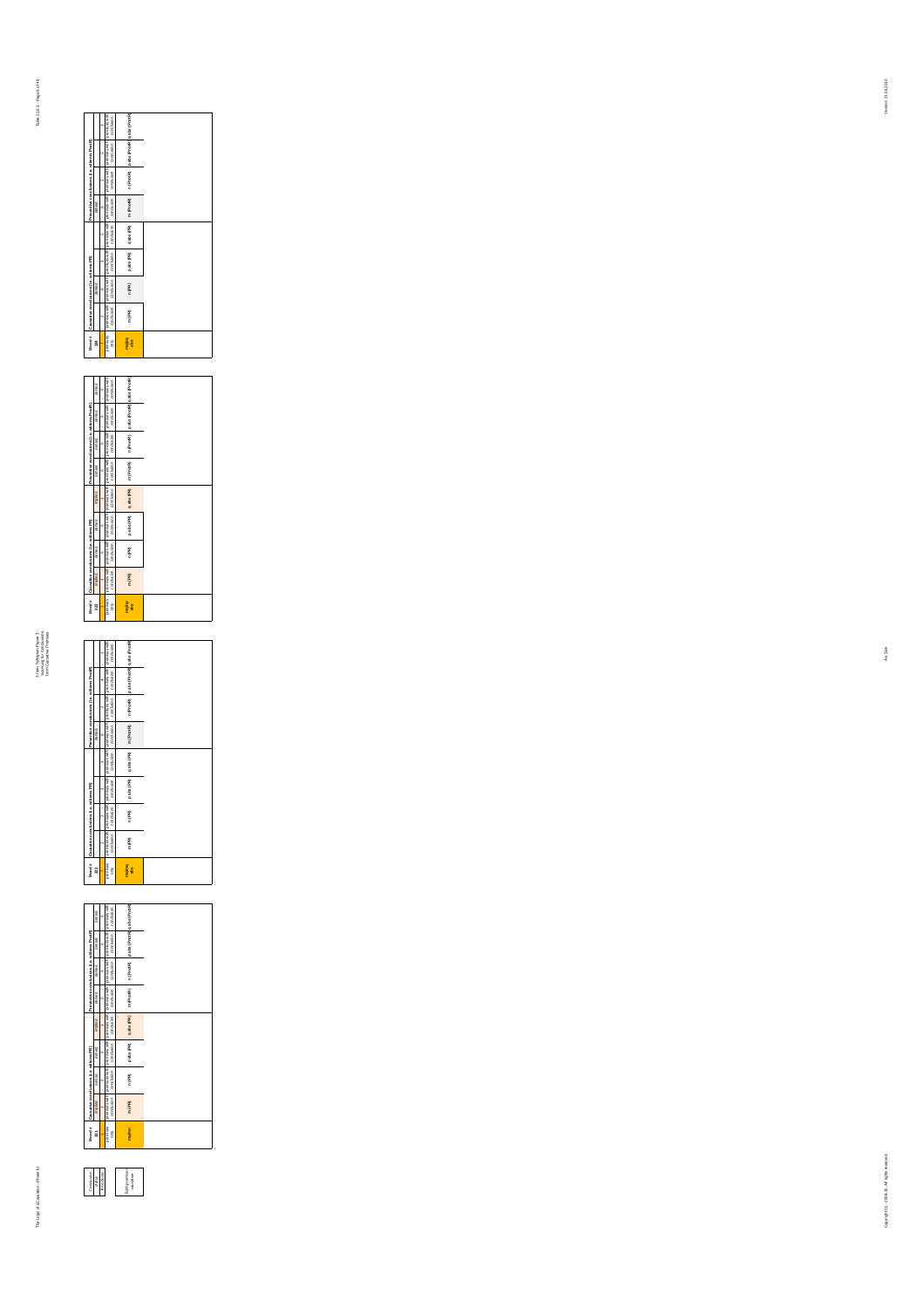|                                               |         |         | conclusion                                                   |                                                                |  |
|-----------------------------------------------|---------|---------|--------------------------------------------------------------|----------------------------------------------------------------|--|
|                                               |         |         | up in sesimple. Up a sesimple<br>condusion                   | n (Pn ofR) pates (ProofR) qubs (ProofR)                        |  |
|                                               |         |         | oondusion                                                    |                                                                |  |
| Preventive con dusions (i.e. wiltems PnotR)   | dened   | $\circ$ | premises with premises with premises with<br>condusion       |                                                                |  |
|                                               |         |         | conclusion                                                   | qabs(PR) m(Prooft)                                             |  |
|                                               |         |         | oondusion<br>premises with                                   | $p$ abs $(PR)$                                                 |  |
|                                               | denied  | c       | premises with<br>oondusion                                   | n (PR)                                                         |  |
| Causative conclusions (i.e. witems PR)        |         |         | promises with<br>candualan                                   | m (PR)                                                         |  |
| Mood #                                        | ă       |         | DY01TTI 50%<br>only                                          | g<br>Ga                                                        |  |
|                                               |         |         |                                                              |                                                                |  |
|                                               | denied  |         | premises with<br>condusion                                   |                                                                |  |
|                                               | denied  |         | condusion                                                    | m (PnotR) n (PnotR) pabs (PnotR) q abs (PnotR)                 |  |
| Preventive conclusions (Le. witems ProtR)     | denied  |         | premises with premises with premises with<br>conclusion      |                                                                |  |
|                                               | denied  |         | oprehasion                                                   |                                                                |  |
|                                               | implied |         | oondusion                                                    | qabs (PR)                                                      |  |
|                                               | denied  |         | promises with premises with<br>candusion                     | pates (PR)                                                     |  |
|                                               | denied  |         | Dreami sessive the<br>conclusion                             | n (PR)                                                         |  |
| Causative conclusions (i.e. wiltems PR)       | implied |         | oremises with<br>oondusion                                   | m(m)                                                           |  |
| Mood #                                        | 323     |         | premises<br>only                                             | maya<br>35                                                     |  |
|                                               |         |         |                                                              |                                                                |  |
|                                               |         |         | promises with<br>candusion                                   |                                                                |  |
|                                               |         |         | oprobasion<br>premises with                                  | quise (PR)   m (PhotR)   n (PhotR) puise (PhotR) quise (PhotR) |  |
| Preventive conclusions (i.e. witters Pro IR)  |         |         | Dreamises with<br>oondusion                                  |                                                                |  |
|                                               | denied  |         | oondusion                                                    |                                                                |  |
|                                               |         |         | twith premises with premises with premises with<br>candusian |                                                                |  |
| (i.e. wiltems PR)                             |         |         | operation                                                    | $p$ abs $(PR)$                                                 |  |
|                                               |         |         | oondusion                                                    | e<br>S                                                         |  |
| Causative conclusions                         |         |         | premises with premises<br>condusion                          | m (PR)                                                         |  |
| Mood#                                         | 322     |         | premises<br>orly                                             | maying<br>abs                                                  |  |
|                                               |         |         |                                                              |                                                                |  |
|                                               | dicial  |         | DON'T SOG WITH<br>operation                                  |                                                                |  |
| Preventive coinclusions (i.e. wiltems Prooft) | denied  |         | premises with<br>oondusion                                   | m (Prooft)   n (Prooft)   pabs (Prooft) q abs (Prooft)         |  |
|                                               | denied  |         | promises with<br>condusion                                   |                                                                |  |
|                                               | denied  |         | conclusion<br>promises with                                  |                                                                |  |
|                                               | mplied  |         | operation<br>Dremises with                                   | qabs (PR)                                                      |  |
|                                               | denied  |         | premises with<br>oondusion                                   | pabs (PR)                                                      |  |
| ausative con dusions (i.e. w/ltems PR)        | denied  |         | promises with<br>condusion                                   | n (PR)                                                         |  |
|                                               | mpled   |         | premises with<br>conclusion                                  | m(PR)                                                          |  |
| Mood#                                         | 321     |         | DOM: 1799<br>č                                               | mqimn                                                          |  |
|                                               |         |         |                                                              |                                                                |  |

Conclusion<br># moduses<br>xh premis<br>causative Both premises

|                                              |         | oorciu                                                                                                                    |                                                                                      |  |
|----------------------------------------------|---------|---------------------------------------------------------------------------------------------------------------------------|--------------------------------------------------------------------------------------|--|
|                                              |         | conclusion                                                                                                                |                                                                                      |  |
|                                              |         | oondusion                                                                                                                 |                                                                                      |  |
| Preventive con dustons (i.e., witems ProfR)  | dened   | premises with premises with premises with premises with premise<br>candusion                                              | qubs(PR) im (PnotR) in (PnotR) pubs (PnotR) qubs (                                   |  |
|                                              |         | oorclusion                                                                                                                |                                                                                      |  |
|                                              |         | oondusion                                                                                                                 | pabs (PR)                                                                            |  |
|                                              | denied  | oondusion                                                                                                                 | n (PR)                                                                               |  |
| au sative conclusions (i.e. wit ems PR)      |         | premises with premises with premises with<br>condusion                                                                    | m (PR)                                                                               |  |
| Mood #                                       | ă       | promises<br>only                                                                                                          | majon<br>353                                                                         |  |
|                                              |         |                                                                                                                           |                                                                                      |  |
|                                              | denied  | condusion                                                                                                                 |                                                                                      |  |
|                                              | denied  | candualon                                                                                                                 |                                                                                      |  |
|                                              | denied  | conclusion                                                                                                                |                                                                                      |  |
| Preventive conclusions (Le. wilems Prot R)   | dining  | operation                                                                                                                 |                                                                                      |  |
|                                              | implied | promises with promises with promises with promises with promises with promises with promises with<br>oondusion            | n (PR)   pabs (PR)   qabs (PR)   m (Prock)   n (Prock)   pabs (Prock)   qabs (Prock) |  |
|                                              | denied  | canduaton                                                                                                                 |                                                                                      |  |
| ausalve conclusions (i.e. wiltems PR)        | denied  | conclusion                                                                                                                |                                                                                      |  |
|                                              | implied | comises with<br>oondusion                                                                                                 | m(pR)                                                                                |  |
| Mood#                                        | 323     | prestribute<br>ă                                                                                                          | mains                                                                                |  |
|                                              |         |                                                                                                                           |                                                                                      |  |
|                                              |         | canduaion                                                                                                                 |                                                                                      |  |
| Preventive conclusions (i.e. wittens Pro (R) |         | imises with   premises with   promises with   premises with   premises with   premises with   promises with<br>conclusion | patis (PR)   qabs (PR)   m (PnoR)   n (PnotR)   pabs (PnoR)   qabs (PnoR)            |  |
|                                              |         | oondusion                                                                                                                 |                                                                                      |  |
|                                              | denied  | oondusion                                                                                                                 |                                                                                      |  |
|                                              |         | condusion                                                                                                                 |                                                                                      |  |
| sions (i.e. wilsems PR)                      |         | operation                                                                                                                 |                                                                                      |  |
|                                              |         | oondusion                                                                                                                 | n (PR)                                                                               |  |
| <b>Busalive concl</b>                        |         | Demandable<br>candusion                                                                                                   | mpR                                                                                  |  |
| Mooda                                        | 322     | D'emises<br>ğ                                                                                                             | moma<br>355                                                                          |  |
|                                              |         |                                                                                                                           |                                                                                      |  |
|                                              | dining  | Dream ses with<br>operation                                                                                               |                                                                                      |  |
|                                              | denied  | premises with<br>oondusion                                                                                                | n (ProdR) p.abs (ProtR) q abs (ProdR)                                                |  |
| Preventive condusions (i.e. witems ProfR)    | denied  | promises with<br>candusion                                                                                                |                                                                                      |  |
|                                              | dened   | Dream ses with Dremises with<br>conclusion                                                                                | m (ProofR)                                                                           |  |
|                                              | implied | operation                                                                                                                 | qabs (PR)                                                                            |  |
|                                              | denied  | promises with promises with<br>oondusion                                                                                  | pabs (PR)                                                                            |  |
| ausative condustors (i.e. w/lears PR)        | denied  | canduaton                                                                                                                 | n (PR)                                                                               |  |
|                                              | impled  | promises with<br>conclusion                                                                                               | m(PR)                                                                                |  |
| ă                                            | 321     | maas                                                                                                                      | <b>A</b>                                                                             |  |

|                                            |        |   | DON'T SAS WITH<br>conclusion             | $q$ abs $(PR)$                         |  |
|--------------------------------------------|--------|---|------------------------------------------|----------------------------------------|--|
|                                            |        |   | oondusion                                | pabs (PR)                              |  |
|                                            | denied |   | premises with premises with<br>oondusion | n (PR)                                 |  |
| Causative conclusions (i.e. witems PR)     |        |   | promises with<br>condusion               | m (PR)                                 |  |
| Mood #                                     | ă      |   | promises<br>ğ                            | g<br>Sa                                |  |
|                                            |        |   |                                          |                                        |  |
|                                            |        |   |                                          |                                        |  |
|                                            | denied | ö | oondusion                                |                                        |  |
|                                            | denied | ۰ | premises with premises with<br>candualon |                                        |  |
| Preventive conclusions (Le. witems Prod R) | dened  | ö | premises with<br>conclusion              | n (Prooff) pats (Pro tR) qabs (Prooff) |  |

Avi Sion

Copyright (c) - 2008-10. All rights r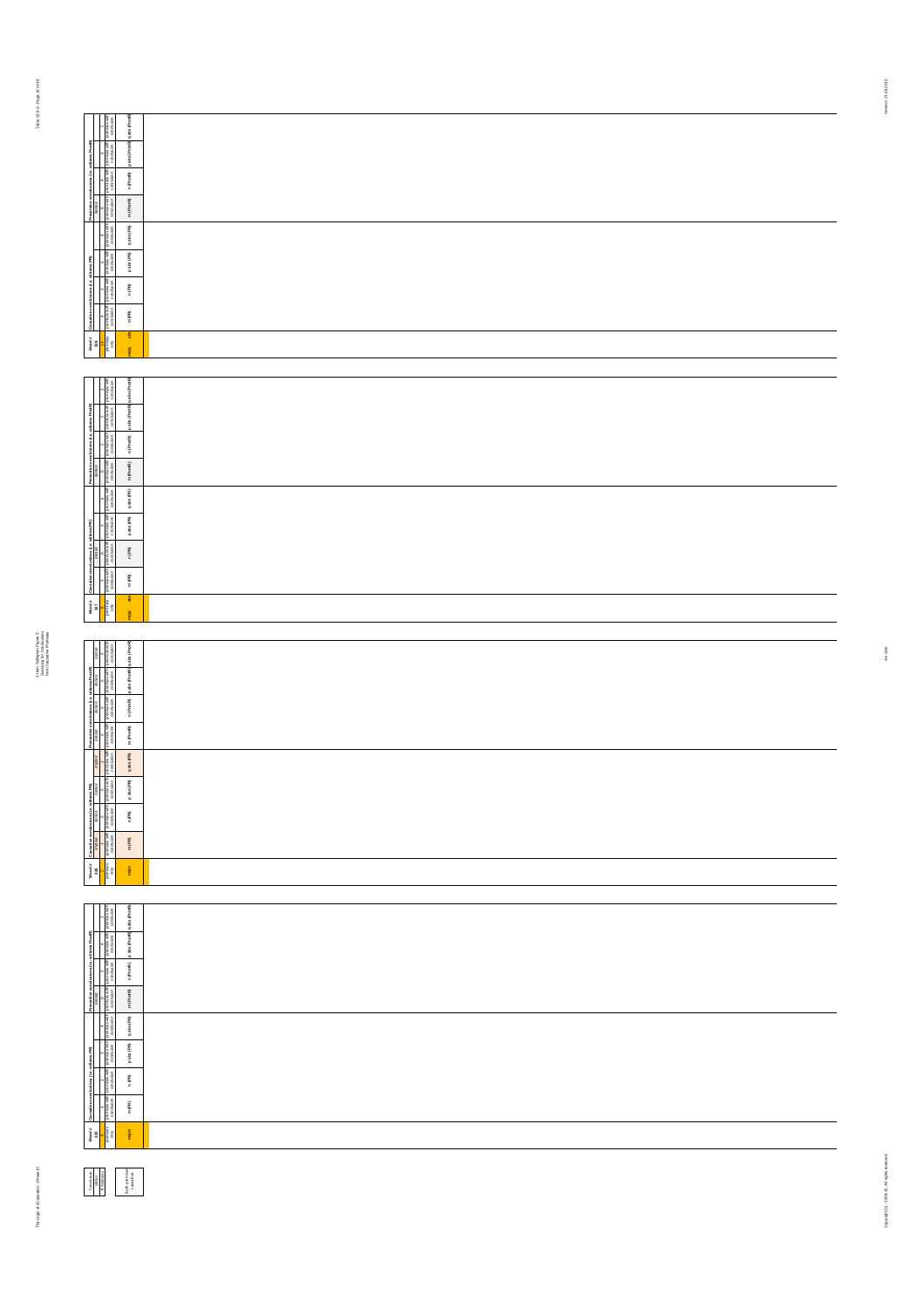|                                                                                                                                                                                                                                         | n (PnotR) pabs (PnotR) q abs (PnotR               |  |
|-----------------------------------------------------------------------------------------------------------------------------------------------------------------------------------------------------------------------------------------|---------------------------------------------------|--|
|                                                                                                                                                                                                                                         |                                                   |  |
|                                                                                                                                                                                                                                         |                                                   |  |
|                                                                                                                                                                                                                                         | $m$ (ProofR)                                      |  |
| Mood Camerino conductor (in Winnerson)<br>1994 - Annual provincia de la Camerina de Camerina (1994)<br>1994 - Constantin Provincia (1994) pour la conductor (1994) (1994) (1994) pour la conductor (1994)<br>1994 - Constantin Provinci | $\mathbf{q}$ abs (PR)                             |  |
|                                                                                                                                                                                                                                         |                                                   |  |
|                                                                                                                                                                                                                                         | pabs (PR)                                         |  |
|                                                                                                                                                                                                                                         | $_{\rm n}$ (PR)                                   |  |
|                                                                                                                                                                                                                                         | $\frac{\widehat{\mathbf{g}}}{\mathbf{g}}$         |  |
|                                                                                                                                                                                                                                         | $\ddot{\bullet}$                                  |  |
|                                                                                                                                                                                                                                         | ř                                                 |  |
|                                                                                                                                                                                                                                         |                                                   |  |
|                                                                                                                                                                                                                                         | n (PnoR) palos (PnoR) qalos (PnoR)                |  |
|                                                                                                                                                                                                                                         |                                                   |  |
|                                                                                                                                                                                                                                         |                                                   |  |
|                                                                                                                                                                                                                                         |                                                   |  |
|                                                                                                                                                                                                                                         | $m(Proot R)$                                      |  |
|                                                                                                                                                                                                                                         | qabs (PR)                                         |  |
|                                                                                                                                                                                                                                         | p ato (PR)                                        |  |
|                                                                                                                                                                                                                                         | $_{\rm n}$ (PR)                                   |  |
|                                                                                                                                                                                                                                         |                                                   |  |
|                                                                                                                                                                                                                                         | $\mathfrak{m}\neq \mathfrak{N}$                   |  |
|                                                                                                                                                                                                                                         | $\frac{3}{4}$<br>$\blacklozenge$                  |  |
|                                                                                                                                                                                                                                         |                                                   |  |
|                                                                                                                                                                                                                                         |                                                   |  |
|                                                                                                                                                                                                                                         | n (Pno IR) pais (PnoR) quis (PnoR)                |  |
|                                                                                                                                                                                                                                         |                                                   |  |
|                                                                                                                                                                                                                                         |                                                   |  |
|                                                                                                                                                                                                                                         | $\mathfrak{m}$ (P rooff)                          |  |
|                                                                                                                                                                                                                                         | $q$ ab s $\langle \mathsf{PR} \rangle$            |  |
|                                                                                                                                                                                                                                         |                                                   |  |
|                                                                                                                                                                                                                                         | $_{\rm phot}(PR)$                                 |  |
|                                                                                                                                                                                                                                         | n@R                                               |  |
|                                                                                                                                                                                                                                         | $\mathfrak{m}(\mathsf{PR})$                       |  |
| Mayori Cassan's constituted in a final May and Mayori Present on constant is a final Profit of the Cassan Cassan<br>The Cassan Cassan (Cassan Cassan Cassan Cassan Cassan Cassan Cassan Cassan Cassan Cassan Cassan Cassan Cass         | $\frac{\epsilon}{2}$                              |  |
|                                                                                                                                                                                                                                         |                                                   |  |
|                                                                                                                                                                                                                                         |                                                   |  |
|                                                                                                                                                                                                                                         | pates (ProotR) qubs (Proot                        |  |
|                                                                                                                                                                                                                                         |                                                   |  |
|                                                                                                                                                                                                                                         | n (Prooff)                                        |  |
|                                                                                                                                                                                                                                         | $m$ (P rooff)                                     |  |
|                                                                                                                                                                                                                                         |                                                   |  |
|                                                                                                                                                                                                                                         | qabs $(\mathsf{PR})$                              |  |
|                                                                                                                                                                                                                                         | pato (PR)                                         |  |
|                                                                                                                                                                                                                                         | $_{\rm n}$ (PR)                                   |  |
|                                                                                                                                                                                                                                         |                                                   |  |
| noot founder andersen (a when PR)<br>The state of the state of the state of the state of the state of the state of the state of the state of the st<br>Protocol persisten (centure constant) account persisten (persisten (centure)     | $\frac{\partial \mathbf{R}}{\partial \mathbf{r}}$ |  |
|                                                                                                                                                                                                                                         | ę                                                 |  |

| $\frac{3}{1600 \text{ with}}$                                                                                                                                                                                         | ৢ<br>÷<br>$\overline{z}$              |  |  |  |  |  |
|-----------------------------------------------------------------------------------------------------------------------------------------------------------------------------------------------------------------------|---------------------------------------|--|--|--|--|--|
| Preventive conclusions (La, witherns Prock)<br>- prime of the permission in prime of the permission is<br>- pondusion - conclusion - promission is<br>- conclusion - conclusion                                       | abs (P<br>Ä.                          |  |  |  |  |  |
|                                                                                                                                                                                                                       | $\widehat{\alpha}$<br>န္              |  |  |  |  |  |
|                                                                                                                                                                                                                       | $\frac{2}{8}$<br>e<br>E               |  |  |  |  |  |
|                                                                                                                                                                                                                       | $q$ abs $\langle \mathsf{PR} \rangle$ |  |  |  |  |  |
|                                                                                                                                                                                                                       | p also (PR)                           |  |  |  |  |  |
|                                                                                                                                                                                                                       | $_{\rm n}$ (PR)                       |  |  |  |  |  |
| Muodi# Chuatalohe conclusions[0x w/WemerPR)<br> - <mark>8  </mark><br>  online   permita white   online   manual particular   permita with<br>  online   permitations   online   online   permitations   permitations | $\mathfrak{g}$ or $\mathfrak{g}$      |  |  |  |  |  |
|                                                                                                                                                                                                                       | ×<br>A                                |  |  |  |  |  |

|                                                                                             | $\frac{5}{2}$<br>pabs (ProtR) q abs (P<br>Proventive conclusions (i.e. without Procest)<br>- Chitad<br>- Domisos with promisos with poemisos with<br>$n$ (ProdR)<br>$\mathfrak{m}$ (Prooff)<br>$\mathbf{q}$ abs (PR)<br>promises with<br>Causative conclusions (i.e. whenes PR)<br>$\frac{4}{\text{pormiso}}$ which $\frac{2}{\text{pormiso}}$ with<br>$p$ abs (PR)<br>$rac{2}{\vert \text{pr} \text{min} \text{sg} \text{ with } \vert}$<br>$n(\theta R)$<br>$\frac{\widehat{\mathfrak{g}}}{\mathfrak{g}}$<br>$\ddot{\bullet}$<br>$\begin{array}{r}\n\text{Mood if} \\ 328 \\ \hline\n\end{array}$<br>š                                                                                                                                                                                               |  |  |  |
|---------------------------------------------------------------------------------------------|--------------------------------------------------------------------------------------------------------------------------------------------------------------------------------------------------------------------------------------------------------------------------------------------------------------------------------------------------------------------------------------------------------------------------------------------------------------------------------------------------------------------------------------------------------------------------------------------------------------------------------------------------------------------------------------------------------------------------------------------------------------------------------------------------------|--|--|--|
|                                                                                             | p abs (Pn ofR) q abs (PnotR)<br>3<br>nomia os with<br>Preventive conclusions (i.e. whereas ProcR)<br>the permission permission is promission for<br>conclusion conclusion conclusion of conclusion for<br>$n$ (P notR)<br>$\mathfrak{m}(\mathsf{Proof}\mathsf{R})$<br>upm see juusud<br>qabs (PR)<br>promises with<br>p als (PR)<br>Causaline conclusions (i.e. whereas PR)<br>3<br>permane state permane and permane whereas permane with permane and permane of the state of the state of the state of the state of the state of the state of the state of the state o<br>$_{\rm n}$ (PR)<br>$\mathfrak{g}_{\mathfrak{g}}$<br>$\frac{3}{4}$<br>$\begin{array}{r} \text{Mood} \\ \text{327} \\ \text{137} \\ \text{pounds} \\ \text{148} \\ \text{158} \\ \text{168} \end{array}$<br>$\frac{\Phi}{2}$ |  |  |  |
|                                                                                             | n (Pno IR) p abs (PnoR) q abs (PnoR)<br>$m$ (Prooff)<br>$q$ abs $\langle P R \rangle$<br>pabs (PR)<br>n (PR)<br>$\mathfrak{m}(\mathsf{PR})$<br>Mood #<br>326<br>promises<br>$\frac{6}{8}$                                                                                                                                                                                                                                                                                                                                                                                                                                                                                                                                                                                                              |  |  |  |
| Causalve condusions (i.e. witems PR)<br>$\begin{array}{c} \text{Mod } n \\ 325 \end{array}$ | n (PriodR) patis (PriodR) qubs (PriodR)<br>Perventive conclusions (Le, wittenss Prosit)<br>- Ginkid<br>- permissi with - promissis with - permissis with<br>$m$ (P rooff)<br>4<br>nomiasa with<br>q abs (PR)<br>pabs (PR)<br>3<br>promises with<br>$2$<br>promises with<br>$\frac{1}{\alpha}$<br>$\frac{3}{\text{minomial}}$<br>$\frac{\partial \mathbf{R}}{\partial \mathbf{r}}$<br>$\begin{picture}(20,10) \put(0,0){\line(1,0){15}} \put(15,0){\line(1,0){15}} \put(15,0){\line(1,0){15}} \put(15,0){\line(1,0){15}} \put(15,0){\line(1,0){15}} \put(15,0){\line(1,0){15}} \put(15,0){\line(1,0){15}} \put(15,0){\line(1,0){15}} \put(15,0){\line(1,0){15}} \put(15,0){\line(1,0){15}} \put(15,0){\line(1,0){15}} \put(15,0){\line(1$                                                               |  |  |  |

Copyright (c) - 2008-10. All rights reserved. Avi Sion Version: 21.06.2010

 $M$  Sion

 $jH(0)$  - 2008-1

mim: 2106.2010

|                                                         | the contract of the contract of                      |                                         |  |
|---------------------------------------------------------|------------------------------------------------------|-----------------------------------------|--|
|                                                         | $\frac{2}{\text{pounds}}$                            | ę.<br>ŝ                                 |  |
|                                                         | 4<br>Idas with<br>IE.                                | ×R)<br>abs (Pr<br>$\mathbf{a}$          |  |
|                                                         | ses with<br>3 usion<br>ΙE.                           | æ<br>န္                                 |  |
| Preventive conclusions (i.e. willems Prodit)<br>dirivid | $\frac{1}{3}$ $\frac{1}{6}$<br><b>B</b> <sub>o</sub> | $\widehat{\mathbf{g}}$<br>နဲ့           |  |
|                                                         | 4<br>promises with<br>oordusion                      | $\bf q$ abs $\left( \mathrm{PR}\right)$ |  |
|                                                         |                                                      | abs (PR)<br>$\Delta$                    |  |
|                                                         | 2<br>promises with<br>contusion                      | $\frac{1}{n}$ (PR)                      |  |
| Causative condusions (i.e. witems PR)                   | 3<br>promises with<br>conclusion                     | $\frac{\partial}{\partial t}$           |  |
| Mood #                                                  |                                                      | 杲                                       |  |

Conclusion status # moduses causative Both premises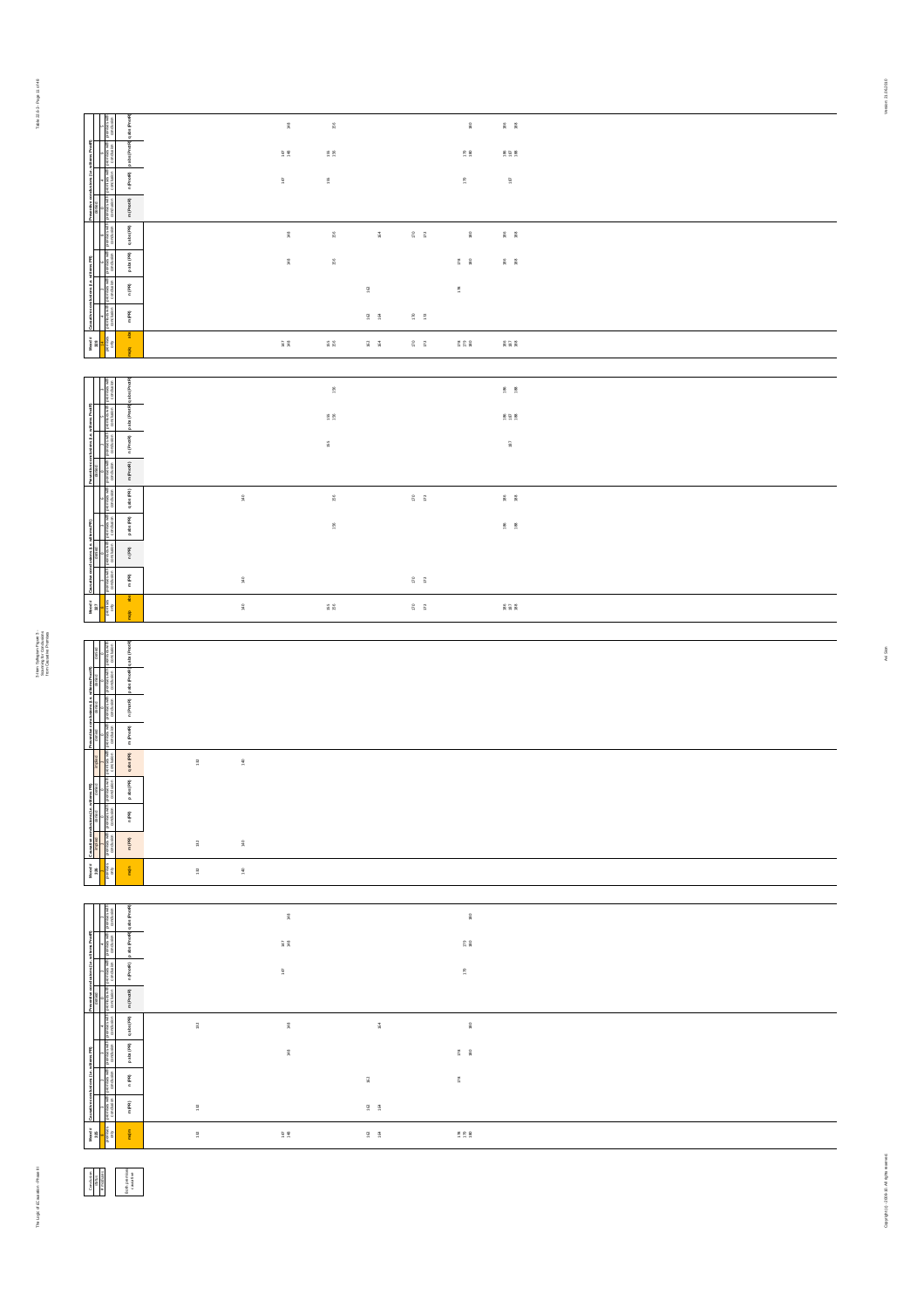|                                                                   |              |                         | $\frac{9}{24}$                                    | $156\,$                                                     |                                                                                                                                                                                                                                                                                                                                  |                                               | $^{\rm 180}$                                                                  | $\frac{8}{13}$                                   |  |  |  |
|-------------------------------------------------------------------|--------------|-------------------------|---------------------------------------------------|-------------------------------------------------------------|----------------------------------------------------------------------------------------------------------------------------------------------------------------------------------------------------------------------------------------------------------------------------------------------------------------------------------|-----------------------------------------------|-------------------------------------------------------------------------------|--------------------------------------------------|--|--|--|
|                                                                   |              |                         | $\frac{52}{3} \frac{48}{3}$                       | <b>156</b>                                                  |                                                                                                                                                                                                                                                                                                                                  |                                               | $^{29}_{180}$                                                                 | $\begin{array}{c} 88 \\ 33 \\ 33 \\ \end{array}$ |  |  |  |
|                                                                   |              |                         | $\ddot{\mathrm{x}}$                               | $\frac{10}{10}$                                             |                                                                                                                                                                                                                                                                                                                                  |                                               | $\widetilde{\mathbb{R}}$                                                      | $\widehat{\mathfrak{m}}$                         |  |  |  |
|                                                                   |              |                         |                                                   |                                                             |                                                                                                                                                                                                                                                                                                                                  |                                               |                                                                               |                                                  |  |  |  |
| å                                                                 |              |                         |                                                   |                                                             |                                                                                                                                                                                                                                                                                                                                  |                                               |                                                                               |                                                  |  |  |  |
| $q$ abs (PR)                                                      |              |                         | $\frac{9}{148}$                                   | $^{\rm 156}$                                                | $\begin{array}{ccc} 1 & 0 & 0 & 0 \\ 0 & 0 & 0 & 0 \\ 0 & 0 & 0 & 0 \\ 0 & 0 & 0 & 0 \\ 0 & 0 & 0 & 0 \\ 0 & 0 & 0 & 0 \\ 0 & 0 & 0 & 0 \\ 0 & 0 & 0 & 0 \\ 0 & 0 & 0 & 0 \\ 0 & 0 & 0 & 0 \\ 0 & 0 & 0 & 0 & 0 \\ 0 & 0 & 0 & 0 & 0 \\ 0 & 0 & 0 & 0 & 0 \\ 0 & 0 & 0 & 0 & 0 \\ 0 & 0 & 0 & 0 & 0 \\ 0 & 0 & 0 & 0 & 0 \\ 0 &$ |                                               | $\begin{array}{c} 1.330 \\ 2.330 \end{array}$                                 | $\frac{8}{18}$                                   |  |  |  |
| pate (PR)                                                         |              |                         | $\frac{9}{2}$                                     | $_{156}^{\circ}$                                            |                                                                                                                                                                                                                                                                                                                                  |                                               | $178$ $180$                                                                   | $\begin{array}{c} 186 \\ 183 \end{array}$        |  |  |  |
| $_{\alpha \, (\rho \, R)}$                                        |              |                         |                                                   |                                                             | $\widetilde{\mathbf{z}}$                                                                                                                                                                                                                                                                                                         |                                               | $\overline{\mathrm{n}}$                                                       |                                                  |  |  |  |
| $\frac{68}{6}$                                                    |              |                         |                                                   |                                                             | $\begin{array}{cc} \boxtimes & \boxtimes \end{array}$                                                                                                                                                                                                                                                                            | $\mathop{\mathbb{R}}_n=\mathop{\mathbb{R}}_n$ |                                                                               |                                                  |  |  |  |
| $M_{\rm cool}$<br>įξ<br>累                                         |              |                         | $\frac{17}{3}$ %                                  | 356                                                         | $\begin{array}{cc} 162 \\ 164 \end{array}$                                                                                                                                                                                                                                                                                       | $\frac{5}{2}$ . $\frac{1}{2}$                 | $178$<br>$179$<br>$180$                                                       | 3828                                             |  |  |  |
|                                                                   |              |                         |                                                   |                                                             |                                                                                                                                                                                                                                                                                                                                  |                                               |                                                                               |                                                  |  |  |  |
| abs (Pro                                                          |              |                         |                                                   | $\frac{95}{10}$                                             |                                                                                                                                                                                                                                                                                                                                  |                                               |                                                                               | $\frac{9}{21}$ – $\frac{9}{21}$                  |  |  |  |
|                                                                   |              |                         |                                                   | $\overset{\text{\tiny{52}}}{\mathstrut_{\text{\tiny{12}}}}$ |                                                                                                                                                                                                                                                                                                                                  |                                               |                                                                               | $\mathbbmss{8}$ $\mathbbmss{8}$                  |  |  |  |
|                                                                   |              |                         |                                                   | $155\,$                                                     |                                                                                                                                                                                                                                                                                                                                  |                                               |                                                                               | $\frac{5}{187}$                                  |  |  |  |
| $\frac{6}{8}$                                                     |              |                         |                                                   |                                                             |                                                                                                                                                                                                                                                                                                                                  |                                               |                                                                               |                                                  |  |  |  |
| qabs (PR)                                                         |              | $\frac{\Omega}{24}$     |                                                   | $\mathbbmss{m}$                                             |                                                                                                                                                                                                                                                                                                                                  | $\mathbb{S}=\mathbb{S}$                       |                                                                               | $\frac{9}{21}$ – $\frac{9}{21}$                  |  |  |  |
| p also (PR)<br>E                                                  |              |                         |                                                   | $\mathbbmss{S}$                                             |                                                                                                                                                                                                                                                                                                                                  |                                               |                                                                               | $\frac{8}{10}$ – $\frac{8}{10}$                  |  |  |  |
| n (PR)                                                            |              |                         |                                                   |                                                             |                                                                                                                                                                                                                                                                                                                                  |                                               |                                                                               |                                                  |  |  |  |
| m (PR)                                                            |              | $\frac{Q}{2}$           |                                                   |                                                             |                                                                                                                                                                                                                                                                                                                                  | $\frac{20}{3} - \frac{20}{3}$                 |                                                                               |                                                  |  |  |  |
| 죜<br>$\frac{M \cos \theta}{327}$<br>įξ                            |              | $\frac{\alpha}{24}$     |                                                   | $^{55}_{12}$ ig $\%$                                        |                                                                                                                                                                                                                                                                                                                                  | $\mathbb{S} - \mathbb{S}$                     |                                                                               | $\frac{9}{16}\frac{5}{16}\frac{8}{16}$           |  |  |  |
| 흫                                                                 |              |                         |                                                   |                                                             |                                                                                                                                                                                                                                                                                                                                  |                                               |                                                                               |                                                  |  |  |  |
| 훀                                                                 |              |                         |                                                   |                                                             |                                                                                                                                                                                                                                                                                                                                  |                                               |                                                                               |                                                  |  |  |  |
|                                                                   |              |                         |                                                   |                                                             |                                                                                                                                                                                                                                                                                                                                  |                                               |                                                                               |                                                  |  |  |  |
|                                                                   |              |                         |                                                   |                                                             |                                                                                                                                                                                                                                                                                                                                  |                                               |                                                                               |                                                  |  |  |  |
| ę                                                                 |              |                         |                                                   |                                                             |                                                                                                                                                                                                                                                                                                                                  |                                               |                                                                               |                                                  |  |  |  |
| ę                                                                 |              |                         |                                                   |                                                             |                                                                                                                                                                                                                                                                                                                                  |                                               |                                                                               |                                                  |  |  |  |
| ို                                                                |              |                         |                                                   |                                                             |                                                                                                                                                                                                                                                                                                                                  |                                               |                                                                               |                                                  |  |  |  |
| $q$ at $q$ (PR)                                                   | $\Xi$        | $\frac{9}{2}$           |                                                   |                                                             |                                                                                                                                                                                                                                                                                                                                  |                                               |                                                                               |                                                  |  |  |  |
| $p$ abs (PR)<br>no isolanoc<br>condusion<br>v/kems PR)<br>Orhital |              |                         |                                                   |                                                             |                                                                                                                                                                                                                                                                                                                                  |                                               |                                                                               |                                                  |  |  |  |
| n (PR)                                                            |              |                         |                                                   |                                                             |                                                                                                                                                                                                                                                                                                                                  |                                               |                                                                               |                                                  |  |  |  |
| $\mathfrak{m}(\mathsf{PR})$<br>š                                  | $\Xi$        | $\frac{\Omega}{\Omega}$ |                                                   |                                                             |                                                                                                                                                                                                                                                                                                                                  |                                               |                                                                               |                                                  |  |  |  |
| $\begin{array}{c} \text{Mod } n \\ 326 \end{array}$<br>ŧ<br>ł     | $\Xi$        | $\frac{\Omega}{\Omega}$ |                                                   |                                                             |                                                                                                                                                                                                                                                                                                                                  |                                               |                                                                               |                                                  |  |  |  |
|                                                                   |              |                         |                                                   |                                                             |                                                                                                                                                                                                                                                                                                                                  |                                               |                                                                               |                                                  |  |  |  |
|                                                                   |              |                         | $^{\rm 148}$                                      |                                                             |                                                                                                                                                                                                                                                                                                                                  |                                               | $^{\rm 380}$                                                                  |                                                  |  |  |  |
| ã                                                                 |              |                         | $\frac{5}{3} \frac{9}{3}$                         |                                                             |                                                                                                                                                                                                                                                                                                                                  |                                               | $\stackrel{\mathtt{o}}{\mathtt{s}}\stackrel{\mathtt{o}}{\mathtt{s}}$          |                                                  |  |  |  |
| 을                                                                 |              |                         | $\frac{\partial \mathbf{r}}{\partial \mathbf{r}}$ |                                                             |                                                                                                                                                                                                                                                                                                                                  |                                               | $\frac{8}{n}$                                                                 |                                                  |  |  |  |
| conclusions (i.e.<br>www.ex<br>ĩ                                  |              |                         |                                                   |                                                             |                                                                                                                                                                                                                                                                                                                                  |                                               |                                                                               |                                                  |  |  |  |
| Ê<br>$rac{8}{9}$                                                  | $132\,$      |                         | $^{\rm 148}$                                      |                                                             | $\frac{3}{2}$                                                                                                                                                                                                                                                                                                                    |                                               | $^{\rm 38}$                                                                   |                                                  |  |  |  |
| pats (PR)<br>$\frac{\widehat{\mathbf{g}}}{\widehat{\mathbf{g}}}$  |              |                         | $\frac{\infty}{24}$                               |                                                             |                                                                                                                                                                                                                                                                                                                                  |                                               | $\mathop{\mathbb{R}}\limits^{\infty}$ – $\mathop{\mathbb{R}}\limits^{\infty}$ |                                                  |  |  |  |
| ns (i.e. wite<br>$_{\rm n}$ (PR)                                  |              |                         |                                                   |                                                             | $\overline{\omega}$                                                                                                                                                                                                                                                                                                              |                                               | $\mathbb{R}$                                                                  |                                                  |  |  |  |
| usative co<br>$\frac{60}{6}$                                      | $_{\rm 132}$ |                         |                                                   |                                                             | $\frac{52}{164}$                                                                                                                                                                                                                                                                                                                 |                                               |                                                                               |                                                  |  |  |  |
| $\frac{4}{325}$                                                   | $_{\rm 132}$ |                         | $\frac{5}{24}$ $\frac{3}{24}$                     |                                                             | $\begin{array}{cc} 162 \\ 164 \end{array}$                                                                                                                                                                                                                                                                                       |                                               | $\frac{78}{17}$ $\frac{80}{180}$                                              |                                                  |  |  |  |

Conclusion status # moduses causative Both premises

.<br>Сорунал готов-10. А II проволила.

Copyright (c) - 2008-10. All rights reserved. Avi Sion Version: 21.06.2010

Aw Sion

Version: 21.06.2010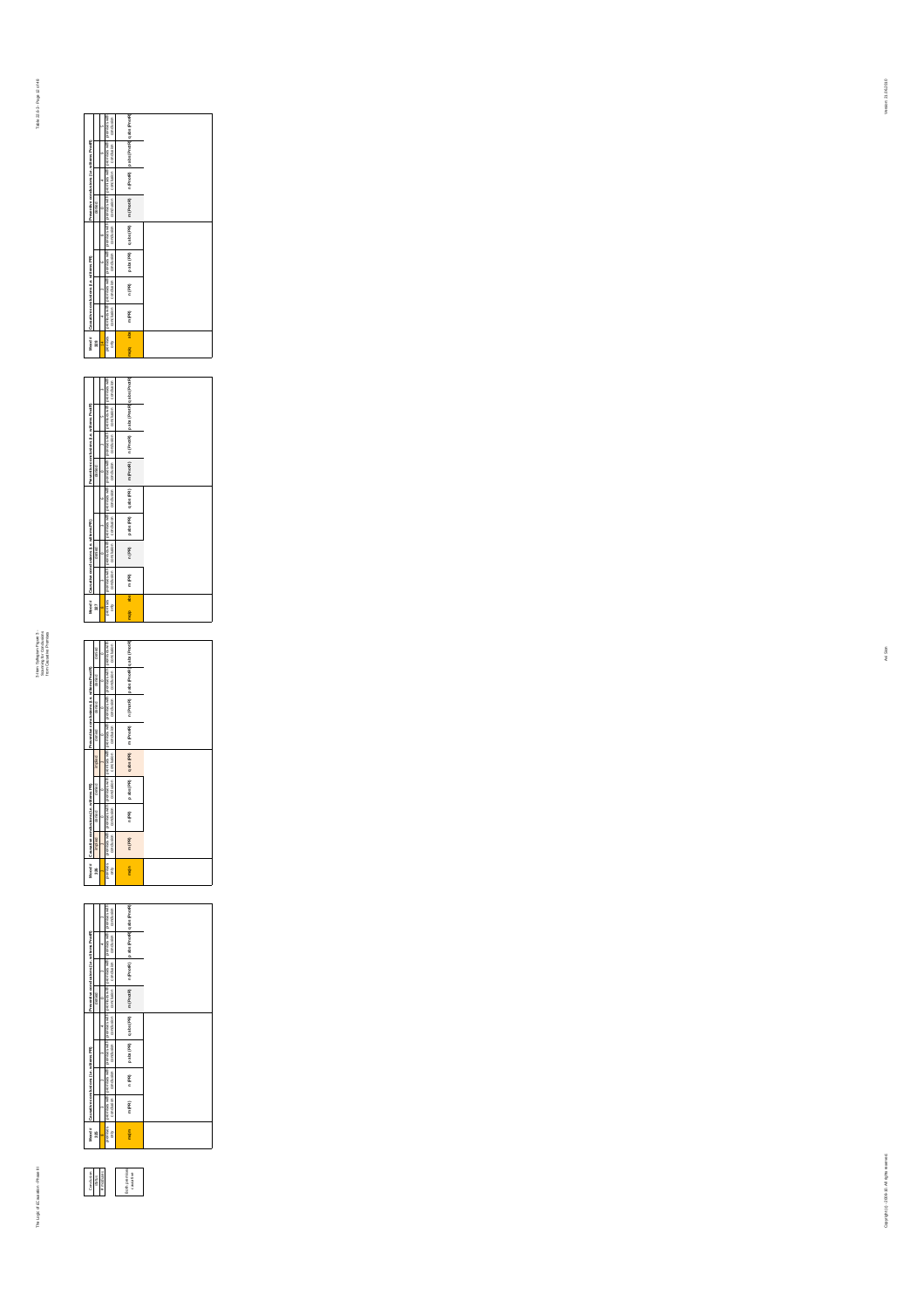The Logic of ECausation - Phase III

Scanning for Conclusions from Causative Premises

3-lam Sylogian Figure 3<br>Scaming for Conduisons<br>from Causalé Premises

Conclusion status # moduses causative Both premises

|                                              |        |         | DYRITTI SIDS WITH<br>operation           |                                          |  |
|----------------------------------------------|--------|---------|------------------------------------------|------------------------------------------|--|
|                                              |        |         | DYNTHIS OS WITH<br>oondusion             | pate (PriotR) is also (PriotR)           |  |
|                                              |        |         | promises with<br>candusion               | n (ProtR)                                |  |
| Preventive conclusions (i.e. witems Prooff)  | denied | $\circ$ | promises with<br>conclusion              | m (ProtR)                                |  |
|                                              |        |         | premises with<br>condusion               | qabs (PR)                                |  |
|                                              |        |         | premises with<br>oondusion               | pabs (PR)                                |  |
|                                              |        |         | promises with<br>candusion               | n (PR)                                   |  |
| Causaive con dusions (i.e. wiltems PR)       |        |         | onmises with<br>oprobasion               | m (PR)                                   |  |
| tood #                                       | 328    | 14      | D/01/11 905<br>č                         | ä                                        |  |
|                                              |        |         |                                          | mong                                     |  |
|                                              |        |         | promises with<br>oondusion               | pates (Pn ofR) q alss (PnotR)            |  |
|                                              |        |         | promises with<br>condusion               |                                          |  |
|                                              |        |         | promises with<br>oprehasion              | n (ProtR)                                |  |
| Preventive conclusions (i.e. witems Pnot R)  | denied |         | promises with<br>oondusion               | m(PriotR)                                |  |
|                                              |        |         | promises with<br>condusion               | qabs (PR)                                |  |
|                                              |        |         | promises with<br>conclusion              | p abs (PR)                               |  |
|                                              | dining | $\circ$ | Dream ses with<br>oprobasion             | n (PR)                                   |  |
| Causative conclusions (i.e. wiltems PR)      |        |         | command with<br>oondusion                | m (PR)                                   |  |
| Mood #                                       | à      |         | promises<br>ğ                            | ă<br>mab                                 |  |
|                                              |        |         |                                          |                                          |  |
|                                              | denied |         | <b>SIMM WAS TERRITORY</b><br>conclusion  | n (Pno IR)   p abs (PnoIR) q abs (PnoIR) |  |
|                                              | denied |         | operation<br>yearn ses with              |                                          |  |
| treventive con dusions (i.e. w/leans PnotR)  | denied |         | ロック 切りにない<br>oondusion                   |                                          |  |
|                                              | dened  |         | promises with<br>condusion               | m (ProtR)                                |  |
|                                              | mpled  |         | Dream ses with<br>conclusion             | $q$ abs $(PR)$                           |  |
| (i.e. w/tems PR)                             | denied |         | promises with<br>oondusion               | pabs (PR)                                |  |
|                                              | denied |         | promises with premises with<br>oondusion | n (PR)                                   |  |
| Cau sative conclusions                       | impled |         | condusion                                | m(PR)                                    |  |
| Mood #                                       | Å      |         | promises<br>only                         | main                                     |  |
|                                              |        |         |                                          |                                          |  |
|                                              |        |         | premises with<br>oondusion               |                                          |  |
|                                              |        |         | premises with<br>candusion               | pates (ProtR) qabs (ProtR)               |  |
|                                              |        |         | or orm ses with<br>conclusion            | n (ProtR)                                |  |
| Preventive conclusions (i.e. wilterns Proof) | denied |         | premises with<br>operation               | $m(P \text{ roorR})$                     |  |
|                                              |        |         | promises with<br>oondusion               | qabs (PR)                                |  |
|                                              |        |         | promises with<br>condusion               | pate (PR)                                |  |
|                                              |        |         | DY97115935 With<br>conclusion            | n (PR)                                   |  |
| Causalive condusions (Le. wiltems PR)        |        |         | coom ses with<br>operchasines            | m (PR)                                   |  |
| tood #                                       | 325    |         | remises<br>$\frac{3}{6}$                 | main                                     |  |

| Mood #                                      | 328    | 14<br>pornisos | only                        | ã<br>g                                |  |
|---------------------------------------------|--------|----------------|-----------------------------|---------------------------------------|--|
|                                             |        |                |                             |                                       |  |
|                                             |        |                | premises with<br>oondusion  |                                       |  |
|                                             |        |                | promises with<br>condusion  | n (Prooft) pates (Pnott) qabs (Prott) |  |
| Preventive conclusions (i.e. witems Phot R) |        |                | premises with<br>conclusion |                                       |  |
|                                             | denied |                | premises with<br>oondusion  | m(Proot R)                            |  |
|                                             |        |                | premises with<br>canduaion  | p abs (PR) q abs (PR)                 |  |
|                                             |        |                | promises with<br>conclusion |                                       |  |
| lusions (i.e. witems PR)                    | dinind | ö              | 200m ses with<br>operation  | n (PR)                                |  |

|                                             |       |   | premises with<br>operation               | pates (Priot R) q abs (P notR) |  |
|---------------------------------------------|-------|---|------------------------------------------|--------------------------------|--|
|                                             |       | ò | promises with premises with<br>oondusion |                                |  |
| Preventive conclusions (i.e. wittems ProfR) |       |   | candusion                                | n (Prooft)                     |  |
|                                             | dened |   | promises with<br>conclusion              | $m(p \mod 8)$                  |  |
|                                             |       | w | oondusion                                | qabs (PR)                      |  |
|                                             |       | b | premises with premises with<br>oondusion | pabs (PR)                      |  |
| Causaive conclusions (i.e. wiltems PR)      |       |   | promises with<br>candusion               | n (PR)                         |  |
|                                             |       |   | premises with<br>conclusion              | $\frac{m(PR)}{E}$              |  |
| Mood#                                       | 328   | ă | <b>BBS LUBOS</b><br>č                    | ã<br>g                         |  |

Avi Sion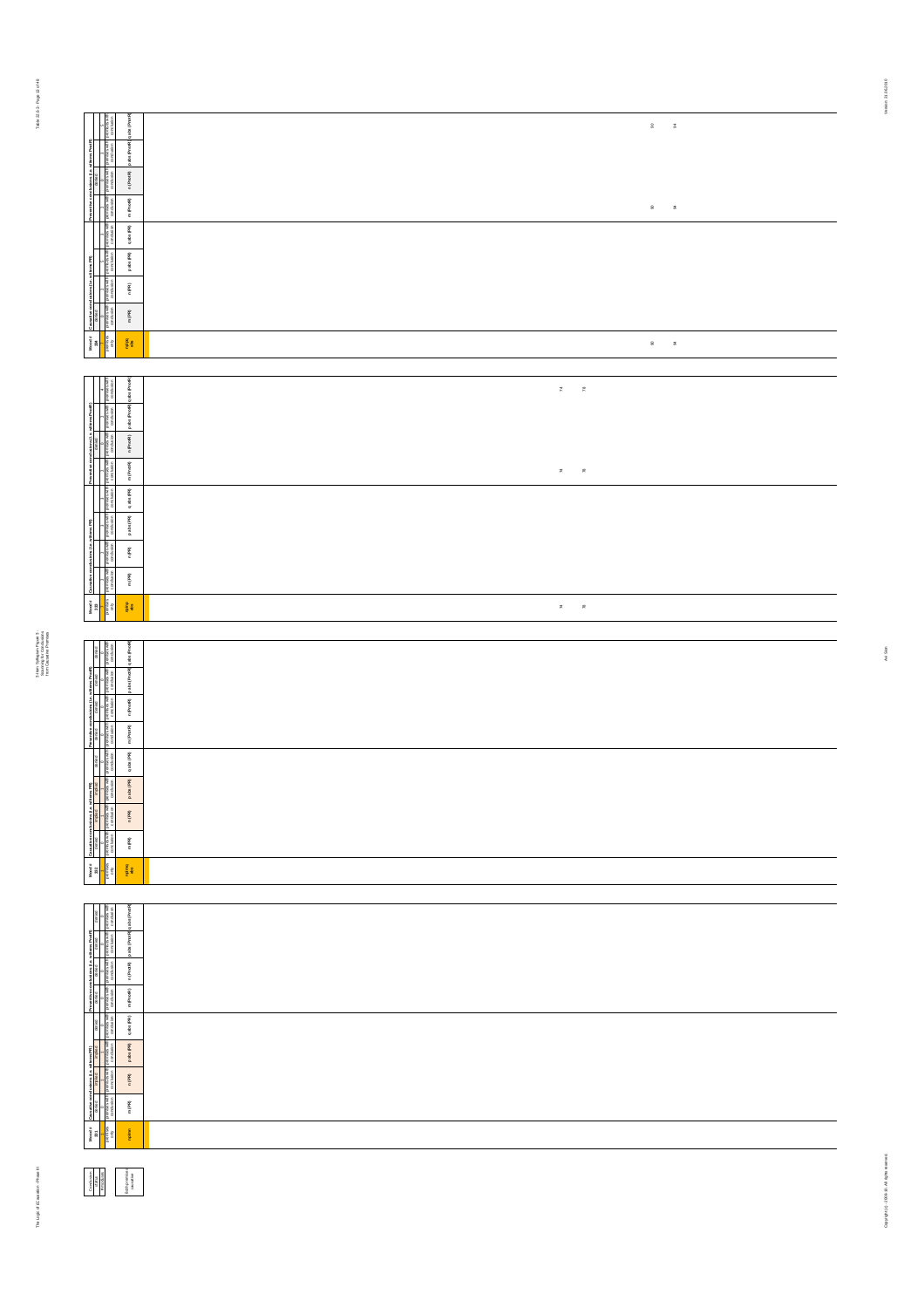|                                                                                                |                                                                                                                                                                                                                                        | qabs (PnotR)                         |                                 | $\hbox{$\tt g$}$                                      | $\overline{\phantom{a}}$ |  |
|------------------------------------------------------------------------------------------------|----------------------------------------------------------------------------------------------------------------------------------------------------------------------------------------------------------------------------------------|--------------------------------------|---------------------------------|-------------------------------------------------------|--------------------------|--|
|                                                                                                |                                                                                                                                                                                                                                        | pates (ProofR)                       |                                 |                                                       |                          |  |
|                                                                                                |                                                                                                                                                                                                                                        | n (Pn ofR)                           |                                 |                                                       |                          |  |
| Preventive condustors (i.e. witers Profit)                                                     |                                                                                                                                                                                                                                        | $m$ (P rooff)                        |                                 | $\,$ 8 $\,$ $\,$ 5 $\,$                               |                          |  |
|                                                                                                | oorclusion                                                                                                                                                                                                                             | $q$ ab s $\left( \mathsf{PR}\right)$ |                                 |                                                       |                          |  |
|                                                                                                |                                                                                                                                                                                                                                        | $\mathsf{p}$ ats (PR)                |                                 |                                                       |                          |  |
|                                                                                                |                                                                                                                                                                                                                                        | n (PR)                               |                                 |                                                       |                          |  |
| Mood # Causative conclusions (i.e. w/tems PR)<br>334 - derival                                 |                                                                                                                                                                                                                                        | $\mathfrak{m}(\mathsf{PR})$          |                                 |                                                       |                          |  |
|                                                                                                | kuo<br>ouh                                                                                                                                                                                                                             | $\frac{g}{\delta}$ )                 |                                 | $\begin{matrix} 0 & 0 \\ 0 & 0 \\ 0 & 0 \end{matrix}$ |                          |  |
|                                                                                                |                                                                                                                                                                                                                                        |                                      |                                 |                                                       |                          |  |
|                                                                                                |                                                                                                                                                                                                                                        | qabs (Prooft                         | $\mathbf{g}=-\mathbf{g}$        |                                                       |                          |  |
| Preventive conclusions (i.e. witems Prooff)                                                    |                                                                                                                                                                                                                                        | abs (Pro IR)                         |                                 |                                                       |                          |  |
|                                                                                                |                                                                                                                                                                                                                                        | n (ProdR)                            |                                 |                                                       |                          |  |
|                                                                                                | i<br>Sion                                                                                                                                                                                                                              | $m(p \cos \theta)$                   | $\mathbb{R}^+$ , $\mathbb{R}^+$ |                                                       |                          |  |
|                                                                                                |                                                                                                                                                                                                                                        | qabs (PR)                            |                                 |                                                       |                          |  |
|                                                                                                |                                                                                                                                                                                                                                        | pate (PR)                            |                                 |                                                       |                          |  |
|                                                                                                |                                                                                                                                                                                                                                        | $_{\rm n}$ (PR)                      |                                 |                                                       |                          |  |
| Mood # Causative conclusions (i.e. witems PR)<br>333                                           |                                                                                                                                                                                                                                        | $\frac{1}{n}$                        |                                 |                                                       |                          |  |
|                                                                                                | nemissa<br>only                                                                                                                                                                                                                        | $\frac{8}{3}$                        | $\mathbb R^+$ , $\mathbb R^+$   |                                                       |                          |  |
|                                                                                                | denied                                                                                                                                                                                                                                 | qabs (ProfR)                         |                                 |                                                       |                          |  |
|                                                                                                |                                                                                                                                                                                                                                        | pabs (ProfR)                         |                                 |                                                       |                          |  |
|                                                                                                |                                                                                                                                                                                                                                        | n (ProtR)                            |                                 |                                                       |                          |  |
| Preventive conclusions (i.e. w.items Pro IR)<br>device device                                  | oondusion                                                                                                                                                                                                                              | $m$ (Pn ofR)                         |                                 |                                                       |                          |  |
|                                                                                                |                                                                                                                                                                                                                                        | qabs (PR)                            |                                 |                                                       |                          |  |
|                                                                                                |                                                                                                                                                                                                                                        | pas (PR)                             |                                 |                                                       |                          |  |
|                                                                                                |                                                                                                                                                                                                                                        | $_{\alpha \, \rm (99)}$              |                                 |                                                       |                          |  |
|                                                                                                | The Chanados conclusions of a whome PM<br>The Channel House of the Channel Channel Channel<br>Design particle of the Channel Channel Channel Channel<br>Channel Channel Channel Channel Channel Channel<br>Channel Channel Channel Cha | $\omega_{\rm d}$ as                  |                                 |                                                       |                          |  |
|                                                                                                |                                                                                                                                                                                                                                        | $\frac{g}{2}$ is                     |                                 |                                                       |                          |  |
|                                                                                                |                                                                                                                                                                                                                                        |                                      |                                 |                                                       |                          |  |
|                                                                                                | $rac{3}{6}$                                                                                                                                                                                                                            | a abs (Prod                          |                                 |                                                       |                          |  |
|                                                                                                |                                                                                                                                                                                                                                        | pabs (ProtR                          |                                 |                                                       |                          |  |
|                                                                                                | premises with<br>condusion                                                                                                                                                                                                             | $n$ (P notR)                         |                                 |                                                       |                          |  |
|                                                                                                | premises wun<br>conclusion                                                                                                                                                                                                             | $\mathfrak{m}$ (P rooff)             |                                 |                                                       |                          |  |
|                                                                                                | premises with<br>oorchasion                                                                                                                                                                                                            | $\mathbf{q}$ abs (PR)                |                                 |                                                       |                          |  |
|                                                                                                | oondusion                                                                                                                                                                                                                              | $p$ abs (PR)                         |                                 |                                                       |                          |  |
|                                                                                                |                                                                                                                                                                                                                                        | $n$ (PR)                             |                                 |                                                       |                          |  |
| Mood # Causative condustions (i.e. w/feems PR)<br>331 : derivid <mark>implied   implied</mark> |                                                                                                                                                                                                                                        | $\frac{60}{\pi}$                     |                                 |                                                       |                          |  |
|                                                                                                | estates                                                                                                                                                                                                                                | nplain                               |                                 |                                                       |                          |  |
|                                                                                                |                                                                                                                                                                                                                                        |                                      |                                 |                                                       |                          |  |
|                                                                                                | ndusion<br>Salus<br>moduses                                                                                                                                                                                                            | xth premises<br>causa twe            |                                 |                                                       |                          |  |

 $\equiv$ 

 $\equiv$ 

Avi Sion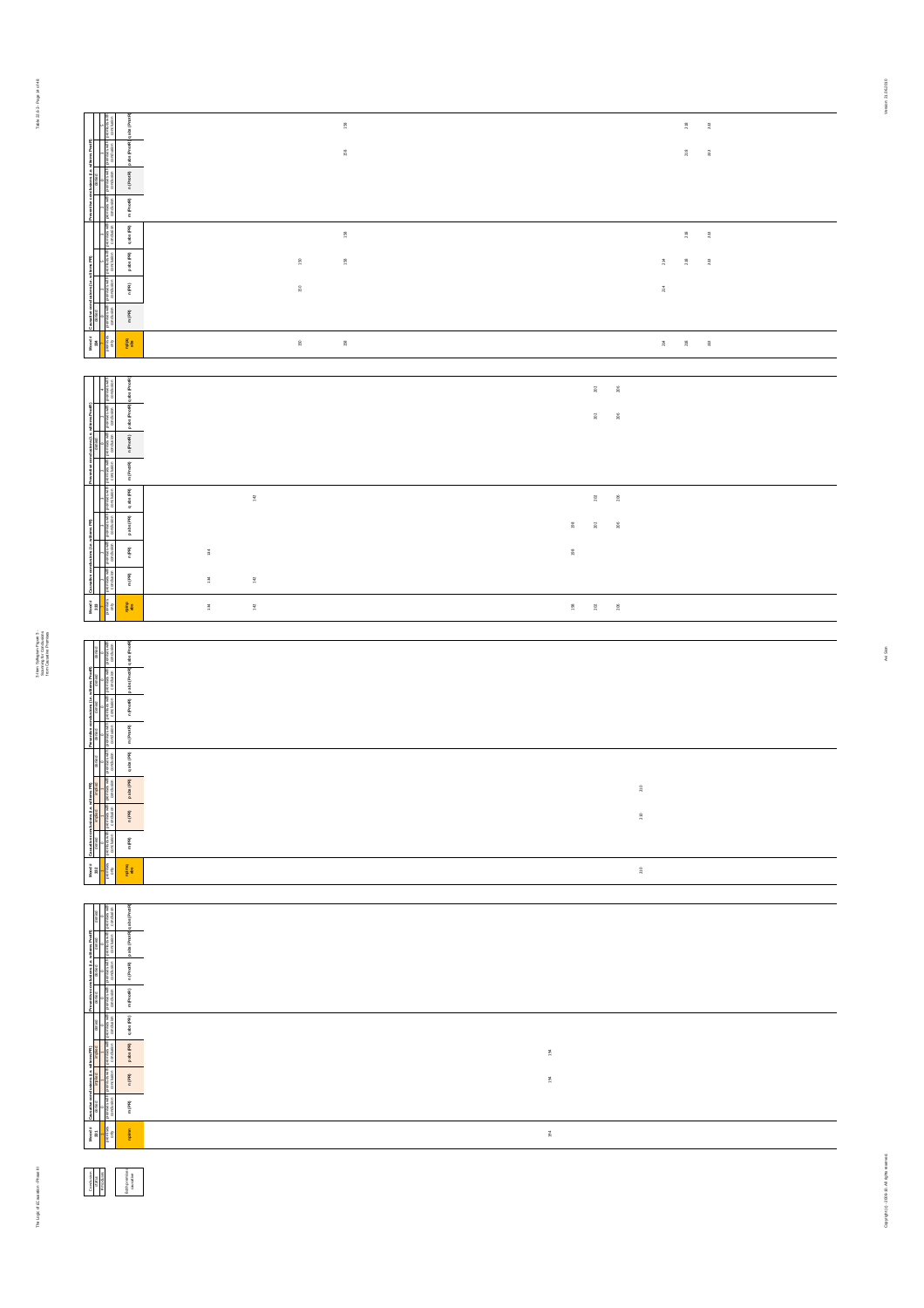|                                                                                                                                                                                                                                                                 | $\frac{38}{14}$     | $\mathbb{R}$<br>$\Xi$                                                                       |
|-----------------------------------------------------------------------------------------------------------------------------------------------------------------------------------------------------------------------------------------------------------------|---------------------|---------------------------------------------------------------------------------------------|
| Preventive condustors (i.e. witems Proof)                                                                                                                                                                                                                       | $\frac{9}{24}$      | $\ddot{\rm n}$ at                                                                           |
|                                                                                                                                                                                                                                                                 |                     |                                                                                             |
| a<br>pemises with promises with<br>conclusion condusion<br>$m(p \text{ node})$                                                                                                                                                                                  |                     |                                                                                             |
| $q$ abs $(\mathsf{PR})$                                                                                                                                                                                                                                         | $\mathbbm{R}$       | $\mathbbmss{R}^{\mathbbmss{N}}$                                                             |
| premises with premises with<br>condusion condusion<br>$p$ abs (PR)<br>$\substack{9\\25}$                                                                                                                                                                        | $_{\rm 38}^{\rm s}$ | $\begin{array}{ccccccccc} \pi & & & \pi & & & \pi \\ \end{array}$                           |
| Causalive conclusions (i.e. w/kems PR)<br>detect<br>$\frac{6}{5}$<br>$\frac{\Omega}{\Omega}$                                                                                                                                                                    |                     | $\vec{n}$                                                                                   |
| $\mathfrak{m}(\mathsf{PR})$                                                                                                                                                                                                                                     |                     |                                                                                             |
| $M_{\rm 1}$<br>$_{\rm 350}$<br>$\frac{g}{2}$ ij                                                                                                                                                                                                                 | $\sim$ 158          | $\begin{array}{ccc} \vec{a} & \vec{a} & \vec{a} \\ \vec{a} & \vec{a} & \vec{a} \end{array}$ |
|                                                                                                                                                                                                                                                                 |                     | $\mathbb{S}^1$ , $\mathbb{S}^2$                                                             |
|                                                                                                                                                                                                                                                                 |                     | $\mathbbmss{R}$                                                                             |
|                                                                                                                                                                                                                                                                 |                     |                                                                                             |
| Preventive conclusions (Le. witems Prot R)<br>$m(p \mod R)$                                                                                                                                                                                                     |                     |                                                                                             |
| qabs (PR)<br>$\frac{24}{3}$                                                                                                                                                                                                                                     |                     | $\rm ^{202}$<br>$\frac{3}{206}$                                                             |
| pabs (PR)                                                                                                                                                                                                                                                       |                     | $_{\rm g}$<br>$\widetilde{\mathbf{z}}$<br>$\mathbb R$                                       |
| Causative conclusions (i.e. witerms PR)<br>$\frac{1}{\alpha}$<br>$\frac{\pi}{m}$                                                                                                                                                                                |                     | $\frac{98}{24}$                                                                             |
| $\mathfrak{m}(\mathsf{PR})$<br>$\frac{\pi}{m}$<br>$\frac{3}{2}$                                                                                                                                                                                                 |                     |                                                                                             |
| Mood #<br>33<br>etains<br>The State<br>$\frac{9}{5}$<br>$\frac{\pi}{2}$<br>$\frac{22}{34}$                                                                                                                                                                      |                     | $\begin{array}{ccc} 198 \\ 202 \end{array}$                                                 |
|                                                                                                                                                                                                                                                                 |                     |                                                                                             |
|                                                                                                                                                                                                                                                                 |                     |                                                                                             |
| Preventive conclusions (i.e. wittens Pro R)<br>Annive                                                                                                                                                                                                           |                     |                                                                                             |
|                                                                                                                                                                                                                                                                 |                     |                                                                                             |
| $\widehat{\mathfrak{g}}$<br>e<br>E                                                                                                                                                                                                                              |                     |                                                                                             |
| qabs (PR)                                                                                                                                                                                                                                                       |                     |                                                                                             |
| $p$ abs $\left( \mathsf{PR}\right)$                                                                                                                                                                                                                             |                     | $_{\rm 210}$                                                                                |
| $n$ (PR)                                                                                                                                                                                                                                                        |                     | $\rm^{210}$                                                                                 |
| $m \varphi R$                                                                                                                                                                                                                                                   |                     |                                                                                             |
| $\frac{g}{\frac{3}{2}}\frac{g}{\tilde{q}}$                                                                                                                                                                                                                      |                     | $_{\rm 20}$                                                                                 |
| q also (Pric                                                                                                                                                                                                                                                    |                     |                                                                                             |
| pates (Prot R)                                                                                                                                                                                                                                                  |                     |                                                                                             |
| $n$ (P rooff)                                                                                                                                                                                                                                                   |                     |                                                                                             |
| $m(p \mod 2)$                                                                                                                                                                                                                                                   |                     |                                                                                             |
| Countries and address (a. w.Waren PA)<br>- Govern Countries (a. 1990)<br>- Govern Countries (and The Countries (and The Countries of the Countries of Countries (a. 1990)<br>- Countries (and The Countries (and The Countries (and Th<br>$\mathbf{q}$ abs (PR) |                     |                                                                                             |
| $p$ abs $\langle \theta R \rangle$                                                                                                                                                                                                                              |                     | $\frac{34}{2}$                                                                              |
| n (PR)                                                                                                                                                                                                                                                          |                     | $\overline{\mathbb{S}}$                                                                     |
| $\begin{array}{c}\n\hline\n\text{ 0} & \text{ 0} \\ \hline\n\text{ 0} & \text{ 0} \\ \hline\n\text{ 0} & \text{ 0} \\ \hline\n\text{ 0} & \text{ 0} \\ \hline\n\text{ 0} & \text{ 0}\n\end{array}$<br>$\frac{1}{n}$                                             |                     |                                                                                             |
| $M_{\rm cool}$<br>oomissa<br>only<br>nplan                                                                                                                                                                                                                      |                     | $\frac{34}{24}$                                                                             |
|                                                                                                                                                                                                                                                                 |                     |                                                                                             |

Table 22.6-3 - Page 14 of 48

Table 22.6-3 - Page 14 of 48

Conclusion<br># moduses<br>xh premis<br>causative Both premises

Copyright (c) - 2008-10. All rights reserved. Avi Sion Version: 21.06.2010

 $rac{6}{3}$ 

tim: 2106.2010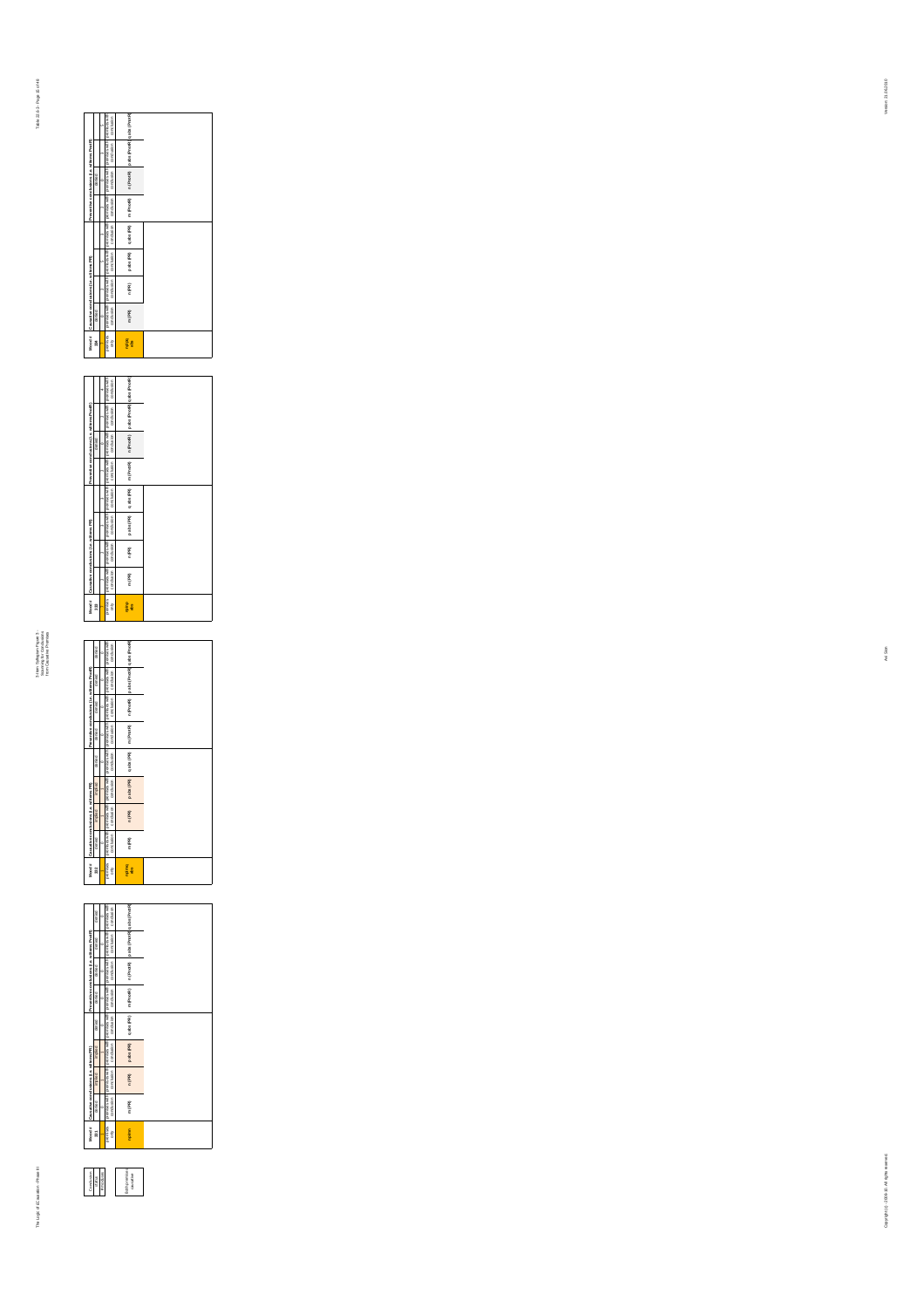to Logic of ECausation

Scanning for Conclusions from Causative Premises

3-term Syllagism Figure 3<br>Saamling for Condiusions<br>from Causative Premises

| n (ProdR) pubs (ProdR) quite (ProdR)<br>dining<br>premises with premises with<br>oondusion<br>denied<br>candusion<br>denied<br>pates (PR) qabs (PR) m/PnofR)<br>promises with<br>corchasion<br>dened<br>premises with<br>operation<br>dining<br>promises with premises with<br>oondusion<br>implied<br>candusion<br>implied<br>n (PR)<br>premises with<br>conclusion<br>denied<br>m(PR)<br>premises<br>nplmn<br>5<br>č |  |  |  | premises with<br>operation |
|------------------------------------------------------------------------------------------------------------------------------------------------------------------------------------------------------------------------------------------------------------------------------------------------------------------------------------------------------------------------------------------------------------------------|--|--|--|----------------------------|
|                                                                                                                                                                                                                                                                                                                                                                                                                        |  |  |  |                            |
|                                                                                                                                                                                                                                                                                                                                                                                                                        |  |  |  |                            |
|                                                                                                                                                                                                                                                                                                                                                                                                                        |  |  |  |                            |
|                                                                                                                                                                                                                                                                                                                                                                                                                        |  |  |  |                            |
|                                                                                                                                                                                                                                                                                                                                                                                                                        |  |  |  |                            |
|                                                                                                                                                                                                                                                                                                                                                                                                                        |  |  |  |                            |
|                                                                                                                                                                                                                                                                                                                                                                                                                        |  |  |  |                            |
|                                                                                                                                                                                                                                                                                                                                                                                                                        |  |  |  |                            |

Conclusion<br># moduses<br>xh premis<br>causative Both premises

|                                              |         | operation                                                            |                                                                       |  |
|----------------------------------------------|---------|----------------------------------------------------------------------|-----------------------------------------------------------------------|--|
|                                              |         | Dremises with Dremises with<br>noindusion                            |                                                                       |  |
|                                              | denied  | oondusion                                                            |                                                                       |  |
| Preventive conclusions (i.e. wilters Profit) |         | premises with premises with premises with<br>condusion               | pabs (PR) qabs (PR) m (ProoR) n (PhoeR) pabs (ProoR) qabs (ProoR)     |  |
|                                              |         | conclusion                                                           |                                                                       |  |
|                                              |         | oondusion<br>promises with                                           |                                                                       |  |
| Causative conclusions (i.e. w/terms PR)      |         | remnes with<br>oondusion                                             | $-1$ e.geg $-1$                                                       |  |
|                                              | dened   | condusion<br>Systems of the control                                  | m(PR)                                                                 |  |
| Mood #                                       | 3       | 200 m 905<br>č                                                       | g<br>§ li                                                             |  |
|                                              |         |                                                                      |                                                                       |  |
|                                              |         | condusion                                                            |                                                                       |  |
| Preventive conclusions (Le. witems Prot R)   |         | promises with promises with premises with promises with<br>condusion | qabs (PR) = m (P not R) = n (P notR) = p abs (PnotR) q abs (P notR)   |  |
|                                              | denied  | conclusion                                                           |                                                                       |  |
|                                              |         | oprchaion                                                            |                                                                       |  |
|                                              |         | premises with premises with<br>oondusion                             |                                                                       |  |
|                                              |         | condusion                                                            | pates (PR)                                                            |  |
| Causative conclusions (i.e. wiltems PR)      |         | promises with<br>operation                                           | n (PR)                                                                |  |
|                                              |         | comises with<br>oondusion                                            | m (PR)                                                                |  |
| Mood #                                       | 33      | γiν.<br>200mlses                                                     | e<br>La                                                               |  |
|                                              |         |                                                                      |                                                                       |  |
|                                              | dened   | by search of<br>candusion                                            | patis (PR) qubs (PR) in (PhotR) in (PhotR) patis (PhotR) qubs (PhotR) |  |
| Preventive conclusions (i.e. wittens Pro IR) | denied  | Dream ses with<br>oprehasion                                         |                                                                       |  |
|                                              | dining  | promises with<br>oondusion                                           |                                                                       |  |
|                                              | denied  | oondusion                                                            |                                                                       |  |
|                                              | dened   | candusian                                                            |                                                                       |  |
| (i.e. wilterns PR)                           | impled  | with creamises with premises with creamises with<br>operation        |                                                                       |  |
| Causative conclusions                        | implied | oondusion<br>premises with premises                                  | n (PR)                                                                |  |
|                                              | denied  | canduagon                                                            | m (PR)                                                                |  |
| Mood#                                        | å       | oty<br>D7 0771 5675                                                  | panda<br>Ba                                                           |  |
|                                              |         |                                                                      |                                                                       |  |
|                                              | dining  | DYNT 905 WITH<br>operation                                           | q abs (PR)   m (PnoR)   n (PnoR)   p abs (PnotR) q abs (PnoR)         |  |
| Preventive conclusions (i.e. witems Prooff)  | denied  | premises with<br>oondusion                                           |                                                                       |  |
|                                              | denied  | promises with<br>candualon                                           |                                                                       |  |
|                                              | denied  | promises with<br>conclusion                                          |                                                                       |  |
|                                              | dinind  | promises with<br>operation                                           |                                                                       |  |
|                                              | implied | condusion  <br>premises with                                         | pats (PR)                                                             |  |
| ausative conclusions (i.e. w/learns PR)      | implied | premises with premises with<br>condusion                             | n (PR)                                                                |  |
|                                              | denied  | oorclusion                                                           | $\frac{1}{2}$                                                         |  |
| Mood#                                        | ā       | <b>NYTH 90%</b><br>only                                              | <b>District</b>                                                       |  |

| ausative conclusions (i.e. wiltems PR) |            |            |                                                        |            | Preventive conclusions (Le, witems Priot R) |                                          |           |
|----------------------------------------|------------|------------|--------------------------------------------------------|------------|---------------------------------------------|------------------------------------------|-----------|
|                                        |            |            |                                                        |            | dened                                       |                                          |           |
|                                        |            |            |                                                        |            |                                             |                                          |           |
| oromises with<br>opriduation           | conclusion | candusion  | premises with premises with premises with<br>oondusion | oorchasion | premises with premises with<br>conclusion   | premises with premises with<br>candusion | oondusion |
| m (PR)                                 | n (PR)     | pates (PR) | qabs (PR)                                              | m (ProtR)  |                                             | n (ProdR)   p abs (Pro tR) q abs (ProdR) |           |
|                                        |            |            |                                                        |            |                                             |                                          |           |
|                                        |            |            |                                                        |            |                                             |                                          |           |

| Mood#            |                            | Causative conclusions (i.e. w/kems PR) |                            |                             |                                          | Preventive conclusions (i.e. willens ProfR) |                                      |                             |
|------------------|----------------------------|----------------------------------------|----------------------------|-----------------------------|------------------------------------------|---------------------------------------------|--------------------------------------|-----------------------------|
| ă                | deried                     |                                        |                            |                             |                                          | denied                                      |                                      |                             |
|                  | $\circ$                    |                                        |                            |                             |                                          |                                             |                                      |                             |
| ses ways<br>cely | promises with<br>condusion | premises with<br>oondusion             | promises with<br>oondusion | premises with<br>conclusion | premises with premises with<br>candusion | oondusion                                   | premissa with<br>oondusion           | promises with<br>conclusion |
| g s              | m(PR)                      | n (PR)                                 |                            | pabs (PR) qabs (PR)         | m (Prooff)                               |                                             | n (PnotR) pates (PnotR) qabs (PnotR) |                             |
|                  |                            |                                        |                            |                             |                                          |                                             |                                      |                             |
|                  |                            |                                        |                            |                             |                                          |                                             |                                      |                             |
|                  |                            |                                        |                            |                             |                                          |                                             |                                      |                             |
|                  |                            |                                        |                            |                             |                                          |                                             |                                      |                             |
|                  |                            |                                        |                            |                             |                                          |                                             |                                      |                             |
|                  |                            |                                        |                            |                             |                                          |                                             |                                      |                             |
|                  |                            |                                        |                            |                             |                                          |                                             |                                      |                             |
|                  |                            |                                        |                            |                             |                                          |                                             |                                      |                             |

Avi Sion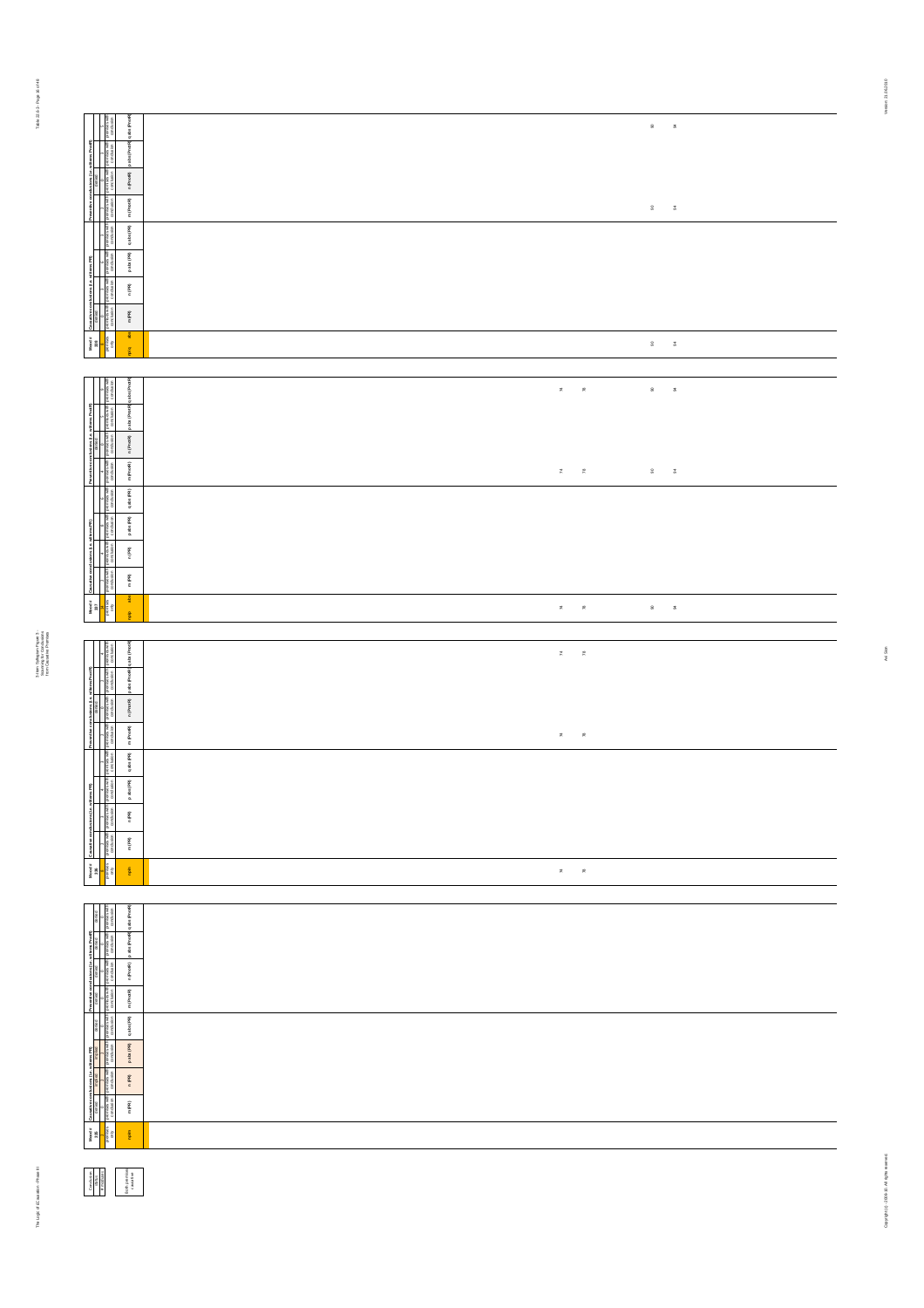|                                                                                                                                                                                                                                                                                 |                                     | $\,$ 8 $\,$ 7 $\,$                                                                              |
|---------------------------------------------------------------------------------------------------------------------------------------------------------------------------------------------------------------------------------------------------------------------------------|-------------------------------------|-------------------------------------------------------------------------------------------------|
| Preventive conclusions (i.e. witerms Prooft)<br>p abs (ProtR)                                                                                                                                                                                                                   |                                     |                                                                                                 |
| $n$ (ProofR)                                                                                                                                                                                                                                                                    |                                     |                                                                                                 |
| 3<br>nomiaes with promiaes with promiaes with<br>conduston conclusion condusion<br>$m$ (ProofR)                                                                                                                                                                                 |                                     |                                                                                                 |
| $\mathbf{q}$ abs (PR)                                                                                                                                                                                                                                                           |                                     |                                                                                                 |
| pats (PR)                                                                                                                                                                                                                                                                       |                                     |                                                                                                 |
| 0<br>premises with promises with premises with<br>conclusion condusion condusion<br>$_{\rm n}$ (PR)                                                                                                                                                                             |                                     |                                                                                                 |
| Mood # Causative condustions (i.e. witems PR)<br>338 00thd<br>$\frac{\partial \mathbf{R}}{\partial \mathbf{r}}$                                                                                                                                                                 |                                     |                                                                                                 |
| premises<br>å<br>le.                                                                                                                                                                                                                                                            |                                     | $\begin{matrix} 0 & 0 \\ 0 & 0 \\ 0 & 0 \end{matrix}$                                           |
| æ<br>sabs (Proot                                                                                                                                                                                                                                                                | $\mathbb R$ — $\mathbb R$           | $\begin{array}{ccc} \circ & \circ & \circ \\ \circ & \circ & \circ \end{array}$                 |
| Preventive conclusions (i.e. witems PnotR)<br> <br>  Orient<br>promises with p<br>condusion<br>sabs (PnotR)                                                                                                                                                                     |                                     |                                                                                                 |
| remises with<br>conclusion<br>$n$ (P rooff)                                                                                                                                                                                                                                     |                                     |                                                                                                 |
| $m(Proof R)$                                                                                                                                                                                                                                                                    | $\mathbbmss{Z}$ , $\mathbbmss{Z}$ , | $\begin{matrix} 0 \\ 0 \\ 0 \end{matrix} \hspace{.2in} \begin{matrix} 0 \\ 0 \\ 0 \end{matrix}$ |
| $\frac{2}{3}$ permission in the contract of the product of the permission of the condustion of the condustion of the condustion of the condustion of the condustion of the condustion of the condustion of the condustion of the<br>qabs $\langle \theta R \rangle$             |                                     |                                                                                                 |
| p abs $\langle \mathsf{PR} \rangle$                                                                                                                                                                                                                                             |                                     |                                                                                                 |
| $_{\rm n}$ (PR)                                                                                                                                                                                                                                                                 |                                     |                                                                                                 |
| $\frac{\text{Mod } n}{337}$ $\frac{\text{Quasine correlational (le. whloms PR)}}{337}$<br>$\mathfrak{g}_{\mathfrak{q}}$                                                                                                                                                         |                                     |                                                                                                 |
| 優<br>premises<br>ofly<br>$\frac{8}{9}$                                                                                                                                                                                                                                          | $\mathbb R$ – $\mathbb R$           | $\,$ 8 $\,$ 5 $\,$                                                                              |
|                                                                                                                                                                                                                                                                                 | $\mathbf{g}=-\mathbf{g}$            |                                                                                                 |
| promises with<br>abs (Pnot<br>amises with                                                                                                                                                                                                                                       |                                     |                                                                                                 |
| aba (P<br>$n$ (Pro $\theta\theta)$                                                                                                                                                                                                                                              |                                     |                                                                                                 |
| Preventive condustions (i.e. w/feams Prooft)<br>device<br>$m$ (P roofR)                                                                                                                                                                                                         | $\mathbf{g}=-\mathbf{g}$            |                                                                                                 |
| Mood Cassancecondulated Ca When Mil.<br>1994 - The Cassan Cassan Cassan Cassan (Cassan Cassan Cassan)<br>1996 - Constant pondature (constant) (constant) perchant perchant Constant)<br>1996 - Constant pondature (constant) (constant)<br>$q$ ab s $\left( \mathsf{PR}\right)$ |                                     |                                                                                                 |
| pabs (PR)                                                                                                                                                                                                                                                                       |                                     |                                                                                                 |
| n@R                                                                                                                                                                                                                                                                             |                                     |                                                                                                 |
| $\mathfrak{m}(\mathsf{PR})$                                                                                                                                                                                                                                                     |                                     |                                                                                                 |
| pomises<br>$\frac{\epsilon}{2}$                                                                                                                                                                                                                                                 | $\mathbf{g}=-\mathbf{g}$            |                                                                                                 |
|                                                                                                                                                                                                                                                                                 |                                     |                                                                                                 |
| ab s (P)                                                                                                                                                                                                                                                                        |                                     |                                                                                                 |
| pabs (ProtR)                                                                                                                                                                                                                                                                    |                                     |                                                                                                 |
| $n$ (P rooff)                                                                                                                                                                                                                                                                   |                                     |                                                                                                 |
| $m$ (ProofR)                                                                                                                                                                                                                                                                    |                                     |                                                                                                 |
| $p$ abs $\langle \mathsf{PR} \rangle$ = q abs $\langle \mathsf{PR} \rangle$                                                                                                                                                                                                     |                                     |                                                                                                 |
|                                                                                                                                                                                                                                                                                 |                                     |                                                                                                 |
| $n$ (PR)                                                                                                                                                                                                                                                                        |                                     |                                                                                                 |
|                                                                                                                                                                                                                                                                                 |                                     |                                                                                                 |
| $\frac{\partial \mathbf{R}}{\partial \mathbf{r}}$                                                                                                                                                                                                                               |                                     |                                                                                                 |
| linearly Canadian availabans (in arthurs) and could permutas conclusions (in arthurs) and a distribution of the state of the state of the state of the state of the state of the state of the state of the state of the state<br><b>Taylor</b>                                  |                                     |                                                                                                 |

Copyright (c) - 2008-10. All rights reserved. Avi Sion Version: 21.06.2010

Avi Sion

All rights: opyright (c) - 2008-10

Version: 21.06.2010

Conclusion status # moduses causative Both premises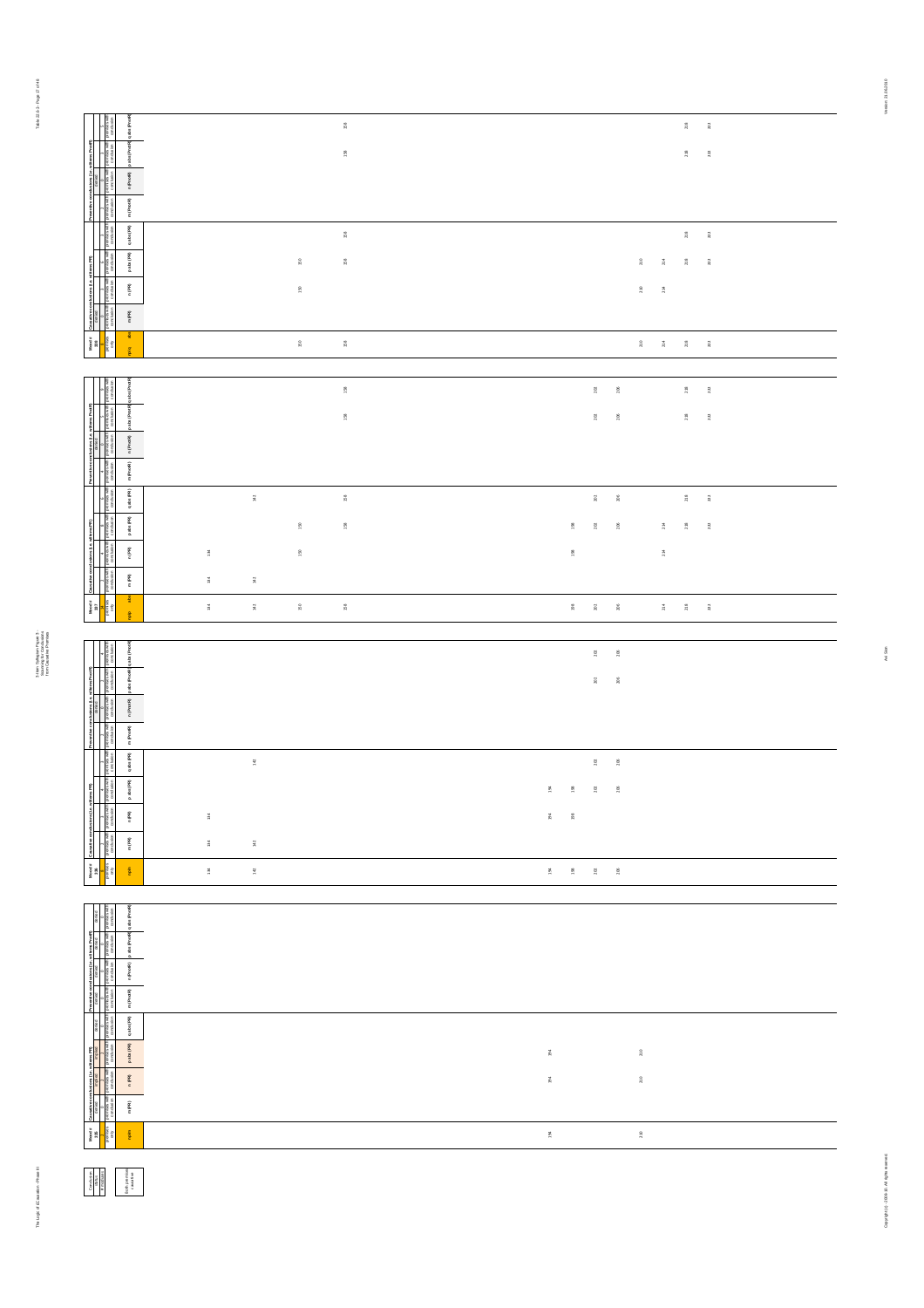|                                                     |                | quick (Proof                        |                        |                          |                                  | $_{\rm 33}^{\rm s}$      |  |                                                                                                                                                                                                                                                                                                                                                       |                 |                          |                   |                |                      | $_{\rm 218}$                                                        | $_{\rm 22}$              |
|-----------------------------------------------------|----------------|-------------------------------------|------------------------|--------------------------|----------------------------------|--------------------------|--|-------------------------------------------------------------------------------------------------------------------------------------------------------------------------------------------------------------------------------------------------------------------------------------------------------------------------------------------------------|-----------------|--------------------------|-------------------|----------------|----------------------|---------------------------------------------------------------------|--------------------------|
|                                                     |                | abs (ProotR)                        |                        |                          |                                  | $_{\rm 158}^{\rm m}$     |  |                                                                                                                                                                                                                                                                                                                                                       |                 |                          |                   |                |                      | $_{\rm 218}$                                                        | $_{\rm 22}$              |
|                                                     |                | n (ProtR)                           |                        |                          |                                  |                          |  |                                                                                                                                                                                                                                                                                                                                                       |                 |                          |                   |                |                      |                                                                     |                          |
|                                                     |                | $m$ (P roofR)                       |                        |                          |                                  |                          |  |                                                                                                                                                                                                                                                                                                                                                       |                 |                          |                   |                |                      |                                                                     |                          |
|                                                     | ŧ              | $q$ also $(PR)$                     |                        |                          |                                  | $_{\rm 158}^{\rm m}$     |  |                                                                                                                                                                                                                                                                                                                                                       |                 |                          |                   |                |                      | $_{\rm 218}$                                                        | $_{\rm 22}$              |
|                                                     |                |                                     |                        |                          |                                  |                          |  |                                                                                                                                                                                                                                                                                                                                                       |                 |                          |                   |                |                      |                                                                     |                          |
| ams PR)                                             |                | pabs (PR)                           |                        |                          | $_{\rm 150}$                     | $_{158}^{\phantom{1}}$   |  |                                                                                                                                                                                                                                                                                                                                                       |                 |                          |                   | $_{\rm 210}$   | $_{\rm 214}$         | $_{\rm 23}^{\rm m}$                                                 | $_{\rm 22}$              |
|                                                     |                | $_{\rm n}(\rho\,R)$                 |                        |                          | $\frac{\alpha}{10}$              |                          |  |                                                                                                                                                                                                                                                                                                                                                       |                 |                          |                   | $_{\rm 210}$   | $\vec{n}$            |                                                                     |                          |
|                                                     |                | $\frac{m}{m}$                       |                        |                          |                                  |                          |  |                                                                                                                                                                                                                                                                                                                                                       |                 |                          |                   |                |                      |                                                                     |                          |
| $M_{\rm cool}$ #                                    | 를 훔            | ÷<br>g.                             |                        |                          | $_{\rm 150}$                     | $\substack{38\\{}52}$    |  |                                                                                                                                                                                                                                                                                                                                                       |                 |                          |                   | $_{\rm 210}$   | $\frac{\pi}{\kappa}$ | $_{\rm 218}^{\rm 218}$                                              | $_{\rm 22}$              |
|                                                     |                |                                     |                        |                          |                                  |                          |  |                                                                                                                                                                                                                                                                                                                                                       |                 |                          |                   |                |                      |                                                                     |                          |
|                                                     |                | qabs (ProtR)                        |                        |                          |                                  | $\frac{m}{10}$           |  |                                                                                                                                                                                                                                                                                                                                                       |                 | $\mathbbm{z}$            | $\mathbf{g}$      |                |                      | $\rm ^{28}$                                                         | $\overline{\bf 2}$       |
|                                                     |                | abs (Pn)                            |                        |                          |                                  | $\frac{38}{14}$          |  |                                                                                                                                                                                                                                                                                                                                                       |                 | $_{\rm 20}$              | $_{\rm 205}$      |                |                      | $\mathbbm{R}$                                                       | $_{\rm 22}$              |
|                                                     |                | n (ProdR)                           |                        |                          |                                  |                          |  |                                                                                                                                                                                                                                                                                                                                                       |                 |                          |                   |                |                      |                                                                     |                          |
|                                                     |                | m(Proot R)                          |                        |                          |                                  |                          |  |                                                                                                                                                                                                                                                                                                                                                       |                 |                          |                   |                |                      |                                                                     |                          |
|                                                     |                | qabs (PR)                           |                        | $\widetilde{\mathbf{x}}$ |                                  | $\frac{m}{10}$           |  |                                                                                                                                                                                                                                                                                                                                                       |                 | $\widetilde{\mathbf{z}}$ | $\mathbf{g}$      |                |                      | $_{\rm 23}$                                                         | $\widetilde{\mathbf{a}}$ |
|                                                     |                | p ato (PR)                          |                        |                          | $\frac{9}{10}$                   | $\widetilde{\mathbf{z}}$ |  |                                                                                                                                                                                                                                                                                                                                                       | $\frac{98}{14}$ | $_{\rm 20}$              | $20\,$            |                | $\frac{\pi}{\alpha}$ | $_{\rm 23}^{\rm 33}$                                                | $_{\rm 22}$              |
|                                                     |                |                                     |                        |                          |                                  |                          |  |                                                                                                                                                                                                                                                                                                                                                       |                 |                          |                   |                |                      |                                                                     |                          |
|                                                     |                | $_{\rm n}$ (PR)                     | $\frac{1}{2}$          |                          | $_{350}$                         |                          |  |                                                                                                                                                                                                                                                                                                                                                       | $^{\rm 198}$    |                          |                   |                | $_{\rm 24}^{\rm 4}$  |                                                                     |                          |
|                                                     |                | $\mathfrak{m}$ (PR)                 | $\frac{\pi}{m}$        | $\widetilde{z}$          |                                  |                          |  |                                                                                                                                                                                                                                                                                                                                                       |                 |                          |                   |                |                      |                                                                     |                          |
| Mood #                                              | orly           | 菁<br>å                              | $\tilde{\mathbb{B}}$   | $\widetilde{\mathbf{x}}$ | $\mathop{\mathfrak{A}}\nolimits$ | $\frac{m}{10}$           |  |                                                                                                                                                                                                                                                                                                                                                       | $\mathbb{S}^3$  | $\mathbbm{z}$            | $\mathbbmss{8}$   |                |                      | $\label{eq:zeta} \vec{n} \qquad \quad \vec{n} \qquad \quad \vec{n}$ |                          |
|                                                     |                |                                     |                        |                          |                                  |                          |  |                                                                                                                                                                                                                                                                                                                                                       |                 |                          |                   |                |                      |                                                                     |                          |
|                                                     |                | abs (Prot                           |                        |                          |                                  |                          |  |                                                                                                                                                                                                                                                                                                                                                       |                 | $_{\rm 20}$              | $20\,$            |                |                      |                                                                     |                          |
|                                                     |                | 暮                                   |                        |                          |                                  |                          |  |                                                                                                                                                                                                                                                                                                                                                       |                 | $_{\rm 202}$             | $\mathop{^{206}}$ |                |                      |                                                                     |                          |
|                                                     |                | $n$ (Pro $\theta$ )                 |                        |                          |                                  |                          |  |                                                                                                                                                                                                                                                                                                                                                       |                 |                          |                   |                |                      |                                                                     |                          |
|                                                     |                | $m(p \text{ node})$                 |                        |                          |                                  |                          |  |                                                                                                                                                                                                                                                                                                                                                       |                 |                          |                   |                |                      |                                                                     |                          |
|                                                     |                | $q$ abs $\left( \mathsf{PR}\right)$ |                        | $\frac{\alpha}{2}$       |                                  |                          |  |                                                                                                                                                                                                                                                                                                                                                       |                 | $\overline{\rm a}$       | $_{\rm 26}$       |                |                      |                                                                     |                          |
| $w$ /koms $PR$ )                                    |                | $p$ abs (PR)                        |                        |                          |                                  |                          |  | $_{\rm 194}^{\rm 5}$                                                                                                                                                                                                                                                                                                                                  | 198             | $_{\rm 202}$             | $206\,$           |                |                      |                                                                     |                          |
|                                                     |                | n@R                                 | $\tilde{\mathbb{B}}$   |                          |                                  |                          |  | $\frac{7}{20}$ – $\frac{90}{20}$                                                                                                                                                                                                                                                                                                                      |                 |                          |                   |                |                      |                                                                     |                          |
| Causative conclusions (i.e                          |                |                                     | $\frac{\pi}{\alpha}$   | $\frac{\Omega}{\Omega}$  |                                  |                          |  |                                                                                                                                                                                                                                                                                                                                                       |                 |                          |                   |                |                      |                                                                     |                          |
|                                                     |                | $\mathfrak{m}(\mathsf{PR})$         |                        |                          |                                  |                          |  |                                                                                                                                                                                                                                                                                                                                                       |                 |                          |                   |                |                      |                                                                     |                          |
| $\begin{array}{c} \text{Mod } n \\ 336 \end{array}$ | <b>Section</b> | $\frac{g}{2}$                       | $\frac{\pi}{\epsilon}$ | $\frac{\alpha}{2}$       |                                  |                          |  | $\begin{matrix} \overline{a} & \overline{b} & \overline{c} \\ \overline{c} & \overline{d} & \overline{c} \\ \overline{c} & \overline{d} & \overline{c} \end{matrix} \qquad \qquad \begin{matrix} \overline{a} & \overline{b} & \overline{c} \\ \overline{c} & \overline{d} & \overline{c} \\ \overline{c} & \overline{d} & \overline{c} \end{matrix}$ |                 |                          |                   |                |                      |                                                                     |                          |
|                                                     |                | abs(Proof                           |                        |                          |                                  |                          |  |                                                                                                                                                                                                                                                                                                                                                       |                 |                          |                   |                |                      |                                                                     |                          |
|                                                     |                | abs (PnotR)                         |                        |                          |                                  |                          |  |                                                                                                                                                                                                                                                                                                                                                       |                 |                          |                   |                |                      |                                                                     |                          |
| reventive conclusions (i.e. witems PnofR)           |                |                                     |                        |                          |                                  |                          |  |                                                                                                                                                                                                                                                                                                                                                       |                 |                          |                   |                |                      |                                                                     |                          |
|                                                     |                | n (ProtR)                           |                        |                          |                                  |                          |  |                                                                                                                                                                                                                                                                                                                                                       |                 |                          |                   |                |                      |                                                                     |                          |
|                                                     |                | $m(p \text{ node})$                 |                        |                          |                                  |                          |  |                                                                                                                                                                                                                                                                                                                                                       |                 |                          |                   |                |                      |                                                                     |                          |
|                                                     | İ              | qabs $\langle \theta R \rangle$     |                        |                          |                                  |                          |  |                                                                                                                                                                                                                                                                                                                                                       |                 |                          |                   |                |                      |                                                                     |                          |
|                                                     |                | pats (PR)                           |                        |                          |                                  |                          |  | $\overline{\mathbb{S}}$                                                                                                                                                                                                                                                                                                                               |                 |                          |                   | $_{\rm 210}$   |                      |                                                                     |                          |
| stative conductors (i.e. witems PR)                 |                | $\mathfrak{m}(\mathsf{PR})$         |                        |                          |                                  |                          |  | $\frac{3}{2}$                                                                                                                                                                                                                                                                                                                                         |                 |                          |                   | $_{\rm 2.0}$   |                      |                                                                     |                          |
|                                                     |                | $m(\theta \vert \theta)$            |                        |                          |                                  |                          |  |                                                                                                                                                                                                                                                                                                                                                       |                 |                          |                   |                |                      |                                                                     |                          |
| $\frac{8}{3}$                                       |                | g in                                |                        |                          |                                  |                          |  | $\frac{3}{2}$                                                                                                                                                                                                                                                                                                                                         |                 |                          |                   | $\mathfrak{m}$ |                      |                                                                     |                          |

Copyright (c) - 2008-10. All rights reserved. Avi Sion Version: 21.06.2010

 $1300$ 

| 1338 - anisto Impilato Impilato concelho control anisto anisto control<br>Comparato portugale paramete un permission provincia una permission provincia una concelho<br>Toriy conclusion Conclusion Conclusion portugalem conclusion | $\tilde{z}$                 |                           |               |
|--------------------------------------------------------------------------------------------------------------------------------------------------------------------------------------------------------------------------------------|-----------------------------|---------------------------|---------------|
|                                                                                                                                                                                                                                      | abs (PR)<br>$\ddot{\sigma}$ |                           |               |
|                                                                                                                                                                                                                                      | pats (PR)                   | $\overline{\mathfrak{A}}$ | $_{\rm 21}$   |
|                                                                                                                                                                                                                                      | $_{\rm n}$ (PR)             | $\frac{35}{24}$           | £.            |
|                                                                                                                                                                                                                                      | $\frac{6}{5}$               |                           |               |
|                                                                                                                                                                                                                                      | ÷                           |                           | $\frac{2}{3}$ |

Conclusion status # moduses causative Both premises

3-tem Sytogian Figure 3-<br>Scaming for Conduisons<br>from Causative Premises The Logic of Economic of Economic of Economic of Economic Sylvism Figure 3 - Phase III 3-Item Sylvism Figure 3 - Phase III 30-Item Sylvism Figure 3 - Phase III 3-Item Sylvism Figure 3 - Phase III 3-Item Sylvism Figure 3 - Scanning for Conclusions from Causative Premises

Table 22.6-3 - Page 17 of 48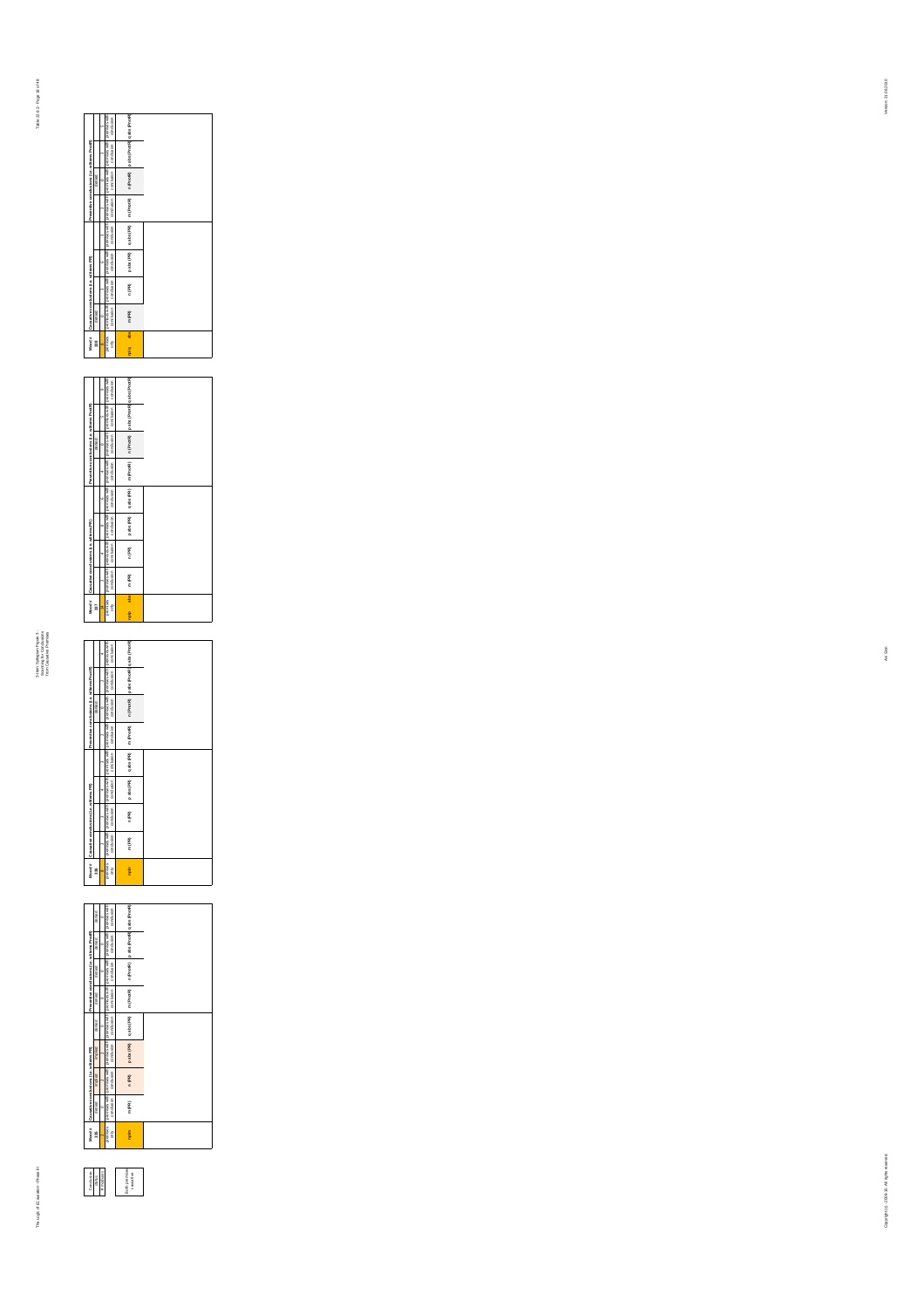The Logic of £Causation - Phase III

Scanning for Conclusions from Causative Premises

3-tem Sylogian Figure 3<br>Sauming for Condusions<br>from Causative Premises

Conclusion status # moduses causative Both premises

|                                              |         | DYNT 905 WET<br>operation           |                                        |  |
|----------------------------------------------|---------|-------------------------------------|----------------------------------------|--|
|                                              |         | premises with<br>oondusion          | pates (Priot R) q abs (PriotR)         |  |
|                                              | dened   | promises with<br>candusion          | n (ProtR)                              |  |
| Preventive conclusions (i.e. witems Prooff)  |         | Dream sea with<br>conclusion        | m (ProtR)                              |  |
|                                              |         | comises with<br>oondusion           | qabs (PR)                              |  |
|                                              |         | premises with<br>oondusion          | pabs (PR)                              |  |
|                                              |         | promises with<br>candusion          | n (PR)                                 |  |
| ausaive condusions (i.e. witems PR)          | diciald | com ses with<br>oprobasion          | m(PR)                                  |  |
| tood #                                       | 33      | 200 m 905<br>only                   | ab s<br>igal                           |  |
|                                              |         |                                     |                                        |  |
|                                              |         | promises with<br>oondusion          | n (Prooff) pabs (Pnotfl) qabs (Protfl) |  |
|                                              |         | pright sea with<br>condusion        |                                        |  |
|                                              | dining  | promises with<br>conclusion         |                                        |  |
| Preventive conclusions (i.e. witems Pnot R)  |         | premises with<br>oondusion          | m(Proot R)                             |  |
|                                              |         | premises with<br>condusion          | qabs (PR)                              |  |
|                                              |         | D'emission Vilh<br>conclusion       | p abs (PR)                             |  |
| Causative conclusions (i.e. wiltems PR)      |         | Dream sea with<br>operation         | n (PR)                                 |  |
|                                              |         | comman with<br>oondusion            | m (PR)                                 |  |
| Mood #                                       | ä       | premises<br>ğ                       | abs.<br>e/en                           |  |
|                                              |         |                                     |                                        |  |
|                                              |         | ロマン やらの こになるこ<br>conclusion         | n (Pro IR) pais (ProfR) qabs (ProfR)   |  |
|                                              |         | operation<br>yearn ses with         |                                        |  |
| Preventive con dusions (i.e. w/ltems ProdR)  | denied  | ロック 切りにない<br>oondusion              |                                        |  |
|                                              |         | promises with<br>condusion          | m (ProtR)                              |  |
|                                              |         | Dream sea with<br>operation         | $q$ ab $s$ (PR)                        |  |
| (i.e. w/tems PR)                             |         | Dreamines with<br>oondusion         | pabs (PR)                              |  |
|                                              |         | with<br>oondusion                   | n@R                                    |  |
| Causative conclusions                        |         | promises with premises<br>condusion | m (PR)                                 |  |
| Mood #                                       | ä       | promises<br>č                       | nph                                    |  |
|                                              |         |                                     |                                        |  |
|                                              | dicial  | premises with<br>condusion          | pabs (PnotR) qabs (PnotR)              |  |
| Preventive conclusions (i.e. wilterns Proof) | denied  | premises with<br>candusion          |                                        |  |
|                                              | denied  | promises with<br>conclusion         | n (ProtR)                              |  |
|                                              | denied  | premises with<br>operchasines       | m (ProtR)                              |  |
|                                              | denied  | promises with<br>oondusion          | qabs (PR)                              |  |
|                                              | implied | promises with<br>condusion          | pates (PR)                             |  |
| Causative condusions (i.e. wiltems PR)       | mpled   | promises with<br>conclusion         | n (PR)                                 |  |
|                                              | denied  | DYNTH SAS WITH<br>operchasines      | e<br>M                                 |  |
| tood #                                       | 335     | vermisses<br>$\frac{3}{6}$          | realm                                  |  |

|           | ausative conclusions (Le. witems PR) |                                                        |           |                                          |            | Preventive conclusions (i.e. witems Pnot R)            |           |
|-----------|--------------------------------------|--------------------------------------------------------|-----------|------------------------------------------|------------|--------------------------------------------------------|-----------|
|           |                                      |                                                        |           |                                          | dining     |                                                        |           |
|           |                                      | w                                                      |           |                                          |            |                                                        |           |
| oondusion | oorchasion                           | comises with promises with premises with<br>conclusion | candualon | premises with premises with<br>oondusion | conclusion | premises with premises with premises with<br>condusion | oondusion |
| m (PR)    | n (PR)                               | p atos (PR)                                            | qabs (PR) | m (Proot R)                              |            | n (PriodR) patris (PhodR) qabs (PriodR)                |           |
|           |                                      |                                                        |           |                                          |            |                                                        |           |
|           |                                      |                                                        |           |                                          |            |                                                        |           |
|           |                                      |                                                        |           |                                          |            |                                                        |           |
|           |                                      |                                                        |           |                                          |            |                                                        |           |
|           |                                      |                                                        |           |                                          |            |                                                        |           |
|           |                                      |                                                        |           |                                          |            |                                                        |           |
|           |                                      |                                                        |           |                                          |            |                                                        |           |
|           |                                      |                                                        |           |                                          |            |                                                        |           |

| Mood#         |                             | Causaive condusions (i.e. wiltems PR) |                                                        |                     |                             | Preventive conclusion site, wittems Prooff. |                                        |                            |
|---------------|-----------------------------|---------------------------------------|--------------------------------------------------------|---------------------|-----------------------------|---------------------------------------------|----------------------------------------|----------------------------|
| 338           | denied                      |                                       |                                                        |                     |                             | dened                                       |                                        |                            |
| $\bullet$     | $\circ$                     |                                       |                                                        |                     |                             | $\circ$                                     |                                        |                            |
| promises<br>č | premises with<br>conclusion | canduaton                             | premises with premises with premises with<br>oondusion | oondusion           | promises with<br>oorchasion | premises with<br>candusion                  | promises with<br>oondusion             | premises with<br>operation |
| š<br>g        | m(PR)                       | n (PR)                                |                                                        | pate (PR) qabs (PR) | m (Prooff)                  |                                             | n (P notR) pabs (PnotR) q abs (P notR) |                            |
|               |                             |                                       |                                                        |                     |                             |                                             |                                        |                            |
|               |                             |                                       |                                                        |                     |                             |                                             |                                        |                            |

Avi Sion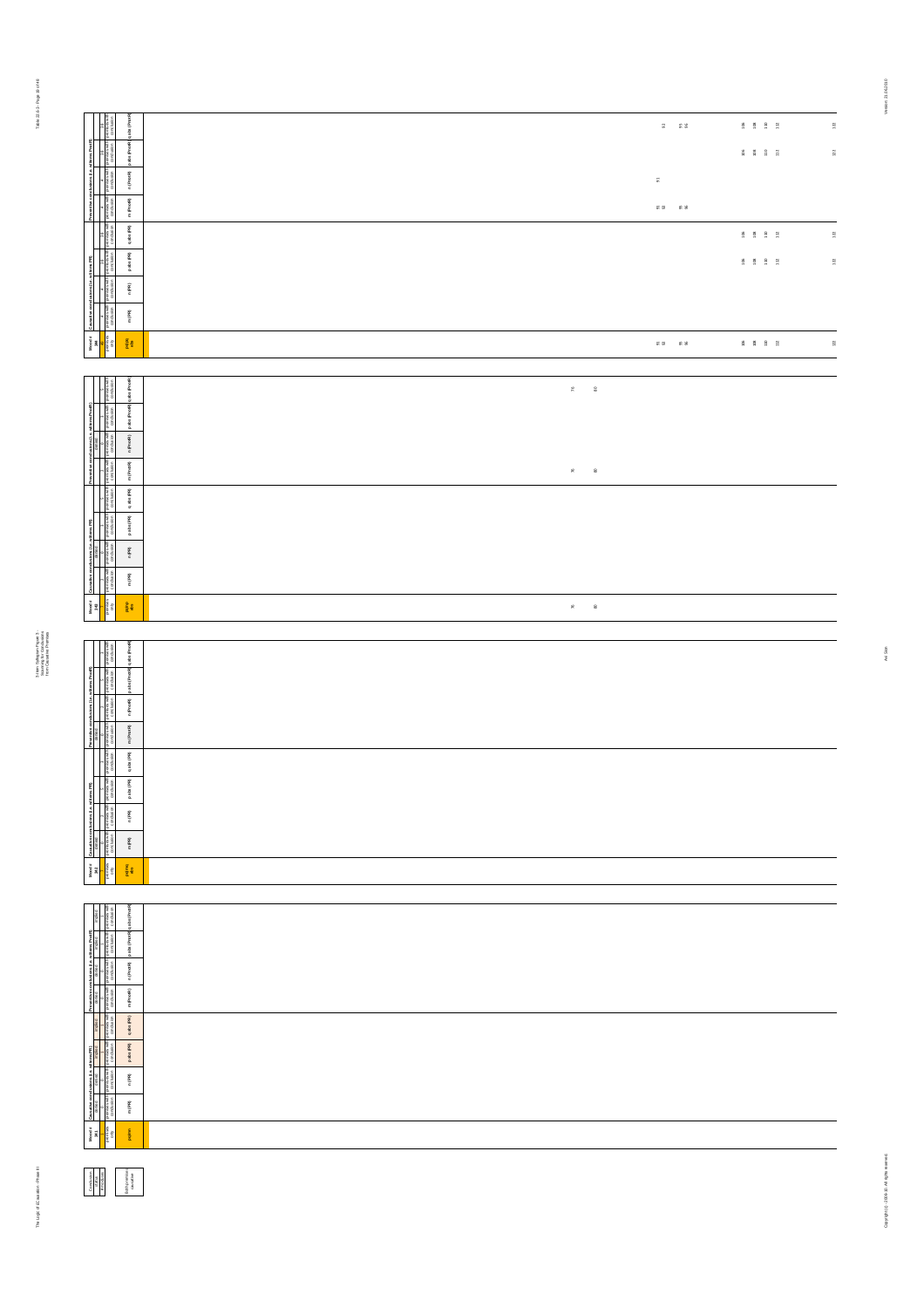| 38<br>promises with<br>conclusion<br>qabs (Prooft)                                                                                                                                                                                                                                                                                                                                                                                                                                                                                                                                     |                                                                                    |                                                                                                                                                                                                                                                                                                                                                                                                                                       | $\mathbb{R}^n$  |
|----------------------------------------------------------------------------------------------------------------------------------------------------------------------------------------------------------------------------------------------------------------------------------------------------------------------------------------------------------------------------------------------------------------------------------------------------------------------------------------------------------------------------------------------------------------------------------------|------------------------------------------------------------------------------------|---------------------------------------------------------------------------------------------------------------------------------------------------------------------------------------------------------------------------------------------------------------------------------------------------------------------------------------------------------------------------------------------------------------------------------------|-----------------|
| 38<br>promises with<br>pates (Proofk)                                                                                                                                                                                                                                                                                                                                                                                                                                                                                                                                                  |                                                                                    | $\begin{array}{cccccccccccccc} \mathbb{S} & \mathbb{S} & \mathbb{S} & \mathbb{S} & \mathbb{S} & \mathbb{S} & \mathbb{S} & \mathbb{S} & \mathbb{S} & \mathbb{S} & \mathbb{S} & \mathbb{S} & \mathbb{S} & \mathbb{S} & \mathbb{S} & \mathbb{S} & \mathbb{S} & \mathbb{S} & \mathbb{S} & \mathbb{S} & \mathbb{S} & \mathbb{S} & \mathbb{S} & \mathbb{S} & \mathbb{S} & \mathbb{S} & \mathbb{S} & \mathbb{S} & \mathbb{S} & \mathbb{S} &$ |                 |
| promision with<br>$n$ (PhoofR)                                                                                                                                                                                                                                                                                                                                                                                                                                                                                                                                                         | 5 <sup>th</sup>                                                                    |                                                                                                                                                                                                                                                                                                                                                                                                                                       |                 |
| Preventive conclusions (i.e. witems PnoR)<br>$m(\rm{Proof})$                                                                                                                                                                                                                                                                                                                                                                                                                                                                                                                           | $\begin{array}{ccc} \mathbb{R} & \mathbb{R} & \mathbb{R} & \mathbb{R} \end{array}$ |                                                                                                                                                                                                                                                                                                                                                                                                                                       |                 |
| $q$ at $\varphi$ (PR)                                                                                                                                                                                                                                                                                                                                                                                                                                                                                                                                                                  |                                                                                    | $\begin{array}{ccccccccccccc} \mathcal{B} & \mathcal{B} & \mathcal{B} & \mathcal{B} & \mathcal{B} & \end{array}$                                                                                                                                                                                                                                                                                                                      | $\frac{33}{14}$ |
| pabs (PR)                                                                                                                                                                                                                                                                                                                                                                                                                                                                                                                                                                              |                                                                                    | $\begin{array}{cccccccccccccc} 8 & 8 & 9 & 9 & 3 \\ \end{array}$                                                                                                                                                                                                                                                                                                                                                                      | $\mathbb{R}^2$  |
| 4<br>premises with premises with<br>condusion condusion                                                                                                                                                                                                                                                                                                                                                                                                                                                                                                                                |                                                                                    |                                                                                                                                                                                                                                                                                                                                                                                                                                       |                 |
| Causative conclusions (i.e. w/kens PR)<br>a do u                                                                                                                                                                                                                                                                                                                                                                                                                                                                                                                                       |                                                                                    |                                                                                                                                                                                                                                                                                                                                                                                                                                       |                 |
| a miles with<br>Continue<br>$\frac{\partial \widehat{R}}{\partial t}$                                                                                                                                                                                                                                                                                                                                                                                                                                                                                                                  |                                                                                    |                                                                                                                                                                                                                                                                                                                                                                                                                                       |                 |
| Mood #<br><b>Page</b><br>$-\frac{g}{2}$ is                                                                                                                                                                                                                                                                                                                                                                                                                                                                                                                                             |                                                                                    |                                                                                                                                                                                                                                                                                                                                                                                                                                       | $\sim 10$       |
| 5<br>Vimises with<br>qabs(PnotR)<br>$\mathbb R$ .<br><br>$\mathbb R$                                                                                                                                                                                                                                                                                                                                                                                                                                                                                                                   |                                                                                    |                                                                                                                                                                                                                                                                                                                                                                                                                                       |                 |
| abs (Proff)<br>$\frac{3}{2}$ with                                                                                                                                                                                                                                                                                                                                                                                                                                                                                                                                                      |                                                                                    |                                                                                                                                                                                                                                                                                                                                                                                                                                       |                 |
| $n$ (P roofR)                                                                                                                                                                                                                                                                                                                                                                                                                                                                                                                                                                          |                                                                                    |                                                                                                                                                                                                                                                                                                                                                                                                                                       |                 |
| Preventive conclusions (Le, witems Pred R)<br>Preventive conclusions (Le, witems Pred R)                                                                                                                                                                                                                                                                                                                                                                                                                                                                                               |                                                                                    |                                                                                                                                                                                                                                                                                                                                                                                                                                       |                 |
| 0<br>promises urb   promises with   promises with   promises with<br>conclusion   conclusion   conclusion   conclusion   conclusion<br>$\begin{array}{l} \mathfrak{m} \, \mathfrak{P} \, \mathsf{root} \, \mathsf{R} \end{array}$<br>$\mathfrak{g}=\mathfrak{g}$                                                                                                                                                                                                                                                                                                                       |                                                                                    |                                                                                                                                                                                                                                                                                                                                                                                                                                       |                 |
| qabs (PR)                                                                                                                                                                                                                                                                                                                                                                                                                                                                                                                                                                              |                                                                                    |                                                                                                                                                                                                                                                                                                                                                                                                                                       |                 |
| pata (PR)                                                                                                                                                                                                                                                                                                                                                                                                                                                                                                                                                                              |                                                                                    |                                                                                                                                                                                                                                                                                                                                                                                                                                       |                 |
| Causal ive conclusions (i.e. wileems PR)<br>Causal ive conclusions<br>$\frac{\partial}{\partial t}$                                                                                                                                                                                                                                                                                                                                                                                                                                                                                    |                                                                                    |                                                                                                                                                                                                                                                                                                                                                                                                                                       |                 |
| 2<br>romises with<br>$\frac{\partial \widehat{\mathbf{r}}}{\partial \mathbf{r}}$                                                                                                                                                                                                                                                                                                                                                                                                                                                                                                       |                                                                                    |                                                                                                                                                                                                                                                                                                                                                                                                                                       |                 |
| $\begin{array}{c} \text{Mod } n \\ 343 \end{array}$<br>eminos<br>$\frac{8}{5}$ is<br>$\mathcal{R}$ – $\mathcal{R}$                                                                                                                                                                                                                                                                                                                                                                                                                                                                     |                                                                                    |                                                                                                                                                                                                                                                                                                                                                                                                                                       |                 |
|                                                                                                                                                                                                                                                                                                                                                                                                                                                                                                                                                                                        |                                                                                    |                                                                                                                                                                                                                                                                                                                                                                                                                                       |                 |
| qabs (ProfR)<br>promises with                                                                                                                                                                                                                                                                                                                                                                                                                                                                                                                                                          |                                                                                    |                                                                                                                                                                                                                                                                                                                                                                                                                                       |                 |
| ilons (i.e. w.ltems PnotR)<br>2<br>comises with promises with<br>pates (Prooff)                                                                                                                                                                                                                                                                                                                                                                                                                                                                                                        |                                                                                    |                                                                                                                                                                                                                                                                                                                                                                                                                                       |                 |
| n (ProotR)                                                                                                                                                                                                                                                                                                                                                                                                                                                                                                                                                                             |                                                                                    |                                                                                                                                                                                                                                                                                                                                                                                                                                       |                 |
| Preventive conclusiv<br>deniati<br>$\begin{array}{c c}\n\multicolumn{1}{c}{\multicolumn{1}{c}{\hline\n\textbf{0}}} & \multicolumn{1}{c}{\hline\n\textbf{0}} \\ \hline\n\multicolumn{1}{c}{\hline\n\textbf{1}} & \multicolumn{1}{c}{\hline\n\textbf{1}} \\ \multicolumn{1}{c}{\hline\n\textbf{1}} & \multicolumn{1}{c}{\hline\n\textbf{2}} \\ \multicolumn{1}{c}{\hline\n\textbf{1}} & \multicolumn{1}{c}{\hline\n\textbf{2}} \\ \multicolumn{1}{c}{\hline\n\textbf{1}} & \multicolumn{1}{c}{\hline\n\textbf{$<br>$\begin{aligned} m\left( \text{Pro } \text{off}\right) \end{aligned}$ |                                                                                    |                                                                                                                                                                                                                                                                                                                                                                                                                                       |                 |
| promises with<br>promises with<br>qabs (PR)                                                                                                                                                                                                                                                                                                                                                                                                                                                                                                                                            |                                                                                    |                                                                                                                                                                                                                                                                                                                                                                                                                                       |                 |
| $\begin{tabular}{ c c } \hline \multicolumn{1}{ }{\hline \multicolumn{1}{ }{\hline \multicolumn{1}{ }{\hline \multicolumn{1}{ }{\hline \multicolumn{1}{ }{\hline \multicolumn{1}{ }{\hline \multicolumn{1}{ }{\hline \multicolumn{1}{ }{\hline \multicolumn{1}{ }{\hline \multicolumn{1}{ }{\hline \multicolumn{1}{ }{\hline \multicolumn{1}{ }{\hline \multicolumn{1}{ }{\hline \multicolumn{1}{ }{\hline \multicolumn{1}{ }{\hline \multicolumn{1}{ }{\hline \multicolumn{1}{ }{\hline \$<br>pabs (PR)                                                                               |                                                                                    |                                                                                                                                                                                                                                                                                                                                                                                                                                       |                 |
| $\frac{1}{n}$                                                                                                                                                                                                                                                                                                                                                                                                                                                                                                                                                                          |                                                                                    |                                                                                                                                                                                                                                                                                                                                                                                                                                       |                 |
| Causative conclusions<br>$m \varphi R$                                                                                                                                                                                                                                                                                                                                                                                                                                                                                                                                                 |                                                                                    |                                                                                                                                                                                                                                                                                                                                                                                                                                       |                 |
| $\frac{\text{Mod } n}{342}$<br>esimo<br>orly<br>$\frac{g}{2}$ is                                                                                                                                                                                                                                                                                                                                                                                                                                                                                                                       |                                                                                    |                                                                                                                                                                                                                                                                                                                                                                                                                                       |                 |
|                                                                                                                                                                                                                                                                                                                                                                                                                                                                                                                                                                                        |                                                                                    |                                                                                                                                                                                                                                                                                                                                                                                                                                       |                 |
| 1 abs (Pro                                                                                                                                                                                                                                                                                                                                                                                                                                                                                                                                                                             |                                                                                    |                                                                                                                                                                                                                                                                                                                                                                                                                                       |                 |
| patos (ProtR) e<br>amises with                                                                                                                                                                                                                                                                                                                                                                                                                                                                                                                                                         |                                                                                    |                                                                                                                                                                                                                                                                                                                                                                                                                                       |                 |
| Preventive condusions (i.e. witems Prooft)<br>tum see man<br>$n$ (Prooff)                                                                                                                                                                                                                                                                                                                                                                                                                                                                                                              |                                                                                    |                                                                                                                                                                                                                                                                                                                                                                                                                                       |                 |
| $m(p \text{ node})$                                                                                                                                                                                                                                                                                                                                                                                                                                                                                                                                                                    |                                                                                    |                                                                                                                                                                                                                                                                                                                                                                                                                                       |                 |
| q abs (PR)<br>winises with                                                                                                                                                                                                                                                                                                                                                                                                                                                                                                                                                             |                                                                                    |                                                                                                                                                                                                                                                                                                                                                                                                                                       |                 |
| pats (PR)                                                                                                                                                                                                                                                                                                                                                                                                                                                                                                                                                                              |                                                                                    |                                                                                                                                                                                                                                                                                                                                                                                                                                       |                 |
| premises with<br>$_{\rm n}$ (8)                                                                                                                                                                                                                                                                                                                                                                                                                                                                                                                                                        |                                                                                    |                                                                                                                                                                                                                                                                                                                                                                                                                                       |                 |
| Causative conclusions (i.e. w/leams PR)<br>$\mathfrak{m}(\mathsf{PR})$                                                                                                                                                                                                                                                                                                                                                                                                                                                                                                                 |                                                                                    |                                                                                                                                                                                                                                                                                                                                                                                                                                       |                 |
| $\sum_{341}^8$<br>politics                                                                                                                                                                                                                                                                                                                                                                                                                                                                                                                                                             |                                                                                    |                                                                                                                                                                                                                                                                                                                                                                                                                                       |                 |
|                                                                                                                                                                                                                                                                                                                                                                                                                                                                                                                                                                                        |                                                                                    |                                                                                                                                                                                                                                                                                                                                                                                                                                       |                 |

Conclusion<br># moduses<br>xh premis<br>causative Both premises

Avi Sion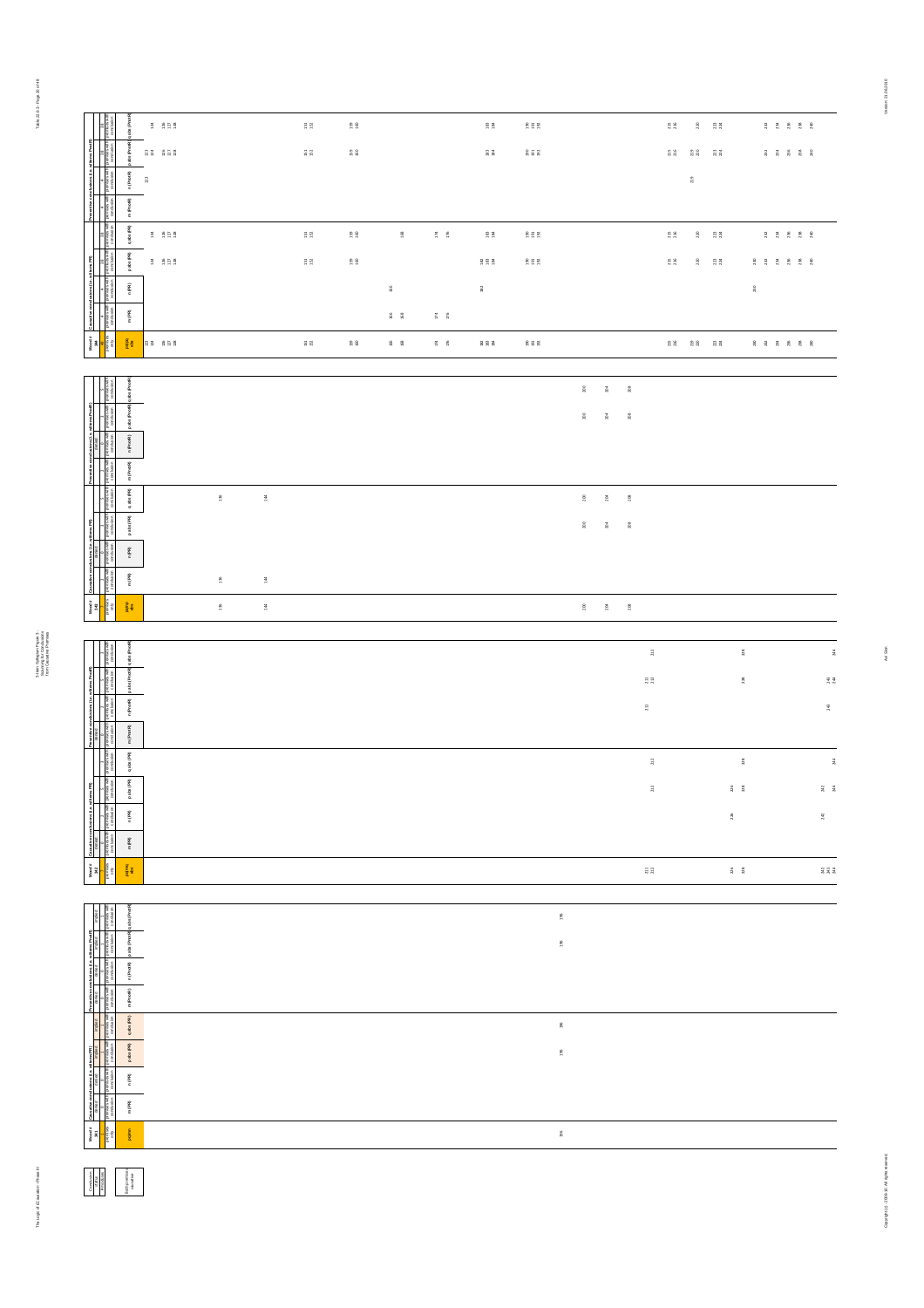## premises with  $\begin{array}{cc}\n\bullet & \bullet & \bullet & \bullet \\
\bullet & \bullet & \bullet & \bullet\n\end{array}$  $\begin{array}{c} 33 \\ 33 \end{array}$ conclusion  $\frac{53}{22}$  $\begin{smallmatrix} 93 \\ 180 \end{smallmatrix}$  $\frac{8}{3}$   $\frac{8}{3}$   $\frac{8}{3}$ 124 124 124 124 124 126 126 126 126 126 127 127 127 127 127 128 128 128 128 128 151 151 151 151 151 152 152 152 152 152 159 159 159 159 159 160 160 160 160 160 183 183 183 183 183 184 184 184 184 184 190 190 190 190 190 191 191 191 191 191 192 192 192 192 192 tems Prooff) premises with conclusion  $\begin{array}{c} 151 \\ 152 \end{array}$  $\begin{array}{c} 159 \\ 160 \end{array}$  $\begin{array}{c} 33 \\ 34 \end{array}$  $\begin{array}{c} 190 \\ 191 \\ 192 \end{array}$ ě 123 123 123 premises with conclusion  $\frac{1}{2}$  $\prod_{\text{subspace}}$ premises with  $\widehat{\S}$ premises with conclusion premises with conclusion

| $33 - 333$<br>$\substack{+0.0 \\ -0.0}$<br>$\stackrel{+ 1}{\scriptstyle \pm 32}$<br>$\frac{23}{13}$<br>$\begin{smallmatrix} 9 & 5 & 3 \\ 9 & 9 & 2 \end{smallmatrix}$<br>219<br>$\overline{\bf n}$<br>$q$ ab s $(P\,R)$<br>$\begin{array}{cc} \Xi & \Xi \; \Xi \; \Xi \\ \end{array}$<br>$\frac{53}{22}$<br>$\begin{smallmatrix} 8 \\ 21 \end{smallmatrix}$<br>$\begin{array}{ccc} \mathfrak{B} & \mathfrak{B} & \mathfrak{B} & \mathfrak{B} \\ \mathfrak{B} & \mathfrak{B} & \mathfrak{B} & \mathfrak{B} \end{array}$<br>$\frac{8}{21}$ $\frac{81}{21}$<br>$\begin{matrix} \mathbf{R} & \mathbf{R} \\ \mathbf{R} & \mathbf{R} \end{matrix}$<br>$\begin{array}{cccccccccccccc} B & & & & & & B & & B & & B & & B \\ \end{array}$<br>$\frac{23}{14}$<br>$\begin{array}{c} 23 \\ 23 \\ \end{array}$<br>pabs (PR)<br>æ,<br>$\frac{3}{2}$ - $\frac{3}{2}$ $\frac{5}{2}$ $\frac{3}{2}$<br>$\substack{+5.1\\-1.52}$<br>$\substack{+8 \\ -160}$<br>$\begin{tabular}{lllllll} \multicolumn{2}{c}{\textbf{13}} & \multicolumn{2}{c}{\textbf{24}} & \multicolumn{2}{c}{\textbf{25}} & \multicolumn{2}{c}{\textbf{26}} & \multicolumn{2}{c}{\textbf{27}} & \multicolumn{2}{c}{\textbf{28}} & \multicolumn{2}{c}{\textbf{29}} & \multicolumn{2}{c}{\textbf{21}} & \multicolumn{2}{c}{\textbf{22}} & \multicolumn{2}{c}{\textbf{23}} & \multicolumn{2}{c}{\textbf{24}} & \multicolumn{2}{c}{\textbf{25}} & \multicolumn{$<br>$\begin{array}{cccccccccc} \mathbb{S} & \mathbb{S} & \mathbb{S} & \mathbb{S} & \mathbb{S} & \mathbb{S} & \mathbb{S} & \mathbb{S} \\ \mathbb{S} & \mathbb{S} & \mathbb{S} & \mathbb{S} & \mathbb{S} & \mathbb{S} & \mathbb{S} & \mathbb{S} & \mathbb{S} \\ \end{array}$<br>223<br>$\frac{9}{2}$ $\frac{5}{2}$ $\frac{3}{2}$<br>n (PR)<br>$_{\rm 20}$<br>$\%$<br>$\widetilde{\mathfrak{M}}$<br>$\mathfrak{m}(\mathsf{PR})$<br>$\mathop{\otimes}_n$ $\mathop{\otimes}_n$<br>$\frac{18}{14}$ – $\frac{18}{14}$<br>Mood #<br>$\frac{g}{2}$ $\frac{g}{4}$<br>na ana<br>$\frac{51}{25}$<br><b>159</b><br>160<br>$\begin{array}{c} 26 \\ 26 \\ 36 \end{array}$<br>$\frac{74}{176}$<br>$\begin{array}{c} 22 \\ 23 \\ 24 \\ 35 \\ \end{array}$<br>$\frac{9}{2}$ $\frac{5}{2}$ $\frac{3}{2}$<br>$\begin{tabular}{ccccc} \multicolumn{2}{c }{\multicolumn{2}{c }{\multicolumn{2}{c }{\multicolumn{2}{c}{\multicolumn{2}{c}{\multicolumn{2}{c}{\multicolumn{2}{c}{\multicolumn{2}{c}{\multicolumn{2}{c}{\multicolumn{2}{c}{\multicolumn{2}{c}{\multicolumn{2}{c}{\multicolumn{2}{c}{\textbf{}}}}}}}}\quad & \text{if $\mathbb{R}$} & \quad \text{if $\mathbb{R}$} \\ \multicolumn{2}{c }{\multicolumn{2}{c}{\multicolumn{2}{c}{\textbf{H}}}} & \quad \text{if $\mathbb{R}$} & \quad \text$<br>$\begin{array}{cccccccccc} \mathbf{3} & \mathbf{3} & \mathbf{3} & \mathbf{3} & \mathbf{3} & \mathbf{3} & \mathbf{3} \\ \mathbf{4} & \mathbf{3} & \mathbf{3} & \mathbf{3} & \mathbf{3} & \mathbf{3} & \mathbf{3} \\ \end{array}$<br>ਸ਼ਿੰਡੋ।<br>ਹਵਾਲੇ<br>Proof R)<br>$\begin{matrix} \hat{\mathbf{a}} & \hat{\mathbf{a}} & \hat{\mathbf{a}} \\ \hat{\mathbf{a}} & \hat{\mathbf{a}} & \hat{\mathbf{a}} \end{matrix}$<br>ę<br>÷<br>$m(p \mod R)$<br>qabs (PR)<br>$\frac{1}{2}$<br>p abs $\langle \mathsf{PR} \rangle$<br>$\frac{2}{3}$<br>$\begin{matrix} \hat{\mathbf{a}} & \mathbf{a} & \mathbf{a} \\ \mathbf{a} & \mathbf{a} & \mathbf{a} \end{matrix}$<br>$_{\rm n}$ (PR)<br>$\frac{\partial \mathbf{R}}{\partial \mathbf{r}}$<br>$\frac{96}{11}$<br>$\frac{3}{2}$<br>$\begin{array}{c} \text{Mood} \\ \text{343} \end{array}$<br>$\frac{1}{6}$<br>$136\,$<br>$\frac{3}{2}$<br>$\begin{matrix} 0 & \cdots & \cdots & 0 \\ 0 & \cdots & \cdots & 0 \\ 0 & \cdots & \cdots & 0 \\ 0 & \cdots & \cdots & 0 \end{matrix}$<br>$\frac{8}{3}$ is<br>$\widetilde{\mathbf{a}}$<br>$_{\rm 23}$<br>e<br>S<br>$\frac{9}{2} \frac{4}{3}$<br>$\underset{n}{\mathbb{H}}\,\mathbb{R}$<br>$_{\rm 2.33}$<br>$\Xi$<br>$\frac{24}{3}$<br>ę<br>ě<br>qabs $\langle P R \rangle$<br>$2.28\,$<br>$\rm ^{21}$<br>$p$ abs $\left( \mathsf{PR}\right)$<br>$_{\rm 2.28}^{\rm 2.5}$<br>$\frac{24}{3}$<br>$\Xi$<br>$_{\rm n}$ (see )<br>$_{\rm 226}$<br>$_{\rm 242}$<br>Causative con<br>$\mathfrak{m}$ (PR)<br>$\frac{1}{2}$<br>$\frac{g}{2}$ is<br>$\begin{array}{cc} 2.25 \\ 2.23 \end{array}$<br>$\underset{n}{\mathbb{H}}\,\mathbb{R}$<br>$\begin{smallmatrix} 2 & 3 & 4 \\ 2 & 3 & 4 \end{smallmatrix}$<br>हैं हैं <mark>।</mark><br>$^{\rm 196}$<br>s P notR)<br>$_{\rm 196}$<br>rentire co<br>$q$ abs $(PR)$<br>$^{\rm 196}$<br>P.<br>$^{\rm 196}$<br>ms (i.e. w/<br>n (PR)<br>$\mathfrak{m}(\mathsf{PR})$<br>$\frac{196}{1}$ |  | $\begin{array}{cc} 8 & 888 \\ 3 & 388 \end{array}$ |  |  | $\widetilde{\mathbb{Z}}$ is | $\frac{93}{14}$ |  |  | $\Xi$ $\Xi$ | $\mathfrak{g}$ g g |  |  |  | $\begin{tabular}{lllllllll} \bf R & \bf R & \bf R & \bf R \\ \bf R & \bf R & \bf R & \bf R \\ \bf R & \bf R & \bf R & \bf R \\ \bf R & \bf R & \bf R & \bf R \\ \bf R & \bf R & \bf R & \bf R \\ \bf R & \bf R & \bf R & \bf R \\ \bf R & \bf R & \bf R & \bf R \\ \bf R & \bf R & \bf R & \bf R \\ \bf R & \bf R & \bf R & \bf R \\ \bf R & \bf R & \bf R & \bf R \\ \bf R & \bf R & \bf R & \bf R \\ \bf R & \bf R & \bf R & \bf R \\ \bf R & \bf R & \bf R & \bf R &$ |  | $\begin{array}{cccccccccccccc} \mathbb{H} & \mathbb{H} & \mathbb{H} & \mathbb{H} & \mathbb{H} & \mathbb{H} & \mathbb{H} \end{array}$ |  |
|----------------------------------------------------------------------------------------------------------------------------------------------------------------------------------------------------------------------------------------------------------------------------------------------------------------------------------------------------------------------------------------------------------------------------------------------------------------------------------------------------------------------------------------------------------------------------------------------------------------------------------------------------------------------------------------------------------------------------------------------------------------------------------------------------------------------------------------------------------------------------------------------------------------------------------------------------------------------------------------------------------------------------------------------------------------------------------------------------------------------------------------------------------------------------------------------------------------------------------------------------------------------------------------------------------------------------------------------------------------------------------------------------------------------------------------------------------------------------------------------------------------------------------------------------------------------------------------------------------------------------------------------------------------------------------------------------------------------------------------------------------------------------------------------------------------------------------------------------------------------------------------------------------------------------------------------------------------------------------------------------------------------------------------------------------------------------------------------------------------------------------------------------------------------------------------------------------------------------------------------------------------------------------------------------------------------------------------------------------------------------------------------------------------------------------------------------------------------------------------------------------------------------------------------------------------------------------------------------------------------------------------------------------------------------------------------------------------------------------------------------------------------------------------------------------------------------------------------------------------------------------------------------------------------------------------------------------------------------------------------------------------------------------------------------------------------------------------------------------------------------------------------------------------------------------------------------------------------------------------------------------------------------------------------------------------------------------------------------------------------------------------------------------------------------------------------------------------------------------------------------------------------------------------------------------------------------------------------------------------------------------------------------------------------------------------------------------------------------------------------------------------------------------------------------------------------------------------------------------------------------------------------------------------------------------------------------------------------------------------------------------------------------------------------------------------------------------------------------------------------------------------------------------------------------------------------------------------------------------------------------------------------------------------------------------------------------------------------------------------------------------------------------------------------------------------------------------------------------------------------------------------------------------------------------------------------------------------------------------|--|----------------------------------------------------|--|--|-----------------------------|-----------------|--|--|-------------|--------------------|--|--|--|--------------------------------------------------------------------------------------------------------------------------------------------------------------------------------------------------------------------------------------------------------------------------------------------------------------------------------------------------------------------------------------------------------------------------------------------------------------------------|--|--------------------------------------------------------------------------------------------------------------------------------------|--|
| $-\frac{3}{26}$<br>$\frac{3}{2}$                                                                                                                                                                                                                                                                                                                                                                                                                                                                                                                                                                                                                                                                                                                                                                                                                                                                                                                                                                                                                                                                                                                                                                                                                                                                                                                                                                                                                                                                                                                                                                                                                                                                                                                                                                                                                                                                                                                                                                                                                                                                                                                                                                                                                                                                                                                                                                                                                                                                                                                                                                                                                                                                                                                                                                                                                                                                                                                                                                                                                                                                                                                                                                                                                                                                                                                                                                                                                                                                                                                                                                                                                                                                                                                                                                                                                                                                                                                                                                                                                                                                                                                                                                                                                                                                                                                                                                                                                                                                                                                                                                         |  |                                                    |  |  |                             |                 |  |  |             |                    |  |  |  |                                                                                                                                                                                                                                                                                                                                                                                                                                                                          |  |                                                                                                                                      |  |
|                                                                                                                                                                                                                                                                                                                                                                                                                                                                                                                                                                                                                                                                                                                                                                                                                                                                                                                                                                                                                                                                                                                                                                                                                                                                                                                                                                                                                                                                                                                                                                                                                                                                                                                                                                                                                                                                                                                                                                                                                                                                                                                                                                                                                                                                                                                                                                                                                                                                                                                                                                                                                                                                                                                                                                                                                                                                                                                                                                                                                                                                                                                                                                                                                                                                                                                                                                                                                                                                                                                                                                                                                                                                                                                                                                                                                                                                                                                                                                                                                                                                                                                                                                                                                                                                                                                                                                                                                                                                                                                                                                                                          |  |                                                    |  |  |                             |                 |  |  |             |                    |  |  |  |                                                                                                                                                                                                                                                                                                                                                                                                                                                                          |  |                                                                                                                                      |  |
|                                                                                                                                                                                                                                                                                                                                                                                                                                                                                                                                                                                                                                                                                                                                                                                                                                                                                                                                                                                                                                                                                                                                                                                                                                                                                                                                                                                                                                                                                                                                                                                                                                                                                                                                                                                                                                                                                                                                                                                                                                                                                                                                                                                                                                                                                                                                                                                                                                                                                                                                                                                                                                                                                                                                                                                                                                                                                                                                                                                                                                                                                                                                                                                                                                                                                                                                                                                                                                                                                                                                                                                                                                                                                                                                                                                                                                                                                                                                                                                                                                                                                                                                                                                                                                                                                                                                                                                                                                                                                                                                                                                                          |  |                                                    |  |  |                             |                 |  |  |             |                    |  |  |  |                                                                                                                                                                                                                                                                                                                                                                                                                                                                          |  |                                                                                                                                      |  |
|                                                                                                                                                                                                                                                                                                                                                                                                                                                                                                                                                                                                                                                                                                                                                                                                                                                                                                                                                                                                                                                                                                                                                                                                                                                                                                                                                                                                                                                                                                                                                                                                                                                                                                                                                                                                                                                                                                                                                                                                                                                                                                                                                                                                                                                                                                                                                                                                                                                                                                                                                                                                                                                                                                                                                                                                                                                                                                                                                                                                                                                                                                                                                                                                                                                                                                                                                                                                                                                                                                                                                                                                                                                                                                                                                                                                                                                                                                                                                                                                                                                                                                                                                                                                                                                                                                                                                                                                                                                                                                                                                                                                          |  |                                                    |  |  |                             |                 |  |  |             |                    |  |  |  |                                                                                                                                                                                                                                                                                                                                                                                                                                                                          |  |                                                                                                                                      |  |
|                                                                                                                                                                                                                                                                                                                                                                                                                                                                                                                                                                                                                                                                                                                                                                                                                                                                                                                                                                                                                                                                                                                                                                                                                                                                                                                                                                                                                                                                                                                                                                                                                                                                                                                                                                                                                                                                                                                                                                                                                                                                                                                                                                                                                                                                                                                                                                                                                                                                                                                                                                                                                                                                                                                                                                                                                                                                                                                                                                                                                                                                                                                                                                                                                                                                                                                                                                                                                                                                                                                                                                                                                                                                                                                                                                                                                                                                                                                                                                                                                                                                                                                                                                                                                                                                                                                                                                                                                                                                                                                                                                                                          |  |                                                    |  |  |                             |                 |  |  |             |                    |  |  |  |                                                                                                                                                                                                                                                                                                                                                                                                                                                                          |  |                                                                                                                                      |  |
|                                                                                                                                                                                                                                                                                                                                                                                                                                                                                                                                                                                                                                                                                                                                                                                                                                                                                                                                                                                                                                                                                                                                                                                                                                                                                                                                                                                                                                                                                                                                                                                                                                                                                                                                                                                                                                                                                                                                                                                                                                                                                                                                                                                                                                                                                                                                                                                                                                                                                                                                                                                                                                                                                                                                                                                                                                                                                                                                                                                                                                                                                                                                                                                                                                                                                                                                                                                                                                                                                                                                                                                                                                                                                                                                                                                                                                                                                                                                                                                                                                                                                                                                                                                                                                                                                                                                                                                                                                                                                                                                                                                                          |  |                                                    |  |  |                             |                 |  |  |             |                    |  |  |  |                                                                                                                                                                                                                                                                                                                                                                                                                                                                          |  |                                                                                                                                      |  |
|                                                                                                                                                                                                                                                                                                                                                                                                                                                                                                                                                                                                                                                                                                                                                                                                                                                                                                                                                                                                                                                                                                                                                                                                                                                                                                                                                                                                                                                                                                                                                                                                                                                                                                                                                                                                                                                                                                                                                                                                                                                                                                                                                                                                                                                                                                                                                                                                                                                                                                                                                                                                                                                                                                                                                                                                                                                                                                                                                                                                                                                                                                                                                                                                                                                                                                                                                                                                                                                                                                                                                                                                                                                                                                                                                                                                                                                                                                                                                                                                                                                                                                                                                                                                                                                                                                                                                                                                                                                                                                                                                                                                          |  |                                                    |  |  |                             |                 |  |  |             |                    |  |  |  |                                                                                                                                                                                                                                                                                                                                                                                                                                                                          |  |                                                                                                                                      |  |
|                                                                                                                                                                                                                                                                                                                                                                                                                                                                                                                                                                                                                                                                                                                                                                                                                                                                                                                                                                                                                                                                                                                                                                                                                                                                                                                                                                                                                                                                                                                                                                                                                                                                                                                                                                                                                                                                                                                                                                                                                                                                                                                                                                                                                                                                                                                                                                                                                                                                                                                                                                                                                                                                                                                                                                                                                                                                                                                                                                                                                                                                                                                                                                                                                                                                                                                                                                                                                                                                                                                                                                                                                                                                                                                                                                                                                                                                                                                                                                                                                                                                                                                                                                                                                                                                                                                                                                                                                                                                                                                                                                                                          |  |                                                    |  |  |                             |                 |  |  |             |                    |  |  |  |                                                                                                                                                                                                                                                                                                                                                                                                                                                                          |  |                                                                                                                                      |  |
|                                                                                                                                                                                                                                                                                                                                                                                                                                                                                                                                                                                                                                                                                                                                                                                                                                                                                                                                                                                                                                                                                                                                                                                                                                                                                                                                                                                                                                                                                                                                                                                                                                                                                                                                                                                                                                                                                                                                                                                                                                                                                                                                                                                                                                                                                                                                                                                                                                                                                                                                                                                                                                                                                                                                                                                                                                                                                                                                                                                                                                                                                                                                                                                                                                                                                                                                                                                                                                                                                                                                                                                                                                                                                                                                                                                                                                                                                                                                                                                                                                                                                                                                                                                                                                                                                                                                                                                                                                                                                                                                                                                                          |  |                                                    |  |  |                             |                 |  |  |             |                    |  |  |  |                                                                                                                                                                                                                                                                                                                                                                                                                                                                          |  |                                                                                                                                      |  |
|                                                                                                                                                                                                                                                                                                                                                                                                                                                                                                                                                                                                                                                                                                                                                                                                                                                                                                                                                                                                                                                                                                                                                                                                                                                                                                                                                                                                                                                                                                                                                                                                                                                                                                                                                                                                                                                                                                                                                                                                                                                                                                                                                                                                                                                                                                                                                                                                                                                                                                                                                                                                                                                                                                                                                                                                                                                                                                                                                                                                                                                                                                                                                                                                                                                                                                                                                                                                                                                                                                                                                                                                                                                                                                                                                                                                                                                                                                                                                                                                                                                                                                                                                                                                                                                                                                                                                                                                                                                                                                                                                                                                          |  |                                                    |  |  |                             |                 |  |  |             |                    |  |  |  |                                                                                                                                                                                                                                                                                                                                                                                                                                                                          |  |                                                                                                                                      |  |
|                                                                                                                                                                                                                                                                                                                                                                                                                                                                                                                                                                                                                                                                                                                                                                                                                                                                                                                                                                                                                                                                                                                                                                                                                                                                                                                                                                                                                                                                                                                                                                                                                                                                                                                                                                                                                                                                                                                                                                                                                                                                                                                                                                                                                                                                                                                                                                                                                                                                                                                                                                                                                                                                                                                                                                                                                                                                                                                                                                                                                                                                                                                                                                                                                                                                                                                                                                                                                                                                                                                                                                                                                                                                                                                                                                                                                                                                                                                                                                                                                                                                                                                                                                                                                                                                                                                                                                                                                                                                                                                                                                                                          |  |                                                    |  |  |                             |                 |  |  |             |                    |  |  |  |                                                                                                                                                                                                                                                                                                                                                                                                                                                                          |  |                                                                                                                                      |  |
|                                                                                                                                                                                                                                                                                                                                                                                                                                                                                                                                                                                                                                                                                                                                                                                                                                                                                                                                                                                                                                                                                                                                                                                                                                                                                                                                                                                                                                                                                                                                                                                                                                                                                                                                                                                                                                                                                                                                                                                                                                                                                                                                                                                                                                                                                                                                                                                                                                                                                                                                                                                                                                                                                                                                                                                                                                                                                                                                                                                                                                                                                                                                                                                                                                                                                                                                                                                                                                                                                                                                                                                                                                                                                                                                                                                                                                                                                                                                                                                                                                                                                                                                                                                                                                                                                                                                                                                                                                                                                                                                                                                                          |  |                                                    |  |  |                             |                 |  |  |             |                    |  |  |  |                                                                                                                                                                                                                                                                                                                                                                                                                                                                          |  |                                                                                                                                      |  |
|                                                                                                                                                                                                                                                                                                                                                                                                                                                                                                                                                                                                                                                                                                                                                                                                                                                                                                                                                                                                                                                                                                                                                                                                                                                                                                                                                                                                                                                                                                                                                                                                                                                                                                                                                                                                                                                                                                                                                                                                                                                                                                                                                                                                                                                                                                                                                                                                                                                                                                                                                                                                                                                                                                                                                                                                                                                                                                                                                                                                                                                                                                                                                                                                                                                                                                                                                                                                                                                                                                                                                                                                                                                                                                                                                                                                                                                                                                                                                                                                                                                                                                                                                                                                                                                                                                                                                                                                                                                                                                                                                                                                          |  |                                                    |  |  |                             |                 |  |  |             |                    |  |  |  |                                                                                                                                                                                                                                                                                                                                                                                                                                                                          |  |                                                                                                                                      |  |
|                                                                                                                                                                                                                                                                                                                                                                                                                                                                                                                                                                                                                                                                                                                                                                                                                                                                                                                                                                                                                                                                                                                                                                                                                                                                                                                                                                                                                                                                                                                                                                                                                                                                                                                                                                                                                                                                                                                                                                                                                                                                                                                                                                                                                                                                                                                                                                                                                                                                                                                                                                                                                                                                                                                                                                                                                                                                                                                                                                                                                                                                                                                                                                                                                                                                                                                                                                                                                                                                                                                                                                                                                                                                                                                                                                                                                                                                                                                                                                                                                                                                                                                                                                                                                                                                                                                                                                                                                                                                                                                                                                                                          |  |                                                    |  |  |                             |                 |  |  |             |                    |  |  |  |                                                                                                                                                                                                                                                                                                                                                                                                                                                                          |  |                                                                                                                                      |  |
|                                                                                                                                                                                                                                                                                                                                                                                                                                                                                                                                                                                                                                                                                                                                                                                                                                                                                                                                                                                                                                                                                                                                                                                                                                                                                                                                                                                                                                                                                                                                                                                                                                                                                                                                                                                                                                                                                                                                                                                                                                                                                                                                                                                                                                                                                                                                                                                                                                                                                                                                                                                                                                                                                                                                                                                                                                                                                                                                                                                                                                                                                                                                                                                                                                                                                                                                                                                                                                                                                                                                                                                                                                                                                                                                                                                                                                                                                                                                                                                                                                                                                                                                                                                                                                                                                                                                                                                                                                                                                                                                                                                                          |  |                                                    |  |  |                             |                 |  |  |             |                    |  |  |  |                                                                                                                                                                                                                                                                                                                                                                                                                                                                          |  |                                                                                                                                      |  |
|                                                                                                                                                                                                                                                                                                                                                                                                                                                                                                                                                                                                                                                                                                                                                                                                                                                                                                                                                                                                                                                                                                                                                                                                                                                                                                                                                                                                                                                                                                                                                                                                                                                                                                                                                                                                                                                                                                                                                                                                                                                                                                                                                                                                                                                                                                                                                                                                                                                                                                                                                                                                                                                                                                                                                                                                                                                                                                                                                                                                                                                                                                                                                                                                                                                                                                                                                                                                                                                                                                                                                                                                                                                                                                                                                                                                                                                                                                                                                                                                                                                                                                                                                                                                                                                                                                                                                                                                                                                                                                                                                                                                          |  |                                                    |  |  |                             |                 |  |  |             |                    |  |  |  |                                                                                                                                                                                                                                                                                                                                                                                                                                                                          |  |                                                                                                                                      |  |
|                                                                                                                                                                                                                                                                                                                                                                                                                                                                                                                                                                                                                                                                                                                                                                                                                                                                                                                                                                                                                                                                                                                                                                                                                                                                                                                                                                                                                                                                                                                                                                                                                                                                                                                                                                                                                                                                                                                                                                                                                                                                                                                                                                                                                                                                                                                                                                                                                                                                                                                                                                                                                                                                                                                                                                                                                                                                                                                                                                                                                                                                                                                                                                                                                                                                                                                                                                                                                                                                                                                                                                                                                                                                                                                                                                                                                                                                                                                                                                                                                                                                                                                                                                                                                                                                                                                                                                                                                                                                                                                                                                                                          |  |                                                    |  |  |                             |                 |  |  |             |                    |  |  |  |                                                                                                                                                                                                                                                                                                                                                                                                                                                                          |  |                                                                                                                                      |  |
|                                                                                                                                                                                                                                                                                                                                                                                                                                                                                                                                                                                                                                                                                                                                                                                                                                                                                                                                                                                                                                                                                                                                                                                                                                                                                                                                                                                                                                                                                                                                                                                                                                                                                                                                                                                                                                                                                                                                                                                                                                                                                                                                                                                                                                                                                                                                                                                                                                                                                                                                                                                                                                                                                                                                                                                                                                                                                                                                                                                                                                                                                                                                                                                                                                                                                                                                                                                                                                                                                                                                                                                                                                                                                                                                                                                                                                                                                                                                                                                                                                                                                                                                                                                                                                                                                                                                                                                                                                                                                                                                                                                                          |  |                                                    |  |  |                             |                 |  |  |             |                    |  |  |  |                                                                                                                                                                                                                                                                                                                                                                                                                                                                          |  |                                                                                                                                      |  |
|                                                                                                                                                                                                                                                                                                                                                                                                                                                                                                                                                                                                                                                                                                                                                                                                                                                                                                                                                                                                                                                                                                                                                                                                                                                                                                                                                                                                                                                                                                                                                                                                                                                                                                                                                                                                                                                                                                                                                                                                                                                                                                                                                                                                                                                                                                                                                                                                                                                                                                                                                                                                                                                                                                                                                                                                                                                                                                                                                                                                                                                                                                                                                                                                                                                                                                                                                                                                                                                                                                                                                                                                                                                                                                                                                                                                                                                                                                                                                                                                                                                                                                                                                                                                                                                                                                                                                                                                                                                                                                                                                                                                          |  |                                                    |  |  |                             |                 |  |  |             |                    |  |  |  |                                                                                                                                                                                                                                                                                                                                                                                                                                                                          |  |                                                                                                                                      |  |
|                                                                                                                                                                                                                                                                                                                                                                                                                                                                                                                                                                                                                                                                                                                                                                                                                                                                                                                                                                                                                                                                                                                                                                                                                                                                                                                                                                                                                                                                                                                                                                                                                                                                                                                                                                                                                                                                                                                                                                                                                                                                                                                                                                                                                                                                                                                                                                                                                                                                                                                                                                                                                                                                                                                                                                                                                                                                                                                                                                                                                                                                                                                                                                                                                                                                                                                                                                                                                                                                                                                                                                                                                                                                                                                                                                                                                                                                                                                                                                                                                                                                                                                                                                                                                                                                                                                                                                                                                                                                                                                                                                                                          |  |                                                    |  |  |                             |                 |  |  |             |                    |  |  |  |                                                                                                                                                                                                                                                                                                                                                                                                                                                                          |  |                                                                                                                                      |  |
|                                                                                                                                                                                                                                                                                                                                                                                                                                                                                                                                                                                                                                                                                                                                                                                                                                                                                                                                                                                                                                                                                                                                                                                                                                                                                                                                                                                                                                                                                                                                                                                                                                                                                                                                                                                                                                                                                                                                                                                                                                                                                                                                                                                                                                                                                                                                                                                                                                                                                                                                                                                                                                                                                                                                                                                                                                                                                                                                                                                                                                                                                                                                                                                                                                                                                                                                                                                                                                                                                                                                                                                                                                                                                                                                                                                                                                                                                                                                                                                                                                                                                                                                                                                                                                                                                                                                                                                                                                                                                                                                                                                                          |  |                                                    |  |  |                             |                 |  |  |             |                    |  |  |  |                                                                                                                                                                                                                                                                                                                                                                                                                                                                          |  |                                                                                                                                      |  |
|                                                                                                                                                                                                                                                                                                                                                                                                                                                                                                                                                                                                                                                                                                                                                                                                                                                                                                                                                                                                                                                                                                                                                                                                                                                                                                                                                                                                                                                                                                                                                                                                                                                                                                                                                                                                                                                                                                                                                                                                                                                                                                                                                                                                                                                                                                                                                                                                                                                                                                                                                                                                                                                                                                                                                                                                                                                                                                                                                                                                                                                                                                                                                                                                                                                                                                                                                                                                                                                                                                                                                                                                                                                                                                                                                                                                                                                                                                                                                                                                                                                                                                                                                                                                                                                                                                                                                                                                                                                                                                                                                                                                          |  |                                                    |  |  |                             |                 |  |  |             |                    |  |  |  |                                                                                                                                                                                                                                                                                                                                                                                                                                                                          |  |                                                                                                                                      |  |
|                                                                                                                                                                                                                                                                                                                                                                                                                                                                                                                                                                                                                                                                                                                                                                                                                                                                                                                                                                                                                                                                                                                                                                                                                                                                                                                                                                                                                                                                                                                                                                                                                                                                                                                                                                                                                                                                                                                                                                                                                                                                                                                                                                                                                                                                                                                                                                                                                                                                                                                                                                                                                                                                                                                                                                                                                                                                                                                                                                                                                                                                                                                                                                                                                                                                                                                                                                                                                                                                                                                                                                                                                                                                                                                                                                                                                                                                                                                                                                                                                                                                                                                                                                                                                                                                                                                                                                                                                                                                                                                                                                                                          |  |                                                    |  |  |                             |                 |  |  |             |                    |  |  |  |                                                                                                                                                                                                                                                                                                                                                                                                                                                                          |  |                                                                                                                                      |  |
|                                                                                                                                                                                                                                                                                                                                                                                                                                                                                                                                                                                                                                                                                                                                                                                                                                                                                                                                                                                                                                                                                                                                                                                                                                                                                                                                                                                                                                                                                                                                                                                                                                                                                                                                                                                                                                                                                                                                                                                                                                                                                                                                                                                                                                                                                                                                                                                                                                                                                                                                                                                                                                                                                                                                                                                                                                                                                                                                                                                                                                                                                                                                                                                                                                                                                                                                                                                                                                                                                                                                                                                                                                                                                                                                                                                                                                                                                                                                                                                                                                                                                                                                                                                                                                                                                                                                                                                                                                                                                                                                                                                                          |  |                                                    |  |  |                             |                 |  |  |             |                    |  |  |  |                                                                                                                                                                                                                                                                                                                                                                                                                                                                          |  |                                                                                                                                      |  |
|                                                                                                                                                                                                                                                                                                                                                                                                                                                                                                                                                                                                                                                                                                                                                                                                                                                                                                                                                                                                                                                                                                                                                                                                                                                                                                                                                                                                                                                                                                                                                                                                                                                                                                                                                                                                                                                                                                                                                                                                                                                                                                                                                                                                                                                                                                                                                                                                                                                                                                                                                                                                                                                                                                                                                                                                                                                                                                                                                                                                                                                                                                                                                                                                                                                                                                                                                                                                                                                                                                                                                                                                                                                                                                                                                                                                                                                                                                                                                                                                                                                                                                                                                                                                                                                                                                                                                                                                                                                                                                                                                                                                          |  |                                                    |  |  |                             |                 |  |  |             |                    |  |  |  |                                                                                                                                                                                                                                                                                                                                                                                                                                                                          |  |                                                                                                                                      |  |
|                                                                                                                                                                                                                                                                                                                                                                                                                                                                                                                                                                                                                                                                                                                                                                                                                                                                                                                                                                                                                                                                                                                                                                                                                                                                                                                                                                                                                                                                                                                                                                                                                                                                                                                                                                                                                                                                                                                                                                                                                                                                                                                                                                                                                                                                                                                                                                                                                                                                                                                                                                                                                                                                                                                                                                                                                                                                                                                                                                                                                                                                                                                                                                                                                                                                                                                                                                                                                                                                                                                                                                                                                                                                                                                                                                                                                                                                                                                                                                                                                                                                                                                                                                                                                                                                                                                                                                                                                                                                                                                                                                                                          |  |                                                    |  |  |                             |                 |  |  |             |                    |  |  |  |                                                                                                                                                                                                                                                                                                                                                                                                                                                                          |  |                                                                                                                                      |  |
|                                                                                                                                                                                                                                                                                                                                                                                                                                                                                                                                                                                                                                                                                                                                                                                                                                                                                                                                                                                                                                                                                                                                                                                                                                                                                                                                                                                                                                                                                                                                                                                                                                                                                                                                                                                                                                                                                                                                                                                                                                                                                                                                                                                                                                                                                                                                                                                                                                                                                                                                                                                                                                                                                                                                                                                                                                                                                                                                                                                                                                                                                                                                                                                                                                                                                                                                                                                                                                                                                                                                                                                                                                                                                                                                                                                                                                                                                                                                                                                                                                                                                                                                                                                                                                                                                                                                                                                                                                                                                                                                                                                                          |  |                                                    |  |  |                             |                 |  |  |             |                    |  |  |  |                                                                                                                                                                                                                                                                                                                                                                                                                                                                          |  |                                                                                                                                      |  |
|                                                                                                                                                                                                                                                                                                                                                                                                                                                                                                                                                                                                                                                                                                                                                                                                                                                                                                                                                                                                                                                                                                                                                                                                                                                                                                                                                                                                                                                                                                                                                                                                                                                                                                                                                                                                                                                                                                                                                                                                                                                                                                                                                                                                                                                                                                                                                                                                                                                                                                                                                                                                                                                                                                                                                                                                                                                                                                                                                                                                                                                                                                                                                                                                                                                                                                                                                                                                                                                                                                                                                                                                                                                                                                                                                                                                                                                                                                                                                                                                                                                                                                                                                                                                                                                                                                                                                                                                                                                                                                                                                                                                          |  |                                                    |  |  |                             |                 |  |  |             |                    |  |  |  |                                                                                                                                                                                                                                                                                                                                                                                                                                                                          |  |                                                                                                                                      |  |
|                                                                                                                                                                                                                                                                                                                                                                                                                                                                                                                                                                                                                                                                                                                                                                                                                                                                                                                                                                                                                                                                                                                                                                                                                                                                                                                                                                                                                                                                                                                                                                                                                                                                                                                                                                                                                                                                                                                                                                                                                                                                                                                                                                                                                                                                                                                                                                                                                                                                                                                                                                                                                                                                                                                                                                                                                                                                                                                                                                                                                                                                                                                                                                                                                                                                                                                                                                                                                                                                                                                                                                                                                                                                                                                                                                                                                                                                                                                                                                                                                                                                                                                                                                                                                                                                                                                                                                                                                                                                                                                                                                                                          |  |                                                    |  |  |                             |                 |  |  |             |                    |  |  |  |                                                                                                                                                                                                                                                                                                                                                                                                                                                                          |  |                                                                                                                                      |  |
|                                                                                                                                                                                                                                                                                                                                                                                                                                                                                                                                                                                                                                                                                                                                                                                                                                                                                                                                                                                                                                                                                                                                                                                                                                                                                                                                                                                                                                                                                                                                                                                                                                                                                                                                                                                                                                                                                                                                                                                                                                                                                                                                                                                                                                                                                                                                                                                                                                                                                                                                                                                                                                                                                                                                                                                                                                                                                                                                                                                                                                                                                                                                                                                                                                                                                                                                                                                                                                                                                                                                                                                                                                                                                                                                                                                                                                                                                                                                                                                                                                                                                                                                                                                                                                                                                                                                                                                                                                                                                                                                                                                                          |  |                                                    |  |  |                             |                 |  |  |             |                    |  |  |  |                                                                                                                                                                                                                                                                                                                                                                                                                                                                          |  |                                                                                                                                      |  |
|                                                                                                                                                                                                                                                                                                                                                                                                                                                                                                                                                                                                                                                                                                                                                                                                                                                                                                                                                                                                                                                                                                                                                                                                                                                                                                                                                                                                                                                                                                                                                                                                                                                                                                                                                                                                                                                                                                                                                                                                                                                                                                                                                                                                                                                                                                                                                                                                                                                                                                                                                                                                                                                                                                                                                                                                                                                                                                                                                                                                                                                                                                                                                                                                                                                                                                                                                                                                                                                                                                                                                                                                                                                                                                                                                                                                                                                                                                                                                                                                                                                                                                                                                                                                                                                                                                                                                                                                                                                                                                                                                                                                          |  |                                                    |  |  |                             |                 |  |  |             |                    |  |  |  |                                                                                                                                                                                                                                                                                                                                                                                                                                                                          |  |                                                                                                                                      |  |
|                                                                                                                                                                                                                                                                                                                                                                                                                                                                                                                                                                                                                                                                                                                                                                                                                                                                                                                                                                                                                                                                                                                                                                                                                                                                                                                                                                                                                                                                                                                                                                                                                                                                                                                                                                                                                                                                                                                                                                                                                                                                                                                                                                                                                                                                                                                                                                                                                                                                                                                                                                                                                                                                                                                                                                                                                                                                                                                                                                                                                                                                                                                                                                                                                                                                                                                                                                                                                                                                                                                                                                                                                                                                                                                                                                                                                                                                                                                                                                                                                                                                                                                                                                                                                                                                                                                                                                                                                                                                                                                                                                                                          |  |                                                    |  |  |                             |                 |  |  |             |                    |  |  |  |                                                                                                                                                                                                                                                                                                                                                                                                                                                                          |  |                                                                                                                                      |  |
|                                                                                                                                                                                                                                                                                                                                                                                                                                                                                                                                                                                                                                                                                                                                                                                                                                                                                                                                                                                                                                                                                                                                                                                                                                                                                                                                                                                                                                                                                                                                                                                                                                                                                                                                                                                                                                                                                                                                                                                                                                                                                                                                                                                                                                                                                                                                                                                                                                                                                                                                                                                                                                                                                                                                                                                                                                                                                                                                                                                                                                                                                                                                                                                                                                                                                                                                                                                                                                                                                                                                                                                                                                                                                                                                                                                                                                                                                                                                                                                                                                                                                                                                                                                                                                                                                                                                                                                                                                                                                                                                                                                                          |  |                                                    |  |  |                             |                 |  |  |             |                    |  |  |  |                                                                                                                                                                                                                                                                                                                                                                                                                                                                          |  |                                                                                                                                      |  |
|                                                                                                                                                                                                                                                                                                                                                                                                                                                                                                                                                                                                                                                                                                                                                                                                                                                                                                                                                                                                                                                                                                                                                                                                                                                                                                                                                                                                                                                                                                                                                                                                                                                                                                                                                                                                                                                                                                                                                                                                                                                                                                                                                                                                                                                                                                                                                                                                                                                                                                                                                                                                                                                                                                                                                                                                                                                                                                                                                                                                                                                                                                                                                                                                                                                                                                                                                                                                                                                                                                                                                                                                                                                                                                                                                                                                                                                                                                                                                                                                                                                                                                                                                                                                                                                                                                                                                                                                                                                                                                                                                                                                          |  |                                                    |  |  |                             |                 |  |  |             |                    |  |  |  |                                                                                                                                                                                                                                                                                                                                                                                                                                                                          |  |                                                                                                                                      |  |
|                                                                                                                                                                                                                                                                                                                                                                                                                                                                                                                                                                                                                                                                                                                                                                                                                                                                                                                                                                                                                                                                                                                                                                                                                                                                                                                                                                                                                                                                                                                                                                                                                                                                                                                                                                                                                                                                                                                                                                                                                                                                                                                                                                                                                                                                                                                                                                                                                                                                                                                                                                                                                                                                                                                                                                                                                                                                                                                                                                                                                                                                                                                                                                                                                                                                                                                                                                                                                                                                                                                                                                                                                                                                                                                                                                                                                                                                                                                                                                                                                                                                                                                                                                                                                                                                                                                                                                                                                                                                                                                                                                                                          |  |                                                    |  |  |                             |                 |  |  |             |                    |  |  |  |                                                                                                                                                                                                                                                                                                                                                                                                                                                                          |  |                                                                                                                                      |  |
|                                                                                                                                                                                                                                                                                                                                                                                                                                                                                                                                                                                                                                                                                                                                                                                                                                                                                                                                                                                                                                                                                                                                                                                                                                                                                                                                                                                                                                                                                                                                                                                                                                                                                                                                                                                                                                                                                                                                                                                                                                                                                                                                                                                                                                                                                                                                                                                                                                                                                                                                                                                                                                                                                                                                                                                                                                                                                                                                                                                                                                                                                                                                                                                                                                                                                                                                                                                                                                                                                                                                                                                                                                                                                                                                                                                                                                                                                                                                                                                                                                                                                                                                                                                                                                                                                                                                                                                                                                                                                                                                                                                                          |  |                                                    |  |  |                             |                 |  |  |             |                    |  |  |  |                                                                                                                                                                                                                                                                                                                                                                                                                                                                          |  |                                                                                                                                      |  |
|                                                                                                                                                                                                                                                                                                                                                                                                                                                                                                                                                                                                                                                                                                                                                                                                                                                                                                                                                                                                                                                                                                                                                                                                                                                                                                                                                                                                                                                                                                                                                                                                                                                                                                                                                                                                                                                                                                                                                                                                                                                                                                                                                                                                                                                                                                                                                                                                                                                                                                                                                                                                                                                                                                                                                                                                                                                                                                                                                                                                                                                                                                                                                                                                                                                                                                                                                                                                                                                                                                                                                                                                                                                                                                                                                                                                                                                                                                                                                                                                                                                                                                                                                                                                                                                                                                                                                                                                                                                                                                                                                                                                          |  |                                                    |  |  |                             |                 |  |  |             |                    |  |  |  |                                                                                                                                                                                                                                                                                                                                                                                                                                                                          |  |                                                                                                                                      |  |
|                                                                                                                                                                                                                                                                                                                                                                                                                                                                                                                                                                                                                                                                                                                                                                                                                                                                                                                                                                                                                                                                                                                                                                                                                                                                                                                                                                                                                                                                                                                                                                                                                                                                                                                                                                                                                                                                                                                                                                                                                                                                                                                                                                                                                                                                                                                                                                                                                                                                                                                                                                                                                                                                                                                                                                                                                                                                                                                                                                                                                                                                                                                                                                                                                                                                                                                                                                                                                                                                                                                                                                                                                                                                                                                                                                                                                                                                                                                                                                                                                                                                                                                                                                                                                                                                                                                                                                                                                                                                                                                                                                                                          |  |                                                    |  |  |                             |                 |  |  |             |                    |  |  |  |                                                                                                                                                                                                                                                                                                                                                                                                                                                                          |  |                                                                                                                                      |  |

| Preventive conclusions (i.e. witems Pro<br>n (Pn ofR)<br>$^{\rm 123}$<br>$\mathbf{219}$<br>$q$ ab s $(PR)$<br>$\begin{array}{cc} \Xi & \Xi \; \Xi \\ \Xi \end{array}$<br>$\substack{38\\ 10}$<br>$\frac{\mathbf{g}}{\mathbf{a}}-\frac{\mathbf{g}}{\mathbf{a}}$<br>$\widetilde{\mathbb{Z}}$ is<br>$\frac{\infty}{\infty}$<br>$\frac{28}{14}$<br>888<br>$\substack{25 \\ -2.35}$<br>$\begin{matrix} 8 \\ 3 \\ 1 \end{matrix} \quad \begin{matrix} 8 \\ 3 \\ 2 \end{matrix}$<br>$\begin{array}{cccccccccc} \Xi & \Xi & \Xi & \Xi & \Xi \end{array} \end{array} \hspace{0.5cm} \begin{array}{cccccccccc} \Xi & \Xi & \Xi & \Xi \end{array}$<br>$p$ abs $(PR)$<br>Causative conclusions (i.e. w/kems PR)<br>$\frac{3}{2}$ - $\frac{3}{2}$ $\frac{5}{2}$ $\frac{3}{2}$<br>$\substack{+5.1\\-1.52}$<br>$\substack{+59\\ -160}$<br>888<br>$\frac{9}{191}$<br>215<br>$\begin{array}{cc} 20 \\ 23 \\ 23 \end{array}$<br>$\begin{array}{cccccccccc} \mathbb{S} & \mathbb{S} & \mathbb{S} & \mathbb{S} & \mathbb{S} & \mathbb{S} & \mathbb{S} & \mathbb{S} \\ \mathbb{S} & \mathbb{S} & \mathbb{S} & \mathbb{S} & \mathbb{S} & \mathbb{S} & \mathbb{S} & \mathbb{S} & \mathbb{S} \\ \end{array}$<br>$_{\rm n}$ (PR)<br>$\%$<br>$_{\rm 30}$<br>$\widetilde{\mathfrak{A}}$<br>$\mathfrak{m}(\mathsf{PR})$<br>$\mathop{\phantom{\rule{0pt}{0.5ex}}}\nolimits^{\mathcal{B}}$ .<br><br>8<br>$\frac{1}{n} - \frac{1}{n}$<br>$\begin{array}{c} \hline \text{mod } 8 \\ 34 \end{array}$<br><b>A BA BA B</b><br>$\substack{51\\152}$<br><b>S9</b><br>160<br>$\frac{\pi}{10}$ – $\frac{\pi}{10}$<br>$\frac{23}{28} \frac{33}{28}$<br>$\begin{array}{c} 166 \\ 168 \end{array}$<br><b>SS2</b><br>$\begin{tabular}{llllll} \multicolumn{4}{c}{\textbf{H}} & \multicolumn{4}{c}{\textbf{H}} & \multicolumn{4}{c}{\textbf{H}} & \multicolumn{4}{c}{\textbf{H}} & \multicolumn{4}{c}{\textbf{H}} & \multicolumn{4}{c}{\textbf{H}} & \multicolumn{4}{c}{\textbf{H}} & \multicolumn{4}{c}{\textbf{H}} & \multicolumn{4}{c}{\textbf{H}} & \multicolumn{4}{c}{\textbf{H}} & \multicolumn{4}{c}{\textbf{H}} & \multicolumn{4}{c}{\textbf{H}} & \multicolumn{4}{c}{\textbf{H}} & \mult$ |                         |
|--------------------------------------------------------------------------------------------------------------------------------------------------------------------------------------------------------------------------------------------------------------------------------------------------------------------------------------------------------------------------------------------------------------------------------------------------------------------------------------------------------------------------------------------------------------------------------------------------------------------------------------------------------------------------------------------------------------------------------------------------------------------------------------------------------------------------------------------------------------------------------------------------------------------------------------------------------------------------------------------------------------------------------------------------------------------------------------------------------------------------------------------------------------------------------------------------------------------------------------------------------------------------------------------------------------------------------------------------------------------------------------------------------------------------------------------------------------------------------------------------------------------------------------------------------------------------------------------------------------------------------------------------------------------------------------------------------------------------------------------------------------------------------------------------------------------------------------------------------------------------------------------------------------------------------------------------------------------------------------------------------------------------------------------------------------------------------------------------------------------------------------------------------|-------------------------|
|                                                                                                                                                                                                                                                                                                                                                                                                                                                                                                                                                                                                                                                                                                                                                                                                                                                                                                                                                                                                                                                                                                                                                                                                                                                                                                                                                                                                                                                                                                                                                                                                                                                                                                                                                                                                                                                                                                                                                                                                                                                                                                                                                        |                         |
|                                                                                                                                                                                                                                                                                                                                                                                                                                                                                                                                                                                                                                                                                                                                                                                                                                                                                                                                                                                                                                                                                                                                                                                                                                                                                                                                                                                                                                                                                                                                                                                                                                                                                                                                                                                                                                                                                                                                                                                                                                                                                                                                                        |                         |
|                                                                                                                                                                                                                                                                                                                                                                                                                                                                                                                                                                                                                                                                                                                                                                                                                                                                                                                                                                                                                                                                                                                                                                                                                                                                                                                                                                                                                                                                                                                                                                                                                                                                                                                                                                                                                                                                                                                                                                                                                                                                                                                                                        |                         |
|                                                                                                                                                                                                                                                                                                                                                                                                                                                                                                                                                                                                                                                                                                                                                                                                                                                                                                                                                                                                                                                                                                                                                                                                                                                                                                                                                                                                                                                                                                                                                                                                                                                                                                                                                                                                                                                                                                                                                                                                                                                                                                                                                        |                         |
|                                                                                                                                                                                                                                                                                                                                                                                                                                                                                                                                                                                                                                                                                                                                                                                                                                                                                                                                                                                                                                                                                                                                                                                                                                                                                                                                                                                                                                                                                                                                                                                                                                                                                                                                                                                                                                                                                                                                                                                                                                                                                                                                                        |                         |
|                                                                                                                                                                                                                                                                                                                                                                                                                                                                                                                                                                                                                                                                                                                                                                                                                                                                                                                                                                                                                                                                                                                                                                                                                                                                                                                                                                                                                                                                                                                                                                                                                                                                                                                                                                                                                                                                                                                                                                                                                                                                                                                                                        |                         |
|                                                                                                                                                                                                                                                                                                                                                                                                                                                                                                                                                                                                                                                                                                                                                                                                                                                                                                                                                                                                                                                                                                                                                                                                                                                                                                                                                                                                                                                                                                                                                                                                                                                                                                                                                                                                                                                                                                                                                                                                                                                                                                                                                        |                         |
|                                                                                                                                                                                                                                                                                                                                                                                                                                                                                                                                                                                                                                                                                                                                                                                                                                                                                                                                                                                                                                                                                                                                                                                                                                                                                                                                                                                                                                                                                                                                                                                                                                                                                                                                                                                                                                                                                                                                                                                                                                                                                                                                                        |                         |
| $\begin{matrix} 0 & \cdots & \cdots & 0 \\ 0 & \cdots & \cdots & 0 \\ 0 & \cdots & \cdots & 0 \\ 0 & \cdots & \cdots & 0 \end{matrix}$                                                                                                                                                                                                                                                                                                                                                                                                                                                                                                                                                                                                                                                                                                                                                                                                                                                                                                                                                                                                                                                                                                                                                                                                                                                                                                                                                                                                                                                                                                                                                                                                                                                                                                                                                                                                                                                                                                                                                                                                                 |                         |
| Preventive conclusions (i.e. witems Prodit)<br>$_{\rm 20}$<br>$\tilde{\mathbf{a}}$ , $\tilde{\mathbf{a}}$                                                                                                                                                                                                                                                                                                                                                                                                                                                                                                                                                                                                                                                                                                                                                                                                                                                                                                                                                                                                                                                                                                                                                                                                                                                                                                                                                                                                                                                                                                                                                                                                                                                                                                                                                                                                                                                                                                                                                                                                                                              |                         |
|                                                                                                                                                                                                                                                                                                                                                                                                                                                                                                                                                                                                                                                                                                                                                                                                                                                                                                                                                                                                                                                                                                                                                                                                                                                                                                                                                                                                                                                                                                                                                                                                                                                                                                                                                                                                                                                                                                                                                                                                                                                                                                                                                        |                         |
| $m(p_{\text{root}} 0)$                                                                                                                                                                                                                                                                                                                                                                                                                                                                                                                                                                                                                                                                                                                                                                                                                                                                                                                                                                                                                                                                                                                                                                                                                                                                                                                                                                                                                                                                                                                                                                                                                                                                                                                                                                                                                                                                                                                                                                                                                                                                                                                                 |                         |
| S<br>nomises with<br>qabs (PR)<br>$^{\rm 136}$<br>$\sim 10^{14}$<br>$_{\rm 200}$<br>$\mathbb{R}^3$ as $\mathbb{R}^3$                                                                                                                                                                                                                                                                                                                                                                                                                                                                                                                                                                                                                                                                                                                                                                                                                                                                                                                                                                                                                                                                                                                                                                                                                                                                                                                                                                                                                                                                                                                                                                                                                                                                                                                                                                                                                                                                                                                                                                                                                                   |                         |
| pates (PR)<br>$\begin{matrix} \texttt{R} & \texttt{R} & \texttt{R} \\ \texttt{R} & \texttt{R} & \texttt{R} \end{matrix}$                                                                                                                                                                                                                                                                                                                                                                                                                                                                                                                                                                                                                                                                                                                                                                                                                                                                                                                                                                                                                                                                                                                                                                                                                                                                                                                                                                                                                                                                                                                                                                                                                                                                                                                                                                                                                                                                                                                                                                                                                               |                         |
| $_{\rm n}$ (PR)                                                                                                                                                                                                                                                                                                                                                                                                                                                                                                                                                                                                                                                                                                                                                                                                                                                                                                                                                                                                                                                                                                                                                                                                                                                                                                                                                                                                                                                                                                                                                                                                                                                                                                                                                                                                                                                                                                                                                                                                                                                                                                                                        |                         |
| Causal ive conclusion s (i.e. witems PR)<br>$\frac{\partial}{\partial t}$<br>$136\,$<br>$\frac{3}{24}$                                                                                                                                                                                                                                                                                                                                                                                                                                                                                                                                                                                                                                                                                                                                                                                                                                                                                                                                                                                                                                                                                                                                                                                                                                                                                                                                                                                                                                                                                                                                                                                                                                                                                                                                                                                                                                                                                                                                                                                                                                                 |                         |
| $\begin{array}{c} \n\text{Mod } n \\ 343\n\end{array}$<br>amias<br>only<br>$\frac{8}{3}$ is<br>$_{\rm 136}$<br>$\frac{3}{2}$<br>$\begin{matrix} 0 & \cdots & \cdots & 0 \\ 0 & \cdots & \cdots & 0 \\ 0 & \cdots & \cdots & 0 \\ 0 & \cdots & \cdots & 0 \end{matrix}$                                                                                                                                                                                                                                                                                                                                                                                                                                                                                                                                                                                                                                                                                                                                                                                                                                                                                                                                                                                                                                                                                                                                                                                                                                                                                                                                                                                                                                                                                                                                                                                                                                                                                                                                                                                                                                                                                 |                         |
|                                                                                                                                                                                                                                                                                                                                                                                                                                                                                                                                                                                                                                                                                                                                                                                                                                                                                                                                                                                                                                                                                                                                                                                                                                                                                                                                                                                                                                                                                                                                                                                                                                                                                                                                                                                                                                                                                                                                                                                                                                                                                                                                                        |                         |
| $_{\rm 22}$<br>$_{\rm 23}$<br>abs (Pn                                                                                                                                                                                                                                                                                                                                                                                                                                                                                                                                                                                                                                                                                                                                                                                                                                                                                                                                                                                                                                                                                                                                                                                                                                                                                                                                                                                                                                                                                                                                                                                                                                                                                                                                                                                                                                                                                                                                                                                                                                                                                                                  | $\frac{\pi}{2}$         |
| conclusions (i.e. witters Pro IR)<br>$_{\rm 2.23}$<br>$\Xi$ $\Xi$                                                                                                                                                                                                                                                                                                                                                                                                                                                                                                                                                                                                                                                                                                                                                                                                                                                                                                                                                                                                                                                                                                                                                                                                                                                                                                                                                                                                                                                                                                                                                                                                                                                                                                                                                                                                                                                                                                                                                                                                                                                                                      | $\substack{+0\\ -2.41}$ |
| $\Xi$<br>ę                                                                                                                                                                                                                                                                                                                                                                                                                                                                                                                                                                                                                                                                                                                                                                                                                                                                                                                                                                                                                                                                                                                                                                                                                                                                                                                                                                                                                                                                                                                                                                                                                                                                                                                                                                                                                                                                                                                                                                                                                                                                                                                                             | $\frac{24}{3}$          |
| Preventive<br>e<br>E                                                                                                                                                                                                                                                                                                                                                                                                                                                                                                                                                                                                                                                                                                                                                                                                                                                                                                                                                                                                                                                                                                                                                                                                                                                                                                                                                                                                                                                                                                                                                                                                                                                                                                                                                                                                                                                                                                                                                                                                                                                                                                                                   |                         |
| dw.pos.um.c<br>qabs $\langle P R \rangle$<br>$228\,$<br>$_{\rm 21}$                                                                                                                                                                                                                                                                                                                                                                                                                                                                                                                                                                                                                                                                                                                                                                                                                                                                                                                                                                                                                                                                                                                                                                                                                                                                                                                                                                                                                                                                                                                                                                                                                                                                                                                                                                                                                                                                                                                                                                                                                                                                                    | $\frac{3}{2}$           |
| premises with<br>conclusion<br>p abs (PR)<br>witems PR)<br>$\begin{array}{c} 256 \\ 2.28 \end{array}$<br>$_{\rm 22}$                                                                                                                                                                                                                                                                                                                                                                                                                                                                                                                                                                                                                                                                                                                                                                                                                                                                                                                                                                                                                                                                                                                                                                                                                                                                                                                                                                                                                                                                                                                                                                                                                                                                                                                                                                                                                                                                                                                                                                                                                                   | $\frac{24}{3}$          |
| $_{\rm n}$ (ee)<br>$_{\rm 226}$<br>$\frac{1}{2}$                                                                                                                                                                                                                                                                                                                                                                                                                                                                                                                                                                                                                                                                                                                                                                                                                                                                                                                                                                                                                                                                                                                                                                                                                                                                                                                                                                                                                                                                                                                                                                                                                                                                                                                                                                                                                                                                                                                                                                                                                                                                                                       | $_{\rm 24}$             |
| Moodif Cassatvec<br>Taniana peniest<br>Peniana peniesta vi<br>Condusion<br>$m \varphi R$                                                                                                                                                                                                                                                                                                                                                                                                                                                                                                                                                                                                                                                                                                                                                                                                                                                                                                                                                                                                                                                                                                                                                                                                                                                                                                                                                                                                                                                                                                                                                                                                                                                                                                                                                                                                                                                                                                                                                                                                                                                               |                         |
| $\frac{g}{2}$ is<br>$\frac{2.35}{2.23}$<br>$\mathop{\rm m}\nolimits$                                                                                                                                                                                                                                                                                                                                                                                                                                                                                                                                                                                                                                                                                                                                                                                                                                                                                                                                                                                                                                                                                                                                                                                                                                                                                                                                                                                                                                                                                                                                                                                                                                                                                                                                                                                                                                                                                                                                                                                                                                                                                   | 223                     |
| $_{\rm 196}$                                                                                                                                                                                                                                                                                                                                                                                                                                                                                                                                                                                                                                                                                                                                                                                                                                                                                                                                                                                                                                                                                                                                                                                                                                                                                                                                                                                                                                                                                                                                                                                                                                                                                                                                                                                                                                                                                                                                                                                                                                                                                                                                           |                         |
| $^{\rm 196}$                                                                                                                                                                                                                                                                                                                                                                                                                                                                                                                                                                                                                                                                                                                                                                                                                                                                                                                                                                                                                                                                                                                                                                                                                                                                                                                                                                                                                                                                                                                                                                                                                                                                                                                                                                                                                                                                                                                                                                                                                                                                                                                                           |                         |
|                                                                                                                                                                                                                                                                                                                                                                                                                                                                                                                                                                                                                                                                                                                                                                                                                                                                                                                                                                                                                                                                                                                                                                                                                                                                                                                                                                                                                                                                                                                                                                                                                                                                                                                                                                                                                                                                                                                                                                                                                                                                                                                                                        |                         |
| $m$ (P notR)                                                                                                                                                                                                                                                                                                                                                                                                                                                                                                                                                                                                                                                                                                                                                                                                                                                                                                                                                                                                                                                                                                                                                                                                                                                                                                                                                                                                                                                                                                                                                                                                                                                                                                                                                                                                                                                                                                                                                                                                                                                                                                                                           |                         |
| $q$ abs (PR)<br>implied<br>$^{\rm 196}$                                                                                                                                                                                                                                                                                                                                                                                                                                                                                                                                                                                                                                                                                                                                                                                                                                                                                                                                                                                                                                                                                                                                                                                                                                                                                                                                                                                                                                                                                                                                                                                                                                                                                                                                                                                                                                                                                                                                                                                                                                                                                                                |                         |
| pats (PR)<br>$^{\rm 196}$                                                                                                                                                                                                                                                                                                                                                                                                                                                                                                                                                                                                                                                                                                                                                                                                                                                                                                                                                                                                                                                                                                                                                                                                                                                                                                                                                                                                                                                                                                                                                                                                                                                                                                                                                                                                                                                                                                                                                                                                                                                                                                                              |                         |
| $n(\mathsf{PR})$                                                                                                                                                                                                                                                                                                                                                                                                                                                                                                                                                                                                                                                                                                                                                                                                                                                                                                                                                                                                                                                                                                                                                                                                                                                                                                                                                                                                                                                                                                                                                                                                                                                                                                                                                                                                                                                                                                                                                                                                                                                                                                                                       |                         |
| usative condiusions (i.e. w/learns PR)<br>deniad<br>$\frac{m}{n}$                                                                                                                                                                                                                                                                                                                                                                                                                                                                                                                                                                                                                                                                                                                                                                                                                                                                                                                                                                                                                                                                                                                                                                                                                                                                                                                                                                                                                                                                                                                                                                                                                                                                                                                                                                                                                                                                                                                                                                                                                                                                                      |                         |
| $\frac{1}{3}$<br>$^{\rm 196}$                                                                                                                                                                                                                                                                                                                                                                                                                                                                                                                                                                                                                                                                                                                                                                                                                                                                                                                                                                                                                                                                                                                                                                                                                                                                                                                                                                                                                                                                                                                                                                                                                                                                                                                                                                                                                                                                                                                                                                                                                                                                                                                          |                         |

|                                                      | prest        |                             | 36 |
|------------------------------------------------------|--------------|-----------------------------|----|
| a۲                                                   | ŧ<br>poor    |                             | 8  |
|                                                      | ŧ<br>Iš      |                             |    |
| $\sim$                                               | <b>BK</b>    |                             |    |
|                                                      | łş<br>poort: | $\tilde{a}$<br>$\mathbf{r}$ | 36 |
| 운동<br>ë                                              | promis       |                             | 黑  |
|                                                      | E            |                             |    |
| ā                                                    |              |                             |    |
| $\begin{array}{c} \text{Mood} \# \\ 341 \end{array}$ |              |                             | 36 |

Table 22.6-3 - Page 20 of 48 Table 22.6-3 - Page 20 of 48

Conclusion<br># moduses<br>xh premis<br>causative Both premises

Avi Sion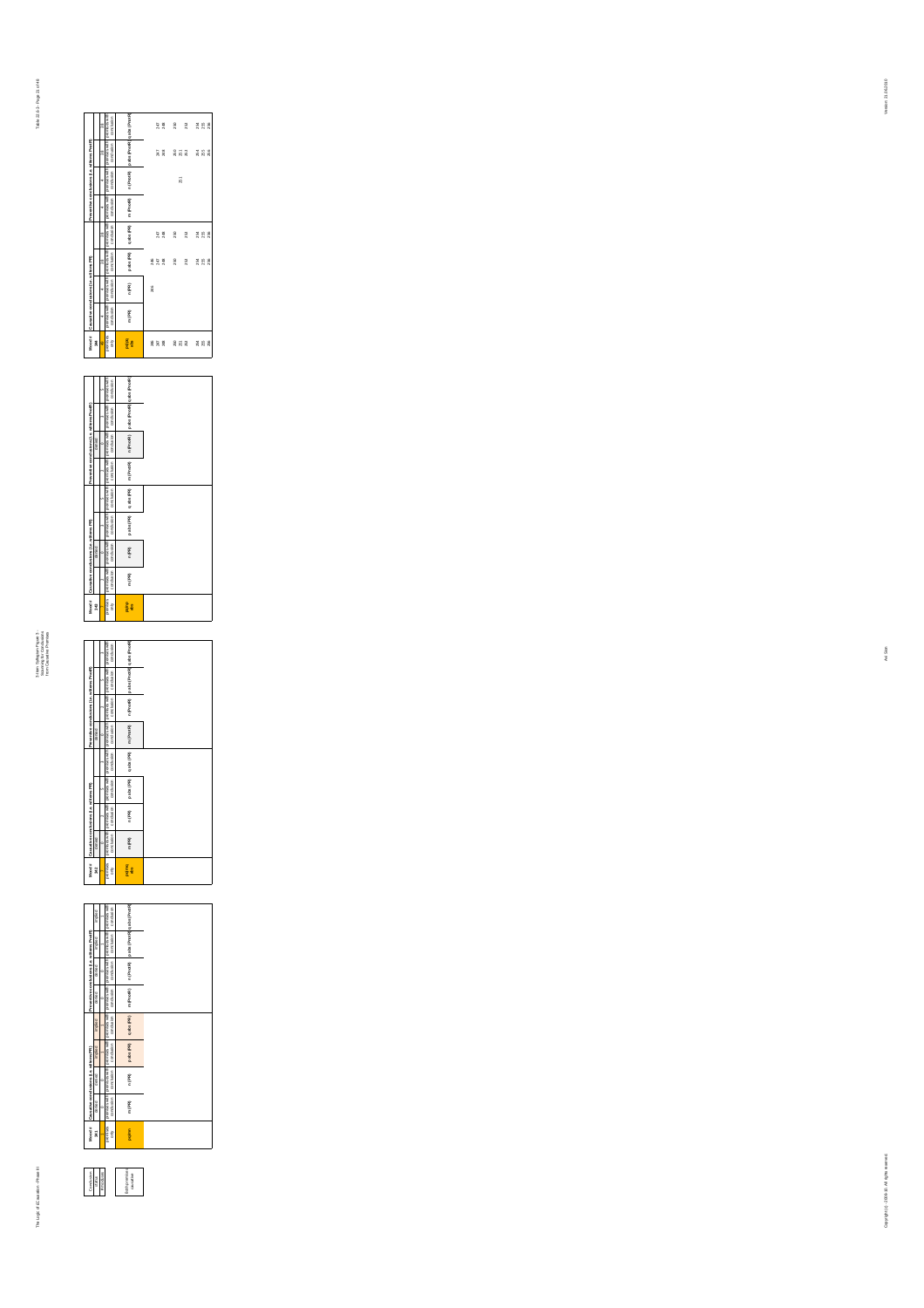| a pos       |                            | Causative conclusions (i.e. witems PR) |                            |                             |                            | Preventive con duslons (i.e. witems Proof?) |                               |                             |
|-------------|----------------------------|----------------------------------------|----------------------------|-----------------------------|----------------------------|---------------------------------------------|-------------------------------|-----------------------------|
| ¥           |                            |                                        |                            |                             |                            |                                             |                               |                             |
| ę           |                            | ۰                                      | æ,                         | æ                           | ۰                          |                                             | 38                            | æ                           |
| im ses<br>È | promises with<br>condusion | premises with<br>oondusion             | premises with<br>oondusion | premises with<br>oorchasion | promises with<br>candusion | premises with<br>oondusion                  | premises with<br>oondusion    | promises with<br>conclusion |
| g,          | m (PR)                     | n (PR)                                 | pabs (PR)                  | $q$ abs $(PR)$              | m (Prooft)                 | n (PhotP)                                   | patos (ProofR) q abs (ProofR) |                             |
| 8           |                            | g                                      | 245                        |                             |                            |                                             |                               |                             |
| ğ           |                            |                                        |                            | 2 8                         |                            |                                             | ã                             | 胃胃                          |
| 248         |                            |                                        | $\frac{3}{2}$              |                             |                            |                                             | 248                           |                             |
| 250         |                            |                                        | 8                          | 8                           |                            |                                             | 250                           | 290                         |
| ã           |                            |                                        |                            |                             |                            | 51                                          | 251                           |                             |
| 32          |                            |                                        | 252                        | ă                           |                            |                                             | 32                            | 32                          |
| 34          |                            |                                        | 254                        | 38                          |                            |                                             | 254                           | 38                          |
| 88          |                            |                                        | š                          |                             |                            |                                             | ă                             |                             |



abs (Proff

pates (Prooft) q s

n (PR) pabel (PR) qaba (PR) m (PhoeR) n (PhotR) i

 $\begin{picture}(180,170) \put(0,0){\line(1,0){150}} \put(10,0){\line(1,0){150}} \put(10,0){\line(1,0){150}} \put(10,0){\line(1,0){150}} \put(10,0){\line(1,0){150}} \put(10,0){\line(1,0){150}} \put(10,0){\line(1,0){150}} \put(10,0){\line(1,0){150}} \put(10,0){\line(1,0){150}} \put(10,0){\line(1,0){150}} \put(10,0){\line(1,0){150$ 

abs(ProotR) q abs (ProofR

n (Prooff) p  $m$  (Prooff) q abs (PR)  $p$ abs $\langle \theta R \rangle$ 

 $m(PR)$ 

polimon

Conclusion<br># moduses<br>xh premis<br>causative Both premises

premises only premises with conclusion premises with conclusion premises with conclusion premises with conclusion premises with conclusion premises with conclusion premises with conclusion premises with conclusion

premises only premises with conclusion premises with conclusion premises with conclusion premises with conclusion premises with conclusion premises with conclusion premises with conclusion premises with conclusion

 $\frac{\text{Mod } s}{342}$ 

Aw Sion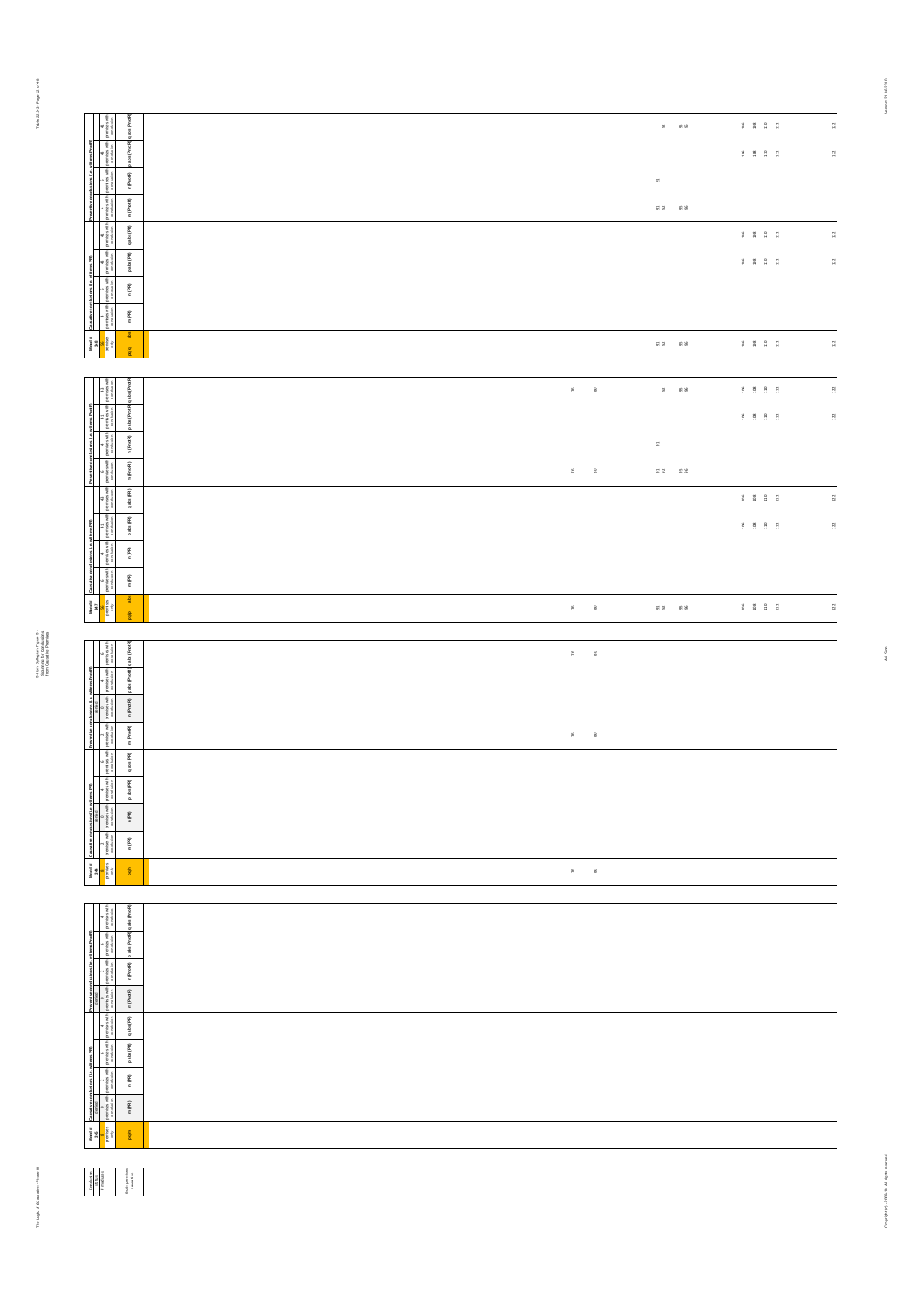| Preventive conclusions (i.e. witems Prooft)<br>abs (ProtR)<br>$\begin{array}{ccccccccccccc} \mathcal{B} & \mathcal{B} & \mathcal{B} & \mathcal{B} & \mathcal{B} & \cdots & \cdots & \mathcal{B} \end{array}$<br>$n$ (P rooff)<br>$\mathbbm{S}$<br>$m(p \text{ node})$<br>$\begin{array}{ccc} \mathbb{Z} & \mathbb{S} & \mathbb{Z} & \mathbb{S} & \mathbb{S} \\ \end{array}$<br>$q$ abs (PR)<br>$\mathbb{R}^2$<br>$\begin{array}{cccccccccc} 8 & 8 & 9 & 2 & 2 \\ 3 & 3 & 2 & 2 & 3 \\ \end{array}$<br>$\widehat{\mathbf{g}}$<br>$\begin{array}{ l } \hline \textbf{Gauss} \textbf{if} \textbf{if} \textbf{if} \textbf{if} \textbf{if} \textbf{if} \textbf{if} \textbf{if} \textbf{if} \textbf{if} \textbf{if} \textbf{if} \textbf{if} \textbf{if} \textbf{if} \textbf{if} \textbf{if} \textbf{if} \textbf{if} \textbf{if} \textbf{if} \textbf{if} \textbf{if} \textbf{if} \textbf{if} \textbf{if} \textbf{if} \textbf{if} \textbf{if} \textbf{if} \textbf{if} \textbf{if} \textbf{if} \textbf$<br>$\begin{array}{cccccccccc} \mathcal{B} & \mathcal{B} & \mathcal{B} & \mathcal{B} & \mathcal{B} & \mathcal{B} & \mathcal{B} & \mathcal{B} & \mathcal{B} & \mathcal{B} & \mathcal{B} & \mathcal{B} & \mathcal{B} & \mathcal{B} & \mathcal{B} & \mathcal{B} & \mathcal{B} & \mathcal{B} & \mathcal{B} & \mathcal{B} & \mathcal{B} & \mathcal{B} & \mathcal{B} & \mathcal{B} & \mathcal{B} & \mathcal{B} & \mathcal{B} & \mathcal{B} & \mathcal{B} & \mathcal{B} & \$<br>$\mathbb{R}^2$<br>$\frac{8}{3}$<br>$_{\rm n}$ (PR)<br>$\mathfrak{m}(\mathsf{PR})$<br>÷<br><b>See Like</b><br>$\mathbb{R}^2$<br>$\begin{array}{cccccccccc} 8 & 8 & 9 & 2 & 2 \\ 10 & 10 & 10 & 10 \\ 11 & 10 & 10 & 10 \\ 11 & 10 & 10 & 10 \\ 11 & 10 & 10 & 10 \\ 12 & 10 & 10 & 10 \\ 13 & 10 & 10 & 10 \\ 14 & 10 & 10 & 10 \\ 15 & 10 & 10 & 10 \\ 16 & 10 & 10 & 10 \\ 17 & 10 & 10 & 10 \\ 18 & 10 & 10 & 10 \\ 19 & 10 & 10 & 10 \\ 19 &$<br>$55$ $58$<br>abs (ProtR)<br>$\begin{array}{cccccccccccccc} \varphi & \quad & \varphi & \quad & \varphi & \quad & \varphi & \quad & \varphi & \quad & \varphi & \quad & \varphi & \quad & \varphi & \quad & \varphi & \quad & \varphi & \quad & \varphi & \quad & \varphi & \quad & \varphi & \quad & \varphi & \quad & \varphi & \quad & \varphi & \quad & \varphi & \quad & \varphi & \quad & \varphi & \quad & \varphi & \quad & \varphi & \quad & \varphi & \quad & \varphi & \quad & \varphi & \quad & \varphi & \quad & \varphi & \quad & \varphi & \quad & \varphi & \quad & \varphi & \quad & \varphi & \quad &$<br>$\qquad \qquad \mathbb{R}$<br>Proventive conclusions (i.e. witems ProtR)<br>$\mathbb{R}^n$ . In the $\mathbb{R}^n$<br>$\begin{array}{cccccccccc} \mathbf{g} & & \mathbf{g} & & \mathbf{g} & & \mathbf{g} & & \mathbf{g} & & \mathbf{g} & & \mathbf{g} & & \mathbf{g} & & \mathbf{g} & & \mathbf{g} & & \mathbf{g} & & \mathbf{g} & & \mathbf{g} & & \mathbf{g} & & \mathbf{g} & & \mathbf{g} & & \mathbf{g} & & \mathbf{g} & & \mathbf{g} & & \mathbf{g} & & \mathbf{g} & & \mathbf{g} & & \mathbf{g} & & \mathbf{g} & & \mathbf{g} & & \mathbf{g} & & \mathbf$<br>죔<br>Ş.<br>$\overline{\circ}$<br>÷,<br>m(Proot R)<br>$\begin{array}{cccccccccccccc} \varphi & \quad & \varphi & \quad & \varphi & \quad & \varphi & \quad & \varphi & \quad & \varphi & \quad & \varphi & \quad & \varphi & \quad & \varphi & \quad & \varphi & \quad & \varphi & \quad & \varphi & \quad & \varphi & \quad & \varphi & \quad & \varphi & \quad & \varphi & \quad & \varphi & \quad & \varphi & \quad & \varphi & \quad & \varphi & \quad & \varphi & \quad & \varphi & \quad & \varphi & \quad & \varphi & \quad & \varphi & \quad & \varphi & \quad & \varphi & \quad & \varphi & \quad & \varphi & \quad & \varphi & \quad &$<br>$\widehat{\mathsf{g}}$<br>$\begin{array}{cccccccccc} \texttt{S} & \texttt{S} & \texttt{S} & \texttt{S} & \texttt{S} & \texttt{S} \end{array}$<br>$\mathbb{R}^2$<br>$\frac{5}{9}$<br>Causative conclusions (i.e. witems PR)<br>p also (PR)<br>$\mathbb{R}^n$<br>$_{\rm n}$ (PR)<br>$m \varphi R$<br>情<br>$\mathbb R$ , and $\mathbb R$<br>$88 - 88$<br>$\mathbb{R}^2$<br>훟<br>$\mathcal{R}$ – $\mathcal{R}$<br>죸<br>Preventive con diustons (i.e. w/leans Prooft)<br>暑<br>n (Pro (R)<br>$m$ (P roofR)<br>$\kappa$ – $\kappa$<br>$q$ abs $\left( \mathsf{PR}\right)$<br>$\begin{tabular}{ c c c c } \hline \textbf{Mod} & \textbf{Gaushevalconclued} & \textbf{A. with terms } \textbf{PQ1} \\ \hline \textbf{3.48} & & & & & & & & & \\ \hline \textbf{3.49} & & & & & & & & \\ \hline \textbf{3.50} & & & & & & & & \\ \hline \textbf{3.60} & & & & & & & \\ \hline \textbf{3.71} & & & & & & & \\ \hline \textbf{3.81} & & & & & & & \\ \hline \textbf{3.91} & & & & & & & \\ \hline \textbf{3.92} & & & & & & &$<br>$p$ abs $(PR)$<br>$\mathfrak{so}_{\mathfrak{g}}$<br>$\mathfrak{m}(\mathsf{PR})$<br>$\frac{\varepsilon}{2}$<br>$\mathbb{S}$<br>$\mathcal{R}$<br>abs (ProtR) q abs (Pn<br>Preventive conclusions (i.e., willens Prooft)<br>- Ornied<br>ramises with<br>conclusion<br>n (ProfR)<br>$q$ also $(pR)$ m $(p$ noon)<br>premises with<br>conclusion<br>4<br>amises with<br>pordusion<br>Mood # Causative conduisions (i.e. willens PR)<br>345 00thid<br>pates (PR)<br>premises with<br>conclusion<br>$\frac{1}{n}$ (PR)<br>$\mathfrak{m}(\mathsf{PR})$<br>$\frac{\pi}{8}$ | a abs (P notR)<br>41<br>wmaas with<br>corclusion |  | $\begin{array}{cccccccccccccc} \mathbb{R} & & \mathbb{R} & \mathbb{R} & & & & & & \mathbb{S} & \mathbb{S} & \mathbb{S} & \mathbb{S} & \mathbb{S} & \mathbb{S} & \mathbb{S} & \mathbb{S} & \mathbb{S} & \mathbb{S} & \mathbb{S} & \mathbb{S} & \mathbb{S} & \mathbb{S} & \mathbb{S} & \mathbb{S} & \mathbb{S} & \mathbb{S} & \mathbb{S} & \mathbb{S} & \mathbb{S} & \mathbb{S} & \mathbb{S} & \mathbb{S} & \mathbb{S} & \mathbb{S} & \$ | $\mathbb{R}^2$ |
|----------------------------------------------------------------------------------------------------------------------------------------------------------------------------------------------------------------------------------------------------------------------------------------------------------------------------------------------------------------------------------------------------------------------------------------------------------------------------------------------------------------------------------------------------------------------------------------------------------------------------------------------------------------------------------------------------------------------------------------------------------------------------------------------------------------------------------------------------------------------------------------------------------------------------------------------------------------------------------------------------------------------------------------------------------------------------------------------------------------------------------------------------------------------------------------------------------------------------------------------------------------------------------------------------------------------------------------------------------------------------------------------------------------------------------------------------------------------------------------------------------------------------------------------------------------------------------------------------------------------------------------------------------------------------------------------------------------------------------------------------------------------------------------------------------------------------------------------------------------------------------------------------------------------------------------------------------------------------------------------------------------------------------------------------------------------------------------------------------------------------------------------------------------------------------------------------------------------------------------------------------------------------------------------------------------------------------------------------------------------------------------------------------------------------------------------------------------------------------------------------------------------------------------------------------------------------------------------------------------------------------------------------------------------------------------------------------------------------------------------------------------------------------------------------------------------------------------------------------------------------------------------------------------------------------------------------------------------------------------------------------------------------------------------------------------------------------------------------------------------------------------------------------------------------------------------------------------------------------------------------------------------------------------------------------------------------------------------------------------------------------------------------------------------------------------------------------------------------------------------------------------------------------------------------------------------------------------------------------------------------------------------------------------------------------------------------------------------------------------------------------------------------------------------------------------------------------------------------------------------------------------------------------------------------------------------------------------------------------------------------------------------------------------------------------------------------------------------------------------------------------------------------------------------------------------------------------------------------------------------------------------------------------------------------------------------------------------------------------------------------------------------------------------------------------------------------------------------------------------------------------------------------------------------------------------------------------------------------------------------------------------------------------------------------------------------------------------------------------------------------------------------------------------------------------------------------------------------------------------------------------------------------------------------------------------------------------------------------------------------------------------------------------------------------------------------------------------------------------------------------------------------------------------------------------------------------------------------------------------------------------------------------------------------------------------------------------------------------------------------|--------------------------------------------------|--|----------------------------------------------------------------------------------------------------------------------------------------------------------------------------------------------------------------------------------------------------------------------------------------------------------------------------------------------------------------------------------------------------------------------------------------|----------------|
|                                                                                                                                                                                                                                                                                                                                                                                                                                                                                                                                                                                                                                                                                                                                                                                                                                                                                                                                                                                                                                                                                                                                                                                                                                                                                                                                                                                                                                                                                                                                                                                                                                                                                                                                                                                                                                                                                                                                                                                                                                                                                                                                                                                                                                                                                                                                                                                                                                                                                                                                                                                                                                                                                                                                                                                                                                                                                                                                                                                                                                                                                                                                                                                                                                                                                                                                                                                                                                                                                                                                                                                                                                                                                                                                                                                                                                                                                                                                                                                                                                                                                                                                                                                                                                                                                                                                                                                                                                                                                                                                                                                                                                                                                                                                                                                                                                                                                                                                                                                                                                                                                                                                                                                                                                                                                                                                                                      |                                                  |  |                                                                                                                                                                                                                                                                                                                                                                                                                                        |                |
|                                                                                                                                                                                                                                                                                                                                                                                                                                                                                                                                                                                                                                                                                                                                                                                                                                                                                                                                                                                                                                                                                                                                                                                                                                                                                                                                                                                                                                                                                                                                                                                                                                                                                                                                                                                                                                                                                                                                                                                                                                                                                                                                                                                                                                                                                                                                                                                                                                                                                                                                                                                                                                                                                                                                                                                                                                                                                                                                                                                                                                                                                                                                                                                                                                                                                                                                                                                                                                                                                                                                                                                                                                                                                                                                                                                                                                                                                                                                                                                                                                                                                                                                                                                                                                                                                                                                                                                                                                                                                                                                                                                                                                                                                                                                                                                                                                                                                                                                                                                                                                                                                                                                                                                                                                                                                                                                                                      |                                                  |  |                                                                                                                                                                                                                                                                                                                                                                                                                                        |                |
|                                                                                                                                                                                                                                                                                                                                                                                                                                                                                                                                                                                                                                                                                                                                                                                                                                                                                                                                                                                                                                                                                                                                                                                                                                                                                                                                                                                                                                                                                                                                                                                                                                                                                                                                                                                                                                                                                                                                                                                                                                                                                                                                                                                                                                                                                                                                                                                                                                                                                                                                                                                                                                                                                                                                                                                                                                                                                                                                                                                                                                                                                                                                                                                                                                                                                                                                                                                                                                                                                                                                                                                                                                                                                                                                                                                                                                                                                                                                                                                                                                                                                                                                                                                                                                                                                                                                                                                                                                                                                                                                                                                                                                                                                                                                                                                                                                                                                                                                                                                                                                                                                                                                                                                                                                                                                                                                                                      |                                                  |  |                                                                                                                                                                                                                                                                                                                                                                                                                                        |                |
|                                                                                                                                                                                                                                                                                                                                                                                                                                                                                                                                                                                                                                                                                                                                                                                                                                                                                                                                                                                                                                                                                                                                                                                                                                                                                                                                                                                                                                                                                                                                                                                                                                                                                                                                                                                                                                                                                                                                                                                                                                                                                                                                                                                                                                                                                                                                                                                                                                                                                                                                                                                                                                                                                                                                                                                                                                                                                                                                                                                                                                                                                                                                                                                                                                                                                                                                                                                                                                                                                                                                                                                                                                                                                                                                                                                                                                                                                                                                                                                                                                                                                                                                                                                                                                                                                                                                                                                                                                                                                                                                                                                                                                                                                                                                                                                                                                                                                                                                                                                                                                                                                                                                                                                                                                                                                                                                                                      |                                                  |  |                                                                                                                                                                                                                                                                                                                                                                                                                                        |                |
|                                                                                                                                                                                                                                                                                                                                                                                                                                                                                                                                                                                                                                                                                                                                                                                                                                                                                                                                                                                                                                                                                                                                                                                                                                                                                                                                                                                                                                                                                                                                                                                                                                                                                                                                                                                                                                                                                                                                                                                                                                                                                                                                                                                                                                                                                                                                                                                                                                                                                                                                                                                                                                                                                                                                                                                                                                                                                                                                                                                                                                                                                                                                                                                                                                                                                                                                                                                                                                                                                                                                                                                                                                                                                                                                                                                                                                                                                                                                                                                                                                                                                                                                                                                                                                                                                                                                                                                                                                                                                                                                                                                                                                                                                                                                                                                                                                                                                                                                                                                                                                                                                                                                                                                                                                                                                                                                                                      |                                                  |  |                                                                                                                                                                                                                                                                                                                                                                                                                                        |                |
|                                                                                                                                                                                                                                                                                                                                                                                                                                                                                                                                                                                                                                                                                                                                                                                                                                                                                                                                                                                                                                                                                                                                                                                                                                                                                                                                                                                                                                                                                                                                                                                                                                                                                                                                                                                                                                                                                                                                                                                                                                                                                                                                                                                                                                                                                                                                                                                                                                                                                                                                                                                                                                                                                                                                                                                                                                                                                                                                                                                                                                                                                                                                                                                                                                                                                                                                                                                                                                                                                                                                                                                                                                                                                                                                                                                                                                                                                                                                                                                                                                                                                                                                                                                                                                                                                                                                                                                                                                                                                                                                                                                                                                                                                                                                                                                                                                                                                                                                                                                                                                                                                                                                                                                                                                                                                                                                                                      |                                                  |  |                                                                                                                                                                                                                                                                                                                                                                                                                                        |                |
|                                                                                                                                                                                                                                                                                                                                                                                                                                                                                                                                                                                                                                                                                                                                                                                                                                                                                                                                                                                                                                                                                                                                                                                                                                                                                                                                                                                                                                                                                                                                                                                                                                                                                                                                                                                                                                                                                                                                                                                                                                                                                                                                                                                                                                                                                                                                                                                                                                                                                                                                                                                                                                                                                                                                                                                                                                                                                                                                                                                                                                                                                                                                                                                                                                                                                                                                                                                                                                                                                                                                                                                                                                                                                                                                                                                                                                                                                                                                                                                                                                                                                                                                                                                                                                                                                                                                                                                                                                                                                                                                                                                                                                                                                                                                                                                                                                                                                                                                                                                                                                                                                                                                                                                                                                                                                                                                                                      |                                                  |  |                                                                                                                                                                                                                                                                                                                                                                                                                                        |                |
|                                                                                                                                                                                                                                                                                                                                                                                                                                                                                                                                                                                                                                                                                                                                                                                                                                                                                                                                                                                                                                                                                                                                                                                                                                                                                                                                                                                                                                                                                                                                                                                                                                                                                                                                                                                                                                                                                                                                                                                                                                                                                                                                                                                                                                                                                                                                                                                                                                                                                                                                                                                                                                                                                                                                                                                                                                                                                                                                                                                                                                                                                                                                                                                                                                                                                                                                                                                                                                                                                                                                                                                                                                                                                                                                                                                                                                                                                                                                                                                                                                                                                                                                                                                                                                                                                                                                                                                                                                                                                                                                                                                                                                                                                                                                                                                                                                                                                                                                                                                                                                                                                                                                                                                                                                                                                                                                                                      | Mood #                                           |  |                                                                                                                                                                                                                                                                                                                                                                                                                                        |                |
|                                                                                                                                                                                                                                                                                                                                                                                                                                                                                                                                                                                                                                                                                                                                                                                                                                                                                                                                                                                                                                                                                                                                                                                                                                                                                                                                                                                                                                                                                                                                                                                                                                                                                                                                                                                                                                                                                                                                                                                                                                                                                                                                                                                                                                                                                                                                                                                                                                                                                                                                                                                                                                                                                                                                                                                                                                                                                                                                                                                                                                                                                                                                                                                                                                                                                                                                                                                                                                                                                                                                                                                                                                                                                                                                                                                                                                                                                                                                                                                                                                                                                                                                                                                                                                                                                                                                                                                                                                                                                                                                                                                                                                                                                                                                                                                                                                                                                                                                                                                                                                                                                                                                                                                                                                                                                                                                                                      |                                                  |  |                                                                                                                                                                                                                                                                                                                                                                                                                                        |                |
|                                                                                                                                                                                                                                                                                                                                                                                                                                                                                                                                                                                                                                                                                                                                                                                                                                                                                                                                                                                                                                                                                                                                                                                                                                                                                                                                                                                                                                                                                                                                                                                                                                                                                                                                                                                                                                                                                                                                                                                                                                                                                                                                                                                                                                                                                                                                                                                                                                                                                                                                                                                                                                                                                                                                                                                                                                                                                                                                                                                                                                                                                                                                                                                                                                                                                                                                                                                                                                                                                                                                                                                                                                                                                                                                                                                                                                                                                                                                                                                                                                                                                                                                                                                                                                                                                                                                                                                                                                                                                                                                                                                                                                                                                                                                                                                                                                                                                                                                                                                                                                                                                                                                                                                                                                                                                                                                                                      |                                                  |  |                                                                                                                                                                                                                                                                                                                                                                                                                                        |                |
|                                                                                                                                                                                                                                                                                                                                                                                                                                                                                                                                                                                                                                                                                                                                                                                                                                                                                                                                                                                                                                                                                                                                                                                                                                                                                                                                                                                                                                                                                                                                                                                                                                                                                                                                                                                                                                                                                                                                                                                                                                                                                                                                                                                                                                                                                                                                                                                                                                                                                                                                                                                                                                                                                                                                                                                                                                                                                                                                                                                                                                                                                                                                                                                                                                                                                                                                                                                                                                                                                                                                                                                                                                                                                                                                                                                                                                                                                                                                                                                                                                                                                                                                                                                                                                                                                                                                                                                                                                                                                                                                                                                                                                                                                                                                                                                                                                                                                                                                                                                                                                                                                                                                                                                                                                                                                                                                                                      |                                                  |  |                                                                                                                                                                                                                                                                                                                                                                                                                                        |                |
|                                                                                                                                                                                                                                                                                                                                                                                                                                                                                                                                                                                                                                                                                                                                                                                                                                                                                                                                                                                                                                                                                                                                                                                                                                                                                                                                                                                                                                                                                                                                                                                                                                                                                                                                                                                                                                                                                                                                                                                                                                                                                                                                                                                                                                                                                                                                                                                                                                                                                                                                                                                                                                                                                                                                                                                                                                                                                                                                                                                                                                                                                                                                                                                                                                                                                                                                                                                                                                                                                                                                                                                                                                                                                                                                                                                                                                                                                                                                                                                                                                                                                                                                                                                                                                                                                                                                                                                                                                                                                                                                                                                                                                                                                                                                                                                                                                                                                                                                                                                                                                                                                                                                                                                                                                                                                                                                                                      |                                                  |  |                                                                                                                                                                                                                                                                                                                                                                                                                                        |                |
|                                                                                                                                                                                                                                                                                                                                                                                                                                                                                                                                                                                                                                                                                                                                                                                                                                                                                                                                                                                                                                                                                                                                                                                                                                                                                                                                                                                                                                                                                                                                                                                                                                                                                                                                                                                                                                                                                                                                                                                                                                                                                                                                                                                                                                                                                                                                                                                                                                                                                                                                                                                                                                                                                                                                                                                                                                                                                                                                                                                                                                                                                                                                                                                                                                                                                                                                                                                                                                                                                                                                                                                                                                                                                                                                                                                                                                                                                                                                                                                                                                                                                                                                                                                                                                                                                                                                                                                                                                                                                                                                                                                                                                                                                                                                                                                                                                                                                                                                                                                                                                                                                                                                                                                                                                                                                                                                                                      |                                                  |  |                                                                                                                                                                                                                                                                                                                                                                                                                                        |                |
|                                                                                                                                                                                                                                                                                                                                                                                                                                                                                                                                                                                                                                                                                                                                                                                                                                                                                                                                                                                                                                                                                                                                                                                                                                                                                                                                                                                                                                                                                                                                                                                                                                                                                                                                                                                                                                                                                                                                                                                                                                                                                                                                                                                                                                                                                                                                                                                                                                                                                                                                                                                                                                                                                                                                                                                                                                                                                                                                                                                                                                                                                                                                                                                                                                                                                                                                                                                                                                                                                                                                                                                                                                                                                                                                                                                                                                                                                                                                                                                                                                                                                                                                                                                                                                                                                                                                                                                                                                                                                                                                                                                                                                                                                                                                                                                                                                                                                                                                                                                                                                                                                                                                                                                                                                                                                                                                                                      |                                                  |  |                                                                                                                                                                                                                                                                                                                                                                                                                                        |                |
|                                                                                                                                                                                                                                                                                                                                                                                                                                                                                                                                                                                                                                                                                                                                                                                                                                                                                                                                                                                                                                                                                                                                                                                                                                                                                                                                                                                                                                                                                                                                                                                                                                                                                                                                                                                                                                                                                                                                                                                                                                                                                                                                                                                                                                                                                                                                                                                                                                                                                                                                                                                                                                                                                                                                                                                                                                                                                                                                                                                                                                                                                                                                                                                                                                                                                                                                                                                                                                                                                                                                                                                                                                                                                                                                                                                                                                                                                                                                                                                                                                                                                                                                                                                                                                                                                                                                                                                                                                                                                                                                                                                                                                                                                                                                                                                                                                                                                                                                                                                                                                                                                                                                                                                                                                                                                                                                                                      |                                                  |  |                                                                                                                                                                                                                                                                                                                                                                                                                                        |                |
|                                                                                                                                                                                                                                                                                                                                                                                                                                                                                                                                                                                                                                                                                                                                                                                                                                                                                                                                                                                                                                                                                                                                                                                                                                                                                                                                                                                                                                                                                                                                                                                                                                                                                                                                                                                                                                                                                                                                                                                                                                                                                                                                                                                                                                                                                                                                                                                                                                                                                                                                                                                                                                                                                                                                                                                                                                                                                                                                                                                                                                                                                                                                                                                                                                                                                                                                                                                                                                                                                                                                                                                                                                                                                                                                                                                                                                                                                                                                                                                                                                                                                                                                                                                                                                                                                                                                                                                                                                                                                                                                                                                                                                                                                                                                                                                                                                                                                                                                                                                                                                                                                                                                                                                                                                                                                                                                                                      |                                                  |  |                                                                                                                                                                                                                                                                                                                                                                                                                                        |                |
|                                                                                                                                                                                                                                                                                                                                                                                                                                                                                                                                                                                                                                                                                                                                                                                                                                                                                                                                                                                                                                                                                                                                                                                                                                                                                                                                                                                                                                                                                                                                                                                                                                                                                                                                                                                                                                                                                                                                                                                                                                                                                                                                                                                                                                                                                                                                                                                                                                                                                                                                                                                                                                                                                                                                                                                                                                                                                                                                                                                                                                                                                                                                                                                                                                                                                                                                                                                                                                                                                                                                                                                                                                                                                                                                                                                                                                                                                                                                                                                                                                                                                                                                                                                                                                                                                                                                                                                                                                                                                                                                                                                                                                                                                                                                                                                                                                                                                                                                                                                                                                                                                                                                                                                                                                                                                                                                                                      |                                                  |  |                                                                                                                                                                                                                                                                                                                                                                                                                                        |                |
|                                                                                                                                                                                                                                                                                                                                                                                                                                                                                                                                                                                                                                                                                                                                                                                                                                                                                                                                                                                                                                                                                                                                                                                                                                                                                                                                                                                                                                                                                                                                                                                                                                                                                                                                                                                                                                                                                                                                                                                                                                                                                                                                                                                                                                                                                                                                                                                                                                                                                                                                                                                                                                                                                                                                                                                                                                                                                                                                                                                                                                                                                                                                                                                                                                                                                                                                                                                                                                                                                                                                                                                                                                                                                                                                                                                                                                                                                                                                                                                                                                                                                                                                                                                                                                                                                                                                                                                                                                                                                                                                                                                                                                                                                                                                                                                                                                                                                                                                                                                                                                                                                                                                                                                                                                                                                                                                                                      | $\frac{1}{2}$                                    |  |                                                                                                                                                                                                                                                                                                                                                                                                                                        |                |
|                                                                                                                                                                                                                                                                                                                                                                                                                                                                                                                                                                                                                                                                                                                                                                                                                                                                                                                                                                                                                                                                                                                                                                                                                                                                                                                                                                                                                                                                                                                                                                                                                                                                                                                                                                                                                                                                                                                                                                                                                                                                                                                                                                                                                                                                                                                                                                                                                                                                                                                                                                                                                                                                                                                                                                                                                                                                                                                                                                                                                                                                                                                                                                                                                                                                                                                                                                                                                                                                                                                                                                                                                                                                                                                                                                                                                                                                                                                                                                                                                                                                                                                                                                                                                                                                                                                                                                                                                                                                                                                                                                                                                                                                                                                                                                                                                                                                                                                                                                                                                                                                                                                                                                                                                                                                                                                                                                      |                                                  |  |                                                                                                                                                                                                                                                                                                                                                                                                                                        |                |
|                                                                                                                                                                                                                                                                                                                                                                                                                                                                                                                                                                                                                                                                                                                                                                                                                                                                                                                                                                                                                                                                                                                                                                                                                                                                                                                                                                                                                                                                                                                                                                                                                                                                                                                                                                                                                                                                                                                                                                                                                                                                                                                                                                                                                                                                                                                                                                                                                                                                                                                                                                                                                                                                                                                                                                                                                                                                                                                                                                                                                                                                                                                                                                                                                                                                                                                                                                                                                                                                                                                                                                                                                                                                                                                                                                                                                                                                                                                                                                                                                                                                                                                                                                                                                                                                                                                                                                                                                                                                                                                                                                                                                                                                                                                                                                                                                                                                                                                                                                                                                                                                                                                                                                                                                                                                                                                                                                      |                                                  |  |                                                                                                                                                                                                                                                                                                                                                                                                                                        |                |
|                                                                                                                                                                                                                                                                                                                                                                                                                                                                                                                                                                                                                                                                                                                                                                                                                                                                                                                                                                                                                                                                                                                                                                                                                                                                                                                                                                                                                                                                                                                                                                                                                                                                                                                                                                                                                                                                                                                                                                                                                                                                                                                                                                                                                                                                                                                                                                                                                                                                                                                                                                                                                                                                                                                                                                                                                                                                                                                                                                                                                                                                                                                                                                                                                                                                                                                                                                                                                                                                                                                                                                                                                                                                                                                                                                                                                                                                                                                                                                                                                                                                                                                                                                                                                                                                                                                                                                                                                                                                                                                                                                                                                                                                                                                                                                                                                                                                                                                                                                                                                                                                                                                                                                                                                                                                                                                                                                      |                                                  |  |                                                                                                                                                                                                                                                                                                                                                                                                                                        |                |
|                                                                                                                                                                                                                                                                                                                                                                                                                                                                                                                                                                                                                                                                                                                                                                                                                                                                                                                                                                                                                                                                                                                                                                                                                                                                                                                                                                                                                                                                                                                                                                                                                                                                                                                                                                                                                                                                                                                                                                                                                                                                                                                                                                                                                                                                                                                                                                                                                                                                                                                                                                                                                                                                                                                                                                                                                                                                                                                                                                                                                                                                                                                                                                                                                                                                                                                                                                                                                                                                                                                                                                                                                                                                                                                                                                                                                                                                                                                                                                                                                                                                                                                                                                                                                                                                                                                                                                                                                                                                                                                                                                                                                                                                                                                                                                                                                                                                                                                                                                                                                                                                                                                                                                                                                                                                                                                                                                      |                                                  |  |                                                                                                                                                                                                                                                                                                                                                                                                                                        |                |
|                                                                                                                                                                                                                                                                                                                                                                                                                                                                                                                                                                                                                                                                                                                                                                                                                                                                                                                                                                                                                                                                                                                                                                                                                                                                                                                                                                                                                                                                                                                                                                                                                                                                                                                                                                                                                                                                                                                                                                                                                                                                                                                                                                                                                                                                                                                                                                                                                                                                                                                                                                                                                                                                                                                                                                                                                                                                                                                                                                                                                                                                                                                                                                                                                                                                                                                                                                                                                                                                                                                                                                                                                                                                                                                                                                                                                                                                                                                                                                                                                                                                                                                                                                                                                                                                                                                                                                                                                                                                                                                                                                                                                                                                                                                                                                                                                                                                                                                                                                                                                                                                                                                                                                                                                                                                                                                                                                      |                                                  |  |                                                                                                                                                                                                                                                                                                                                                                                                                                        |                |
|                                                                                                                                                                                                                                                                                                                                                                                                                                                                                                                                                                                                                                                                                                                                                                                                                                                                                                                                                                                                                                                                                                                                                                                                                                                                                                                                                                                                                                                                                                                                                                                                                                                                                                                                                                                                                                                                                                                                                                                                                                                                                                                                                                                                                                                                                                                                                                                                                                                                                                                                                                                                                                                                                                                                                                                                                                                                                                                                                                                                                                                                                                                                                                                                                                                                                                                                                                                                                                                                                                                                                                                                                                                                                                                                                                                                                                                                                                                                                                                                                                                                                                                                                                                                                                                                                                                                                                                                                                                                                                                                                                                                                                                                                                                                                                                                                                                                                                                                                                                                                                                                                                                                                                                                                                                                                                                                                                      |                                                  |  |                                                                                                                                                                                                                                                                                                                                                                                                                                        |                |
|                                                                                                                                                                                                                                                                                                                                                                                                                                                                                                                                                                                                                                                                                                                                                                                                                                                                                                                                                                                                                                                                                                                                                                                                                                                                                                                                                                                                                                                                                                                                                                                                                                                                                                                                                                                                                                                                                                                                                                                                                                                                                                                                                                                                                                                                                                                                                                                                                                                                                                                                                                                                                                                                                                                                                                                                                                                                                                                                                                                                                                                                                                                                                                                                                                                                                                                                                                                                                                                                                                                                                                                                                                                                                                                                                                                                                                                                                                                                                                                                                                                                                                                                                                                                                                                                                                                                                                                                                                                                                                                                                                                                                                                                                                                                                                                                                                                                                                                                                                                                                                                                                                                                                                                                                                                                                                                                                                      |                                                  |  |                                                                                                                                                                                                                                                                                                                                                                                                                                        |                |
|                                                                                                                                                                                                                                                                                                                                                                                                                                                                                                                                                                                                                                                                                                                                                                                                                                                                                                                                                                                                                                                                                                                                                                                                                                                                                                                                                                                                                                                                                                                                                                                                                                                                                                                                                                                                                                                                                                                                                                                                                                                                                                                                                                                                                                                                                                                                                                                                                                                                                                                                                                                                                                                                                                                                                                                                                                                                                                                                                                                                                                                                                                                                                                                                                                                                                                                                                                                                                                                                                                                                                                                                                                                                                                                                                                                                                                                                                                                                                                                                                                                                                                                                                                                                                                                                                                                                                                                                                                                                                                                                                                                                                                                                                                                                                                                                                                                                                                                                                                                                                                                                                                                                                                                                                                                                                                                                                                      |                                                  |  |                                                                                                                                                                                                                                                                                                                                                                                                                                        |                |
|                                                                                                                                                                                                                                                                                                                                                                                                                                                                                                                                                                                                                                                                                                                                                                                                                                                                                                                                                                                                                                                                                                                                                                                                                                                                                                                                                                                                                                                                                                                                                                                                                                                                                                                                                                                                                                                                                                                                                                                                                                                                                                                                                                                                                                                                                                                                                                                                                                                                                                                                                                                                                                                                                                                                                                                                                                                                                                                                                                                                                                                                                                                                                                                                                                                                                                                                                                                                                                                                                                                                                                                                                                                                                                                                                                                                                                                                                                                                                                                                                                                                                                                                                                                                                                                                                                                                                                                                                                                                                                                                                                                                                                                                                                                                                                                                                                                                                                                                                                                                                                                                                                                                                                                                                                                                                                                                                                      |                                                  |  |                                                                                                                                                                                                                                                                                                                                                                                                                                        |                |
|                                                                                                                                                                                                                                                                                                                                                                                                                                                                                                                                                                                                                                                                                                                                                                                                                                                                                                                                                                                                                                                                                                                                                                                                                                                                                                                                                                                                                                                                                                                                                                                                                                                                                                                                                                                                                                                                                                                                                                                                                                                                                                                                                                                                                                                                                                                                                                                                                                                                                                                                                                                                                                                                                                                                                                                                                                                                                                                                                                                                                                                                                                                                                                                                                                                                                                                                                                                                                                                                                                                                                                                                                                                                                                                                                                                                                                                                                                                                                                                                                                                                                                                                                                                                                                                                                                                                                                                                                                                                                                                                                                                                                                                                                                                                                                                                                                                                                                                                                                                                                                                                                                                                                                                                                                                                                                                                                                      |                                                  |  |                                                                                                                                                                                                                                                                                                                                                                                                                                        |                |
|                                                                                                                                                                                                                                                                                                                                                                                                                                                                                                                                                                                                                                                                                                                                                                                                                                                                                                                                                                                                                                                                                                                                                                                                                                                                                                                                                                                                                                                                                                                                                                                                                                                                                                                                                                                                                                                                                                                                                                                                                                                                                                                                                                                                                                                                                                                                                                                                                                                                                                                                                                                                                                                                                                                                                                                                                                                                                                                                                                                                                                                                                                                                                                                                                                                                                                                                                                                                                                                                                                                                                                                                                                                                                                                                                                                                                                                                                                                                                                                                                                                                                                                                                                                                                                                                                                                                                                                                                                                                                                                                                                                                                                                                                                                                                                                                                                                                                                                                                                                                                                                                                                                                                                                                                                                                                                                                                                      |                                                  |  |                                                                                                                                                                                                                                                                                                                                                                                                                                        |                |
|                                                                                                                                                                                                                                                                                                                                                                                                                                                                                                                                                                                                                                                                                                                                                                                                                                                                                                                                                                                                                                                                                                                                                                                                                                                                                                                                                                                                                                                                                                                                                                                                                                                                                                                                                                                                                                                                                                                                                                                                                                                                                                                                                                                                                                                                                                                                                                                                                                                                                                                                                                                                                                                                                                                                                                                                                                                                                                                                                                                                                                                                                                                                                                                                                                                                                                                                                                                                                                                                                                                                                                                                                                                                                                                                                                                                                                                                                                                                                                                                                                                                                                                                                                                                                                                                                                                                                                                                                                                                                                                                                                                                                                                                                                                                                                                                                                                                                                                                                                                                                                                                                                                                                                                                                                                                                                                                                                      |                                                  |  |                                                                                                                                                                                                                                                                                                                                                                                                                                        |                |
|                                                                                                                                                                                                                                                                                                                                                                                                                                                                                                                                                                                                                                                                                                                                                                                                                                                                                                                                                                                                                                                                                                                                                                                                                                                                                                                                                                                                                                                                                                                                                                                                                                                                                                                                                                                                                                                                                                                                                                                                                                                                                                                                                                                                                                                                                                                                                                                                                                                                                                                                                                                                                                                                                                                                                                                                                                                                                                                                                                                                                                                                                                                                                                                                                                                                                                                                                                                                                                                                                                                                                                                                                                                                                                                                                                                                                                                                                                                                                                                                                                                                                                                                                                                                                                                                                                                                                                                                                                                                                                                                                                                                                                                                                                                                                                                                                                                                                                                                                                                                                                                                                                                                                                                                                                                                                                                                                                      |                                                  |  |                                                                                                                                                                                                                                                                                                                                                                                                                                        |                |
|                                                                                                                                                                                                                                                                                                                                                                                                                                                                                                                                                                                                                                                                                                                                                                                                                                                                                                                                                                                                                                                                                                                                                                                                                                                                                                                                                                                                                                                                                                                                                                                                                                                                                                                                                                                                                                                                                                                                                                                                                                                                                                                                                                                                                                                                                                                                                                                                                                                                                                                                                                                                                                                                                                                                                                                                                                                                                                                                                                                                                                                                                                                                                                                                                                                                                                                                                                                                                                                                                                                                                                                                                                                                                                                                                                                                                                                                                                                                                                                                                                                                                                                                                                                                                                                                                                                                                                                                                                                                                                                                                                                                                                                                                                                                                                                                                                                                                                                                                                                                                                                                                                                                                                                                                                                                                                                                                                      |                                                  |  |                                                                                                                                                                                                                                                                                                                                                                                                                                        |                |
|                                                                                                                                                                                                                                                                                                                                                                                                                                                                                                                                                                                                                                                                                                                                                                                                                                                                                                                                                                                                                                                                                                                                                                                                                                                                                                                                                                                                                                                                                                                                                                                                                                                                                                                                                                                                                                                                                                                                                                                                                                                                                                                                                                                                                                                                                                                                                                                                                                                                                                                                                                                                                                                                                                                                                                                                                                                                                                                                                                                                                                                                                                                                                                                                                                                                                                                                                                                                                                                                                                                                                                                                                                                                                                                                                                                                                                                                                                                                                                                                                                                                                                                                                                                                                                                                                                                                                                                                                                                                                                                                                                                                                                                                                                                                                                                                                                                                                                                                                                                                                                                                                                                                                                                                                                                                                                                                                                      |                                                  |  |                                                                                                                                                                                                                                                                                                                                                                                                                                        |                |
|                                                                                                                                                                                                                                                                                                                                                                                                                                                                                                                                                                                                                                                                                                                                                                                                                                                                                                                                                                                                                                                                                                                                                                                                                                                                                                                                                                                                                                                                                                                                                                                                                                                                                                                                                                                                                                                                                                                                                                                                                                                                                                                                                                                                                                                                                                                                                                                                                                                                                                                                                                                                                                                                                                                                                                                                                                                                                                                                                                                                                                                                                                                                                                                                                                                                                                                                                                                                                                                                                                                                                                                                                                                                                                                                                                                                                                                                                                                                                                                                                                                                                                                                                                                                                                                                                                                                                                                                                                                                                                                                                                                                                                                                                                                                                                                                                                                                                                                                                                                                                                                                                                                                                                                                                                                                                                                                                                      |                                                  |  |                                                                                                                                                                                                                                                                                                                                                                                                                                        |                |
|                                                                                                                                                                                                                                                                                                                                                                                                                                                                                                                                                                                                                                                                                                                                                                                                                                                                                                                                                                                                                                                                                                                                                                                                                                                                                                                                                                                                                                                                                                                                                                                                                                                                                                                                                                                                                                                                                                                                                                                                                                                                                                                                                                                                                                                                                                                                                                                                                                                                                                                                                                                                                                                                                                                                                                                                                                                                                                                                                                                                                                                                                                                                                                                                                                                                                                                                                                                                                                                                                                                                                                                                                                                                                                                                                                                                                                                                                                                                                                                                                                                                                                                                                                                                                                                                                                                                                                                                                                                                                                                                                                                                                                                                                                                                                                                                                                                                                                                                                                                                                                                                                                                                                                                                                                                                                                                                                                      |                                                  |  |                                                                                                                                                                                                                                                                                                                                                                                                                                        |                |
|                                                                                                                                                                                                                                                                                                                                                                                                                                                                                                                                                                                                                                                                                                                                                                                                                                                                                                                                                                                                                                                                                                                                                                                                                                                                                                                                                                                                                                                                                                                                                                                                                                                                                                                                                                                                                                                                                                                                                                                                                                                                                                                                                                                                                                                                                                                                                                                                                                                                                                                                                                                                                                                                                                                                                                                                                                                                                                                                                                                                                                                                                                                                                                                                                                                                                                                                                                                                                                                                                                                                                                                                                                                                                                                                                                                                                                                                                                                                                                                                                                                                                                                                                                                                                                                                                                                                                                                                                                                                                                                                                                                                                                                                                                                                                                                                                                                                                                                                                                                                                                                                                                                                                                                                                                                                                                                                                                      |                                                  |  |                                                                                                                                                                                                                                                                                                                                                                                                                                        |                |
|                                                                                                                                                                                                                                                                                                                                                                                                                                                                                                                                                                                                                                                                                                                                                                                                                                                                                                                                                                                                                                                                                                                                                                                                                                                                                                                                                                                                                                                                                                                                                                                                                                                                                                                                                                                                                                                                                                                                                                                                                                                                                                                                                                                                                                                                                                                                                                                                                                                                                                                                                                                                                                                                                                                                                                                                                                                                                                                                                                                                                                                                                                                                                                                                                                                                                                                                                                                                                                                                                                                                                                                                                                                                                                                                                                                                                                                                                                                                                                                                                                                                                                                                                                                                                                                                                                                                                                                                                                                                                                                                                                                                                                                                                                                                                                                                                                                                                                                                                                                                                                                                                                                                                                                                                                                                                                                                                                      |                                                  |  |                                                                                                                                                                                                                                                                                                                                                                                                                                        |                |
|                                                                                                                                                                                                                                                                                                                                                                                                                                                                                                                                                                                                                                                                                                                                                                                                                                                                                                                                                                                                                                                                                                                                                                                                                                                                                                                                                                                                                                                                                                                                                                                                                                                                                                                                                                                                                                                                                                                                                                                                                                                                                                                                                                                                                                                                                                                                                                                                                                                                                                                                                                                                                                                                                                                                                                                                                                                                                                                                                                                                                                                                                                                                                                                                                                                                                                                                                                                                                                                                                                                                                                                                                                                                                                                                                                                                                                                                                                                                                                                                                                                                                                                                                                                                                                                                                                                                                                                                                                                                                                                                                                                                                                                                                                                                                                                                                                                                                                                                                                                                                                                                                                                                                                                                                                                                                                                                                                      |                                                  |  |                                                                                                                                                                                                                                                                                                                                                                                                                                        |                |

Copyright (c) - 2008-10. All rights reserved. Avi Sion Version: 21.06.2010

 $rac{6}{30}$ 

Conclusion status # moduses causative Both premises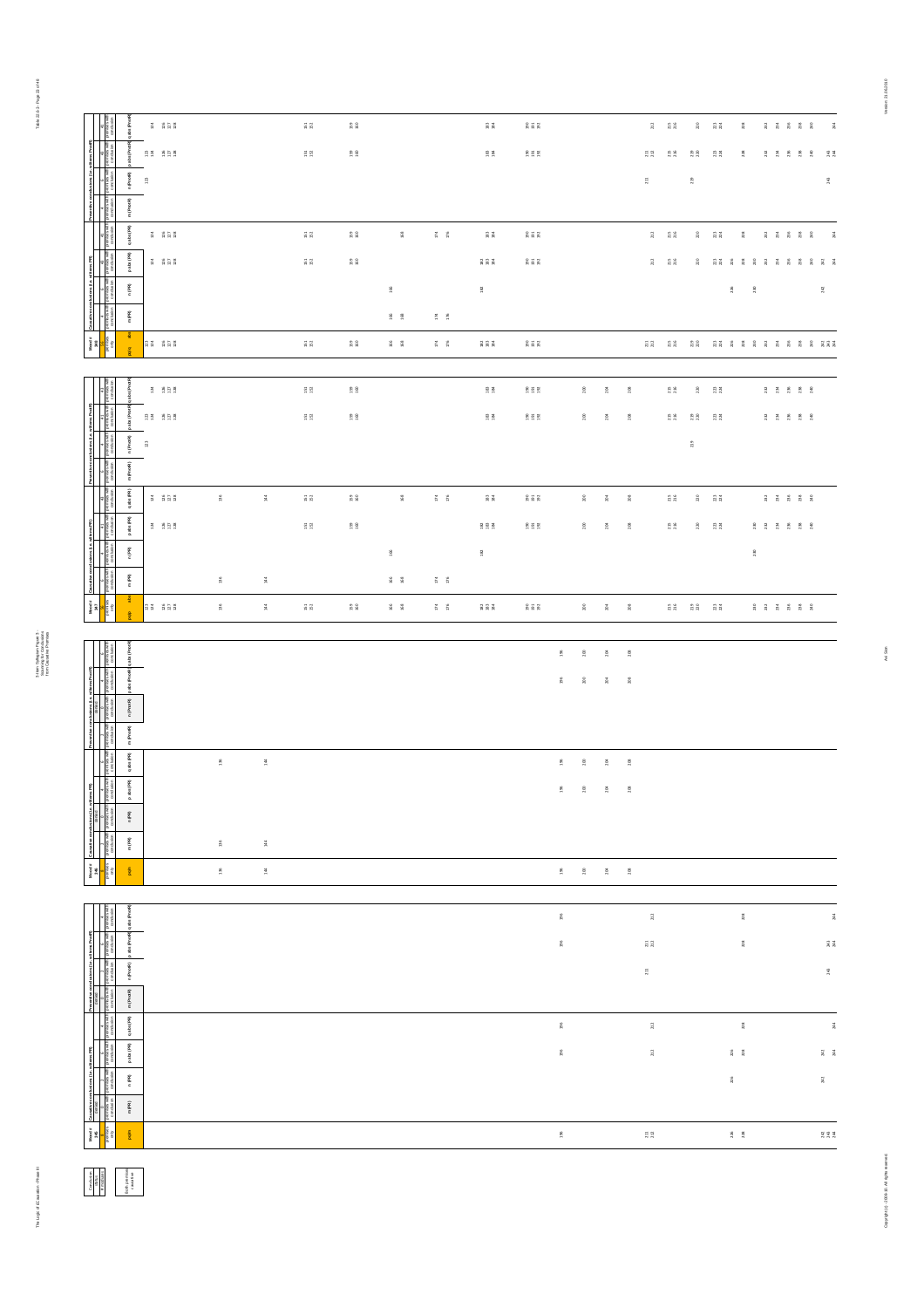|        |                 |                | $\frac{3}{2}$ $\frac{3}{2}$ $\frac{5}{2}$ $\frac{3}{2}$                                                                                                                                                                                                                 |                 |         |                    | 151                                                                                                                                                                     | S9<br>160                                              |                                                                                         |                                                                                                                                           | $\frac{23}{13}$                                                                | 253                                                                      |                 |             |                                                                                                                                                                                                                                                                                                                                                                                      |               |                                    | $\frac{22}{21}$ | $\beta$ $\beta$ $\beta$ |                                                                                                                                                                                                                                                                                                                                                                                                                                                               | $_{\rm 228}$                                                                                                                                                                                                                                                                                                                                                    |                    | $\begin{array}{cccccccccc} \Xi & \Xi & \Xi & \Xi & \Xi & \Xi \end{array}$ | $\frac{3}{2}$                                                                              |
|--------|-----------------|----------------|-------------------------------------------------------------------------------------------------------------------------------------------------------------------------------------------------------------------------------------------------------------------------|-----------------|---------|--------------------|-------------------------------------------------------------------------------------------------------------------------------------------------------------------------|--------------------------------------------------------|-----------------------------------------------------------------------------------------|-------------------------------------------------------------------------------------------------------------------------------------------|--------------------------------------------------------------------------------|--------------------------------------------------------------------------|-----------------|-------------|--------------------------------------------------------------------------------------------------------------------------------------------------------------------------------------------------------------------------------------------------------------------------------------------------------------------------------------------------------------------------------------|---------------|------------------------------------|-----------------|-------------------------|---------------------------------------------------------------------------------------------------------------------------------------------------------------------------------------------------------------------------------------------------------------------------------------------------------------------------------------------------------------------------------------------------------------------------------------------------------------|-----------------------------------------------------------------------------------------------------------------------------------------------------------------------------------------------------------------------------------------------------------------------------------------------------------------------------------------------------------------|--------------------|---------------------------------------------------------------------------|--------------------------------------------------------------------------------------------|
|        |                 |                | 83 888                                                                                                                                                                                                                                                                  |                 |         |                    | $\frac{51}{25}$                                                                                                                                                         | <b>59</b><br>160                                       |                                                                                         |                                                                                                                                           | $\frac{23}{23}$                                                                | 553                                                                      |                 |             |                                                                                                                                                                                                                                                                                                                                                                                      |               |                                    |                 |                         |                                                                                                                                                                                                                                                                                                                                                                                                                                                               |                                                                                                                                                                                                                                                                                                                                                                 |                    |                                                                           | 3333333                                                                                    |
|        |                 | $\overline{2}$ |                                                                                                                                                                                                                                                                         |                 |         |                    |                                                                                                                                                                         |                                                        |                                                                                         |                                                                                                                                           |                                                                                |                                                                          |                 |             |                                                                                                                                                                                                                                                                                                                                                                                      |               | $\overline{\bf a}$                 |                 | $_{219}$                |                                                                                                                                                                                                                                                                                                                                                                                                                                                               |                                                                                                                                                                                                                                                                                                                                                                 |                    |                                                                           | $\widetilde{\mathbf{z}}$                                                                   |
|        |                 |                |                                                                                                                                                                                                                                                                         |                 |         |                    |                                                                                                                                                                         |                                                        |                                                                                         |                                                                                                                                           |                                                                                |                                                                          |                 |             |                                                                                                                                                                                                                                                                                                                                                                                      |               |                                    |                 |                         |                                                                                                                                                                                                                                                                                                                                                                                                                                                               |                                                                                                                                                                                                                                                                                                                                                                 |                    |                                                                           |                                                                                            |
|        |                 |                | $\frac{3}{2}$ $\frac{3}{2}$ $\frac{5}{2}$ $\frac{3}{2}$                                                                                                                                                                                                                 |                 |         |                    | $\frac{53}{25}$                                                                                                                                                         | S9<br>160                                              |                                                                                         | $168$ $74$                                                                                                                                | $\frac{23}{23}$                                                                | 553                                                                      |                 |             |                                                                                                                                                                                                                                                                                                                                                                                      |               |                                    |                 |                         |                                                                                                                                                                                                                                                                                                                                                                                                                                                               |                                                                                                                                                                                                                                                                                                                                                                 |                    |                                                                           | a an an an an an an an                                                                     |
|        |                 |                | $\frac{3}{2}$ $\frac{3}{2}$                                                                                                                                                                                                                                             |                 |         |                    | 151                                                                                                                                                                     | S9<br>160                                              |                                                                                         |                                                                                                                                           | 223                                                                            | 553                                                                      |                 |             |                                                                                                                                                                                                                                                                                                                                                                                      |               |                                    |                 |                         |                                                                                                                                                                                                                                                                                                                                                                                                                                                               |                                                                                                                                                                                                                                                                                                                                                                 |                    |                                                                           | H HA R HA A A A A A A A A A                                                                |
|        | n (PR)          |                |                                                                                                                                                                                                                                                                         |                 |         |                    |                                                                                                                                                                         |                                                        | $\%$                                                                                    |                                                                                                                                           | $\widetilde{\mathfrak{A}}$                                                     |                                                                          |                 |             |                                                                                                                                                                                                                                                                                                                                                                                      |               |                                    |                 |                         |                                                                                                                                                                                                                                                                                                                                                                                                                                                               | $\begin{matrix} 2\sqrt{3} & 2\sqrt{3} \\ 2\sqrt{3} & 2\sqrt{3} \\ 2\sqrt{3} & 2\sqrt{3} \\ 2\sqrt{3} & 2\sqrt{3} \\ 2\sqrt{3} & 2\sqrt{3} \\ 2\sqrt{3} & 2\sqrt{3} \\ 2\sqrt{3} & 2\sqrt{3} \\ 2\sqrt{3} & 2\sqrt{3} \\ 2\sqrt{3} & 2\sqrt{3} \\ 2\sqrt{3} & 2\sqrt{3} \\ 2\sqrt{3} & 2\sqrt{3} \\ 2\sqrt{3} & 2\sqrt{3} \\ 2\sqrt{3} & 2\sqrt{3} \\ 2\sqrt{3}$ |                    |                                                                           | $\widetilde{\mathbf{x}}$                                                                   |
|        | $\frac{6}{\pi}$ |                |                                                                                                                                                                                                                                                                         |                 |         |                    |                                                                                                                                                                         |                                                        | $\mathop{\otimes} \limits_{{\mathbb{Z}}} \quad \mathop{\otimes} \limits_{{\mathbb{Z}}}$ | 菩 恩                                                                                                                                       |                                                                                |                                                                          |                 |             |                                                                                                                                                                                                                                                                                                                                                                                      |               |                                    |                 |                         |                                                                                                                                                                                                                                                                                                                                                                                                                                                               |                                                                                                                                                                                                                                                                                                                                                                 |                    |                                                                           |                                                                                            |
|        |                 |                | 33 353                                                                                                                                                                                                                                                                  |                 |         |                    | 151                                                                                                                                                                     | S9<br>160                                              | $166$<br>$163$                                                                          | $\frac{74}{176}$                                                                                                                          | 223                                                                            | 553                                                                      |                 |             |                                                                                                                                                                                                                                                                                                                                                                                      |               |                                    |                 |                         |                                                                                                                                                                                                                                                                                                                                                                                                                                                               |                                                                                                                                                                                                                                                                                                                                                                 |                    |                                                                           | HH HH HA HA HA HA HA HA HA                                                                 |
|        |                 |                |                                                                                                                                                                                                                                                                         |                 |         |                    |                                                                                                                                                                         |                                                        |                                                                                         |                                                                                                                                           |                                                                                |                                                                          |                 |             |                                                                                                                                                                                                                                                                                                                                                                                      |               |                                    |                 |                         |                                                                                                                                                                                                                                                                                                                                                                                                                                                               |                                                                                                                                                                                                                                                                                                                                                                 |                    |                                                                           |                                                                                            |
|        |                 |                | $\begin{array}{cc} \overline{\alpha} & \phantom{00} & \phantom{0} & \phantom{0} & \phantom{0} \\ \overline{\alpha} & \phantom{0} & \phantom{0} & \phantom{0} & \phantom{0} \\ \overline{\alpha} & \phantom{0} & \phantom{0} & \phantom{0} & \phantom{0} \\ \end{array}$ |                 |         |                    | $\stackrel{\scriptscriptstyle{1}}{\scriptscriptstyle{2}}\stackrel{\scriptscriptstyle{2}}{\scriptscriptstyle{3}}\stackrel{\scriptscriptstyle{3}}{\scriptscriptstyle{3}}$ | $\begin{smallmatrix} 0 & 0 \\ 0 & 0 \end{smallmatrix}$ |                                                                                         |                                                                                                                                           | $\frac{m}{16}$ is                                                              | $\begin{smallmatrix} 0 & \pi & \pi \\ \pi & \pi & \pi \end{smallmatrix}$ |                 | $_{\rm 20}$ | $\tilde{\mathbf{a}}$                                                                                                                                                                                                                                                                                                                                                                 | $\mathbbm{R}$ |                                    | $215$<br>$216$  |                         | $\begin{matrix} 2 & 3 \\ 3 & 4 \end{matrix}$                                                                                                                                                                                                                                                                                                                                                                                                                  |                                                                                                                                                                                                                                                                                                                                                                 |                    | $\begin{array}{cccccccccc} \Xi & \Xi & \Xi & \Xi & \Xi & \Xi \end{array}$ |                                                                                            |
|        |                 |                | 88 898                                                                                                                                                                                                                                                                  |                 |         |                    | S1 51                                                                                                                                                                   | 3800                                                   |                                                                                         |                                                                                                                                           | $\frac{28}{13}$                                                                | 888                                                                      |                 | $_{20}$     | $\overline{2}$                                                                                                                                                                                                                                                                                                                                                                       | $2\,08$       |                                    |                 | 88 88 83                |                                                                                                                                                                                                                                                                                                                                                                                                                                                               |                                                                                                                                                                                                                                                                                                                                                                 |                    | $\begin{array}{cccccccccc} \Xi & \Xi & \Xi & \Xi & \Xi & \Xi \end{array}$ |                                                                                            |
|        |                 | $\frac{3}{2}$  |                                                                                                                                                                                                                                                                         |                 |         |                    |                                                                                                                                                                         |                                                        |                                                                                         |                                                                                                                                           |                                                                                |                                                                          |                 |             |                                                                                                                                                                                                                                                                                                                                                                                      |               |                                    |                 | $_{\rm 219}$            |                                                                                                                                                                                                                                                                                                                                                                                                                                                               |                                                                                                                                                                                                                                                                                                                                                                 |                    |                                                                           |                                                                                            |
|        |                 |                |                                                                                                                                                                                                                                                                         |                 |         |                    |                                                                                                                                                                         |                                                        |                                                                                         |                                                                                                                                           |                                                                                |                                                                          |                 |             |                                                                                                                                                                                                                                                                                                                                                                                      |               |                                    |                 |                         |                                                                                                                                                                                                                                                                                                                                                                                                                                                               |                                                                                                                                                                                                                                                                                                                                                                 |                    |                                                                           |                                                                                            |
|        |                 |                | $\overline{\mathbf{a}}$ and                                                                                                                                                                                                                                             | $\mathbb{Z}$    |         | $\frac{1}{26}$     | រី វី                                                                                                                                                                   | $^{26}_{32}$                                           |                                                                                         | $\begin{array}{ccc}\n\mathbb{R} & \mathbb{R} & \mathbb{R} & \mathbb{R} \\ \mathbb{R} & \mathbb{R} & \mathbb{R} & \mathbb{R}\n\end{array}$ | $\stackrel{\leftrightarrow}{\approx}$ $\stackrel{\leftrightarrow}{\approx}$    | 853                                                                      |                 |             | $\begin{matrix} 2 & 3 & 3 \\ 3 & 4 & 3 \\ 3 & 3 & 3 \end{matrix}$                                                                                                                                                                                                                                                                                                                    |               |                                    | $215$<br>$216$  |                         | $\begin{array}{cc} 20 & 23 \\ 23 & 24 \end{array}$                                                                                                                                                                                                                                                                                                                                                                                                            |                                                                                                                                                                                                                                                                                                                                                                 |                    | $\begin{array}{cccccccccc} \Xi & \Xi & \Xi & \Xi & \Xi & \Xi \end{array}$ |                                                                                            |
|        |                 |                | 5.888                                                                                                                                                                                                                                                                   |                 |         |                    | SS 03                                                                                                                                                                   | 380                                                    |                                                                                         |                                                                                                                                           | $\begin{array}{c} 8 \\ 8 \\ 1 \end{array} \begin{array}{c} 8 \\ 1 \end{array}$ | 8.8.8                                                                    |                 |             | $\begin{matrix} 8 \\ 2 \\ 3 \\ 1 \end{matrix} \qquad \quad \begin{matrix} 8 \\ 3 \\ 2 \\ 3 \\ 2 \end{matrix} \qquad \quad \begin{matrix} 8 \\ 8 \\ 2 \\ 3 \\ 2 \end{matrix}$                                                                                                                                                                                                         |               |                                    | 215             |                         | $\begin{matrix} 8 \\ 10 \\ 11 \end{matrix} \quad \begin{matrix} 3 \\ 11 \\ 12 \end{matrix}$                                                                                                                                                                                                                                                                                                                                                                   |                                                                                                                                                                                                                                                                                                                                                                 | <b>A H A A A A</b> |                                                                           |                                                                                            |
|        | Ê               |                |                                                                                                                                                                                                                                                                         |                 |         |                    |                                                                                                                                                                         |                                                        | $166\,$                                                                                 |                                                                                                                                           | $^{\rm 182}$                                                                   |                                                                          |                 |             |                                                                                                                                                                                                                                                                                                                                                                                      |               |                                    |                 |                         |                                                                                                                                                                                                                                                                                                                                                                                                                                                               |                                                                                                                                                                                                                                                                                                                                                                 | $_{\rm 23}$        |                                                                           |                                                                                            |
|        |                 |                |                                                                                                                                                                                                                                                                         | 136             |         | $\frac{4}{3}$      |                                                                                                                                                                         |                                                        | $166$<br>$163$                                                                          | $\frac{74}{176}$                                                                                                                          |                                                                                |                                                                          |                 |             |                                                                                                                                                                                                                                                                                                                                                                                      |               |                                    |                 |                         |                                                                                                                                                                                                                                                                                                                                                                                                                                                               |                                                                                                                                                                                                                                                                                                                                                                 |                    |                                                                           |                                                                                            |
|        |                 |                | <b>BB</b> BB                                                                                                                                                                                                                                                            | $\mathbbmss{B}$ |         | $\frac{\pi}{2}$    | $\stackrel{\leftrightarrow}{\textrm{5B}}$                                                                                                                               | <b>S</b> 2                                             | $\mathbb{S}^2$ .                                                                        | $\frac{\pi}{10}$                                                                                                                          | $\widetilde{\mathbb{R}}$ $\widetilde{\mathbb{R}}$ $\widetilde{\mathbb{R}}$     | 858                                                                      |                 |             | $\begin{matrix} \hat{\mathbf{a}} & \mathbf{a} & \mathbf{a} \\ \mathbf{a} & \mathbf{a} & \mathbf{a} \end{matrix}$                                                                                                                                                                                                                                                                     |               |                                    |                 |                         | $\begin{tabular}{lllllllll} \multicolumn{2}{c}{\multicolumn{2}{c}c} & \multicolumn{2}{c}{\multicolumn{2}{c}c} & \multicolumn{2}{c}{\multicolumn{2}{c}c} & \multicolumn{2}{c}{\multicolumn{2}{c}c} & \multicolumn{2}{c}{\multicolumn{2}{c}c} & \multicolumn{2}{c}{\multicolumn{2}{c}c} & \multicolumn{2}{c}{\multicolumn{2}{c}c} & \multicolumn{2}{c}{\multicolumn{2}{c}c} & \multicolumn{2}{c}{\multicolumn{2}{c}c} & \multicolumn{2}{c}{\multicolumn{2}{c}c$ |                                                                                                                                                                                                                                                                                                                                                                 |                    |                                                                           |                                                                                            |
|        |                 |                |                                                                                                                                                                                                                                                                         |                 |         |                    |                                                                                                                                                                         |                                                        |                                                                                         |                                                                                                                                           |                                                                                |                                                                          |                 |             | $\begin{array}{cccccccccc} \mathbf{g} & & & \mathbf{g} & & & \mathbf{g} & & \mathbf{g} \\ & \mathbf{g} & & & \mathbf{g} & & & \mathbf{g} & & \mathbf{g} \\ \end{array}$                                                                                                                                                                                                              |               |                                    |                 |                         |                                                                                                                                                                                                                                                                                                                                                                                                                                                               |                                                                                                                                                                                                                                                                                                                                                                 |                    |                                                                           |                                                                                            |
|        |                 |                |                                                                                                                                                                                                                                                                         |                 |         |                    |                                                                                                                                                                         |                                                        |                                                                                         |                                                                                                                                           |                                                                                |                                                                          |                 |             | $\begin{matrix} 9 & & 0 \\ & 10 & \\ & 10 & \\ & 10 & \\ & 10 & \\ & 10 & \\ & 10 & \\ & 10 & \\ & 10 & \\ & 10 & \\ & 10 & \\ & 10 & \\ & 10 & \\ & 10 & \\ & 10 & \\ & 10 & \\ & 10 & \\ & 10 & \\ & 10 & \\ & 10 & \\ & 10 & \\ & 10 & \\ & 10 & \\ & 10 & \\ & 10 & \\ & 10 & \\ & 10 & \\ & 10 & \\ & 10 & \\ & 10 & \\ & 10 & \\ & 10 & \\ & 10 & \\ & 10 & \\ & 10 & \\ & 10$ |               |                                    |                 |                         |                                                                                                                                                                                                                                                                                                                                                                                                                                                               |                                                                                                                                                                                                                                                                                                                                                                 |                    |                                                                           |                                                                                            |
|        |                 |                |                                                                                                                                                                                                                                                                         |                 |         |                    |                                                                                                                                                                         |                                                        |                                                                                         |                                                                                                                                           |                                                                                |                                                                          |                 |             |                                                                                                                                                                                                                                                                                                                                                                                      |               |                                    |                 |                         |                                                                                                                                                                                                                                                                                                                                                                                                                                                               |                                                                                                                                                                                                                                                                                                                                                                 |                    |                                                                           |                                                                                            |
|        |                 |                |                                                                                                                                                                                                                                                                         |                 |         |                    |                                                                                                                                                                         |                                                        |                                                                                         |                                                                                                                                           |                                                                                |                                                                          |                 |             |                                                                                                                                                                                                                                                                                                                                                                                      |               |                                    |                 |                         |                                                                                                                                                                                                                                                                                                                                                                                                                                                               |                                                                                                                                                                                                                                                                                                                                                                 |                    |                                                                           |                                                                                            |
|        | $q$ ab s $(PR)$ |                |                                                                                                                                                                                                                                                                         |                 | 8 1 1 1 |                    |                                                                                                                                                                         |                                                        |                                                                                         |                                                                                                                                           |                                                                                |                                                                          |                 |             | $\begin{matrix} \mathfrak{A} & \mathfrak{A} & \mathfrak{A} & \mathfrak{A} \\ \mathfrak{A} & \mathfrak{A} & \mathfrak{A} & \mathfrak{A} \end{matrix}$                                                                                                                                                                                                                                 |               |                                    |                 |                         |                                                                                                                                                                                                                                                                                                                                                                                                                                                               |                                                                                                                                                                                                                                                                                                                                                                 |                    |                                                                           |                                                                                            |
|        | Ê               |                |                                                                                                                                                                                                                                                                         |                 |         |                    |                                                                                                                                                                         |                                                        |                                                                                         |                                                                                                                                           |                                                                                |                                                                          | $_{\rm 196}$    | $200\,$     | $\begin{matrix} 3 & 8 \\ 8 & 10 \end{matrix}$                                                                                                                                                                                                                                                                                                                                        |               |                                    |                 |                         |                                                                                                                                                                                                                                                                                                                                                                                                                                                               |                                                                                                                                                                                                                                                                                                                                                                 |                    |                                                                           |                                                                                            |
|        | abs)            |                |                                                                                                                                                                                                                                                                         |                 |         |                    |                                                                                                                                                                         |                                                        |                                                                                         |                                                                                                                                           |                                                                                |                                                                          |                 |             |                                                                                                                                                                                                                                                                                                                                                                                      |               |                                    |                 |                         |                                                                                                                                                                                                                                                                                                                                                                                                                                                               |                                                                                                                                                                                                                                                                                                                                                                 |                    |                                                                           |                                                                                            |
|        | n (PR)          |                |                                                                                                                                                                                                                                                                         | $\mathbf{3}$    |         | $\mathbb{R}^+$     |                                                                                                                                                                         |                                                        |                                                                                         |                                                                                                                                           |                                                                                |                                                                          |                 |             |                                                                                                                                                                                                                                                                                                                                                                                      |               |                                    |                 |                         |                                                                                                                                                                                                                                                                                                                                                                                                                                                               |                                                                                                                                                                                                                                                                                                                                                                 |                    |                                                                           |                                                                                            |
| Mood # | m(PR)           |                |                                                                                                                                                                                                                                                                         | $\mathbf{3}$    |         | $\frac{4}{\alpha}$ |                                                                                                                                                                         |                                                        |                                                                                         |                                                                                                                                           |                                                                                |                                                                          |                 |             | $\begin{matrix} 0 & 0 & 0 \\ 0 & 0 & 0 \\ 0 & 0 & 0 \\ 0 & 0 & 0 \\ 0 & 0 & 0 \\ 0 & 0 & 0 \\ 0 & 0 & 0 \\ 0 & 0 & 0 \\ 0 & 0 & 0 \\ 0 & 0 & 0 & 0 \\ 0 & 0 & 0 & 0 \\ 0 & 0 & 0 & 0 \\ 0 & 0 & 0 & 0 \\ 0 & 0 & 0 & 0 & 0 \\ 0 & 0 & 0 & 0 & 0 \\ 0 & 0 & 0 & 0 & 0 \\ 0 & 0 & 0 & 0 & 0 & 0 \\ 0 & 0 & 0 & 0 & 0 & 0 \\ 0 & 0$                                                     |               |                                    |                 |                         |                                                                                                                                                                                                                                                                                                                                                                                                                                                               |                                                                                                                                                                                                                                                                                                                                                                 |                    |                                                                           |                                                                                            |
|        |                 |                |                                                                                                                                                                                                                                                                         |                 |         |                    |                                                                                                                                                                         |                                                        |                                                                                         |                                                                                                                                           |                                                                                |                                                                          |                 |             |                                                                                                                                                                                                                                                                                                                                                                                      |               |                                    |                 |                         |                                                                                                                                                                                                                                                                                                                                                                                                                                                               |                                                                                                                                                                                                                                                                                                                                                                 |                    |                                                                           |                                                                                            |
|        |                 |                |                                                                                                                                                                                                                                                                         |                 |         |                    |                                                                                                                                                                         |                                                        |                                                                                         |                                                                                                                                           |                                                                                |                                                                          | $\frac{96}{10}$ |             |                                                                                                                                                                                                                                                                                                                                                                                      |               | $\widetilde{\mathbf{z}}$           |                 |                         |                                                                                                                                                                                                                                                                                                                                                                                                                                                               | $_{\rm 228}$                                                                                                                                                                                                                                                                                                                                                    |                    |                                                                           | $\frac{3}{2}$                                                                              |
|        |                 |                |                                                                                                                                                                                                                                                                         |                 |         |                    |                                                                                                                                                                         |                                                        |                                                                                         |                                                                                                                                           |                                                                                |                                                                          | $\frac{96}{20}$ |             |                                                                                                                                                                                                                                                                                                                                                                                      |               | $\stackrel{+}{\scriptstyle \to} 2$ |                 |                         |                                                                                                                                                                                                                                                                                                                                                                                                                                                               | $_{\rm 23}$                                                                                                                                                                                                                                                                                                                                                     |                    |                                                                           | $\stackrel{\scriptscriptstyle \alpha}{\approx} \stackrel{\scriptscriptstyle \pi}{\approx}$ |
|        |                 |                |                                                                                                                                                                                                                                                                         |                 |         |                    |                                                                                                                                                                         |                                                        |                                                                                         |                                                                                                                                           |                                                                                |                                                                          |                 |             |                                                                                                                                                                                                                                                                                                                                                                                      |               | $\mathbb{H}^-$                     |                 |                         |                                                                                                                                                                                                                                                                                                                                                                                                                                                               |                                                                                                                                                                                                                                                                                                                                                                 |                    |                                                                           | $\mathbb{R}^n$                                                                             |
|        |                 |                |                                                                                                                                                                                                                                                                         |                 |         |                    |                                                                                                                                                                         |                                                        |                                                                                         |                                                                                                                                           |                                                                                |                                                                          |                 |             |                                                                                                                                                                                                                                                                                                                                                                                      |               |                                    |                 |                         |                                                                                                                                                                                                                                                                                                                                                                                                                                                               |                                                                                                                                                                                                                                                                                                                                                                 |                    |                                                                           |                                                                                            |
|        | qabs (PR)       |                |                                                                                                                                                                                                                                                                         |                 |         |                    |                                                                                                                                                                         |                                                        |                                                                                         |                                                                                                                                           |                                                                                |                                                                          | $^{\rm 196}$    |             |                                                                                                                                                                                                                                                                                                                                                                                      |               | $\widetilde{\mathbf{z}}$           |                 |                         |                                                                                                                                                                                                                                                                                                                                                                                                                                                               | $_{\rm 228}$                                                                                                                                                                                                                                                                                                                                                    |                    |                                                                           | $\frac{4}{3}$                                                                              |
|        |                 |                |                                                                                                                                                                                                                                                                         |                 |         |                    |                                                                                                                                                                         |                                                        |                                                                                         |                                                                                                                                           |                                                                                |                                                                          | $\%$            |             |                                                                                                                                                                                                                                                                                                                                                                                      |               | $_{\rm 21}$                        |                 |                         |                                                                                                                                                                                                                                                                                                                                                                                                                                                               | $\begin{array}{c} 256 \\ \mathbf{23} \end{array}$                                                                                                                                                                                                                                                                                                               |                    |                                                                           | $\frac{2}{3} - \frac{4}{3}$                                                                |
|        | n (PR)          |                |                                                                                                                                                                                                                                                                         |                 |         |                    |                                                                                                                                                                         |                                                        |                                                                                         |                                                                                                                                           |                                                                                |                                                                          |                 |             |                                                                                                                                                                                                                                                                                                                                                                                      |               |                                    |                 |                         |                                                                                                                                                                                                                                                                                                                                                                                                                                                               | $_{\rm 2.8}$                                                                                                                                                                                                                                                                                                                                                    |                    |                                                                           | $_{\rm 20}$                                                                                |
|        |                 |                |                                                                                                                                                                                                                                                                         |                 |         |                    |                                                                                                                                                                         |                                                        |                                                                                         |                                                                                                                                           |                                                                                |                                                                          |                 |             |                                                                                                                                                                                                                                                                                                                                                                                      |               |                                    |                 |                         |                                                                                                                                                                                                                                                                                                                                                                                                                                                               |                                                                                                                                                                                                                                                                                                                                                                 |                    |                                                                           |                                                                                            |
|        |                 |                |                                                                                                                                                                                                                                                                         |                 |         |                    |                                                                                                                                                                         |                                                        |                                                                                         |                                                                                                                                           |                                                                                |                                                                          |                 |             | 196                                                                                                                                                                                                                                                                                                                                                                                  |               | $\Xi$ $\Xi$                        |                 |                         |                                                                                                                                                                                                                                                                                                                                                                                                                                                               | $\begin{array}{c} 256 \\ 23 \end{array}$                                                                                                                                                                                                                                                                                                                        |                    |                                                                           | 233                                                                                        |

 $\frac{226}{228}$ 

Copyright (c) - 2008-10. All rights reserved. Avi Sion Version: 21.06.2010

 $M$  Sion

96.2010 ĕ

 $m(\theta R)$  $\frac{g}{\mathbf{k}}$  $^{\rm 196}$ 

3-tem Sytogism Figure 3-<br>Saaming for Candusions<br>from Causative Premises Scanning for Conclusions from Causative Premises

Table 22.6-3 - Page 23 of 48

The Logic of Economic of Economic of Economic of Economic Sylvism Figure 3 - Phase III 3-Item Sylvism Figure 3 - Phase III 30-Item Sylvism Figure 3 - Phase III 3-Item Sylvism Figure 3 - Phase III 3-Item Sylvism Figure 3 - Lasted

Conclusion status # moduses causative Both premises

 $\begin{array}{c} \text{Mood} \\ \text{345} \end{array}$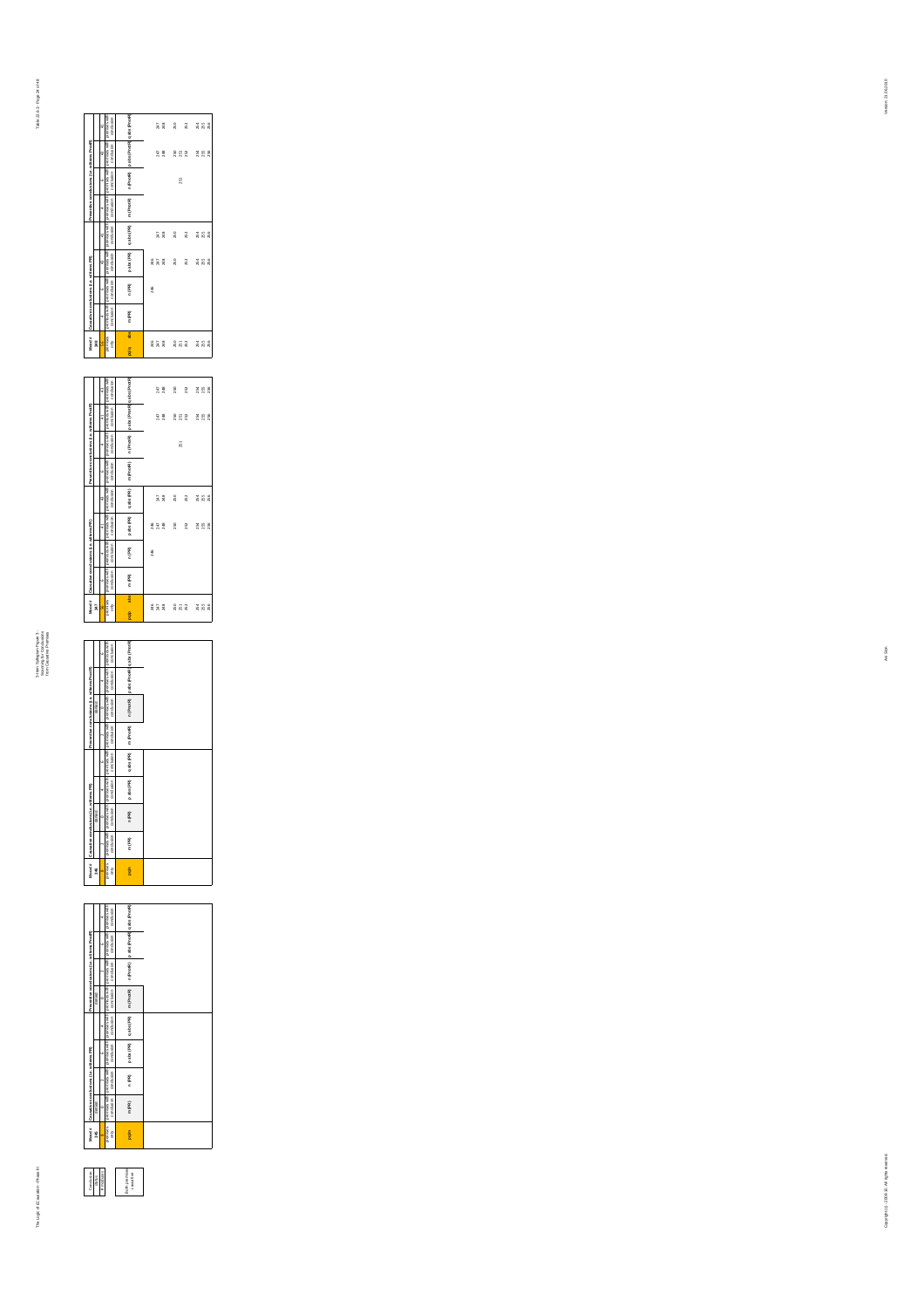Conclusion status # moduses causative Both premises

|                                                 |               | ą  | DON'T SO 5 WITH<br>operation                                          | (Proot R) a abs (P notR)       | 247<br>248                         | 250 | 252        |
|-------------------------------------------------|---------------|----|-----------------------------------------------------------------------|--------------------------------|------------------------------------|-----|------------|
|                                                 |               | ş  | 200mm on WITH<br>oondusion                                            | pabs                           | 248<br>ã                           | 250 | 51<br>252  |
|                                                 |               |    | premises with<br>candusion                                            | n (ProtR)                      |                                    |     | ä          |
| Preventive conclusions (i.e. witems Prooff)     |               |    | promises with<br>conclusion                                           | m (ProtR)                      |                                    |     |            |
|                                                 |               | ş  | premises with<br>oondusion                                            | qabs (PR)                      | 247<br>248                         | 250 | 252        |
|                                                 |               | Ş  | promises with<br>oondusion                                            | pabs (PR)                      | $\frac{1}{2}$<br>246<br>248        | 250 | 252        |
|                                                 |               |    | promises with<br>candusion                                            | n (PR)                         | 346                                |     |            |
| Causaive conclusions (i.e. wiltems PR)          |               |    | onmises with<br>conclusion                                            | $\frac{m(PR)}{E}$              |                                    |     |            |
| tool?                                           | ę             | 36 | D/01/11 905<br>ĝ                                                      | å<br>pola                      | 246<br>$\frac{2}{3}$ $\frac{2}{3}$ |     | <b>SS3</b> |
|                                                 |               |    |                                                                       |                                |                                    |     |            |
|                                                 |               | Ş  | premises with<br>oondusion                                            | pates (Pn ofR) q alss (PnotR)  | à g                                | 20  | 32         |
|                                                 |               | ş  | promises with<br>candusian                                            |                                | 2.8                                |     | 858        |
| Preventive conclusions (i.e. wiltems PnotR)     |               |    | DYRITTI SIG WITH<br>conclusion                                        | n (Prooft)                     |                                    |     | 31         |
|                                                 |               |    | promises with<br>oondusion                                            | m (Proot R)                    |                                    |     |            |
|                                                 |               | ş  | promises with<br>candusion                                            | qabs (PR)                      | à g                                | 30  | S          |
|                                                 |               | ş  | promises with<br>conclusion                                           | p abs (PR)                     | $\overline{2}$<br>246<br>248       | 290 | 32         |
| Causative conclusions (i.e. witems PR)          |               |    | Dream ses with<br>operation                                           | n (PR)                         | 246                                |     |            |
|                                                 |               |    | premises with<br>oondusion                                            | m (PR)                         |                                    |     |            |
| Mood#                                           | à             | 56 | premises<br>ğ                                                         | ă<br>å                         | 222                                |     | និងី       |
|                                                 |               |    |                                                                       |                                |                                    |     |            |
|                                                 |               |    |                                                                       |                                |                                    |     |            |
|                                                 |               |    | CYOTH SOS WITH<br>conclusion                                          |                                |                                    |     |            |
|                                                 |               |    | DYNTH SAS WITH<br>operation                                           | pates (Prooff) quites (Prooff) |                                    |     |            |
|                                                 | denied        |    | ロック きゅうしゃ<br>oondusion                                                | n (Pro IR)                     |                                    |     |            |
| Preventive con dusions (i.e. w/items P notR)    |               |    | promises with<br>candusion                                            | m (ProtR)                      |                                    |     |            |
|                                                 |               |    | premises with<br>conclusion                                           | $q$ abs $(PR)$                 |                                    |     |            |
|                                                 |               |    | promises with<br>oondusion                                            | (PR)<br>p abs                  |                                    |     |            |
| (i.e. w/toms PR)                                | denied        |    | oondusion                                                             | n@R                            |                                    |     |            |
| Causative conclusions                           |               |    | uply see usually contained<br>condusion                               | m (PR)                         |                                    |     |            |
| Mood #                                          | ×             |    | DYNAMI SAMS<br>only                                                   | å                              |                                    |     |            |
|                                                 |               |    |                                                                       |                                |                                    |     |            |
|                                                 |               |    | condusion                                                             |                                |                                    |     |            |
|                                                 |               |    | candusion                                                             | pates (ProtR) qabs (ProtR)     |                                    |     |            |
|                                                 |               |    | conclusion                                                            | n (Prooft)                     |                                    |     |            |
| Preventive conclusions (i.e., wiltems Profit)   | dining        |    | premises with premises with premises with premises with<br>oorclusion | m (ProofR)                     |                                    |     |            |
|                                                 |               |    | premises with<br>oondusion                                            | qabs (PR)                      |                                    |     |            |
|                                                 |               |    | condusion                                                             | pates (PR)                     |                                    |     |            |
|                                                 |               |    | promises with premises with<br>conclusion                             | n (PR)                         |                                    |     |            |
| ausative conclusions (i.e. witems PR)<br>food # | dicied<br>345 |    | hey also may<br>operchasines<br>remises<br>ă                          | m(m)<br>in 19                  |                                    |     |            |

| Mood #           |           | Causative conclusions (i.e. wittens PR)  |                            |            |                                          | Preventive con dusions (i.e. w/ltems ProfR) |                             |                                         |
|------------------|-----------|------------------------------------------|----------------------------|------------|------------------------------------------|---------------------------------------------|-----------------------------|-----------------------------------------|
| ž                |           | denied                                   |                            |            |                                          | denied                                      |                             |                                         |
| ĸ                |           |                                          |                            |            |                                          | c                                           |                             |                                         |
| promises<br>cely | condusion | premises with premises with<br>oondusion | premises with<br>oondusion | conclusion | premises with premises with<br>candusion | premises with<br>oondusion                  | premisers with<br>operation | promises with<br>conclusion             |
| å                | m (PR)    | n (PR)                                   | pabs (PR)                  | qabs (PR)  | m (Prooff)                               |                                             |                             | n (Pno IR) patra (PnofR) q alsa (PnofR) |
|                  |           |                                          |                            |            |                                          |                                             |                             |                                         |
|                  |           |                                          |                            |            |                                          |                                             |                             |                                         |

Scanning for Conclusions from Causative Premises

3-lam Sylogian Figure 3<br>Scaming for Conduisons<br>from Causalé Premises

Table 22.6-3 - Page 24 of 48

Table 22.6-3 - Page 24 of 48

|                                                |   | ş  | promised<br>oorclus           |                             |       | 异类         | ă   |      | š   | 553               |  |
|------------------------------------------------|---|----|-------------------------------|-----------------------------|-------|------------|-----|------|-----|-------------------|--|
|                                                |   | ş  | promises with<br>oondusion    | pates (PnotR) q also (P)    |       | 243<br>248 |     | និងី |     | 558               |  |
| Preventive conclusion s (i.e., willems Prooff) |   |    | promises with<br>candusion    | n (Prooff)                  |       |            |     | ä    |     |                   |  |
|                                                |   |    | promises with<br>oorclusion   | m (Prooft)                  |       |            |     |      |     |                   |  |
|                                                |   | ş  | premises with<br>oondusion    | qabs (PR)                   |       | 243<br>248 | 30  |      | 32  | 558               |  |
|                                                |   | ą  | premises with<br>oondusion    | pabs (PR)                   | 223   |            | 250 |      | 252 | 558               |  |
|                                                |   |    | premises with<br>candusion    | n (PR)                      | 3í6   |            |     |      |     |                   |  |
| Causaire conclusions (i.e. wiltems PR)         |   |    | premises with<br>conclusion   | $\frac{m(PR)}{R}$           |       |            |     |      |     |                   |  |
| Mood #                                         | Ĩ | 36 | premises<br>ğ                 | <b>Sep</b><br>å             | 252   |            |     | និងី |     | 558               |  |
|                                                |   |    |                               |                             |       |            |     |      |     |                   |  |
|                                                |   | ş  | premises with<br>oondusion    |                             |       | 异翼         | 30  |      | 32  | ងី គី គី          |  |
| Preventive conclusions (i.e. wiltems PnotR)    |   | ş  | promises with<br>candusian    | pates (Pn ofR) qabs (PnotR) |       | 2 8        |     | 858  |     | 388               |  |
|                                                |   |    | Dream sessivery<br>conclusion | n (Prooff)                  |       |            |     | 51   |     |                   |  |
|                                                |   |    | promises with<br>oondusion    | m (Proot R)                 |       |            |     |      |     |                   |  |
|                                                |   | ş  | premises with<br>canalusion   | qabs (PR)                   |       | 异翼         | g   |      | 32  | <b>អី</b> អ៊ី អ៊ី |  |
|                                                |   | ş  | promises with<br>canclusian   | p abs (PR)                  | 黑黑黑   |            | 8   |      | ă   | 528               |  |
|                                                |   |    | premises with<br>oorchasion   | n (PR)                      | 246   |            |     |      |     |                   |  |
| Causative conclusions (i.e., willems PR)       |   | v  | ow as annoc<br>oondusion      | m (PR)                      |       |            |     |      |     |                   |  |
| Mood#                                          | à | 36 | premises<br>orly              | abs.<br>å                   | ೫ ೫ ೫ |            |     | និងី |     | <b>358</b>        |  |

| ×          |                             | Causaive con dusions (i.e. witems PR) |                            |                            |                             | Preventive conclusions (i.e. wilterns Proof?) |                                |                            |  |
|------------|-----------------------------|---------------------------------------|----------------------------|----------------------------|-----------------------------|-----------------------------------------------|--------------------------------|----------------------------|--|
|            |                             |                                       |                            |                            |                             |                                               |                                |                            |  |
|            | ۰                           | é                                     | ş                          | ş                          | ۰                           | ø                                             | ş                              | ş                          |  |
| lе         | premises with<br>conclusion | promises with<br>candusion            | premises with<br>oondusion | premises with<br>oondusion | promises with<br>conclusion | promises with<br>candusion                    | premises with<br>oondusion     | 199 positions<br>operation |  |
| <b>Sep</b> | m(PR)                       | n (PR)                                | pabs (PR)                  | qabs (PR)                  | $m(P \text{ model})$        | n (Prooff)                                    | pates (Priot R) q abs (P notR) |                            |  |
|            |                             | g                                     | 246<br>247                 | 247                        |                             |                                               |                                |                            |  |
|            |                             |                                       |                            | 248                        |                             |                                               | 243                            | 243<br>248                 |  |
|            |                             |                                       | 250                        | 250                        |                             |                                               | 250                            | 250                        |  |
|            |                             |                                       | 252                        | 252                        |                             | ä                                             | $\frac{5}{2}$<br>252           | 252                        |  |
|            |                             |                                       | 35<br>255                  | 254                        |                             |                                               |                                |                            |  |
|            |                             |                                       |                            | 255                        |                             |                                               | 254<br>255                     | 254<br>255                 |  |
|            |                             |                                       | <b>TELE</b>                | <b>TELE</b>                |                             |                                               | <b>TEG</b>                     | <b>TELE</b>                |  |

Avi Sion

Copyright (c) - 2008-10. All rights reserve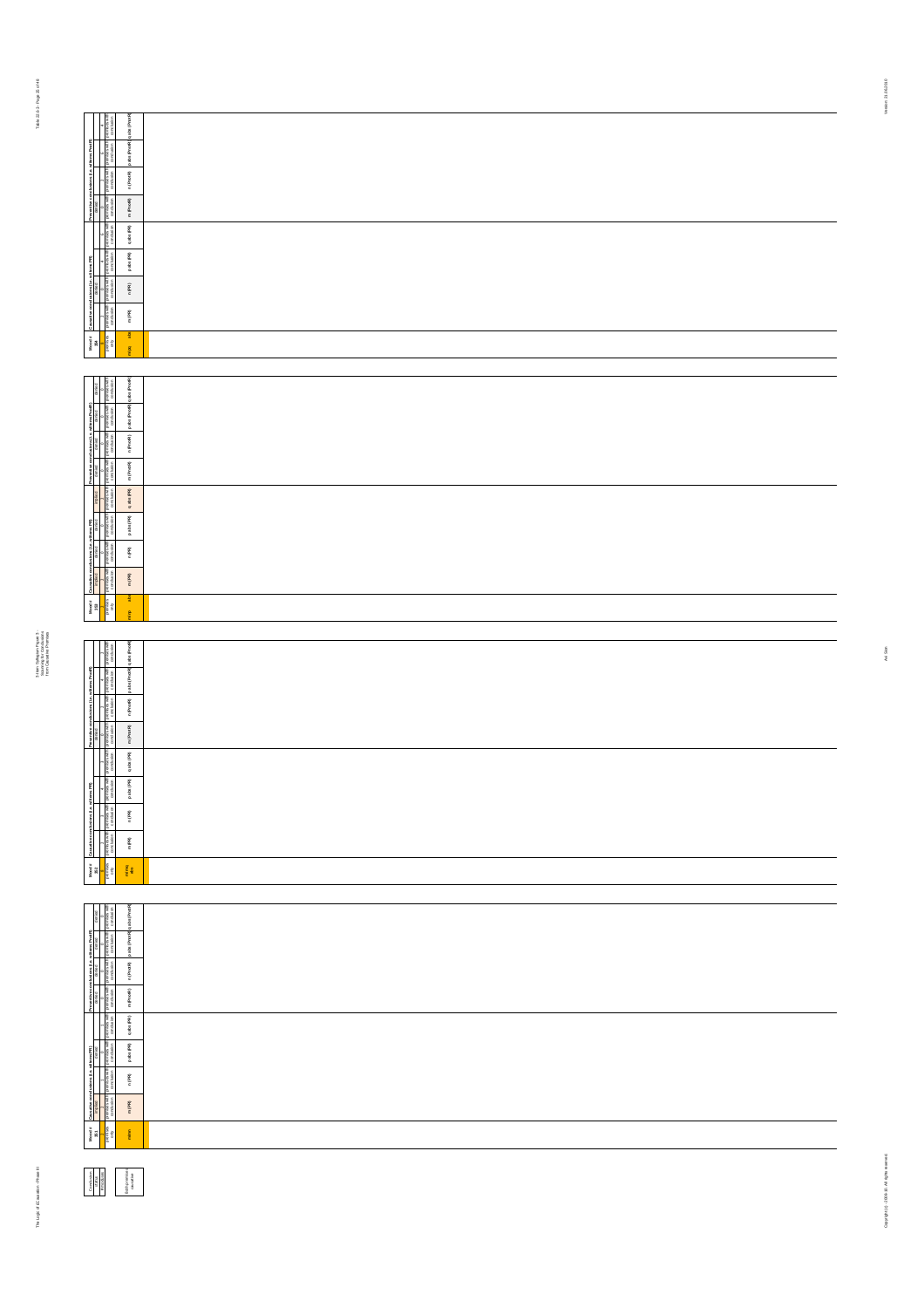Table 22.6-3 - Page 25 of 48

de22.63-Page 25of 48

|                                        |                | ٩<br>$\mathbf{r}$                                 |  |
|----------------------------------------|----------------|---------------------------------------------------|--|
|                                        | 传              | s<br>$\Omega$                                     |  |
| con dusions (i.e. witems ProfR)        |                | $\widehat{\S}$<br>s<br>$\epsilon$                 |  |
| 뵑                                      | Ĕ              | $\hat{z}$<br>€                                    |  |
|                                        | ł              | $\frac{1}{2}$<br>$\ddot{\phantom{0}}$<br>$\sigma$ |  |
|                                        |                | $_{\rm ss}$ (PR)<br>$\Omega$                      |  |
| Causative conclusions (i.e. w/tems PR) |                | $\frac{\mathcal{C}}{\mathcal{C}}$<br>$\epsilon$   |  |
|                                        | Ę<br>promise   | @<br>€                                            |  |
|                                        | $\frac{4}{35}$ | <b>M</b>                                          |  |

|                                                                         | $rac{3}{20}$<br>premise<br>oondu                          | $\bullet$<br>ä<br>÷<br>۵                                   |  |
|-------------------------------------------------------------------------|-----------------------------------------------------------|------------------------------------------------------------|--|
|                                                                         | $\frac{6}{3}$ g<br>upung<br>Remise                        | €<br>$\Omega$                                              |  |
| reventive conclusions (i.e. witters Prot R)<br>dinied dinied dinied     | $rac{1}{3}$<br>ra with promises<br>alon conclus           | $\widehat{\mathbf{g}}$<br>훌                                |  |
|                                                                         |                                                           | ₹.<br>s<br>$\epsilon$                                      |  |
|                                                                         | a with promises with premises                             | $\widehat{\mathsf{g}}$<br>$\frac{a}{\sigma}$               |  |
|                                                                         |                                                           | $\frac{\varepsilon}{\varepsilon}$<br>٠<br>-9<br>$\ddot{a}$ |  |
| Causathe conclusions (i.e. willems PR)<br>Implied director (i.e. order) | 0<br>swith promises with promise<br>sion occulusion condu | $\frac{1}{n}$ (PR)                                         |  |
|                                                                         | comba<br>comba                                            | Ê<br>€                                                     |  |
| $Mood$ #                                                                | antison<br>only                                           | 4                                                          |  |

| n (PnotR) pates (PnotR) qabs (P<br>comises with<br>condusion<br>$m$ (Prooff)<br>premises with<br>condusion<br>Preventive<br>6<br>promises with<br>conclusion<br>$q$ ab s $\langle \mathsf{PR} \rangle$<br>p abs (PR)<br>4<br>comises with<br>condusion<br>sions (i.e. w/kems PR)<br>premises with<br>condusion<br>$_{\alpha \varphi \eta}$<br>Causative concli<br>promises with<br>candusian<br>$\mathfrak{m}(\mathsf{PR})$<br>情<br>Mood #<br>pomissa<br>only<br>¥                                                                                                                                                                                                                        |  |  |
|-------------------------------------------------------------------------------------------------------------------------------------------------------------------------------------------------------------------------------------------------------------------------------------------------------------------------------------------------------------------------------------------------------------------------------------------------------------------------------------------------------------------------------------------------------------------------------------------------------------------------------------------------------------------------------------------|--|--|
| pabs (ProtR) q abs (Prot<br>premises<br>condusi<br>Prot <sup>ED</sup><br>premises with<br>condusion<br>w/lorms f<br>premises with<br>conclusion<br>lusions (Le.<br>$n$ (ProofR)<br>Preventive come<br>dirivid<br>promises with<br>conclusion<br>m (Proot R)<br>premises with<br>condusion<br>q abs (PR)<br>0<br>ramises with<br>candusion<br>pada den q<br>wms PR)<br>deried<br>0<br>comises with<br>conclusion<br>ausalve conclusions (i.e.:<br>Implied<br>$\frac{\widehat{\mathbf{g}}}{n}$<br>comises with<br>condusion<br>$\frac{\partial}{\partial t}$<br>å<br>$\begin{array}{c}\n\text{Mood if} \\ 353\n\end{array}$<br>premises<br>only<br>ł                                        |  |  |
| m (PhoeR) in (PhotR) is also (P noeR) q also (PhoeR)<br>premises<br>condus<br>Pro tR<br>a<br>promises with<br>conclusion<br>sions (i.e. w.ltoms<br>2<br>comises with<br>condusion<br>Preventive con<br>operator of the main of the state of the control of the state of the control of conduction of conduction of the conduction of conduction of conduction of conduction of conduction of conduction of conduction of conduction o<br>qabs (PR)<br>$p$ abs $\left( \mathsf{PR}\right)$<br>ems <sub>PR)</sub><br>lors (i.e. wite<br>$n$ (PR)<br>Causative conclus<br>2<br>premises with<br>condusion<br>$\frac{8}{6}$<br>Mood #<br>352<br>pomissa<br>ody<br>$\frac{g}{4}$ $\frac{g}{4}$ |  |  |
| n (Prooft) pubs (Prot R) quites (Pr<br>$m$ (ProofR)<br>$p$ abs (PR) $q$ abs (PR)<br>xemises with<br>conclusion<br>tms PR)<br>premises with<br>candusion<br>$\mathfrak{n}(\mathsf{PR})$<br>$m(\theta R)$                                                                                                                                                                                                                                                                                                                                                                                                                                                                                   |  |  |

| 4<br>remises with<br>corclusion<br>qabs (PnofR)                                                                                                                                                                                                                                                                                                                                                                                               |  |
|-----------------------------------------------------------------------------------------------------------------------------------------------------------------------------------------------------------------------------------------------------------------------------------------------------------------------------------------------------------------------------------------------------------------------------------------------|--|
| Presentino conclusions (i.e. willense Proces)<br>- corrier and with promise with premise with promise<br>- h. conclusion   conclusion   conclusion   conclusion<br>pates (Proot                                                                                                                                                                                                                                                               |  |
| n (PnofR)                                                                                                                                                                                                                                                                                                                                                                                                                                     |  |
|                                                                                                                                                                                                                                                                                                                                                                                                                                               |  |
| $p$ also $(PR)$ q ab s $(PR)$ m $(P \text{ node})$<br>6<br>promises with<br>conclusion                                                                                                                                                                                                                                                                                                                                                        |  |
|                                                                                                                                                                                                                                                                                                                                                                                                                                               |  |
| $_{\rm n}$ $\varphi$ es                                                                                                                                                                                                                                                                                                                                                                                                                       |  |
| $\mathfrak{g}_{\mathfrak{m}}$                                                                                                                                                                                                                                                                                                                                                                                                                 |  |
| Mood Cassamoeconclusions (i.e. w. Nems PR)<br>354 – Premise van premise van premise van premise van premise van premise van premise van premise van premise<br>premise premise van conclusion conclusion<br>$\frac{3}{4}$<br>Į                                                                                                                                                                                                                |  |
|                                                                                                                                                                                                                                                                                                                                                                                                                                               |  |
| pate (ProtR) qabs (Prot                                                                                                                                                                                                                                                                                                                                                                                                                       |  |
|                                                                                                                                                                                                                                                                                                                                                                                                                                               |  |
| $n$ (P rooff)                                                                                                                                                                                                                                                                                                                                                                                                                                 |  |
| m (ProotR)                                                                                                                                                                                                                                                                                                                                                                                                                                    |  |
| Mood Canadia cockions (a when PR)<br>$\frac{1}{\sqrt{2\pi}}$ and $\frac{1}{\sqrt{2\pi}}$ and $\frac{1}{\sqrt{2\pi}}$ and $\frac{1}{\sqrt{2\pi}}$ and $\frac{1}{\sqrt{2\pi}}$ and $\frac{1}{\sqrt{2\pi}}$ and $\frac{1}{\sqrt{2\pi}}$ and $\frac{1}{\sqrt{2\pi}}$ and $\frac{1}{\sqrt{2\pi}}$ and $\frac{1}{\sqrt{2\pi}}$ a<br>q abs (PR)                                                                                                      |  |
| pabs (PR)                                                                                                                                                                                                                                                                                                                                                                                                                                     |  |
| $\frac{1}{n}$ (PR)                                                                                                                                                                                                                                                                                                                                                                                                                            |  |
| $\frac{\partial}{\partial t}$                                                                                                                                                                                                                                                                                                                                                                                                                 |  |
| $\ddot{\bullet}$<br>ł                                                                                                                                                                                                                                                                                                                                                                                                                         |  |
|                                                                                                                                                                                                                                                                                                                                                                                                                                               |  |
| Preventivo conclusions (La Wilens Pro 65)<br>- Genia<br>pomitas vitin pormaia vita pomitas vita ja granaca vita<br>- pondialon - pondialon - ponchialon - condialon<br>qabs (ProfR)                                                                                                                                                                                                                                                           |  |
| pates (Proof)                                                                                                                                                                                                                                                                                                                                                                                                                                 |  |
| n (ProtR)                                                                                                                                                                                                                                                                                                                                                                                                                                     |  |
| $m$ (Pn ofR)                                                                                                                                                                                                                                                                                                                                                                                                                                  |  |
| premises with<br>condusion<br>qabs (PR)                                                                                                                                                                                                                                                                                                                                                                                                       |  |
| $p$ ab s $\left( \mathsf{PR}\right)$                                                                                                                                                                                                                                                                                                                                                                                                          |  |
| $_{\rm n}$ (PR)                                                                                                                                                                                                                                                                                                                                                                                                                               |  |
| $\begin{tabular}{ c c c } \hline \textbf{Nood } \textbf{\textit{B}} & \textbf{C} \textbf{S} \textbf{as} \textbf{a} \textbf{b} \textbf{b} \textbf{c} \textbf{c} \textbf{c} \textbf{c} \textbf{c} \textbf{c} \textbf{b} \textbf{c} \textbf{c} \textbf{b} \textbf{c} \textbf{b} \textbf{b} \textbf{b} \textbf{b} \textbf{b} \textbf{c} \textbf{b} \textbf{c} \textbf{b} \textbf{c} \textbf{c} \textbf{b} \textbf{c} \textbf{c}$<br>$m \varphi R$ |  |
| $\frac{g}{\pi}$ is                                                                                                                                                                                                                                                                                                                                                                                                                            |  |
|                                                                                                                                                                                                                                                                                                                                                                                                                                               |  |
|                                                                                                                                                                                                                                                                                                                                                                                                                                               |  |
|                                                                                                                                                                                                                                                                                                                                                                                                                                               |  |
|                                                                                                                                                                                                                                                                                                                                                                                                                                               |  |
|                                                                                                                                                                                                                                                                                                                                                                                                                                               |  |
|                                                                                                                                                                                                                                                                                                                                                                                                                                               |  |
| <b>Provenies considerate Andre Constantine (Constant)</b><br>permanental permanental permanental permanental permanental<br>constantine (constant) constantine (constantine permanental permanental<br>constantine (constant) constantine<br>quint (PR) in (Prooft) in (Prooft) public (Prooft) quint (Pr                                                                                                                                     |  |
| $p$ abs $\langle \theta R \rangle$                                                                                                                                                                                                                                                                                                                                                                                                            |  |
| $\begin{array}{l} 1 \\ \text{pramian with} \\ \text{conditions with} \\ \text{conditions} \\ \text{conditions} \\ \text{conditions} \end{array}$<br>$_{\rm n}$ (e,e)                                                                                                                                                                                                                                                                          |  |
| Mood # Causative conductions (i.e. w/kenne PR)<br>351 = This Mood = 1<br>20100 = 2<br>promises with<br>$\frac{6}{10}$<br>promises<br>only<br>$\frac{1}{2}$                                                                                                                                                                                                                                                                                    |  |

Conclusion<br># moduses<br>xh premis<br>causative Both premises

Copyright (c) - 2008-10. All rights reserved. Avi Sion Version: 21.06.2010

 $rac{6}{3}$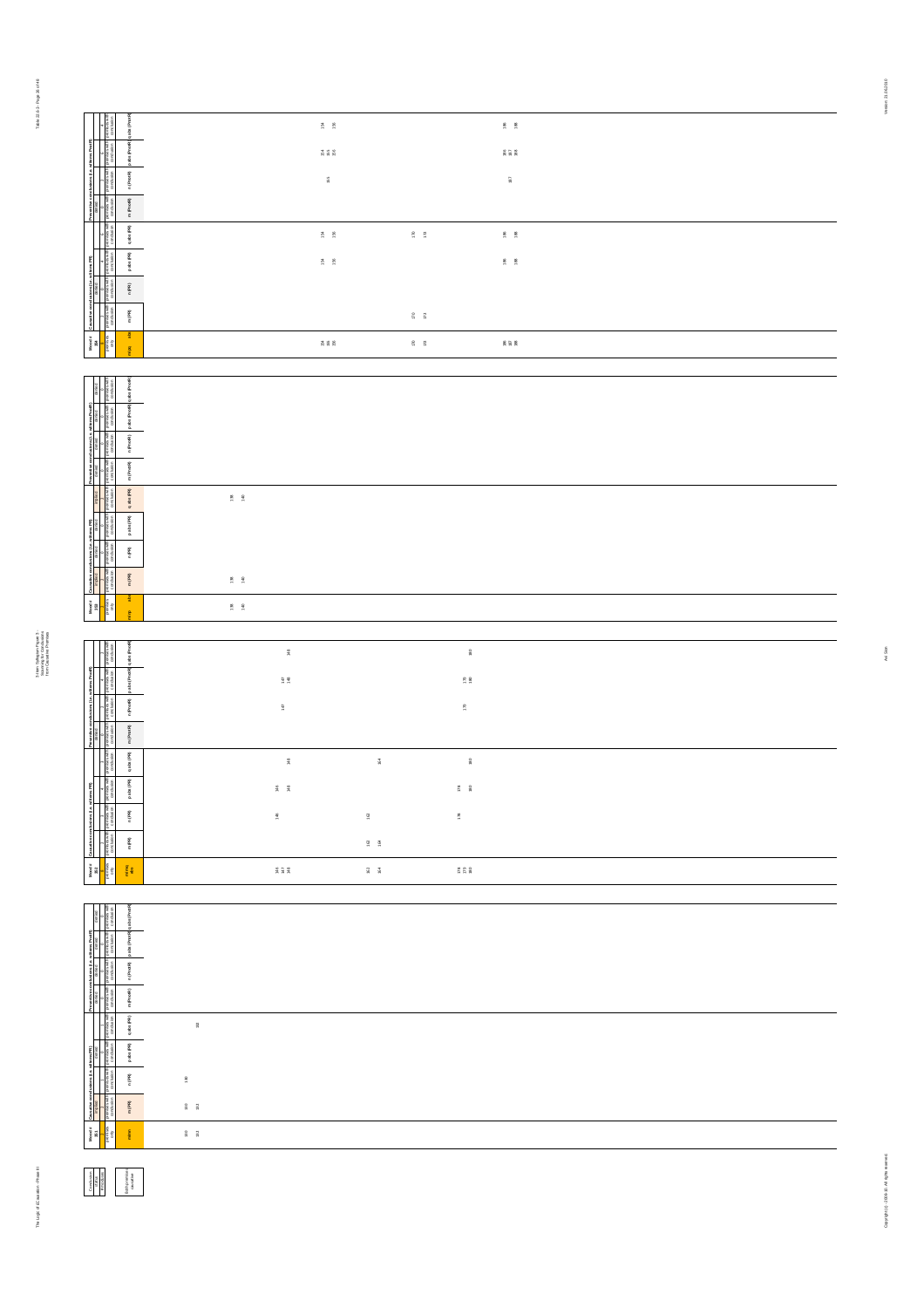|            |  | ă<br>큷 | R) qabs (Pn |
|------------|--|--------|-------------|
| ms Prooff) |  |        | e<br>B      |
| (i.e. wite |  | š<br>š | ŝ           |

Table 22.6-3 - Page 26 of 48

Table 22.6-3 - Page 26 of 48

| astes (Proce                                                                                                                           |                                                           |                                          | $\frac{3}{10}$ – $\frac{3}{10}$ |                                                 |                               |                                                                                                                         | $\frac{8}{10}$ – $\frac{8}{10}$                                     |  |  |  |
|----------------------------------------------------------------------------------------------------------------------------------------|-----------------------------------------------------------|------------------------------------------|---------------------------------|-------------------------------------------------|-------------------------------|-------------------------------------------------------------------------------------------------------------------------|---------------------------------------------------------------------|--|--|--|
| ventive condusions (i.e. witems Prodit)<br>dented                                                                                      |                                                           |                                          | $\frac{3}{2}$ is in             |                                                 |                               |                                                                                                                         | $\begin{smallmatrix} 8 & 8 \\ 20 & 10 \\ 11 & 10 \end{smallmatrix}$ |  |  |  |
| ę                                                                                                                                      |                                                           |                                          | $155\,$                         |                                                 |                               |                                                                                                                         | $^{\rm 187}$                                                        |  |  |  |
|                                                                                                                                        |                                                           |                                          |                                 |                                                 |                               |                                                                                                                         |                                                                     |  |  |  |
| $p$ also (PR) $q$ also (PR) $\left  m$ (P nodR)                                                                                        |                                                           |                                          | $\frac{3}{12}-\frac{3}{12}$     |                                                 | $\frac{1}{2}$ $\frac{1}{2}$   |                                                                                                                         | $\frac{8}{10}$ – $\frac{8}{10}$                                     |  |  |  |
|                                                                                                                                        |                                                           |                                          | $\frac{34}{156}$                |                                                 |                               |                                                                                                                         | $\begin{array}{cc} 38 \\ 38 \end{array}$                            |  |  |  |
| a (PR)                                                                                                                                 |                                                           |                                          |                                 |                                                 |                               |                                                                                                                         |                                                                     |  |  |  |
| usative conclusions $(h.a.$ w/kens PR)<br>$\mathfrak{m}(\mathsf{PR})$                                                                  |                                                           |                                          |                                 |                                                 | $\frac{1}{2}$ . $\frac{1}{2}$ |                                                                                                                         |                                                                     |  |  |  |
| $\frac{3}{4}$<br>$\begin{array}{c}\n\text{Mod } n \\ \text{34}\n\end{array}$                                                           |                                                           |                                          |                                 |                                                 | $\frac{2}{3}$                 |                                                                                                                         | $\begin{array}{c} 86 \\ 387 \\ 139 \end{array}$                     |  |  |  |
| premises<br>g                                                                                                                          |                                                           |                                          |                                 |                                                 |                               |                                                                                                                         |                                                                     |  |  |  |
|                                                                                                                                        |                                                           |                                          |                                 |                                                 |                               |                                                                                                                         |                                                                     |  |  |  |
|                                                                                                                                        |                                                           |                                          |                                 |                                                 |                               |                                                                                                                         |                                                                     |  |  |  |
|                                                                                                                                        |                                                           |                                          |                                 |                                                 |                               |                                                                                                                         |                                                                     |  |  |  |
| reventive conclusions (Le. witterns Procti)<br>dirivid<br>$m(p \cos \theta)$                                                           |                                                           |                                          |                                 |                                                 |                               |                                                                                                                         |                                                                     |  |  |  |
| qabs (PR)                                                                                                                              | $\begin{array}{cc} 138 \\ 140 \end{array}$                |                                          |                                 |                                                 |                               |                                                                                                                         |                                                                     |  |  |  |
|                                                                                                                                        |                                                           |                                          |                                 |                                                 |                               |                                                                                                                         |                                                                     |  |  |  |
| patos (PR)                                                                                                                             |                                                           |                                          |                                 |                                                 |                               |                                                                                                                         |                                                                     |  |  |  |
| usative conclusions (i.e. witems PR)<br><mark>impled d</mark> onded derival<br>$\frac{\partial}{\partial t}$                           |                                                           |                                          |                                 |                                                 |                               |                                                                                                                         |                                                                     |  |  |  |
| $\frac{1}{n}$ (PR)<br>å                                                                                                                | $\begin{array}{cc} 38 \\ 340 \end{array}$                 |                                          |                                 |                                                 |                               |                                                                                                                         |                                                                     |  |  |  |
| $M_{\rm cool}$ #<br>$M_{\rm bol}$<br>nemises<br>only                                                                                   | $\begin{array}{c} 138 \\ 140 \end{array}$                 |                                          |                                 |                                                 |                               |                                                                                                                         |                                                                     |  |  |  |
|                                                                                                                                        |                                                           | $\frac{\infty}{24}$                      |                                 |                                                 |                               | $_{\rm g}$                                                                                                              |                                                                     |  |  |  |
| 죔                                                                                                                                      |                                                           | $\frac{m}{2}$ if                         |                                 |                                                 |                               | $\mathop{\mathbb{R}}\limits^{\infty}_{\mathop{\mathbb{R}}\limits^{\infty}_{\mathop{\mathbb{R}}}}$                       |                                                                     |  |  |  |
|                                                                                                                                        |                                                           | $\frac{5}{24}$                           |                                 |                                                 |                               | $\frac{1}{2}$                                                                                                           |                                                                     |  |  |  |
| reventive conclusions (i.e. wittens Pno R)<br>deviet<br>÷                                                                              |                                                           |                                          |                                 |                                                 |                               |                                                                                                                         |                                                                     |  |  |  |
| $m$ (Pn ofR)                                                                                                                           |                                                           |                                          |                                 |                                                 |                               |                                                                                                                         |                                                                     |  |  |  |
| baseb (balised                                                                                                                         |                                                           | $\frac{3}{2}$                            |                                 | $\frac{35}{16}$                                 |                               | $_{\rm 38}$                                                                                                             |                                                                     |  |  |  |
|                                                                                                                                        |                                                           | $\frac{6}{14}$                           |                                 |                                                 |                               | $\begin{array}{cc} 78 \\ 180 \end{array}$                                                                               |                                                                     |  |  |  |
| Cassative conclusions (i.e. whenes PR)<br>perman with poemiss with permanent in the conclusion of conclusion of conclusion<br>$n$ (PR) |                                                           | $\frac{4}{3}$                            |                                 | $162\,$                                         |                               | $^{\rm 78}$                                                                                                             |                                                                     |  |  |  |
| $\frac{1}{2}$                                                                                                                          |                                                           |                                          |                                 | $\widetilde{\mathbf{g}}=\widetilde{\mathbf{g}}$ |                               |                                                                                                                         |                                                                     |  |  |  |
| Mood #<br>32<br>panisos<br>ofly<br>$\frac{g}{\pi}$ is                                                                                  |                                                           | $\frac{16}{2} \frac{16}{2} \frac{16}{2}$ |                                 | $\frac{\alpha}{2}$ – $\frac{\alpha}{2}$         |                               | $\mathop{\mathbb{R}}\limits^{\mathbb{R}}\mathop{\mathbb{R}}\limits^{\mathbb{R}}\mathop{\mathbb{R}}\limits^{\mathbb{R}}$ |                                                                     |  |  |  |
|                                                                                                                                        |                                                           |                                          |                                 |                                                 |                               |                                                                                                                         |                                                                     |  |  |  |
| abs (Pn                                                                                                                                |                                                           |                                          |                                 |                                                 |                               |                                                                                                                         |                                                                     |  |  |  |
|                                                                                                                                        |                                                           |                                          |                                 |                                                 |                               |                                                                                                                         |                                                                     |  |  |  |
| Preventive condusions (i.e. witems Prodit)<br>derivati<br>climate derivative derivati<br>n (ProdR)                                     |                                                           |                                          |                                 |                                                 |                               |                                                                                                                         |                                                                     |  |  |  |
| $m$ (ProofR)                                                                                                                           |                                                           |                                          |                                 |                                                 |                               |                                                                                                                         |                                                                     |  |  |  |
| q abs (PR)                                                                                                                             | $132\,$                                                   |                                          |                                 |                                                 |                               |                                                                                                                         |                                                                     |  |  |  |
| pats (PR)<br>sative condustors (i.e. w/lears PR)<br>mpled                                                                              |                                                           |                                          |                                 |                                                 |                               |                                                                                                                         |                                                                     |  |  |  |
| $n$ (PR)                                                                                                                               | $\mathop{\mathrm{g}}\nolimits$                            |                                          |                                 |                                                 |                               |                                                                                                                         |                                                                     |  |  |  |
| $\mathfrak{m}(\mathsf{PR})$                                                                                                            | $\begin{array}{cc} 33 \\ 24 \end{array}$                  |                                          |                                 |                                                 |                               |                                                                                                                         |                                                                     |  |  |  |
| $M_{\rm cool}$<br>comises                                                                                                              | $\begin{array}{cc} 1.0 & 0 \\ 0 & 0 \\ 0 & 0 \end{array}$ |                                          |                                 |                                                 |                               |                                                                                                                         |                                                                     |  |  |  |

|                                                                                           | $\frac{1}{2}$                    |                             |                        |                |  |
|-------------------------------------------------------------------------------------------|----------------------------------|-----------------------------|------------------------|----------------|--|
|                                                                                           | permises with                    |                             |                        |                |  |
| Preventive conclusions (i.e. witterns<br>clorida divida                                   | 0<br>ses with<br>promis          |                             |                        |                |  |
|                                                                                           | 1<br>promises with<br>conclusion |                             |                        | $^{\rm 132}$   |  |
|                                                                                           | D<br>promises with               |                             |                        |                |  |
|                                                                                           | 1<br>promises with<br>condusion  | c                           | $\mathop{\mathrm{sa}}$ |                |  |
| Causative condustions (i.e. willeams PR)<br>This is a conduct of the paper of the control | promises with<br>conclusion      | $\mathfrak{m}(\mathsf{PR})$ |                        | $\frac{8}{11}$ |  |
| $\frac{1}{2}$                                                                             |                                  |                             |                        | $\frac{9}{13}$ |  |
|                                                                                           |                                  |                             |                        |                |  |

Conclusion<br># moduses<br>xh premis<br>causative Both premises

eral on: 21.06.2010

 $\equiv$ 

Avi Sion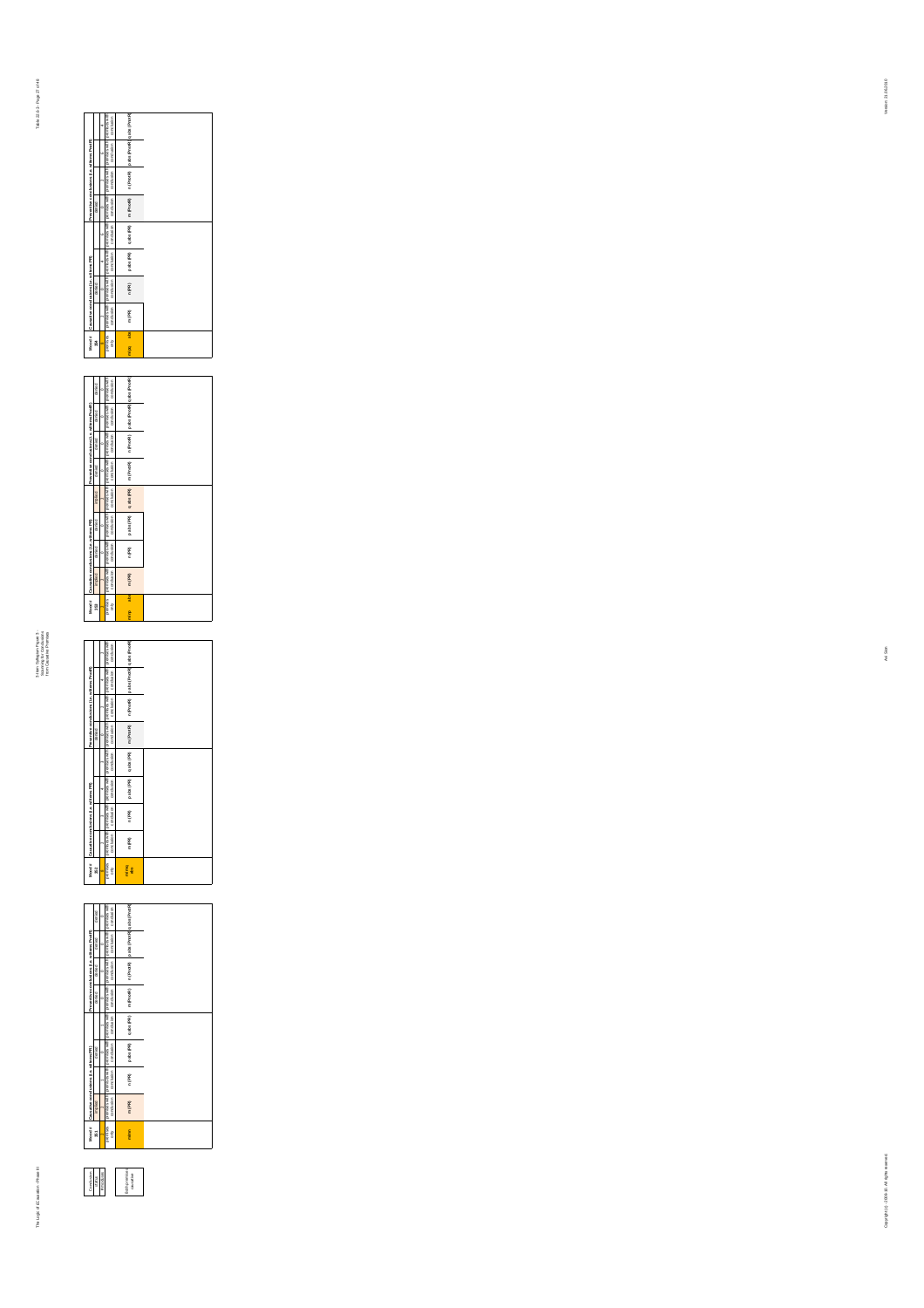|                                             |         |   | opridualon                                             | pates (ProtR)                        |  |
|---------------------------------------------|---------|---|--------------------------------------------------------|--------------------------------------|--|
| Preventive con dusions (i.e. wiltems ProfR  |         |   | premises with premises with<br>oondusion               | n (Pnoff)                            |  |
|                                             | dened   |   | premises with premises with<br>candusion               | m (P node)                           |  |
|                                             |         |   | oorchasion                                             | $q$ at $s$ $(PR)$                    |  |
|                                             |         |   | promises with<br>oondusion                             | pabs (PR)                            |  |
|                                             | denied  |   | oondusion                                              | n (PR)                               |  |
| Causative conclusions (i.e. w/kems PR)      |         |   | promises with premises with<br>condusion               | m (PR)                               |  |
| Mood #                                      | 351     |   | D/00/11995<br>č                                        | ă<br>g                               |  |
|                                             |         |   |                                                        |                                      |  |
|                                             | denied  |   | usw sesureod light sesiureod<br>opridusion             | pabs (Pro (R) qabs (ProfR)           |  |
|                                             | denied  |   | candusion                                              |                                      |  |
| Preventive conclusions (Le. wiltems ProtR)  | dened   |   | pright sea with<br>conclusion                          | n (ProtR)                            |  |
|                                             | dining  |   | operation                                              | m (ProtR)                            |  |
|                                             | implied |   | promises with premises with premises with<br>oondusion | qabs (PR)                            |  |
|                                             | dened   |   | candusion                                              | pate (PR)                            |  |
| Causalive conclusions (Le. wiltems PR)      | denied  |   | promises with<br>conclusion                            | n (PR)                               |  |
|                                             | implied |   | DYRITTIERS WITH<br>oprobasion                          | m(PR)                                |  |
|                                             |         |   |                                                        | 10 M                                 |  |
| <b>Rood</b>                                 | 353     |   | promises<br>σlγ                                        |                                      |  |
|                                             |         |   |                                                        | ę                                    |  |
|                                             |         |   | candusion                                              |                                      |  |
|                                             |         |   | promises with promises with<br>operation               | pabs (Prooff) qabs (Pro tf)          |  |
|                                             |         |   | oondusion                                              | n (ProtR)                            |  |
| Preventive conclusions (i.e. wittens PhotR) | denied  | c | premises with premises with<br>oondusion               | m (Pn ofR)                           |  |
|                                             |         |   | candualan                                              | qabs (PR)                            |  |
|                                             |         |   | Drem sea with promises with<br>operation               | $p$ abs $(pR)$                       |  |
|                                             |         |   | Dreamises with<br>oondusion                            | n (PR)                               |  |
| conclusions (i.e. witems PR)<br>Causative   |         |   | ş<br>candusion                                         | ê<br>E                               |  |
| Mood#                                       | 32      |   | promises<br>promises<br>ğ                              | E <sub>35</sub>                      |  |
|                                             |         |   |                                                        |                                      |  |
|                                             | denied  |   | DYNT 905 WITH<br>operation                             |                                      |  |
|                                             | denied  |   | oondusion                                              |                                      |  |
|                                             | denied  |   | premises with premises with<br>candusion               | n (PnotR) pabs (PnotR) q abs (PnotR) |  |
| reventive condusions (i.e. witems ProfR)    | dened   |   | promises with<br>corclusion                            | m (P node)                           |  |
|                                             |         |   | operation                                              | qabs (PR)                            |  |
|                                             | denied  |   | oondusion                                              | pabs (PR)                            |  |
|                                             |         |   | promises with premises with premises with<br>candusion | n (PR)                               |  |
| Causative conclusions (i.e. w/ltems PR)     | mpled   |   | promises with<br>oprobasion                            | m(PR)                                |  |

Conclusion<br># moduses<br>xh premis<br>causative Both premises

|                                              |         | operation                                                      |                                                                               |  |
|----------------------------------------------|---------|----------------------------------------------------------------|-------------------------------------------------------------------------------|--|
|                                              |         | Dremises with Dremises with<br>condusion                       |                                                                               |  |
|                                              |         | oondusion                                                      |                                                                               |  |
| Preventive conclusions (i.e. witems PnotR)   | deried  | compasswith promises with coemisies with<br>candusion          | pabs (PR)   qabs (PR)   m (PnotR)   n (PnotR)   pabs (PnotR) qabs (PnotR)     |  |
|                                              |         | conclusion                                                     |                                                                               |  |
|                                              |         | oondusion<br>promises with                                     |                                                                               |  |
| Causative conclusions (i.e. w/kens PR)       | denied  | premises with<br>oondusion                                     | n (PR)                                                                        |  |
|                                              |         | omises with<br>candualan                                       |                                                                               |  |
| Mood #                                       | 35      | 200 m 905<br>č                                                 | maps also mips)                                                               |  |
|                                              |         |                                                                |                                                                               |  |
|                                              | denied  | condusion                                                      |                                                                               |  |
|                                              | denied  | condusion                                                      |                                                                               |  |
|                                              | dened   | promises with premises with premises with<br>conclusion 1      |                                                                               |  |
| Preventive conclusions (i.e. witems Prot R)  | dining  | Dream sea with<br>conclusion                                   | quite (PR) in (Priot R) in (PriotR) pubs (PriotR) qubs (PriotR)               |  |
|                                              | implied | condusion                                                      |                                                                               |  |
|                                              | dened   | promises with premises with<br>condusion                       | pates (PR)                                                                    |  |
| Causalive conclusion s (i.e., wiltems PR)    | dened   | Dream seas with<br>oorclusion                                  |                                                                               |  |
|                                              | implied | comises with<br>oondusion                                      | matrop abs m (PR) n (PR)                                                      |  |
| Mood #                                       | ន្ល     | premises<br>ania<br>B                                          |                                                                               |  |
|                                              |         |                                                                |                                                                               |  |
|                                              |         | promises with<br>candusion                                     |                                                                               |  |
| Preventive conclusions (i.e. wittems Pno tR) |         | Dream ses with<br>operation                                    |                                                                               |  |
|                                              |         | premises with<br>oondusion                                     |                                                                               |  |
|                                              | denied  | condusion                                                      |                                                                               |  |
|                                              |         | candusian                                                      | patis (PR)   qabs (PR)   m (PhotR)   n (PhotR)   patis (PhotR)   qabs (PhotR) |  |
| 0.a. w/loans PR)                             |         | with premises with premises with premises with<br>conclusion 1 |                                                                               |  |
|                                              |         | oondusion                                                      | e<br>G                                                                        |  |
| Causative conclusions                        |         | premises with premises<br>condusion                            | m (PR)                                                                        |  |
| Mood#                                        | 92      | oty<br>promises                                                | Į                                                                             |  |
|                                              |         |                                                                |                                                                               |  |
|                                              | dicial  | DON'T SO 5 WITH<br>operation                                   | qabs (PR)   m/PnotR)   n/PnotR)   pabs (PnotR) q abs (PnotR)                  |  |
|                                              | denied  | promises with<br>oondusion                                     |                                                                               |  |
| Preventive condusions (i.e. witems Proof)    | denied  | promises with<br>candualon                                     |                                                                               |  |
|                                              | denied  | conclusion<br>promises with                                    |                                                                               |  |
|                                              |         | promises with<br>oorclusion                                    |                                                                               |  |
|                                              | denied  | premises with<br>oondusion                                     | pabs (PR)                                                                     |  |
| sussive condusions (i.e. w/lease PR)         |         | premises with<br>condusion                                     | n (PR)                                                                        |  |
|                                              | mpled   | coomses with<br>operation                                      | m(PR)                                                                         |  |
| wood #                                       | 55      | <b>DOGERUS</b><br>cely                                         | l                                                                             |  |

|                                                           | Preventive conclusions (Le. witems ProtR) |                                          |
|-----------------------------------------------------------|-------------------------------------------|------------------------------------------|
| dened                                                     | denied                                    | density                                  |
|                                                           |                                           |                                          |
| premises with<br>conclusion<br>premises with<br>operation | premises with premises with<br>candusion  | oondusion                                |
|                                                           |                                           |                                          |
|                                                           | m (ProtR)                                 | n (PriodR)   pabs (PriodR) qabs (PriodR) |

| Mood #           |                            | Causative conclusions (i.e. w/kems PR) |                            |                             |            | Preventive con duslons (i.e. wiltems PnotR) |                                         |                             |
|------------------|----------------------------|----------------------------------------|----------------------------|-----------------------------|------------|---------------------------------------------|-----------------------------------------|-----------------------------|
| 351              |                            | denied                                 |                            |                             | dened      |                                             |                                         |                             |
| 88               |                            |                                        |                            |                             |            |                                             |                                         |                             |
| >remises<br>cely | promises with<br>condusion | premises with<br>oondusion             | premises with<br>oondusion | promises with<br>conclusion | candusion  | promises with premises with<br>oondusion    | promises with<br>oondusion              | promises with<br>conclusion |
| pde ba           | m (PR)                     | n (PR)                                 |                            | pabs (PR) qabs (PR)         | m (Prooft) |                                             | n (Pn ofR) patra (PnotR) q alsa (PnotR) |                             |
|                  |                            |                                        |                            |                             |            |                                             |                                         |                             |
|                  |                            |                                        |                            |                             |            |                                             |                                         |                             |
|                  |                            |                                        |                            |                             |            |                                             |                                         |                             |

Avi Sion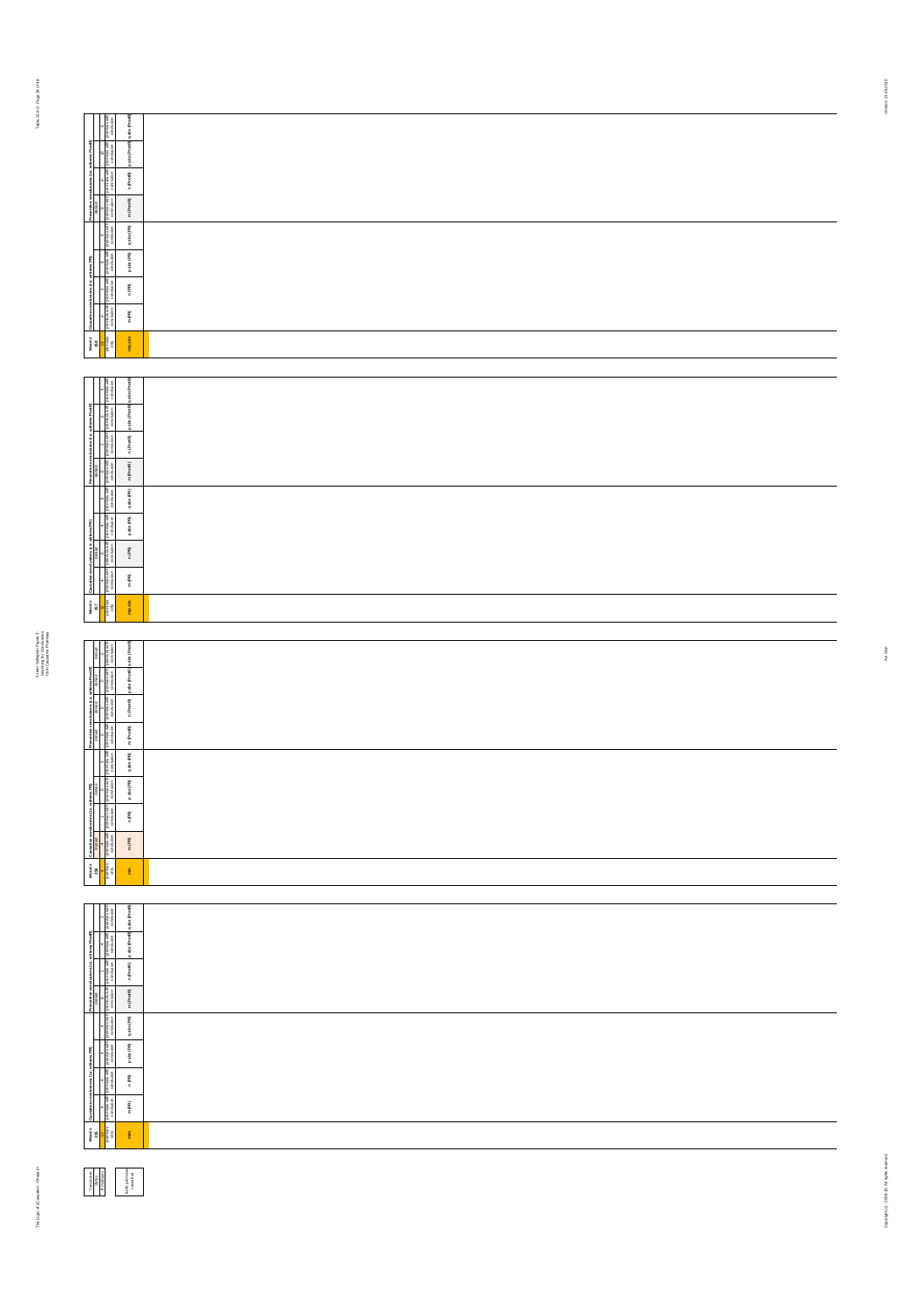Table 22.6-3 - Page 28 of 48

de2263-Page 28of 48

| ٠<br>ø<br>ŧ<br>- 6<br>е<br>$\Omega$                     |  |
|---------------------------------------------------------|--|
| $\frac{6}{3}$ g<br>$\tilde{z}$<br>ತ<br>s.<br>$\epsilon$ |  |
| $\mathbf{r}$<br>s<br><b>S</b><br>€<br>- 5               |  |
| Ê<br>传<br>э<br>$\sigma$                                 |  |
| e<br>S<br>Ê<br>E<br>$\mathbf{a}$                        |  |
| @<br>- 19<br>$\epsilon$<br>h                            |  |
| ξg<br>$\frac{60}{10}$<br>L 3                            |  |
| $\frac{\text{Mood if}}{358}$                            |  |

|                                                                     | i se                                                   | $\mathbf{r}$                             |  |
|---------------------------------------------------------------------|--------------------------------------------------------|------------------------------------------|--|
| s ProtR)                                                            | $\frac{1}{2}$<br>$E$ $\alpha$                          | $\Omega$                                 |  |
| es (i.e. wite                                                       | $rac{4}{3}$ 6<br>$\sim$ $\frac{8}{3}$ .<br>g s         | $\sim$<br>×.<br>$\epsilon$               |  |
| Preventive conclus<br>denied                                        | a with<br>Non                                          | $\widehat{\alpha}$                       |  |
|                                                                     | $\frac{4}{3}$ $\frac{6}{3}$<br>E.                      | $\tilde{z}$<br>$\sigma$                  |  |
|                                                                     | $\frac{5}{2}$ $\frac{5}{2}$<br>$\frac{1}{\frac{1}{2}}$ | $\widehat{\alpha}$<br>Ä.<br>$\mathbf{a}$ |  |
| usative conclusions (i.e. wileens PR)                               | o<br>promises with<br>conclusion                       | $\tilde{z}$<br>э.<br>$\mathbf{c}$        |  |
|                                                                     | $\frac{1}{2}$                                          | e<br>s<br>$\mathbf{f}$                   |  |
| $\begin{array}{c} \text{Mood } \text{if} \\ \text{357} \end{array}$ | <b>The Second</b>                                      | -31<br>$\alpha$                          |  |

| vermaan<br>oorchu<br>pata (ProtR) q ata (P<br>witems Prooff)<br>Preventive conclusions (i.e.<br>derived<br>n (ProofR)<br>$\mathfrak{m}$ (Prooff)<br>promises with<br>conclusion<br>qabs (PR)<br>9<br>premises with<br>condusion<br>pake (PR)<br>$kons$ (i.e., witterms $PR$ )<br>8<br>premises with<br>oondusion<br>amises with<br>condusion<br>$_{\rm n}(\rho\,R)$<br>iative con<br>4<br>premises with<br>conclusion<br>$\frac{\widehat{\mathbf{g}}}{\mathbf{g}}$                                                                                                                                                                        |  |  |  |
|-------------------------------------------------------------------------------------------------------------------------------------------------------------------------------------------------------------------------------------------------------------------------------------------------------------------------------------------------------------------------------------------------------------------------------------------------------------------------------------------------------------------------------------------------------------------------------------------------------------------------------------------|--|--|--|
| $M \sim 3.58$<br>$_{\rm m(q,abs)}$<br><b>Huo</b><br>Booking<br>n (PnotR) pabs (PnotR) qabs (PnotR)<br>oondusion                                                                                                                                                                                                                                                                                                                                                                                                                                                                                                                           |  |  |  |
| Prerentive conclusions (i.e. witems Prot R)<br>deviat<br>new eeuwa<br>uu aeeuwa<br>coreaa<br>$m(Proot R)$<br>q abs (PR)<br>8<br>permises with<br>condusion<br>p also (PR)<br>Causative conclusions (i.e., wilesms PR)<br>$\frac{d}{dx}$<br>promises with<br>conclusion<br>premises with<br>oprobasion<br>$\frac{1}{n}$ 99)<br><br>$n$<br>4<br>premises with<br>                                                                                                                                                                                                                                                                           |  |  |  |
| $\begin{array}{r}\n\text{Mood if} \\ \text{357} \\ \text{367} \\ \text{pounds on} \\ \text{10}\n\end{array}$<br>mpates                                                                                                                                                                                                                                                                                                                                                                                                                                                                                                                    |  |  |  |
| p atos (Proofk) q alos (Proofk)<br>Preventive condusions (i.e. w/leans Profit)<br>deniad<br>premises<br>oorchusi<br>$n$ (Proff)<br>0<br>premises with<br>condusion<br>$m$ (ProofR)<br>premises with<br>condusion<br>$\label{eq:q} \begin{array}{ c c } \hbox{p abs}(\mathsf{PR}) & \hbox{q abs}(\mathsf{PR}) \end{array}$<br>$\frac{3}{\text{normalsawth}}$<br>Causative conclusions (i.e. whems PR)<br>Implement and the conclusion of the form of the primate with portrained with profession products of the conclusion products of the conclusion products of the conclusion of the conclusi<br>n (PR)<br>$\mathfrak{m}(\mathsf{PR})$ |  |  |  |
| $\begin{array}{c}\n M_0 \text{ of } 8 \\  3.96\n \end{array}$<br><b>Vestimos</b><br>$\mathfrak{f}$                                                                                                                                                                                                                                                                                                                                                                                                                                                                                                                                        |  |  |  |
| abs (PnotR) q abs (PnotR<br>ins (Le. wiltems PriofR)<br>$n$ (P rooff)<br>Preventive concl<br>$\mathfrak{m}$ (ProofR)<br>qabs (PR)<br>pabs (PR)<br>msPR<br>xns (i.e.<br>$_{\rm n}$ (PR)<br>$\frac{\partial \mathbf{R}}{\partial \mathbf{r}}$<br>$\frac{1}{3}$ is                                                                                                                                                                                                                                                                                                                                                                           |  |  |  |

|                                                         | nnises wit<br>oorchusion<br>20<br>comises with<br>condusion                                                                                                                                                                                                                                                                                                                                                    |                                                                                |  |
|---------------------------------------------------------|----------------------------------------------------------------------------------------------------------------------------------------------------------------------------------------------------------------------------------------------------------------------------------------------------------------------------------------------------------------------------------------------------------------|--------------------------------------------------------------------------------|--|
| Preventive conclusions (i.e. witems Prodit)<br>derived  | remises with<br>condusion                                                                                                                                                                                                                                                                                                                                                                                      | patos (PR) quito (PR) im (PhotR) in (PhotR) patos (PhotR) quito (PhotR)        |  |
|                                                         | remises with<br>conclusion                                                                                                                                                                                                                                                                                                                                                                                     |                                                                                |  |
|                                                         | xemises with<br>conduston                                                                                                                                                                                                                                                                                                                                                                                      |                                                                                |  |
|                                                         | premises with<br>oondusion                                                                                                                                                                                                                                                                                                                                                                                     |                                                                                |  |
|                                                         | promises with p<br>condusion<br>xemises with<br>conclusion                                                                                                                                                                                                                                                                                                                                                     | $n$ (PR)<br>$\frac{\partial}{\partial t}$                                      |  |
| Mood # Causative condustors (i.e. witems PR)<br>358     | $\begin{array}{@{}c@{\hspace{1em}}c@{\hspace{1em}}c@{\hspace{1em}}c@{\hspace{1em}}c@{\hspace{1em}}c@{\hspace{1em}}c@{\hspace{1em}}c@{\hspace{1em}}c@{\hspace{1em}}c@{\hspace{1em}}c@{\hspace{1em}}c@{\hspace{1em}}c@{\hspace{1em}}c@{\hspace{1em}}c@{\hspace{1em}}c@{\hspace{1em}}c@{\hspace{1em}}c@{\hspace{1em}}c@{\hspace{1em}}c@{\hspace{1em}}c@{\hspace{1em}}c@{\hspace{1em}}c@{\hspace{1em}}c@{\hspace{$ | m/qabs                                                                         |  |
|                                                         |                                                                                                                                                                                                                                                                                                                                                                                                                |                                                                                |  |
|                                                         | noista muu<br>1993 ondusta<br>a missa with<br>Traduslan                                                                                                                                                                                                                                                                                                                                                        | n (Prooft) pates (Pnott) qates (Pnott)                                         |  |
|                                                         |                                                                                                                                                                                                                                                                                                                                                                                                                |                                                                                |  |
| Preventive conclusions (i.e. witems ProtR)<br>detect    | promises with<br>condusion                                                                                                                                                                                                                                                                                                                                                                                     | $m(Proot R)$                                                                   |  |
|                                                         | remises with<br>condusion                                                                                                                                                                                                                                                                                                                                                                                      | $p$ ats $\langle \mathsf{PR} \rangle$ = q also $\langle \mathsf{PR} \rangle$   |  |
|                                                         | promises with<br>conclusion                                                                                                                                                                                                                                                                                                                                                                                    |                                                                                |  |
| Mood # Causative conclusions (i.e. witems PR)<br>357    | romises with<br>oxclusion<br>xemises with<br>condusion                                                                                                                                                                                                                                                                                                                                                         | $_{\rm n}$ (PR)<br>$\mathfrak{m}$ (PR)                                         |  |
|                                                         | pomisos<br>orly                                                                                                                                                                                                                                                                                                                                                                                                | m/pabs                                                                         |  |
|                                                         |                                                                                                                                                                                                                                                                                                                                                                                                                |                                                                                |  |
|                                                         |                                                                                                                                                                                                                                                                                                                                                                                                                |                                                                                |  |
|                                                         |                                                                                                                                                                                                                                                                                                                                                                                                                |                                                                                |  |
|                                                         |                                                                                                                                                                                                                                                                                                                                                                                                                | pates (Prooft) quites (Prooft)                                                 |  |
|                                                         |                                                                                                                                                                                                                                                                                                                                                                                                                | n (Pro IR)                                                                     |  |
|                                                         |                                                                                                                                                                                                                                                                                                                                                                                                                | $m$ (ProdR)                                                                    |  |
|                                                         |                                                                                                                                                                                                                                                                                                                                                                                                                | pabs (PR) qabs (PR)                                                            |  |
|                                                         |                                                                                                                                                                                                                                                                                                                                                                                                                | n@R                                                                            |  |
|                                                         |                                                                                                                                                                                                                                                                                                                                                                                                                | $m\left( \mathsf{PR}\right)$<br>$\mathbf{f}$                                   |  |
|                                                         | Nood Canadian-probability (a when PR) . Newton's considerably a visual particular $\frac{1}{\sqrt{2}}$ and $\frac{1}{\sqrt{2}}$ and $\frac{1}{\sqrt{2}}$ and $\frac{1}{\sqrt{2}}$ and $\frac{1}{\sqrt{2}}$ and $\frac{1}{\sqrt{2}}$ and $\frac{1}{\sqrt{2}}$ and $\frac{1}{\sqrt{2}}$ and $\frac$                                                                                                              |                                                                                |  |
|                                                         |                                                                                                                                                                                                                                                                                                                                                                                                                |                                                                                |  |
|                                                         | premises wi<br>candusion                                                                                                                                                                                                                                                                                                                                                                                       |                                                                                |  |
|                                                         | premises with<br>conclusion<br>comises with<br>conclusion                                                                                                                                                                                                                                                                                                                                                      |                                                                                |  |
| Preventive conclusions (i.e. witems Prooft)<br>Orient ( |                                                                                                                                                                                                                                                                                                                                                                                                                |                                                                                |  |
|                                                         | vmrses with                                                                                                                                                                                                                                                                                                                                                                                                    | patos (PR) quitos (PR) im (Proces) in (Proces) iputos (Process) quitos (Proces |  |
|                                                         | romises with<br>conclusion                                                                                                                                                                                                                                                                                                                                                                                     | $\frac{\partial}{\partial t}$                                                  |  |
| Mood # Causative conduisions (i.e. willems PR)<br>355   | premises<br>only                                                                                                                                                                                                                                                                                                                                                                                               | $\frac{\partial}{\partial t}$<br>$\frac{g}{4}$                                 |  |

Conclusion status # moduses causative Both premises

Copyright (c) - 2008-10. All rights reserved. Avi Sion Version: 21.06.2010

 $M$  Sion

letal or: 21.06.2010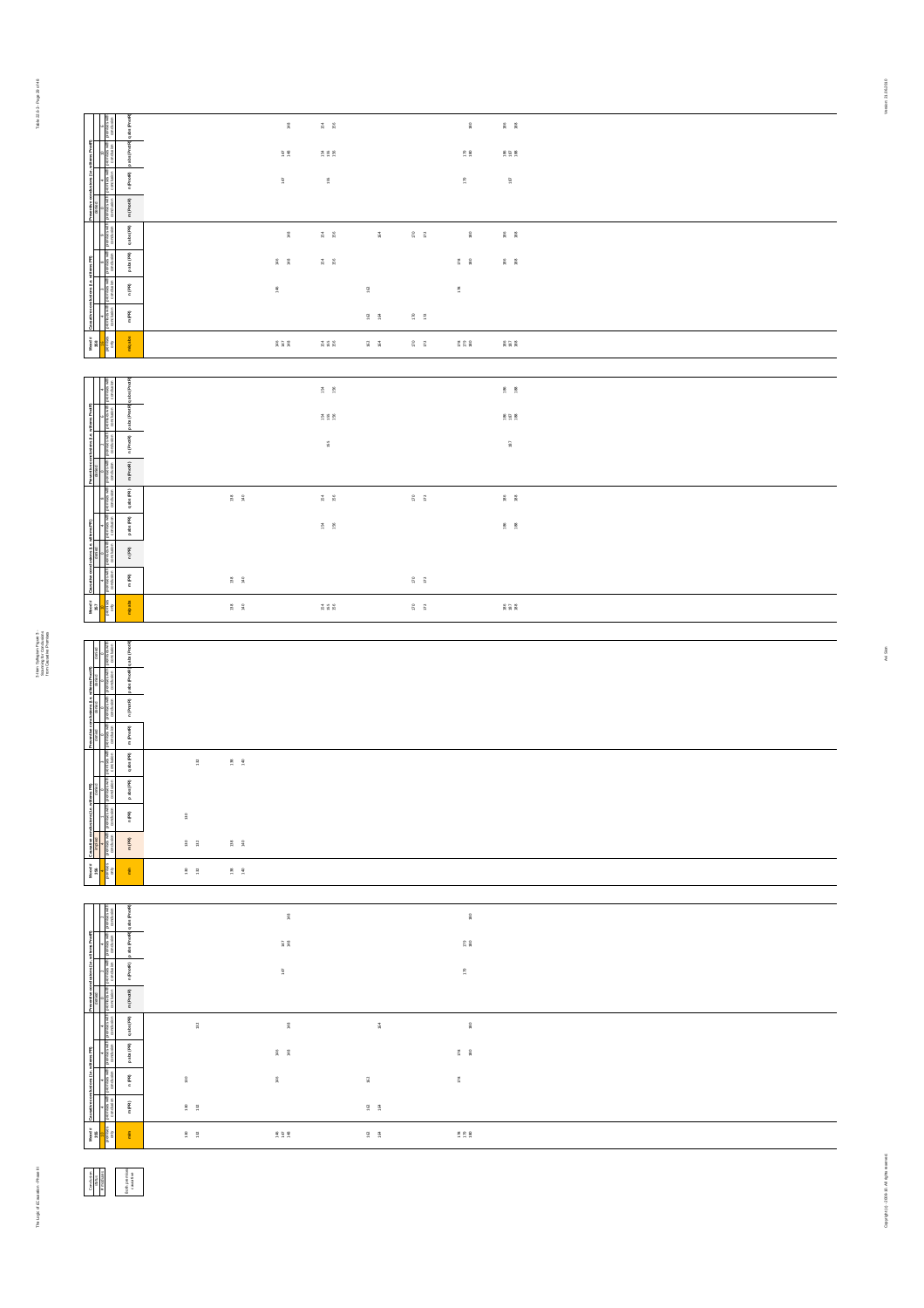| Mood#         |                             | Causaive conclusions (i.e. wiltems PR) |                                                        |           |            | Preventive conclusions (i.e. wilterns Proof?)          |                                           |                              |
|---------------|-----------------------------|----------------------------------------|--------------------------------------------------------|-----------|------------|--------------------------------------------------------|-------------------------------------------|------------------------------|
| 358           |                             |                                        |                                                        |           | dened      |                                                        |                                           |                              |
| g             |                             |                                        | ż                                                      | ò         |            |                                                        | $\approx$                                 |                              |
| premises<br>č | premises with<br>conclusion | candusion                              | premises with premises with premises with<br>oondusion | oondusion | conclusion | premises with premises with premises with<br>candusion | oondusion                                 | DYRITTI SOS WIT<br>operation |
| m/g abs       | $\frac{m(PR)}{R}$           | n (PR)                                 | pats (PR)                                              | qabs (PR) | m (Prooft) |                                                        | n (Prooff)   pabs (Prooff) q abs (Prooff) |                              |
|               |                             |                                        |                                                        |           |            |                                                        |                                           |                              |

Table 22.6-3 - Page 29 of 48

Table 22.6-3 - Page 29 of 48

|                                                                   |                                                                                                                                             |                                                                                       | $\frac{99}{14}$                 | $\substack{34 \\ 156}$                                                                                                                                   |                                                                                            |                                 | $_{\rm 380}$                                                                  | $\begin{array}{c} 36 \\ 38 \end{array}$        |  |  |  |
|-------------------------------------------------------------------|---------------------------------------------------------------------------------------------------------------------------------------------|---------------------------------------------------------------------------------------|---------------------------------|----------------------------------------------------------------------------------------------------------------------------------------------------------|--------------------------------------------------------------------------------------------|---------------------------------|-------------------------------------------------------------------------------|------------------------------------------------|--|--|--|
| ç                                                                 |                                                                                                                                             |                                                                                       | $\frac{53}{248}$                | $\stackrel{+}{\phantom{}_{\pm}}\stackrel{+}{\phantom{}_{\pm}}\stackrel{+}{\phantom{}_{\pm}}\stackrel{+}{\phantom{}_{\pm}}\stackrel{+}{\phantom{}_{\pm}}$ |                                                                                            |                                 | $\frac{29}{18}$                                                               | $\begin{array}{c} 8.5 \\ 3.3 \\ 1 \end{array}$ |  |  |  |
|                                                                   |                                                                                                                                             |                                                                                       | $\widetilde{\mathbf{x}}$        | $^{55}_\mathrm{32}$                                                                                                                                      |                                                                                            |                                 | $\mathbb{R}^3$                                                                | $\mathbb{R}$                                   |  |  |  |
| ę                                                                 |                                                                                                                                             |                                                                                       |                                 |                                                                                                                                                          |                                                                                            |                                 |                                                                               |                                                |  |  |  |
| $q$ abs (PR)                                                      |                                                                                                                                             |                                                                                       | $^{\rm 148}$                    | $154$                                                                                                                                                    | 164                                                                                        | $\frac{1}{2}$ . In              | $\begin{array}{c} 30 \\ 20 \end{array}$                                       | $\begin{array}{cc} 136 \\ 133 \end{array}$     |  |  |  |
| pates (PR)<br>ΈŖ,                                                 |                                                                                                                                             |                                                                                       | $\frac{6}{14}$ – $\frac{8}{14}$ | $\substack{54 \\ 156}$                                                                                                                                   |                                                                                            |                                 | $\mathop{\mathbb{R}}\limits^{\infty}$ – $\mathop{\mathbb{R}}\limits^{\infty}$ | $\frac{96}{18}$                                |  |  |  |
| ŝ.<br>$_{\rm n}$ (PR)                                             |                                                                                                                                             |                                                                                       | $\frac{6}{36}$                  |                                                                                                                                                          | $\widetilde{\mathbf{z}}$                                                                   |                                 | $\overline{\mathrm{m}}$                                                       |                                                |  |  |  |
| $\frac{60}{10}$                                                   |                                                                                                                                             |                                                                                       |                                 |                                                                                                                                                          | $\begin{array}{cc} \mathfrak{A} & \mathfrak{B} \\ \mathfrak{A} & \mathfrak{B} \end{array}$ | $\frac{1}{n}$ – $\frac{n}{n}$   |                                                                               |                                                |  |  |  |
| Mood #<br>m/qabs<br><b>Seine</b>                                  |                                                                                                                                             |                                                                                       | 3.38                            | 388                                                                                                                                                      | $\begin{array}{cc} 162 \\ 164 \end{array}$                                                 | $\frac{8}{17}$ – $\frac{8}{17}$ | 77.80                                                                         | 3.58                                           |  |  |  |
|                                                                   |                                                                                                                                             |                                                                                       |                                 |                                                                                                                                                          |                                                                                            |                                 |                                                                               |                                                |  |  |  |
|                                                                   |                                                                                                                                             |                                                                                       |                                 | $\frac{q}{10}$ – $\frac{q}{10}$                                                                                                                          |                                                                                            |                                 |                                                                               | $\frac{9}{21}$ – $\frac{9}{21}$                |  |  |  |
| Proof R)                                                          |                                                                                                                                             |                                                                                       |                                 | $\begin{smallmatrix} 3 & 33 & 8 \\ 21 & 33 & 8 \end{smallmatrix}$                                                                                        |                                                                                            |                                 |                                                                               | $\frac{16}{12}\frac{52}{12}$                   |  |  |  |
| 1                                                                 |                                                                                                                                             |                                                                                       |                                 | $_{\rm 15}^{\rm s}$                                                                                                                                      |                                                                                            |                                 |                                                                               | $^{\rm 187}$                                   |  |  |  |
| $\frac{a}{n}$                                                     |                                                                                                                                             |                                                                                       |                                 |                                                                                                                                                          |                                                                                            |                                 |                                                                               |                                                |  |  |  |
| $\boldsymbol{q}$ abs $(\boldsymbol{PR})$                          |                                                                                                                                             | $\mathop{\mathfrak{so}}\nolimits$                                                     |                                 | $\frac{q}{10}$ – $\frac{q}{10}$                                                                                                                          |                                                                                            | $\mathbb{S}^1$                  |                                                                               | $\frac{9}{18} - \frac{9}{18}$                  |  |  |  |
| p also (PR)<br>PR)                                                |                                                                                                                                             |                                                                                       |                                 | $\frac{3}{12}-\frac{36}{12}$                                                                                                                             |                                                                                            |                                 |                                                                               | $\frac{8}{10}$ – $\frac{8}{10}$                |  |  |  |
| ons (Le.<br>$_{\rm n}$ (PR)                                       |                                                                                                                                             |                                                                                       |                                 |                                                                                                                                                          |                                                                                            |                                 |                                                                               |                                                |  |  |  |
| $\mathfrak{m}$ (PR)                                               |                                                                                                                                             | $\begin{array}{cc} 38 \\ 240 \end{array}$                                             |                                 |                                                                                                                                                          |                                                                                            | $\frac{2}{n-2}$                 |                                                                               |                                                |  |  |  |
| $\frac{M \cos \theta}{357}$<br>m/pabs<br>imises<br>orly           |                                                                                                                                             | $\overset{\text{\tiny{8}}}{\mathfrak{A}}$ – $\overset{\text{\tiny{6}}}{\mathfrak{A}}$ |                                 | ធីដីដី                                                                                                                                                   |                                                                                            | $\frac{m}{m}$                   |                                                                               | $\frac{9}{16}\frac{5}{16}\frac{8}{16}$         |  |  |  |
|                                                                   |                                                                                                                                             |                                                                                       |                                 |                                                                                                                                                          |                                                                                            |                                 |                                                                               |                                                |  |  |  |
| . Profl                                                           |                                                                                                                                             |                                                                                       |                                 |                                                                                                                                                          |                                                                                            |                                 |                                                                               |                                                |  |  |  |
|                                                                   |                                                                                                                                             |                                                                                       |                                 |                                                                                                                                                          |                                                                                            |                                 |                                                                               |                                                |  |  |  |
|                                                                   |                                                                                                                                             |                                                                                       |                                 |                                                                                                                                                          |                                                                                            |                                 |                                                                               |                                                |  |  |  |
| $m(p \text{ node})$                                               |                                                                                                                                             |                                                                                       |                                 |                                                                                                                                                          |                                                                                            |                                 |                                                                               |                                                |  |  |  |
| $q$ at $\left( \mathsf{PR}\right)$                                | $\begin{array}{lllllll} \mathbb{H} & \mathbb{H} & \mathbb{H} & \mathbb{H} \\ \mathbb{H} & \mathbb{H} & \mathbb{H} & \mathbb{H} \end{array}$ |                                                                                       |                                 |                                                                                                                                                          |                                                                                            |                                 |                                                                               |                                                |  |  |  |
| $\mathsf{p}$ abs (PR)<br>J.a. w/kems PR)<br>  dictates            |                                                                                                                                             |                                                                                       |                                 |                                                                                                                                                          |                                                                                            |                                 |                                                                               |                                                |  |  |  |
| $\frac{5}{8}$ $\frac{6}{8}$<br>n@R                                | $_{\rm B}$                                                                                                                                  |                                                                                       |                                 |                                                                                                                                                          |                                                                                            |                                 |                                                                               |                                                |  |  |  |
| Causative concli<br>Element of<br>m(PR)                           | $\frac{93}{11}$                                                                                                                             | $\frac{28}{14}-\frac{2}{14}$                                                          |                                 |                                                                                                                                                          |                                                                                            |                                 |                                                                               |                                                |  |  |  |
| Mood #<br>356<br>amia<br>only<br>董                                | $\mathop{\mathrm{g}}\nolimits=\mathop{\mathrm{g}}\nolimits$                                                                                 | $\frac{28}{14}$ – $\frac{28}{14}$                                                     |                                 |                                                                                                                                                          |                                                                                            |                                 |                                                                               |                                                |  |  |  |
|                                                                   |                                                                                                                                             |                                                                                       |                                 |                                                                                                                                                          |                                                                                            |                                 |                                                                               |                                                |  |  |  |
|                                                                   |                                                                                                                                             |                                                                                       | $\frac{9}{148}$                 |                                                                                                                                                          |                                                                                            |                                 | $^{\rm 380}$                                                                  |                                                |  |  |  |
| ns (Le.                                                           |                                                                                                                                             |                                                                                       | $\frac{57}{36}$                 |                                                                                                                                                          |                                                                                            |                                 | $\mathop{\mathbb{S}}\nolimits$ $\mathop{\mathbb{S}}\nolimits$                 |                                                |  |  |  |
|                                                                   |                                                                                                                                             |                                                                                       | $\mathbb{R}^+$                  |                                                                                                                                                          |                                                                                            |                                 | $\frac{8}{n}$                                                                 |                                                |  |  |  |
| yantive:                                                          |                                                                                                                                             |                                                                                       |                                 |                                                                                                                                                          |                                                                                            |                                 |                                                                               |                                                |  |  |  |
| $\bf q$ abs $\left( \mathrm{PR}\right)$                           | $^{\rm 132}$                                                                                                                                |                                                                                       | $\frac{60}{14}$                 |                                                                                                                                                          | $\frac{3}{164}$                                                                            |                                 | $\frac{1}{2}$                                                                 |                                                |  |  |  |
| pates (PR)<br>$\frac{\widehat{\mathbf{g}}}{\widehat{\mathbf{g}}}$ |                                                                                                                                             |                                                                                       | $\frac{6}{3} - \frac{9}{3}$     |                                                                                                                                                          |                                                                                            |                                 | $\mathbb{S}$ – $\mathbb{S}$                                                   |                                                |  |  |  |
| å<br>$_{\rm n}$ (PR)                                              | $\frac{2}{n}$                                                                                                                               |                                                                                       | $\frac{9}{2}$                   |                                                                                                                                                          | $162\,$                                                                                    |                                 | $\mathbb{R}$                                                                  |                                                |  |  |  |
| $\frac{600}{60}$                                                  | $\begin{array}{cc} 30 \\ 21 \end{array}$                                                                                                    |                                                                                       |                                 |                                                                                                                                                          | $\frac{52}{164}$                                                                           |                                 |                                                                               |                                                |  |  |  |
|                                                                   | $\begin{array}{cc} 130 \\ 132 \end{array}$                                                                                                  |                                                                                       | $3.48$<br>$3.48$                |                                                                                                                                                          | $\begin{array}{cc} 162 \\ 164 \end{array}$                                                 |                                 | 7.28                                                                          |                                                |  |  |  |

|                                                                                                                                                                                    | abs (PnotR)                           |                                                                 |                                                 | $\frac{57}{24}$                                                                      | 358                                                   |                                                                                            |                             | $\mathop{^{29}_{18}}$                                       | $\substack{86 \\ 387 \\ 188$                  |  |
|------------------------------------------------------------------------------------------------------------------------------------------------------------------------------------|---------------------------------------|-----------------------------------------------------------------|-------------------------------------------------|--------------------------------------------------------------------------------------|-------------------------------------------------------|--------------------------------------------------------------------------------------------|-----------------------------|-------------------------------------------------------------|-----------------------------------------------|--|
|                                                                                                                                                                                    |                                       |                                                                 |                                                 | $\mathbb{R}$                                                                         | $$\tt{SS}$$                                           |                                                                                            |                             | $\widetilde{\mathbb{R}}^n$                                  | $\widetilde{\mathbf{z}}$                      |  |
|                                                                                                                                                                                    | e.                                    |                                                                 |                                                 |                                                                                      |                                                       |                                                                                            |                             |                                                             |                                               |  |
|                                                                                                                                                                                    | $q$ abs (PR)                          |                                                                 |                                                 | 143                                                                                  | $\frac{3}{2}$ – $\frac{6}{2}$                         | $\frac{\pi}{2}$                                                                            | $\frac{20}{3}$              | $\frac{9}{180}$                                             | $\begin{array}{c} 186 \\ 183 \end{array}$     |  |
| <b>R</b>                                                                                                                                                                           | pate (PR)                             |                                                                 |                                                 | $\frac{46}{14}$                                                                      | $\frac{3}{21}$ – $\frac{6}{25}$                       |                                                                                            |                             | $\begin{array}{cc} 78 \\ 80 \end{array}$                    | $\begin{array}{c} 26 \\ 38 \\ 13 \end{array}$ |  |
|                                                                                                                                                                                    | $\mathfrak{g}$ of                     |                                                                 |                                                 | $\frac{9}{26}$                                                                       |                                                       | $\mathbf{\tilde{x}}$                                                                       |                             | $\mathbbm{m}$                                               |                                               |  |
| $\frac{\partial \mathbf{R}}{\partial \mathbf{r}}$                                                                                                                                  |                                       |                                                                 |                                                 |                                                                                      |                                                       | $\begin{array}{cc} \mathfrak{A} & \mathfrak{A} \\ \mathfrak{A} & \mathfrak{A} \end{array}$ | $\frac{1}{2}$ or            |                                                             |                                               |  |
| $\frac{M \cos \theta}{358}$<br>miqabs<br>only                                                                                                                                      |                                       |                                                                 |                                                 | $3.47$<br>3.48                                                                       | $\frac{3356}{156}$                                    | $\frac{52}{16}$                                                                            | $\frac{p}{m} - \frac{p}{m}$ | 7780                                                        | 3.53                                          |  |
|                                                                                                                                                                                    |                                       |                                                                 |                                                 |                                                                                      |                                                       |                                                                                            |                             |                                                             |                                               |  |
|                                                                                                                                                                                    |                                       |                                                                 |                                                 |                                                                                      | $\frac{q}{10}$ – $\frac{q}{10}$                       |                                                                                            |                             |                                                             | $\frac{9}{21}$ – $\frac{9}{21}$               |  |
|                                                                                                                                                                                    |                                       |                                                                 |                                                 |                                                                                      | $\mathbbmss{1}\ \mathbbmss{2}\ \mathbbmss{3}$         |                                                                                            |                             |                                                             | $\frac{18}{12}\frac{52}{12}$                  |  |
|                                                                                                                                                                                    |                                       |                                                                 |                                                 |                                                                                      | $^{155}\!$                                            |                                                                                            |                             |                                                             | $^{\rm 187}$                                  |  |
|                                                                                                                                                                                    | န်                                    |                                                                 |                                                 |                                                                                      |                                                       |                                                                                            |                             |                                                             |                                               |  |
|                                                                                                                                                                                    | qabs (PR)                             |                                                                 | $\mathop{\mathfrak{so}}\nolimits$               |                                                                                      | $\overline{\mathfrak{A}}$ – $\overline{\mathfrak{A}}$ |                                                                                            | $\mathbb{S}=\mathbb{S}$     |                                                             | $\frac{9}{18} - \frac{9}{18}$                 |  |
|                                                                                                                                                                                    | p abs (PR)                            |                                                                 |                                                 |                                                                                      | $\frac{35}{12}-\frac{36}{21}$                         |                                                                                            |                             |                                                             | $\frac{18}{14}$ – $\frac{18}{14}$             |  |
|                                                                                                                                                                                    | n (PR)                                |                                                                 |                                                 |                                                                                      |                                                       |                                                                                            |                             |                                                             |                                               |  |
|                                                                                                                                                                                    | m (P R)                               |                                                                 | $\begin{array}{cc} 338 \\ 340 \end{array}$      |                                                                                      |                                                       |                                                                                            | $\frac{20}{3}$              |                                                             |                                               |  |
| $\begin{array}{c}\n\text{Mod } n \\ \text{357} \\ \text{10} \\ \text{pounds}\n\end{array}$<br>m/pabs                                                                               |                                       |                                                                 | $\overset{\text{\tiny 0}}{\pi}$                 |                                                                                      | <u>គី ដើ</u> ង                                        |                                                                                            | $\mathbb{S}=\mathbb{S}$     |                                                             | $\frac{9}{10} \frac{5}{10} \frac{9}{10}$      |  |
|                                                                                                                                                                                    |                                       |                                                                 |                                                 |                                                                                      |                                                       |                                                                                            |                             |                                                             |                                               |  |
|                                                                                                                                                                                    |                                       |                                                                 |                                                 |                                                                                      |                                                       |                                                                                            |                             |                                                             |                                               |  |
|                                                                                                                                                                                    |                                       |                                                                 |                                                 |                                                                                      |                                                       |                                                                                            |                             |                                                             |                                               |  |
| $m(p \text{ node})$                                                                                                                                                                |                                       |                                                                 |                                                 |                                                                                      |                                                       |                                                                                            |                             |                                                             |                                               |  |
|                                                                                                                                                                                    | $q$ ab s $\langle \theta   R \rangle$ | $\Xi$                                                           | $\frac{38}{14}$                                 |                                                                                      |                                                       |                                                                                            |                             |                                                             |                                               |  |
| ms <sub>PR)</sub>                                                                                                                                                                  | $p$ abs (PR)                          |                                                                 |                                                 |                                                                                      |                                                       |                                                                                            |                             |                                                             |                                               |  |
|                                                                                                                                                                                    | n (PR)                                | $\mathop{\mathfrak{a}}$                                         |                                                 |                                                                                      |                                                       |                                                                                            |                             |                                                             |                                               |  |
| $\mathfrak{m}(\mathfrak{p},\mathbb{R})$                                                                                                                                            |                                       | $\frac{93}{12}$                                                 | $\begin{array}{cc} 38 & 8 \\ 1 & 0 \end{array}$ |                                                                                      |                                                       |                                                                                            |                             |                                                             |                                               |  |
| Causaire<br>Impied<br>Promise<br>Condusion<br>$\begin{array}{c} \hbox{\scriptsize{Mod}} & \hbox{\scriptsize{f}} \\ 3.56 & \hbox{\scriptsize{f}} \end{array}$<br>$\frac{3}{2}$<br>ŧ |                                       | $\mathop{\mathrm{g}}\nolimits$ – $\mathop{\mathrm{g}}\nolimits$ | $\frac{8}{11}$ – $\frac{8}{11}$                 |                                                                                      |                                                       |                                                                                            |                             |                                                             |                                               |  |
|                                                                                                                                                                                    |                                       |                                                                 |                                                 |                                                                                      |                                                       |                                                                                            |                             |                                                             |                                               |  |
|                                                                                                                                                                                    |                                       |                                                                 |                                                 | $\frac{9}{14}$                                                                       |                                                       |                                                                                            |                             | $\frac{9}{2}$                                               |                                               |  |
|                                                                                                                                                                                    |                                       |                                                                 |                                                 | $\stackrel{\scriptscriptstyle \kappa}{\pi}\stackrel{\scriptscriptstyle \kappa}{\pi}$ |                                                       |                                                                                            |                             | $\stackrel{\circ}{\mathbb{R}} \stackrel{\circ}{\mathbb{R}}$ |                                               |  |
|                                                                                                                                                                                    |                                       |                                                                 |                                                 | $\frac{\partial \mathbf{r}}{\partial \mathbf{r}}$                                    |                                                       |                                                                                            |                             | $\frac{2}{n}$                                               |                                               |  |
|                                                                                                                                                                                    | ë                                     |                                                                 |                                                 |                                                                                      |                                                       |                                                                                            |                             |                                                             |                                               |  |
|                                                                                                                                                                                    | qabs (PR)                             | $_{\rm 32}$                                                     |                                                 | $\sim$ 148                                                                           |                                                       | $\frac{\pi}{2}$                                                                            |                             | $\frac{80}{180}$                                            |                                               |  |
| g                                                                                                                                                                                  | pats (PR)                             |                                                                 |                                                 | $\frac{6}{3}$ – $\frac{8}{3}$                                                        |                                                       |                                                                                            |                             | $\mathbb{S}$ – $\mathbb{S}$                                 |                                               |  |
|                                                                                                                                                                                    | $_{\rm n}$ (PR)                       | $\mathbf{\underline{s}}$                                        |                                                 | $\frac{16}{14}$                                                                      |                                                       | $\ensuremath{\mathfrak{A}}$                                                                |                             | $\widetilde{\mathbf{g}}$                                    |                                               |  |
|                                                                                                                                                                                    | m (PR)                                | $\begin{array}{c} 30 \\ 132 \end{array}$                        |                                                 |                                                                                      |                                                       | $\frac{52}{164}$                                                                           |                             |                                                             |                                               |  |
| $\frac{1}{3}$ or                                                                                                                                                                   |                                       | $\begin{array}{c} 30 \\ 132 \end{array}$                        |                                                 | $\begin{smallmatrix} 4 & 6 \\ 3 & 3 & 3 \\ 1 & 3 & 3 \end{smallmatrix}$              |                                                       | $\begin{array}{c} 162 \\ 164 \end{array}$                                                  |                             | $\begin{array}{c} 78 \\ 179 \\ 180 \end{array}$             |                                               |  |

|                                                    | $3$<br>promises   | qabsi                                        | $\frac{32}{2}$                                 | $\frac{38}{21}$                             |                     |                                                             |  |
|----------------------------------------------------|-------------------|----------------------------------------------|------------------------------------------------|---------------------------------------------|---------------------|-------------------------------------------------------------|--|
|                                                    |                   | $p$ abs (PR)                                 |                                                |                                             |                     |                                                             |  |
| Causative conclusions (i.e. w/kems PR)<br>  impled |                   | npm                                          | $\mathop{\mathrm{sa}}$                         |                                             |                     |                                                             |  |
|                                                    |                   | $\mathfrak{m}(\mathsf{PR})$                  | $\Xi$ – $\Xi$                                  | $\mathbb{R} - \mathbb{R}$                   |                     |                                                             |  |
| Mood #                                             | semina<br>cely    | ÷                                            | $\mathop{\mathbb{R}}\limits^{\infty}$ .        | $\frac{33}{11}-\frac{22}{11}$               |                     |                                                             |  |
|                                                    |                   |                                              |                                                |                                             |                     |                                                             |  |
|                                                    |                   |                                              |                                                | $\frac{9}{148}$                             |                     | $_{\rm 180}$                                                |  |
| ms Prooff)<br>ş                                    |                   |                                              |                                                | $\frac{75}{26}$ $\frac{69}{26}$             |                     | $\stackrel{\circ}{\mathbb{R}} \stackrel{\circ}{\mathbb{R}}$ |  |
|                                                    |                   |                                              |                                                | $\frac{m}{2}$                               |                     | $\frac{25}{14}$                                             |  |
| Preventive conclusions (i.e.<br>dinied             | premise<br>contiu | $\widehat{\mathbf{g}}$<br>$m(p_{\text{no}})$ |                                                |                                             |                     |                                                             |  |
|                                                    |                   | qabs (PR)                                    | $^{\rm 132}$                                   | $^{\rm 148}$                                | $\frac{3}{16}$      | $^{\rm 38}$                                                 |  |
|                                                    |                   | pates (PR)                                   |                                                | $\frac{6}{26}-\frac{80}{26}$                |                     | $\mathbb{S}^n$ . $\mathbb{S}^n$                             |  |
| Causal ive condiu sions (i.e. witems PR)           |                   | $_{\rm n}$ (PR)                              | $\mathop{\mathrm{ss}}$                         | $\frac{16}{2}$                              | $\overline{\omega}$ | $\widetilde{\mathbf{g}}$                                    |  |
|                                                    |                   | $\frac{\partial}{\partial t}$                | $\begin{array}{cc} 30 \\ 21 \\ 33 \end{array}$ |                                             | $\frac{52}{164}$    |                                                             |  |
| Mood #                                             |                   | ł                                            | $\begin{array}{cc} 30 \\ 21 \end{array}$       | $\frac{16}{24} \frac{12}{34} \frac{28}{34}$ | $\frac{53}{16}$     | $\frac{8}{11}$ $\frac{8}{11}$                               |  |

The Logic of Economic of Economic of Economic of Economic Sylvism Figure 3 - Phase III 3-Item Sylvism Figure 3 - Phase III 30-Item Sylvism Figure 3 - Phase III 3-Item Sylvism Figure 3 - Phase III 3-Item Sylvism Figure 3 - Logic of ECausation - Phase II

Conclusion status # moduses causative Both premises

Avi Sion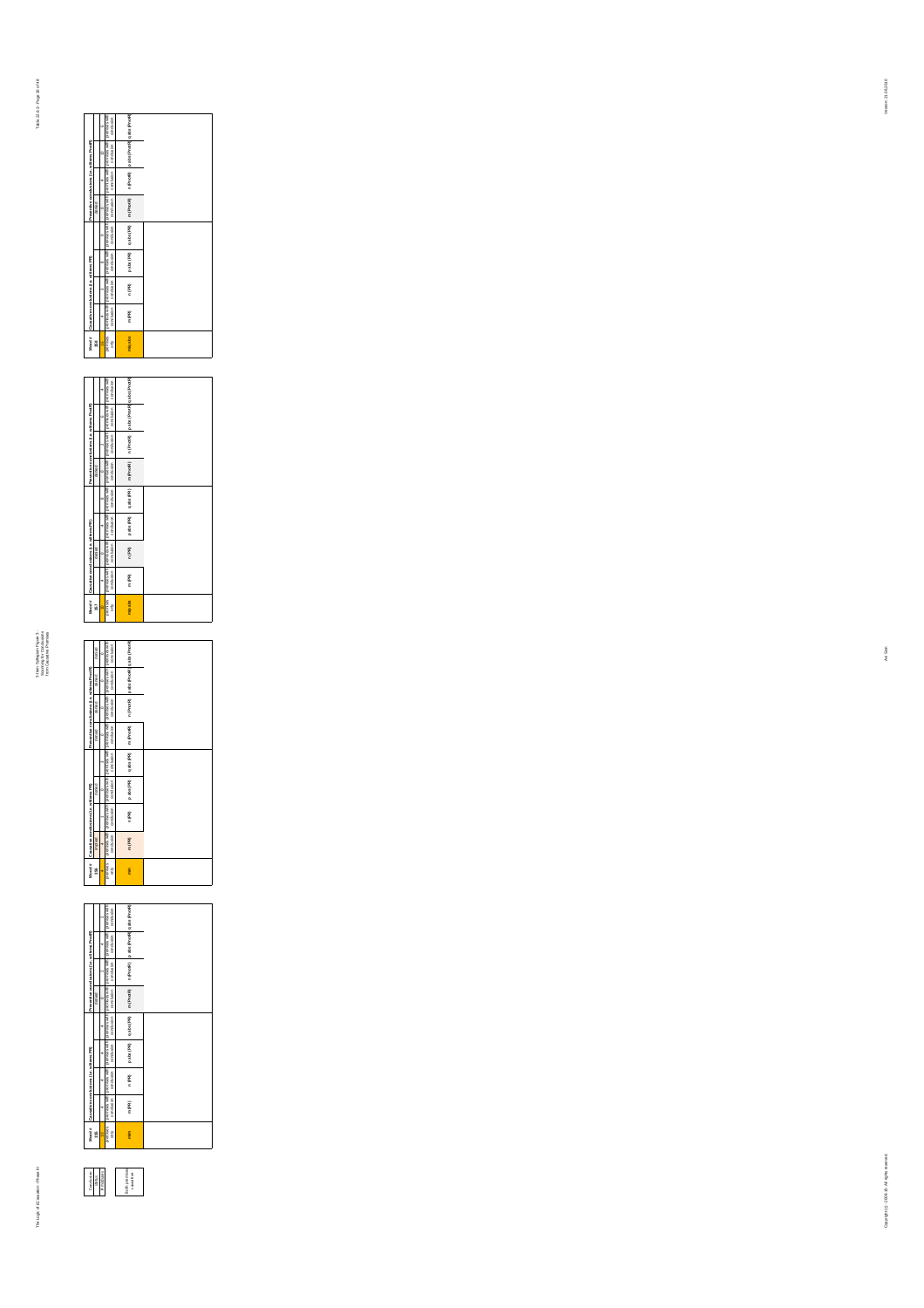Scanning for Conclusions from Causative Premises

3-tem Sylogian Figure 3<br>Sauming for Condusions<br>from Causative Premises

|                                               |        |           | promises with<br>operation                             |                                                                                |  |
|-----------------------------------------------|--------|-----------|--------------------------------------------------------|--------------------------------------------------------------------------------|--|
|                                               |        | $\approx$ | premises with<br>oondusion                             |                                                                                |  |
|                                               |        |           | premises with<br>candusion                             |                                                                                |  |
| Preventive conclusions (i.e., wiltems Prooff) | dened  | c         | promises with<br>conclusion                            |                                                                                |  |
|                                               |        |           | Dreamises with<br>oprobasion                           | patra (PR)   qatra (PR)   m (ProoR)   n (ProoR)   patra (ProoR) q atra (ProoR) |  |
|                                               |        |           | premises with<br>oondusion                             |                                                                                |  |
|                                               |        |           | promises with<br>canduaton                             | n (PR)                                                                         |  |
| ausaive condusions (i.e. witems PR)           |        |           | 200m ses with<br>operation                             | m(PR)                                                                          |  |
| tood #                                        | 358    |           | 200 m 905<br>only                                      | m/q abs                                                                        |  |
|                                               |        |           |                                                        |                                                                                |  |
|                                               |        |           | premises with premises with premises with<br>oondusion | m(PnotR) n(PnotR) pabs (PnotR) qabs (PnotR)                                    |  |
|                                               |        |           | condusion                                              |                                                                                |  |
|                                               |        |           | oorclusion                                             |                                                                                |  |
| Preventive conclusions (i.e. wiltems PnotR)   | denied |           | premises with<br>opridualon                            |                                                                                |  |
|                                               |        |           | condusion                                              | qabs (PR)                                                                      |  |
|                                               |        |           | promises with premises with<br>conclusion              | n (PR) patos (PR)                                                              |  |
|                                               | dining | c         | Deem sea with<br>oorclusion                            |                                                                                |  |
| Causative conclusions (i.e. wiltems PR)       |        |           | compared with<br>oondusion                             | $-1$ models $-1$                                                               |  |
| Mood #                                        | 57     | g         | premises<br>σtγ                                        | m/p abs                                                                        |  |
|                                               |        |           |                                                        |                                                                                |  |
|                                               | dened  |           | promises with<br>conclusion                            |                                                                                |  |
|                                               | dinind |           | DYN BREILIAND<br>operchasines                          |                                                                                |  |
| Preventive con duslons (i.e. w/ltems P notR)  | denied |           | premises with<br>oondusion                             |                                                                                |  |
|                                               | denied |           | promises with<br>condusion                             | pabs (PR) qabs (PR) im (PnotR) in (PhotR) ipabs (PnotR) qabs (PnotR)           |  |
|                                               |        |           | promises with<br>operation                             |                                                                                |  |
| (i.e. w/tems PR)                              | dining |           | promises with<br>oondusion                             |                                                                                |  |
|                                               |        |           | promises with premises with<br>oondusion               | n (PR)                                                                         |  |
| Causative conclusions                         | impled |           | condusion                                              | m(PR)                                                                          |  |
| Mood #                                        | \$     |           | promises<br>only                                       | ę                                                                              |  |
|                                               |        |           |                                                        |                                                                                |  |
|                                               |        |           | premises with premises with<br>condusion               |                                                                                |  |
| Preventive conclusions (Le. witems ProfR)     |        |           | candusion                                              | m (Proof() n (Proof() pabs (ProtR) qabs (Proof()                               |  |
|                                               |        |           | pright sea with<br>conclusion                          |                                                                                |  |
|                                               | dinied |           | premises with<br>operation                             |                                                                                |  |
|                                               |        |           | premises with<br>oondusion                             | qabs (PR)                                                                      |  |
|                                               |        |           | comises with premises with<br>condusion                | pates (PR)                                                                     |  |
| Causalive condusions (Le. wiltems PR)         |        |           | corclusion                                             | n (PR)                                                                         |  |
|                                               |        |           | DYRITTI SIG WITH<br>oprobasion                         | e<br>M                                                                         |  |
| Mood#                                         | 355    |           | DY01mid905<br>ă                                        | ł                                                                              |  |
|                                               |        |           |                                                        |                                                                                |  |

Conclusion status # moduses causative Both premises

| Mood #        |                            | Causative conclusions (i.e. w/kems PR) |                                          |                 |               | Preventive conclusions (i.e. w/ltems ProtR)                         |            |                                |
|---------------|----------------------------|----------------------------------------|------------------------------------------|-----------------|---------------|---------------------------------------------------------------------|------------|--------------------------------|
| \$            | impled                     |                                        | dining                                   |                 | dened         | denied                                                              | denied     | dened                          |
| ۳             |                            |                                        |                                          |                 |               | ċ                                                                   | ċ          |                                |
| 20011593<br>č | promises with<br>condusion | oondusion                              | premises with premises with<br>oondusion | oorchasion      | candusion     | promises with premises with promises with premiers may<br>oondusion | oorchasion | promises with<br>conclusion    |
| 看             | m(PR)                      | n (PR)                                 | pabs (PR)                                | $q$ ab $s$ (PR) | $m$ (P roofR) | n (Prooff)                                                          |            | patra (PriodR) q alsa (PriodR) |
|               |                            |                                        |                                          |                 |               |                                                                     |            |                                |

|                           | ausative conclusions (Le. wiltems PR) |                                                                       |           |             |                             | Preventive conclusions (i.e. witems ProtR) |           |
|---------------------------|---------------------------------------|-----------------------------------------------------------------------|-----------|-------------|-----------------------------|--------------------------------------------|-----------|
|                           | dining                                |                                                                       |           | denied      |                             |                                            |           |
|                           |                                       |                                                                       | ż         |             |                             | ó                                          |           |
| comises with<br>oondusion | oorchasion                            | premises with premises with premises with premises with<br>conclusion | candusion | oondusion   | premises with<br>conclusion | promises with premises with<br>condusion   | oondusion |
| m (PR)                    | n (PR)                                | p atos (PR)                                                           | qabs (PR) | m (Proot R) |                             | n (ProdR)   pabs (PhotR) qabs (ProtR)      |           |
|                           |                                       |                                                                       |           |             |                             |                                            |           |
|                           |                                       |                                                                       |           |             |                             |                                            |           |
|                           |                                       |                                                                       |           |             |                             |                                            |           |
|                           |                                       |                                                                       |           |             |                             |                                            |           |
|                           |                                       |                                                                       |           |             |                             |                                            |           |
|                           |                                       |                                                                       |           |             |                             |                                            |           |
|                           |                                       |                                                                       |           |             |                             |                                            |           |
|                           |                                       |                                                                       |           |             |                             |                                            |           |
|                           |                                       |                                                                       |           |             |                             |                                            |           |

| Mood#         |                             | Causaive conclusions (i.e. willems PR) |                                          |                            |                             | Preventive conclusions (i.e. wittems Prooff) |                                         |                            |
|---------------|-----------------------------|----------------------------------------|------------------------------------------|----------------------------|-----------------------------|----------------------------------------------|-----------------------------------------|----------------------------|
| 353           |                             |                                        |                                          |                            | dened                       |                                              |                                         |                            |
| g             |                             |                                        | w                                        | ö                          |                             |                                              | $\frac{1}{2}$                           |                            |
| 200 mins<br>č | premises with<br>conclusion | candusion                              | promises with premises with<br>oondusion | premises with<br>oondusion | promises with<br>conclusion | premises with<br>candusion                   | premises with<br>oondusion              | premises with<br>operation |
| m/q abs       | $\frac{m(PR)}{R}$           | n (PR)                                 | pabs (PR)                                | qabs (PR)                  | m (P node)                  |                                              | n (P notR) pabs (Pnot R) q abs (P notR) |                            |
|               |                             |                                        |                                          |                            |                             |                                              |                                         |                            |
|               |                             |                                        |                                          |                            |                             |                                              |                                         |                            |

Avi Sion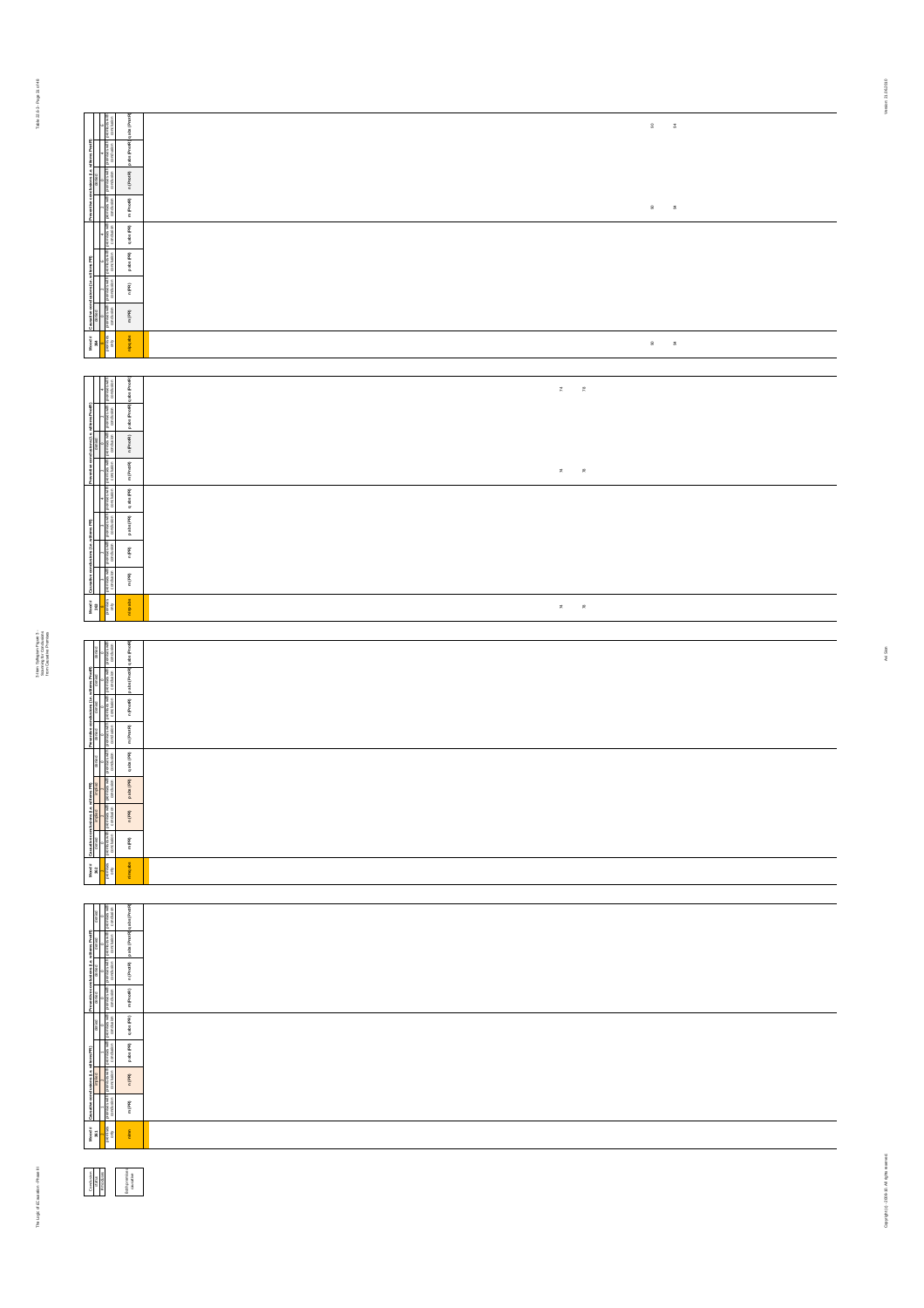| a abs (Proof)                                                                                                                                                                                                                                                                                                                                                                                                                                                                                                                                            | $\mathbin{\mathbb S}$<br>$\frac{\partial}{\partial n}$ |
|----------------------------------------------------------------------------------------------------------------------------------------------------------------------------------------------------------------------------------------------------------------------------------------------------------------------------------------------------------------------------------------------------------------------------------------------------------------------------------------------------------------------------------------------------------|--------------------------------------------------------|
| <b>s</b> dos (ProdR)                                                                                                                                                                                                                                                                                                                                                                                                                                                                                                                                     |                                                        |
| Caustrico considerado da vietna PR)<br>1996 - Partes I por a a formal portuguesa de partes de partes de partes de marca Provencia (m. 1996)<br>1999 - Antonio Maria de Partes de Maria de Partes de Partes de Maria de Maria de Part<br>$n$ (Pn ofR)                                                                                                                                                                                                                                                                                                     | $\,$ 8 $\,$ $\,$ 5 $\,$                                |
| $q\sin(\theta R) = m(\theta \cos R)$                                                                                                                                                                                                                                                                                                                                                                                                                                                                                                                     |                                                        |
| $\mathsf{p}$ also (PR)                                                                                                                                                                                                                                                                                                                                                                                                                                                                                                                                   |                                                        |
| n (PR)                                                                                                                                                                                                                                                                                                                                                                                                                                                                                                                                                   |                                                        |
| $\mathfrak{m}(\mathsf{PR})$                                                                                                                                                                                                                                                                                                                                                                                                                                                                                                                              |                                                        |
| $\begin{array}{r} \text{Mod } \# \\ \text{364} \\ \text{384} \\ \text{pounds} \\ \text{points} \end{array}$<br>n/pqds                                                                                                                                                                                                                                                                                                                                                                                                                                    |                                                        |
| 4<br>premises with<br>condusion<br>qabs (Prooft)                                                                                                                                                                                                                                                                                                                                                                                                                                                                                                         | $\mathbb{R}^+$ . $\mathbb{R}^+$                        |
| abs (ProfR)                                                                                                                                                                                                                                                                                                                                                                                                                                                                                                                                              |                                                        |
| $n$ (P rooff)                                                                                                                                                                                                                                                                                                                                                                                                                                                                                                                                            |                                                        |
| $\frac{1}{2}$<br>$\frac{1}{2}$ $\frac{1}{2}$ $\frac{1}{2}$ $\frac{1}{2}$ $\frac{1}{2}$ $\frac{1}{2}$ $\frac{1}{2}$ $\frac{1}{2}$ $\frac{1}{2}$ $\frac{1}{2}$ $\frac{1}{2}$ $\frac{1}{2}$ $\frac{1}{2}$ $\frac{1}{2}$ $\frac{1}{2}$ $\frac{1}{2}$ $\frac{1}{2}$ $\frac{1}{2}$ $\frac{1}{2}$ $\frac{1}{2}$ $\frac{1}{2}$<br>pemiaa wan pemiaa win premiaa win pemiaa win pemiaan pemiaan pemiaan aku kale kale kale kale kale kale kale ka<br>oordaalon oo cocaalo cocaalo cocaalo cocaalon cocaalon cocaalon cocaalon cocaalon<br>m (ProotR)<br>qabs (PR) | $\mathbb R$ – $\mathbb R$                              |
| pats (PR)                                                                                                                                                                                                                                                                                                                                                                                                                                                                                                                                                |                                                        |
| $_{\rm n}$ (PR)                                                                                                                                                                                                                                                                                                                                                                                                                                                                                                                                          |                                                        |
| $\frac{\partial \mathbf{F}}{\partial \mathbf{r}}$                                                                                                                                                                                                                                                                                                                                                                                                                                                                                                        |                                                        |
| promises<br>only<br>n'npabs                                                                                                                                                                                                                                                                                                                                                                                                                                                                                                                              | $\mathbb{R}^+$ . $\mathbb{R}^+$                        |
| q abs (Pro (R)                                                                                                                                                                                                                                                                                                                                                                                                                                                                                                                                           |                                                        |
| also $\theta$                                                                                                                                                                                                                                                                                                                                                                                                                                                                                                                                            |                                                        |
| n (ProtR)                                                                                                                                                                                                                                                                                                                                                                                                                                                                                                                                                |                                                        |
| <b>Examples concluded du America 1991</b> anno <b>Proprietive concluded du Article Profit</b><br>1993 - Concernant Profitable Profitable (1993) anno 1994 anno 1994 anno 1994 anno 1994<br>1993 - Concernant Profitable (1993) anno 1994 anno<br>$m$ (Pn ofR)<br>qabs (PR)                                                                                                                                                                                                                                                                               |                                                        |
| pabs(PR)                                                                                                                                                                                                                                                                                                                                                                                                                                                                                                                                                 |                                                        |
| $\mathfrak{n}$ (PR)                                                                                                                                                                                                                                                                                                                                                                                                                                                                                                                                      |                                                        |
| Mood # Causalive conclusions<br>342 00100<br>$\mathfrak{m}$ (PR)                                                                                                                                                                                                                                                                                                                                                                                                                                                                                         |                                                        |
| promises<br>ofly<br>n/mq abs                                                                                                                                                                                                                                                                                                                                                                                                                                                                                                                             |                                                        |
| $1$ abs (P $\epsilon$                                                                                                                                                                                                                                                                                                                                                                                                                                                                                                                                    |                                                        |
| pabs(ProtR)                                                                                                                                                                                                                                                                                                                                                                                                                                                                                                                                              |                                                        |
| n (ProdR)<br>$m$ (P rooff)                                                                                                                                                                                                                                                                                                                                                                                                                                                                                                                               |                                                        |
| $q$ abs (PR)                                                                                                                                                                                                                                                                                                                                                                                                                                                                                                                                             |                                                        |
| pabs (PR)                                                                                                                                                                                                                                                                                                                                                                                                                                                                                                                                                |                                                        |
| Causaine and advantage is a shown PR<br>$\frac{1}{\cosh(\phi)}=\frac{1}{\cosh(\phi)}=\frac{1}{\cosh(\phi)}=\frac{1}{\cosh(\phi)}=\frac{1}{\cosh(\phi)}=\frac{1}{\cosh(\phi)}=\frac{1}{\cosh(\phi)}=\frac{1}{\cosh(\phi)}=\frac{1}{\cosh(\phi)}=\frac{1}{\cosh(\phi)}=\frac{1}{\cosh(\phi)}=\frac{1}{\cosh(\phi)}=\frac{1}{\cosh(\phi)}=\frac{1}{\cosh(\phi)}=\frac{1}{\cosh(\phi)}=\frac{1}{\cosh(\phi)}=\frac{1}{\c$<br>Causative conditations (i.e. willens PR)<br>$n$ (PR)                                                                            |                                                        |
| $\frac{\partial}{\partial t}$<br>Mood #<br>361                                                                                                                                                                                                                                                                                                                                                                                                                                                                                                           |                                                        |
| premises<br>n/mn                                                                                                                                                                                                                                                                                                                                                                                                                                                                                                                                         |                                                        |

Copyright (c) - 2008-10. All rights reserved. Avi Sion Version: 21.06.2010

 $M$  Sion

eral on: 21.06.2010

Scanning for Conclusions from Causative Premises

3-ltem Sylogism Figure 3<br>Scaming for Conduisions<br>from Causative Premises

Conclusion<br># moduses<br>xh premis<br>causative Both premises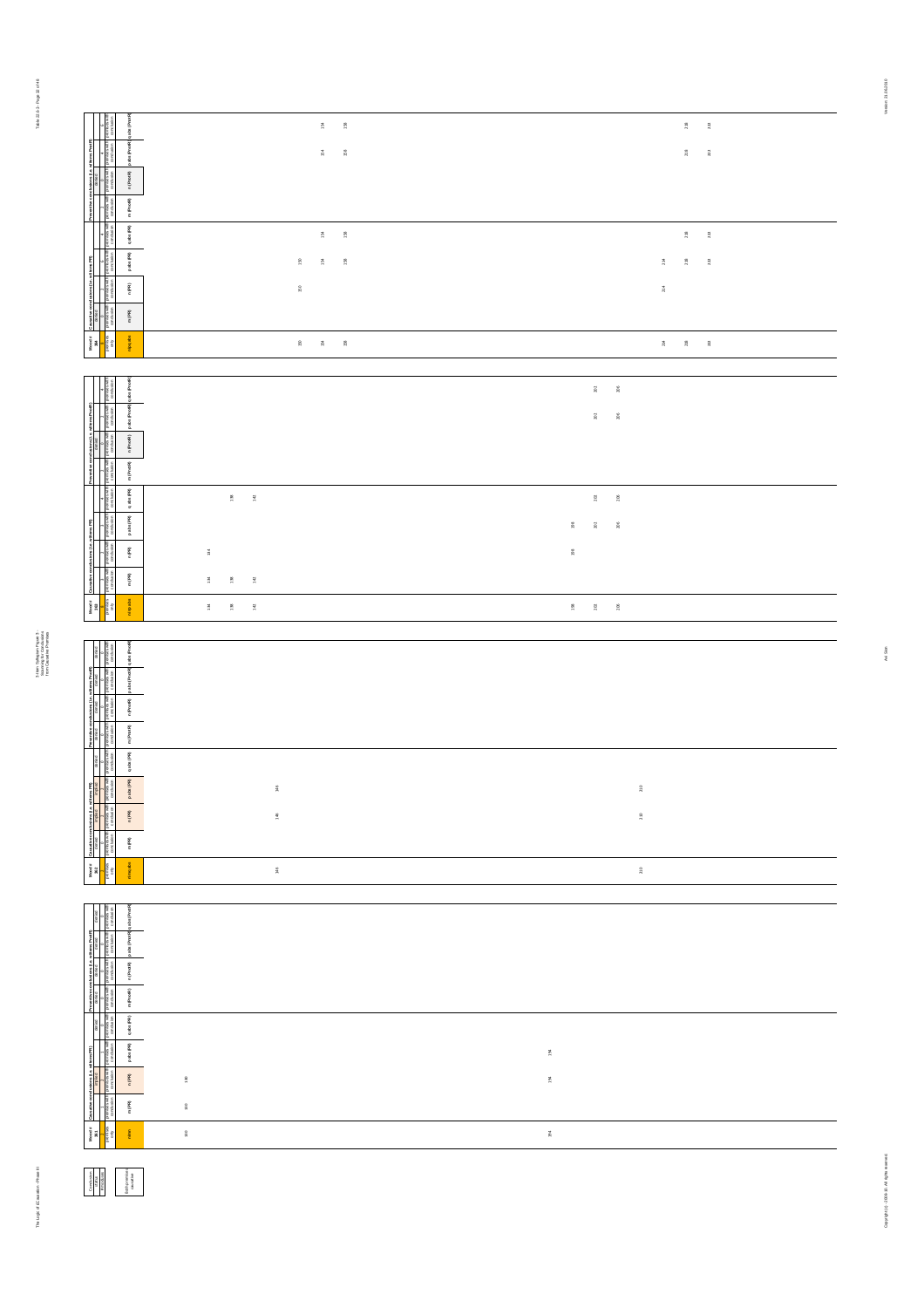| Table 22-6-3 - Page 32 of 48 |  |                 |   |              |
|------------------------------|--|-----------------|---|--------------|
|                              |  |                 | ć | ミラ マネコミン     |
|                              |  | witerms ProofR) | ۰ | しきょう じんきこうこう |

|                                                                           | $\mathbbm{R}^{\mathbbm{N}}$ , $\mathbbm{R}^{\mathbbm{N}}$                                                                                                                                                                                                                                                                                                                                                                                           | $\mathbbmss{B}^{\mathbbmss{B}}$                                                                                                                                                                                                                                                                                                                     |
|---------------------------------------------------------------------------|-----------------------------------------------------------------------------------------------------------------------------------------------------------------------------------------------------------------------------------------------------------------------------------------------------------------------------------------------------------------------------------------------------------------------------------------------------|-----------------------------------------------------------------------------------------------------------------------------------------------------------------------------------------------------------------------------------------------------------------------------------------------------------------------------------------------------|
|                                                                           | $\mathbbmss{1}$ and $\mathbbmss{2}$                                                                                                                                                                                                                                                                                                                                                                                                                 | $\overline{\mathbf{a}}$ , $\overline{\mathbf{a}}$ ,                                                                                                                                                                                                                                                                                                 |
|                                                                           | notR)                                                                                                                                                                                                                                                                                                                                                                                                                                               |                                                                                                                                                                                                                                                                                                                                                     |
|                                                                           | န်<br>$q$ ab s $(\mathsf{PR})$<br>$\frac{35}{23} \qquad \qquad \frac{35}{23}$                                                                                                                                                                                                                                                                                                                                                                       | $\mathbb{R}^n$ , $\mathbb{R}^n$                                                                                                                                                                                                                                                                                                                     |
|                                                                           | $\begin{matrix} 0\\ 0\\ 0\\ 0\\ \end{matrix} \qquad \qquad \begin{matrix} 0\\ 0\\ 0\\ 0\\ 0\\ 0\\ \end{matrix} \qquad \qquad \begin{matrix} 0\\ 0\\ 0\\ 0\\ 0\\ 0\\ 0\\ 0\\ 0\\ 0 \end{matrix}$<br>pate                                                                                                                                                                                                                                             | $\begin{array}{ccc} \overline{a} & \phantom{aa} & \overline{a} & \phantom{aa} \\ \overline{a} & \phantom{aa} & \overline{a} & \phantom{aa} \\ \end{array}$                                                                                                                                                                                          |
|                                                                           | $_{\alpha \varphi \mathrm{R}}$<br>$\stackrel{\circ}{\scriptscriptstyle \times}$                                                                                                                                                                                                                                                                                                                                                                     | $\tilde{\mathbf{a}}$                                                                                                                                                                                                                                                                                                                                |
| Mood #<br>364                                                             | $\mathfrak{m}(\mathsf{PR})$                                                                                                                                                                                                                                                                                                                                                                                                                         |                                                                                                                                                                                                                                                                                                                                                     |
|                                                                           |                                                                                                                                                                                                                                                                                                                                                                                                                                                     |                                                                                                                                                                                                                                                                                                                                                     |
|                                                                           |                                                                                                                                                                                                                                                                                                                                                                                                                                                     | $\mathbb{S}^1$ , $\mathbb{S}^1$                                                                                                                                                                                                                                                                                                                     |
|                                                                           |                                                                                                                                                                                                                                                                                                                                                                                                                                                     | $\approx$ $\approx$                                                                                                                                                                                                                                                                                                                                 |
|                                                                           | $m(p \cos R)$                                                                                                                                                                                                                                                                                                                                                                                                                                       |                                                                                                                                                                                                                                                                                                                                                     |
|                                                                           | qabs $(\mathsf{PR})$<br>$\begin{array}{ccc} 38 & & 24 \\ 34 & & 24 \\ \end{array}$                                                                                                                                                                                                                                                                                                                                                                  | $\frac{2}{3}$ – $\frac{8}{3}$                                                                                                                                                                                                                                                                                                                       |
|                                                                           | pate (PR)                                                                                                                                                                                                                                                                                                                                                                                                                                           | $\begin{matrix} \mathbb{R} & \mathbb{R} & \mathbb{R} \\ \mathbb{R} & \mathbb{R} & \mathbb{R} \end{matrix}$                                                                                                                                                                                                                                          |
|                                                                           | $_{\rm n}$ (PR)<br>$\frac{\pi}{\alpha}$                                                                                                                                                                                                                                                                                                                                                                                                             | $\frac{38}{11}$                                                                                                                                                                                                                                                                                                                                     |
| ថ្ងៃ<br>ខ្លួ                                                              | $\frac{6}{6}$<br>$\begin{picture}(130,10) \put(0,0){\line(1,0){15}} \put(15,0){\line(1,0){15}} \put(15,0){\line(1,0){15}} \put(15,0){\line(1,0){15}} \put(15,0){\line(1,0){15}} \put(15,0){\line(1,0){15}} \put(15,0){\line(1,0){15}} \put(15,0){\line(1,0){15}} \put(15,0){\line(1,0){15}} \put(15,0){\line(1,0){15}} \put(15,0){\line(1,0){15}} \put(15,0){\line($<br>音<br>$\begin{array}{ccccccccc} \Xi & & & \Xi & & & \Xi & & \Xi \end{array}$ | $\begin{picture}(180,10) \put(0,0){\line(1,0){10}} \put(10,0){\line(1,0){10}} \put(10,0){\line(1,0){10}} \put(10,0){\line(1,0){10}} \put(10,0){\line(1,0){10}} \put(10,0){\line(1,0){10}} \put(10,0){\line(1,0){10}} \put(10,0){\line(1,0){10}} \put(10,0){\line(1,0){10}} \put(10,0){\line(1,0){10}} \put(10,0){\line(1,0){10}} \put(10,0){\line($ |
|                                                                           |                                                                                                                                                                                                                                                                                                                                                                                                                                                     |                                                                                                                                                                                                                                                                                                                                                     |
|                                                                           |                                                                                                                                                                                                                                                                                                                                                                                                                                                     |                                                                                                                                                                                                                                                                                                                                                     |
|                                                                           |                                                                                                                                                                                                                                                                                                                                                                                                                                                     |                                                                                                                                                                                                                                                                                                                                                     |
|                                                                           | $m$ (Pn ofR)                                                                                                                                                                                                                                                                                                                                                                                                                                        |                                                                                                                                                                                                                                                                                                                                                     |
|                                                                           | qabs (PR)                                                                                                                                                                                                                                                                                                                                                                                                                                           |                                                                                                                                                                                                                                                                                                                                                     |
|                                                                           | $\frac{9}{24}$                                                                                                                                                                                                                                                                                                                                                                                                                                      | $_{\rm 21}^{\rm 5}$                                                                                                                                                                                                                                                                                                                                 |
| Causative conclusions (Le<br>derivative distributions)                    | $_{\rm 146}$<br>$n$ (PR)                                                                                                                                                                                                                                                                                                                                                                                                                            | $_{\rm 210}$                                                                                                                                                                                                                                                                                                                                        |
| $\frac{M\cos\theta}{362}$<br>seiner<br>T                                  | m (PR)<br>n/mq abs<br>$^{\rm 146}$                                                                                                                                                                                                                                                                                                                                                                                                                  | $_{\rm 20}$                                                                                                                                                                                                                                                                                                                                         |
|                                                                           |                                                                                                                                                                                                                                                                                                                                                                                                                                                     |                                                                                                                                                                                                                                                                                                                                                     |
|                                                                           | abs (Pr                                                                                                                                                                                                                                                                                                                                                                                                                                             |                                                                                                                                                                                                                                                                                                                                                     |
| Preventive conditations (i.e. willems PnotR)<br>derived [ derived derived |                                                                                                                                                                                                                                                                                                                                                                                                                                                     |                                                                                                                                                                                                                                                                                                                                                     |
|                                                                           | $m(p \text{ node})$                                                                                                                                                                                                                                                                                                                                                                                                                                 |                                                                                                                                                                                                                                                                                                                                                     |
|                                                                           | $q$ also $(PR)$                                                                                                                                                                                                                                                                                                                                                                                                                                     |                                                                                                                                                                                                                                                                                                                                                     |
| w/loams PR)                                                               | pabs                                                                                                                                                                                                                                                                                                                                                                                                                                                | $^{\rm 54}$                                                                                                                                                                                                                                                                                                                                         |
|                                                                           | $n$ (PR)<br>$\frac{\Omega}{\Omega}$<br>$\frac{m}{n}$<br>$\frac{2}{n}$                                                                                                                                                                                                                                                                                                                                                                               | $\frac{\pi}{20}$                                                                                                                                                                                                                                                                                                                                    |
| $\begin{array}{c} \text{Mood} \; \text{s} \\ 361 \end{array}$             | $^{\rm 130}$                                                                                                                                                                                                                                                                                                                                                                                                                                        | $\frac{34}{2}$                                                                                                                                                                                                                                                                                                                                      |
|                                                                           |                                                                                                                                                                                                                                                                                                                                                                                                                                                     |                                                                                                                                                                                                                                                                                                                                                     |

Copyright (c) - 2008-10. All rights reserved. Avi Sion Version: 21.06.2010

Aw Sion

Copylight (c) - 2008-10. All rights reserved.

Version: 21.06.2010

The Logic of Economic of Economic of Economic of Economic Sylvism Figure 3 - Phase III 3-Item Sylvism Figure 3 - Phase III 30-Item Sylvism Figure 3 - Phase III 3-Item Sylvism Figure 3 - Phase III 3-Item Sylvism Figure 3 - The Logic of SCausation - Phase III

Conclusion<br># moduses<br>xh premis<br>causative Both premises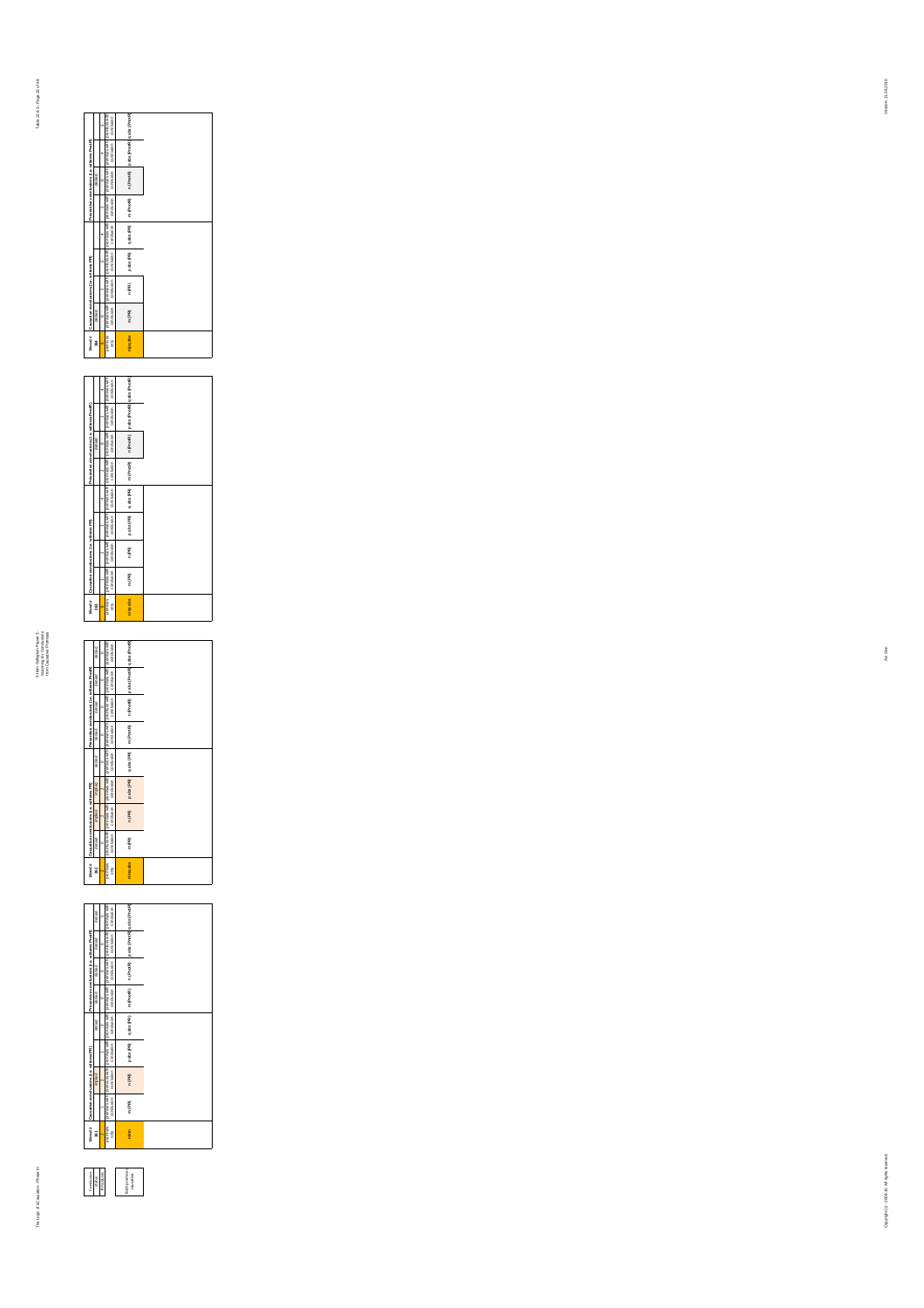| premises<br>š |                             | Causative conclusions (i.e. w/ltems PR) |                                                        |           |                             | Preventive condusions (i.e. wiltems ProtR) |                                         |                            |
|---------------|-----------------------------|-----------------------------------------|--------------------------------------------------------|-----------|-----------------------------|--------------------------------------------|-----------------------------------------|----------------------------|
|               |                             | implied                                 |                                                        | dining    | denied                      | denied                                     | denied                                  | dining                     |
|               |                             |                                         |                                                        | ċ         | ۰                           | ö                                          |                                         |                            |
| č             | premises with<br>conclusion | candualon                               | premises with premises with premises with<br>oondusion | operation | promises with<br>conclusion | promises with<br>candualon                 | premises with<br>oondusion              | premises with<br>operation |
| n/mn          | m(PR)                       | n (PR)                                  | pabs (PR)                                              | qabs (PR) | $m(p \mod 8)$               |                                            | n (PriodR) pubs (Priod R) qubs (PriodR) |                            |
|               |                             |                                         |                                                        |           |                             |                                            |                                         |                            |
|               |                             |                                         |                                                        |           |                             |                                            |                                         |                            |
|               |                             |                                         |                                                        |           |                             |                                            |                                         |                            |
|               |                             |                                         |                                                        |           |                             |                                            |                                         |                            |
|               |                             |                                         |                                                        |           |                             |                                            |                                         |                            |
|               |                             |                                         |                                                        |           |                             |                                            |                                         |                            |
|               |                             |                                         |                                                        |           |                             |                                            |                                         |                            |

Conclusion<br># moduses<br>xh premis<br>causative Both premises

|                                              |           | oonclu                                                                                                         |                                                                      |  |
|----------------------------------------------|-----------|----------------------------------------------------------------------------------------------------------------|----------------------------------------------------------------------|--|
|                                              |           | opricion                                                                                                       |                                                                      |  |
|                                              | denied    | oondusion                                                                                                      | n (PhoeR) pates (ProeR) qabs (P                                      |  |
| Preventive conclusions (i.e. witems ProfR)   |           | condusion                                                                                                      | m (ProofR)                                                           |  |
|                                              |           | premises with premises with premises with premises with premise<br>operation                                   | $q$ abs $(PR)$                                                       |  |
|                                              |           | premises with<br>opriduation                                                                                   | pabs (PR)                                                            |  |
| ausative conclusions (i.e. w/kens PR)        |           | Contractor of Mary<br>oondusion                                                                                | n (PR)                                                               |  |
|                                              | dened     | y omi ses with<br>condusion                                                                                    | m(PR)                                                                |  |
| Mood#                                        | š         | premises<br>č                                                                                                  | n/pq abs                                                             |  |
|                                              |           |                                                                                                                |                                                                      |  |
|                                              |           | promises with promises with promises with promises with promises with promises with promises with<br>condusion | n (PriodR) pabs (PriodR) qabs (PriodR)                               |  |
| Preventive conclusions (i.e. willens Prot R) |           | canduagon                                                                                                      |                                                                      |  |
|                                              | dened     | conclusion                                                                                                     | $\overline{\phantom{a}}$                                             |  |
|                                              |           | operation                                                                                                      | qabs (PR) m (ProtR)                                                  |  |
|                                              |           | oondusion                                                                                                      |                                                                      |  |
|                                              |           | condusion                                                                                                      | pates (PR)                                                           |  |
| ausalve conclusions (i.e. witems PR)         |           | conclusion                                                                                                     | n (PR)                                                               |  |
|                                              |           | remises with<br>oondusion                                                                                      | m(99)                                                                |  |
| Mood#                                        | 363       | prestribute<br>ă                                                                                               | ning abs                                                             |  |
|                                              |           |                                                                                                                |                                                                      |  |
|                                              | dened     | Dream sea with prigmises with<br>candusion                                                                     | patis (PR) qubs (PR) in (PhotR) in (PhotR) pubs (ProfR) qubs (PhotR) |  |
| Preventive conclusions (i.e. wittens Pno IR) | denied    | conclusion                                                                                                     |                                                                      |  |
|                                              | dining    | Dreamises with<br>condusion                                                                                    |                                                                      |  |
|                                              | denied    | premises with premises with premises with<br>oondusion                                                         |                                                                      |  |
|                                              | dened     | condusion                                                                                                      |                                                                      |  |
|                                              | mpled     | operation                                                                                                      |                                                                      |  |
| Causative conclusions (i.e. witems PR)       | a perduit | this ceauu<br>oondusion                                                                                        | n (PR)                                                               |  |
|                                              | denied    | premises with<br>candusion                                                                                     | m (PR)                                                               |  |
| Mooda                                        | g         | promises<br>ğ                                                                                                  | n <i>Imgaba</i>                                                      |  |
|                                              |           |                                                                                                                |                                                                      |  |
|                                              | diciero   | Dream ses with<br>operation                                                                                    | n (ProofR) p.sbs (ProofR) q abs (ProofR)                             |  |
|                                              | denied    | premises with<br>oondusion                                                                                     |                                                                      |  |
| Preventive condusions (i.e. willems Profit)  | denied    | promises with<br>condusion                                                                                     |                                                                      |  |
|                                              | denied    | Drem sea with promises with<br>conclusion                                                                      | m (ProfR)                                                            |  |
|                                              | denied    | operation                                                                                                      | qabs (PR)                                                            |  |
|                                              |           | promises with premises with<br>oondusion                                                                       | pabs (PR)                                                            |  |
| ausative condusions (i.e. w/ltems PR)        | implied   | candusion                                                                                                      | n (PR)                                                               |  |
|                                              |           | help with<br>conclusion                                                                                        | $\frac{m(PR)}{E}$                                                    |  |
| food #                                       | š         | Virri 905<br>č                                                                                                 | <b>Diffusion</b>                                                     |  |

|                                               |         |   | conclusion                                 |                                                                     |  |
|-----------------------------------------------|---------|---|--------------------------------------------|---------------------------------------------------------------------|--|
|                                               |         |   | Dremises with Dremises with<br>opricion    |                                                                     |  |
| Preventive conclusions (i.e. wiltems Profit)  | denied  | c | premises with<br>oondusion                 | patos (PR) qubs (PR) m (ProoR) n (PhotR) putos (ProoR) qubs (ProoR) |  |
|                                               |         |   | candualon                                  |                                                                     |  |
|                                               |         |   | premises with premises with<br>oorclusion  |                                                                     |  |
|                                               |         |   | Dreamises with<br>opridualon               |                                                                     |  |
|                                               |         |   | premises with<br>oondusion                 | e die o                                                             |  |
| Causative conclusions (i.e. witters PR)       | dened   |   | promises with<br>candualan                 | m(pR)                                                               |  |
| Mood #                                        | š       |   | D/0/11905<br>only                          | n/pq abs                                                            |  |
|                                               |         |   |                                            |                                                                     |  |
|                                               |         |   | premises with premises with<br>oondusion   |                                                                     |  |
| Preventive conclusions (i.e., willens Prot R) |         |   | candusion                                  | n (PriodR)   pabs (PriodR) qabs (PriodR)                            |  |
|                                               | dened   |   | promises with<br>conclusion                |                                                                     |  |
|                                               |         |   | Dream ses with<br>operation                | m (ProtR)                                                           |  |
|                                               |         |   | premises with<br>oondusion                 | qabs (PR)                                                           |  |
| Causalve conclusions (i.e. wiltems PR)        |         |   | promises with<br>candusion                 | pates (PR)                                                          |  |
|                                               |         |   | promises with<br>operation                 | n (PR)                                                              |  |
|                                               |         |   | remises with<br>oondusion                  | m (PR)                                                              |  |
| Mood#                                         | 38      |   | 200mlses<br>ă                              | n/np abs                                                            |  |
|                                               | dened   |   | candualon                                  |                                                                     |  |
|                                               | denied  |   | premises with premises with<br>conclusion  |                                                                     |  |
|                                               | denied  |   | Dreamises with<br>oondusion                | n (ProtR) pabs (ProtR) qabs (ProtR)                                 |  |
| Preventive conclusions (i.e. wittens Pno tR)  | denied  |   | premises with<br>oondusion                 | m (Pn ofR)                                                          |  |
|                                               | denied  |   | promises with<br>candualan                 | qabs (PR)                                                           |  |
|                                               | impled  |   | oonclusion                                 | $p$ abs $(pR)$                                                      |  |
|                                               | implied |   | premises with premises with<br>opriduation | n(PR)                                                               |  |
| ausative conclusions (i.e. witems PR)         | denied  |   | promises with<br>candusion                 | mpa                                                                 |  |
| Mood#                                         | ä       |   | premises<br>ğ                              | n hing abs                                                          |  |
|                                               |         |   |                                            |                                                                     |  |
|                                               | dining  | ö | DYNT 905 WITH<br>oorchasion                |                                                                     |  |
| Preventive condusions (i.e. witems PnotR)     | denied  |   | premises with premises with<br>oondusion   | n (ProdR)   pabs (ProdR) q abs (ProdR)                              |  |
|                                               | densed  |   | candusion                                  |                                                                     |  |
|                                               | deried  |   | promises with<br>corclusion                | m (ProofR)                                                          |  |
|                                               | dining  |   | premises with premises with<br>operchasion | qabs (PR)                                                           |  |
|                                               |         |   | oondusion                                  | pabs (PR)                                                           |  |
| Causative con dusions (i.e. w/lears PR)       | implied |   | promises with<br>candusion                 | n (PR)                                                              |  |
|                                               |         |   | Dream ses with<br>oorchasion               | $\frac{m(PR)}{E}$                                                   |  |
| $\frac{1}{8}$                                 | ş       |   | hos (U)<br>ğ                               | Į                                                                   |  |

Avi Sion

Copyright (c) - 2008-10. All rights reserve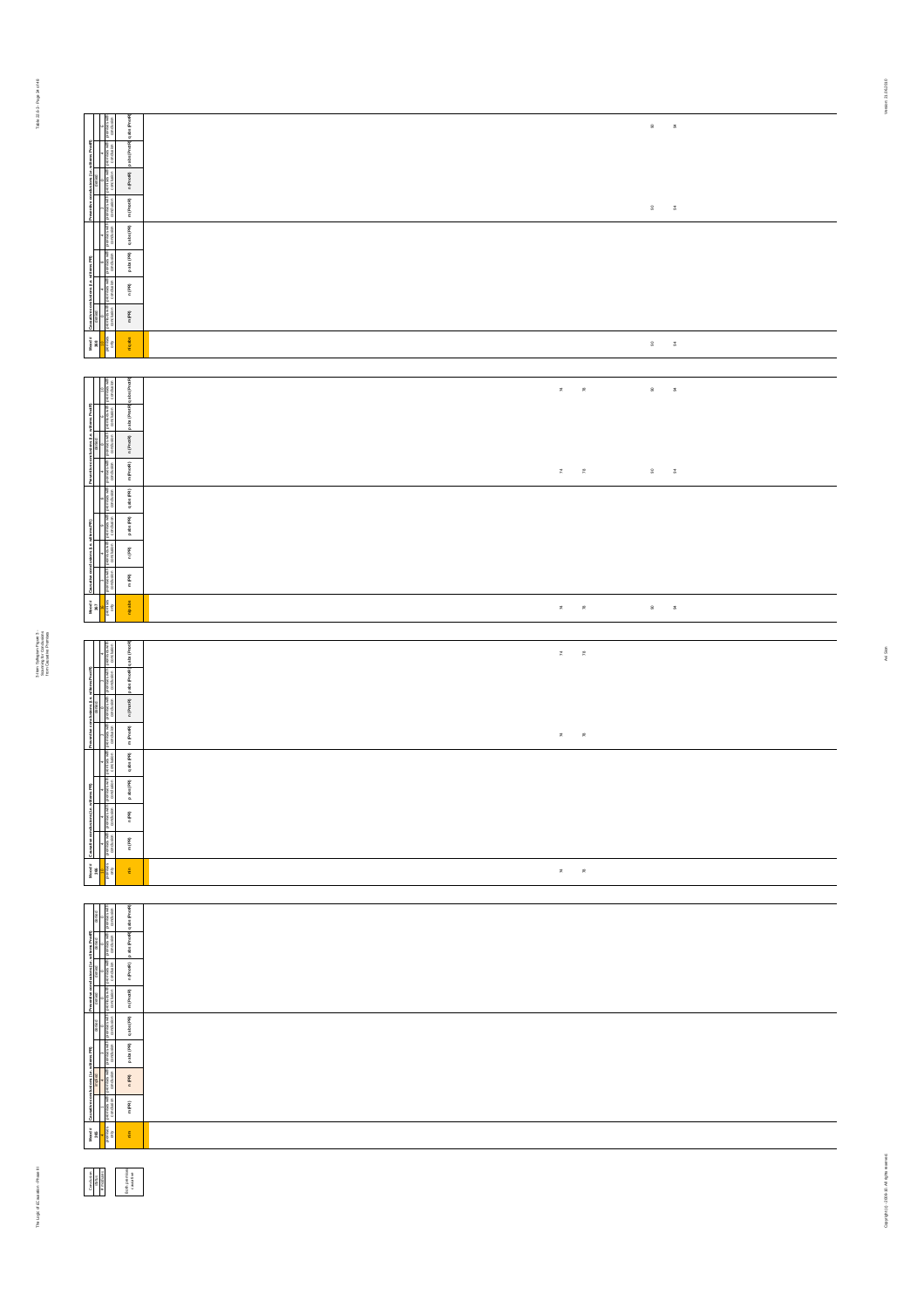| abs (Pr<br>pabs (ProtR)<br>$n$ (P notR)<br>promises with<br>opelusion<br>$m$ (ProofR)<br>no engine<br>combas with<br>$\mathbf{q}$ abs (PR)<br>8<br>semises with<br>ondusion<br>p abs (PR)<br>ssions (i.e. wittems PR)<br>4<br>promises with<br>condusion<br>$_{\rm n}$ (e s)                                                                                                                                                                                                                                                                                                         | $\begin{array}{ccc} \circ & \circ & \circ \\ \circ & \circ & \circ \end{array}$<br>$\begin{matrix} \circledast \quad & \circledast \quad \\ \circledast \quad & \circledast \quad \end{matrix}$                                                                                                                                                                                                                                                                                                                             |
|--------------------------------------------------------------------------------------------------------------------------------------------------------------------------------------------------------------------------------------------------------------------------------------------------------------------------------------------------------------------------------------------------------------------------------------------------------------------------------------------------------------------------------------------------------------------------------------|-----------------------------------------------------------------------------------------------------------------------------------------------------------------------------------------------------------------------------------------------------------------------------------------------------------------------------------------------------------------------------------------------------------------------------------------------------------------------------------------------------------------------------|
| fass with<br>that or<br>$\frac{m}{n}$<br>$\begin{array}{c} \texttt{Mood} \\ \texttt{343} \end{array}$<br>niqabs                                                                                                                                                                                                                                                                                                                                                                                                                                                                      | $\begin{matrix} 0 & \cdots & \cdots & 0 \\ \vdots & \vdots & \ddots & \vdots \\ \vdots & \vdots & \ddots & \vdots \\ \vdots & \vdots & \ddots & \vdots \\ \vdots & \vdots & \ddots & \vdots \\ \vdots & \vdots & \ddots & \vdots \\ \vdots & \vdots & \ddots & \vdots \\ \vdots & \vdots & \ddots & \vdots \\ \vdots & \vdots & \ddots & \vdots \\ \vdots & \vdots & \ddots & \vdots \\ \vdots & \vdots & \ddots & \vdots \\ \vdots & \vdots & \vdots & \ddots \\ \vdots & \vdots & \vdots & \vdots \\ \vdots & \vdots & \$ |
| abs (PhodR) q abs (PhotR)<br>10<br>remises with<br>troot R)<br>ramises with<br>condusion<br>$n$ (P rooff)<br>$m(\hbox{\rm{Proof}} R)$<br>a<br>premises with<br>oondusion                                                                                                                                                                                                                                                                                                                                                                                                             | $\mathbb{R}^+$ . $\mathbb{R}^+$<br>$\begin{array}{ccccccccccccc} \pi & \quad & \pi & \quad & \pi & \quad & \pi & \quad & \pi \end{array}$                                                                                                                                                                                                                                                                                                                                                                                   |
| reventive<br>a<br>pomises with p<br>condusion<br>qabs $(\mathsf{PR})$<br>premises with<br>conclusion<br>$p$ atos (PR)<br>A<br>promises with<br>conclusion<br>conclusions (i.e.<br>$\frac{\partial}{\partial t}$<br>amises with<br>pardusion<br>m (PR)                                                                                                                                                                                                                                                                                                                                |                                                                                                                                                                                                                                                                                                                                                                                                                                                                                                                             |
| remises<br>Mood#<br>-367<br>mpates                                                                                                                                                                                                                                                                                                                                                                                                                                                                                                                                                   | $\mathbf{g}=-\mathbf{g}$<br>$\,$ 8 $\,$ $\,$ 8 $\,$                                                                                                                                                                                                                                                                                                                                                                                                                                                                         |
| <b>Resulting</b><br>contained<br>abs (ProfR<br>着<br>$\mathfrak{n}$ (Pro $\mathfrak{M}$<br>$m$ (ProofR)<br>promises with<br>conduison                                                                                                                                                                                                                                                                                                                                                                                                                                                 | $\mathbf{g}=-\mathbf{g}$<br>$\mathcal{R}$ – $\mathcal{R}$                                                                                                                                                                                                                                                                                                                                                                                                                                                                   |
| 4<br>comises with<br>conclusion<br>$q$ abs $\left( \mathsf{PR}\right)$<br>4<br>premises with<br>condusion<br>$p$ abs (PR)<br>£<br>i ons<br>sions (i.e. w<br>the stand<br>$_{\alpha \phi \text{B}}$<br>Causative.com<br>n amises with<br>condusion<br>$\mathfrak{g}_{\mathfrak{m}}$<br>Mood #<br>$\epsilon$                                                                                                                                                                                                                                                                           | $\mathbf{g}=-\mathbf{g}$                                                                                                                                                                                                                                                                                                                                                                                                                                                                                                    |
| abs(Proof<br>Pavantive conclusions (Le, witems PnoR)<br>divid<br>p abs (ProtR)<br>premises with<br>D<br>promises with<br>conclusion<br>$n$ (ProofR)<br>premises with<br>conclusion<br>$m$ (P rooff)<br>promises with<br>promises with<br>qabs (PR)<br>denied<br>$\begin{array}{c}\n3 \\ \text{points with } 1\n\end{array}$<br>pats (PR)<br>tems PR)<br>Causal ve conclusions (i.e. with<br>Causal ve conclusions (i.e. with<br>promises with<br>$_{\rm n}$ (PR)<br>1<br>remises with<br>conclusion<br>$\frac{\partial \widehat{R}}{\partial t}$<br>$\frac{M \cos \theta}{365}$<br>ł |                                                                                                                                                                                                                                                                                                                                                                                                                                                                                                                             |

Copyright (c) - 2008-10. All rights reserved. Avi Sion Version: 21.06.2010

 $M$  Sion

Conclusion status # moduses causative Both premises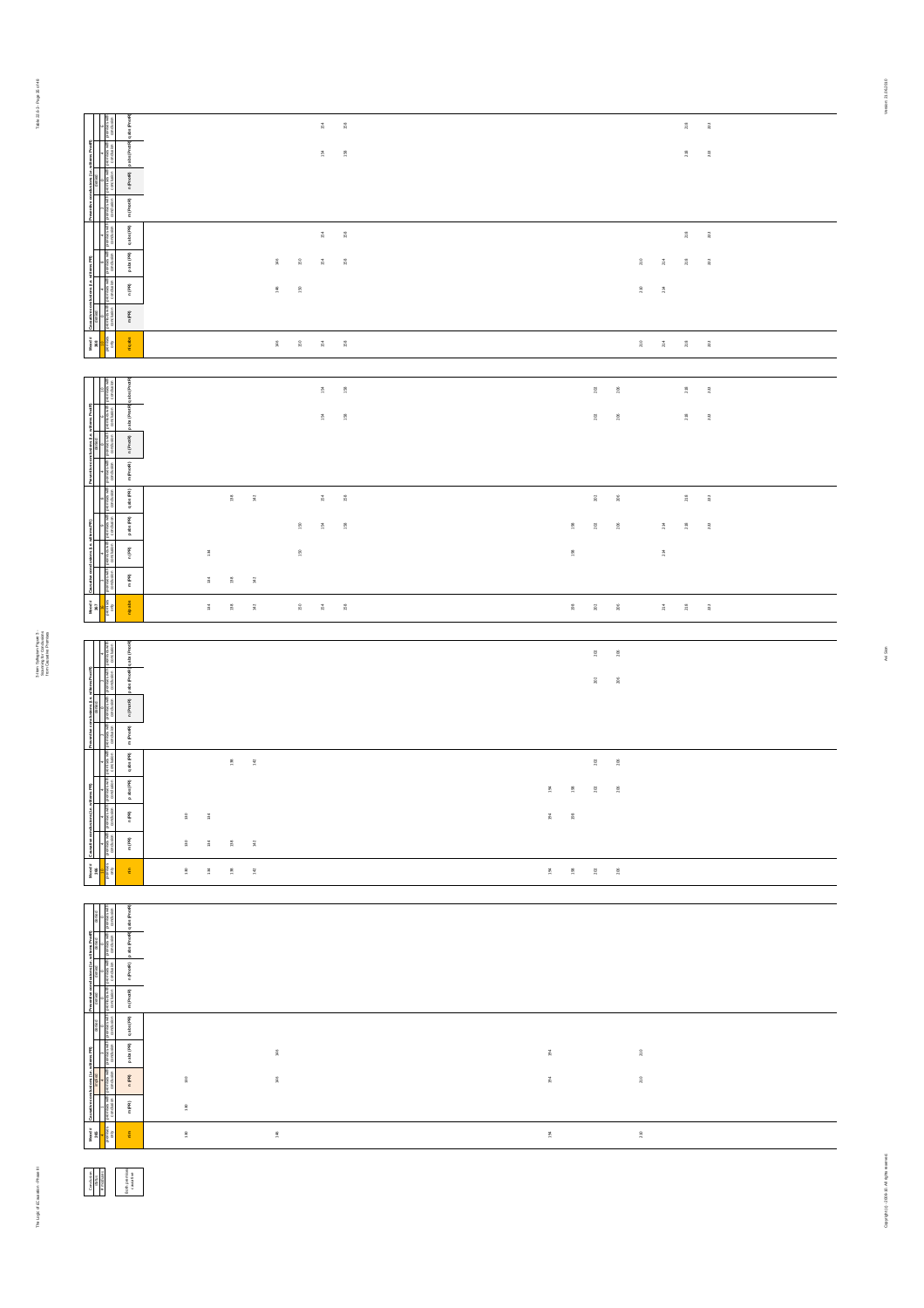Table 22.6-3 - Page 35 of 48 Table 22.6-3 - Page 35 of 48

|                                                                |                 |                          |                                                                                                                                   |                                                                                                                                                                            |                 |                                                                                                                                                                                                                                                                                                                                                                                                                                               | $\frac{3}{22}$ $\frac{3}{22}$ |                  |                                                                                                                      |                                                                                                                                                                                                                                                                                                                                                                                                           |                        |                                                                                                                                                                                                                                                                                                                                                                                                                                                                     | $\overline{\mathbf{a}}$ and                                                                                                                                                                                                                                                                                                                                                                                                           |  |
|----------------------------------------------------------------|-----------------|--------------------------|-----------------------------------------------------------------------------------------------------------------------------------|----------------------------------------------------------------------------------------------------------------------------------------------------------------------------|-----------------|-----------------------------------------------------------------------------------------------------------------------------------------------------------------------------------------------------------------------------------------------------------------------------------------------------------------------------------------------------------------------------------------------------------------------------------------------|-------------------------------|------------------|----------------------------------------------------------------------------------------------------------------------|-----------------------------------------------------------------------------------------------------------------------------------------------------------------------------------------------------------------------------------------------------------------------------------------------------------------------------------------------------------------------------------------------------------|------------------------|---------------------------------------------------------------------------------------------------------------------------------------------------------------------------------------------------------------------------------------------------------------------------------------------------------------------------------------------------------------------------------------------------------------------------------------------------------------------|---------------------------------------------------------------------------------------------------------------------------------------------------------------------------------------------------------------------------------------------------------------------------------------------------------------------------------------------------------------------------------------------------------------------------------------|--|
|                                                                |                 |                          |                                                                                                                                   |                                                                                                                                                                            |                 | $\frac{1}{2}$ = $\frac{1}{2}$                                                                                                                                                                                                                                                                                                                                                                                                                 |                               |                  |                                                                                                                      |                                                                                                                                                                                                                                                                                                                                                                                                           |                        |                                                                                                                                                                                                                                                                                                                                                                                                                                                                     | $\mathbb{R}$ and $\mathbb{R}$                                                                                                                                                                                                                                                                                                                                                                                                         |  |
|                                                                |                 |                          |                                                                                                                                   |                                                                                                                                                                            |                 |                                                                                                                                                                                                                                                                                                                                                                                                                                               |                               |                  |                                                                                                                      |                                                                                                                                                                                                                                                                                                                                                                                                           |                        |                                                                                                                                                                                                                                                                                                                                                                                                                                                                     |                                                                                                                                                                                                                                                                                                                                                                                                                                       |  |
|                                                                |                 |                          |                                                                                                                                   |                                                                                                                                                                            |                 |                                                                                                                                                                                                                                                                                                                                                                                                                                               |                               |                  |                                                                                                                      |                                                                                                                                                                                                                                                                                                                                                                                                           |                        |                                                                                                                                                                                                                                                                                                                                                                                                                                                                     |                                                                                                                                                                                                                                                                                                                                                                                                                                       |  |
|                                                                | $q$ abs $(PR)$  |                          |                                                                                                                                   |                                                                                                                                                                            |                 | $15 - 25$                                                                                                                                                                                                                                                                                                                                                                                                                                     |                               |                  |                                                                                                                      |                                                                                                                                                                                                                                                                                                                                                                                                           |                        |                                                                                                                                                                                                                                                                                                                                                                                                                                                                     |                                                                                                                                                                                                                                                                                                                                                                                                                                       |  |
|                                                                | Ê<br>å          |                          |                                                                                                                                   |                                                                                                                                                                            |                 | $\begin{matrix} 0 & 0 & 0 \\ 0 & 0 & 0 \\ 0 & 0 & 0 \end{matrix} \qquad \begin{matrix} 0 & 0 & 0 \\ 0 & 0 & 0 \\ 0 & 0 & 0 \\ 0 & 0 & 0 \end{matrix}$                                                                                                                                                                                                                                                                                         |                               |                  |                                                                                                                      |                                                                                                                                                                                                                                                                                                                                                                                                           |                        | $\begin{tabular}{ccccccccc} \multicolumn{4}{c }{\textbf{a}} & \multicolumn{4}{c }{\textbf{a}} & \multicolumn{4}{c }{\textbf{a}} & \multicolumn{4}{c }{\textbf{a}} & \multicolumn{4}{c }{\textbf{a}} & \multicolumn{4}{c }{\textbf{a}} & \multicolumn{4}{c }{\textbf{a}} & \multicolumn{4}{c }{\textbf{a}} & \multicolumn{4}{c }{\textbf{a}} & \multicolumn{4}{c }{\textbf{a}} & \multicolumn{4}{c }{\textbf{a}} & \multicolumn{4}{c }{\textbf{a}} & \multicolumn{4$ |                                                                                                                                                                                                                                                                                                                                                                                                                                       |  |
|                                                                | n (PR)          |                          |                                                                                                                                   |                                                                                                                                                                            |                 | $\begin{matrix} 0 & 0 & 0 \\ 0 & 0 & 0 \\ 0 & 0 & 0 \end{matrix}$                                                                                                                                                                                                                                                                                                                                                                             |                               |                  |                                                                                                                      |                                                                                                                                                                                                                                                                                                                                                                                                           |                        | $\begin{array}{ccc} & & & \\ \mathbf{R} & & & \\ & & \mathbf{R} & \\ & & & \mathbf{R} \end{array}$                                                                                                                                                                                                                                                                                                                                                                  |                                                                                                                                                                                                                                                                                                                                                                                                                                       |  |
|                                                                | $\frac{6}{3}$   |                          |                                                                                                                                   |                                                                                                                                                                            |                 |                                                                                                                                                                                                                                                                                                                                                                                                                                               |                               |                  |                                                                                                                      |                                                                                                                                                                                                                                                                                                                                                                                                           |                        |                                                                                                                                                                                                                                                                                                                                                                                                                                                                     |                                                                                                                                                                                                                                                                                                                                                                                                                                       |  |
| <b>Sep</b>                                                     |                 |                          |                                                                                                                                   |                                                                                                                                                                            |                 | $\begin{tabular}{ccccccccc} $\mathfrak{A}$ & $\mathfrak{A}$ & $\mathfrak{A}$ & $\mathfrak{A}$ & $\mathfrak{A}$ \\ $\mathfrak{A}$ & $\mathfrak{A}$ & $\mathfrak{A}$ & $\mathfrak{A}$ & $\mathfrak{A}$ \\ \end{tabular}$                                                                                                                                                                                                                        |                               |                  |                                                                                                                      |                                                                                                                                                                                                                                                                                                                                                                                                           |                        |                                                                                                                                                                                                                                                                                                                                                                                                                                                                     | $\begin{array}{cccccccccc} \mathbb{B} & & \mathbb{B} & & \mathbb{B} & & \mathbb{B} & & \mathbb{B} & \mathbb{B} & \mathbb{B} & \mathbb{B} & \mathbb{B} & \mathbb{B} & \mathbb{B} & \mathbb{B} & \mathbb{B} & \mathbb{B} & \mathbb{B} & \mathbb{B} & \mathbb{B} & \mathbb{B} & \mathbb{B} & \mathbb{B} & \mathbb{B} & \mathbb{B} & \mathbb{B} & \mathbb{B} & \mathbb{B} & \mathbb{B} & \mathbb{B} & \mathbb{B} & \mathbb{B} & \mathbb{$ |  |
|                                                                |                 |                          |                                                                                                                                   |                                                                                                                                                                            |                 |                                                                                                                                                                                                                                                                                                                                                                                                                                               |                               |                  |                                                                                                                      |                                                                                                                                                                                                                                                                                                                                                                                                           |                        |                                                                                                                                                                                                                                                                                                                                                                                                                                                                     |                                                                                                                                                                                                                                                                                                                                                                                                                                       |  |
|                                                                |                 |                          |                                                                                                                                   |                                                                                                                                                                            |                 | $\frac{\pi}{10}$ – $\frac{\pi}{10}$                                                                                                                                                                                                                                                                                                                                                                                                           |                               |                  |                                                                                                                      |                                                                                                                                                                                                                                                                                                                                                                                                           |                        |                                                                                                                                                                                                                                                                                                                                                                                                                                                                     |                                                                                                                                                                                                                                                                                                                                                                                                                                       |  |
|                                                                |                 |                          |                                                                                                                                   |                                                                                                                                                                            |                 | $\begin{array}{ccc}\n\mathfrak{A} & \mathfrak{A} & \mathfrak{A} \\ \mathfrak{A} & \mathfrak{A} & \mathfrak{A} \\ \mathfrak{A} & \mathfrak{A} & \mathfrak{A} \\ \mathfrak{A} & \mathfrak{A} & \mathfrak{A} \\ \mathfrak{A} & \mathfrak{A} & \mathfrak{A} \\ \mathfrak{A} & \mathfrak{A} & \mathfrak{A} \\ \mathfrak{A} & \mathfrak{A} & \mathfrak{A} \\ \mathfrak{A} & \mathfrak{A} & \mathfrak{A} \\ \mathfrak{A} & \mathfrak{A} & \mathfrak$ |                               |                  |                                                                                                                      | $\begin{matrix} 2 & 2 & 3 \\ 3 & 2 & 3 \\ 2 & 3 & 3 \\ 3 & 3 & 3 \\ 3 & 3 & 3 \\ 3 & 3 & 3 \\ 3 & 3 & 3 \\ 3 & 3 & 3 \\ 3 & 3 & 3 \\ 3 & 3 & 3 \\ 3 & 3 & 3 \\ 3 & 3 & 3 \\ 3 & 3 & 3 \\ 3 & 3 & 3 \\ 3 & 3 & 3 \\ 3 & 3 & 3 \\ 3 & 3 & 3 \\ 3 & 3 & 3 \\ 3 & 3 & 3 \\ 3 & 3 & 3 \\ 3 & 3 & 3 \\ 3 & 3 & 3 \\ 3 & 3 & 3 \\ 3 & 3 & 3$                                                                     |                        |                                                                                                                                                                                                                                                                                                                                                                                                                                                                     |                                                                                                                                                                                                                                                                                                                                                                                                                                       |  |
|                                                                |                 |                          |                                                                                                                                   |                                                                                                                                                                            |                 |                                                                                                                                                                                                                                                                                                                                                                                                                                               |                               |                  |                                                                                                                      |                                                                                                                                                                                                                                                                                                                                                                                                           |                        |                                                                                                                                                                                                                                                                                                                                                                                                                                                                     |                                                                                                                                                                                                                                                                                                                                                                                                                                       |  |
|                                                                |                 |                          |                                                                                                                                   |                                                                                                                                                                            |                 |                                                                                                                                                                                                                                                                                                                                                                                                                                               |                               |                  |                                                                                                                      |                                                                                                                                                                                                                                                                                                                                                                                                           |                        |                                                                                                                                                                                                                                                                                                                                                                                                                                                                     |                                                                                                                                                                                                                                                                                                                                                                                                                                       |  |
|                                                                | Ê<br>qabs       |                          |                                                                                                                                   | $\begin{matrix} 0 & 0 & 0 \\ 0 & 0 & 0 \\ 0 & 0 & 0 \\ 0 & 0 & 0 \end{matrix} \hspace{3.8cm} \begin{matrix} 0 & 0 & 0 \\ 0 & 0 & 0 \\ 0 & 0 & 0 \\ 0 & 0 & 0 \end{matrix}$ |                 |                                                                                                                                                                                                                                                                                                                                                                                                                                               |                               |                  |                                                                                                                      |                                                                                                                                                                                                                                                                                                                                                                                                           |                        |                                                                                                                                                                                                                                                                                                                                                                                                                                                                     |                                                                                                                                                                                                                                                                                                                                                                                                                                       |  |
|                                                                | p atos (PR)     |                          |                                                                                                                                   |                                                                                                                                                                            |                 |                                                                                                                                                                                                                                                                                                                                                                                                                                               |                               |                  |                                                                                                                      | $\begin{array}{ccccccccccccc} \mathfrak{B} & & \mathfrak{B} & & \mathfrak{B} & & \mathfrak{B} & & \mathfrak{B} & & \mathfrak{B} & & \mathfrak{B} & & \mathfrak{B} \end{array}$                                                                                                                                                                                                                            |                        |                                                                                                                                                                                                                                                                                                                                                                                                                                                                     |                                                                                                                                                                                                                                                                                                                                                                                                                                       |  |
|                                                                | n (PR)          |                          |                                                                                                                                   | 134                                                                                                                                                                        |                 |                                                                                                                                                                                                                                                                                                                                                                                                                                               |                               |                  |                                                                                                                      | $\begin{array}{ccc}\n\frac{1}{2} & \frac{1}{2} & \frac{1}{2} & \frac{1}{2} & \frac{1}{2} & \frac{1}{2} & \frac{1}{2} & \frac{1}{2} & \frac{1}{2} & \frac{1}{2} & \frac{1}{2} & \frac{1}{2} & \frac{1}{2} & \frac{1}{2} & \frac{1}{2} & \frac{1}{2} & \frac{1}{2} & \frac{1}{2} & \frac{1}{2} & \frac{1}{2} & \frac{1}{2} & \frac{1}{2} & \frac{1}{2} & \frac{1}{2} & \frac{1}{2} & \frac{1}{2} & \frac{1$ |                        |                                                                                                                                                                                                                                                                                                                                                                                                                                                                     |                                                                                                                                                                                                                                                                                                                                                                                                                                       |  |
|                                                                | $\frac{1}{n}$   |                          |                                                                                                                                   |                                                                                                                                                                            |                 |                                                                                                                                                                                                                                                                                                                                                                                                                                               |                               |                  |                                                                                                                      |                                                                                                                                                                                                                                                                                                                                                                                                           |                        |                                                                                                                                                                                                                                                                                                                                                                                                                                                                     |                                                                                                                                                                                                                                                                                                                                                                                                                                       |  |
|                                                                |                 |                          |                                                                                                                                   | $\begin{array}{cccccccccccccc} \Xi & \quad & \Xi & \quad & \Xi & \quad & \Xi & \quad & \Xi & \quad & \Xi & \quad & \Xi \end{array}$                                        |                 |                                                                                                                                                                                                                                                                                                                                                                                                                                               |                               |                  |                                                                                                                      |                                                                                                                                                                                                                                                                                                                                                                                                           |                        |                                                                                                                                                                                                                                                                                                                                                                                                                                                                     | $\begin{matrix} 3 & & & 2 \\ 3 & & 4 \end{matrix} \qquad \qquad \begin{matrix} 3 & & 3 \\ 2 & & 1 \end{matrix} \qquad \qquad \begin{matrix} 3 & & 3 \\ 2 & & 1 \end{matrix}$                                                                                                                                                                                                                                                          |  |
|                                                                |                 |                          |                                                                                                                                   |                                                                                                                                                                            |                 |                                                                                                                                                                                                                                                                                                                                                                                                                                               |                               |                  |                                                                                                                      |                                                                                                                                                                                                                                                                                                                                                                                                           |                        |                                                                                                                                                                                                                                                                                                                                                                                                                                                                     |                                                                                                                                                                                                                                                                                                                                                                                                                                       |  |
|                                                                |                 |                          |                                                                                                                                   |                                                                                                                                                                            |                 |                                                                                                                                                                                                                                                                                                                                                                                                                                               |                               |                  |                                                                                                                      | $\begin{array}{ccc} & 0 & 0 & 0 \\ 0 & 0 & 0 & 0 \\ 0 & 0 & 0 & 0 \\ 0 & 0 & 0 & 0 \\ 0 & 0 & 0 & 0 \\ 0 & 0 & 0 & 0 \\ 0 & 0 & 0 & 0 \\ 0 & 0 & 0 & 0 \\ 0 & 0 & 0 & 0 \\ 0 & 0 & 0 & 0 \\ 0 & 0 & 0 & 0 & 0 \\ 0 & 0 & 0 & 0 & 0 \\ 0 & 0 & 0 & 0 & 0 \\ 0 & 0 & 0 & 0 & 0 \\ 0 & 0 & 0 & 0 & 0 & 0 \\ 0 & 0 & 0 & 0 & 0 & 0$                                                                           |                        |                                                                                                                                                                                                                                                                                                                                                                                                                                                                     |                                                                                                                                                                                                                                                                                                                                                                                                                                       |  |
|                                                                |                 |                          |                                                                                                                                   |                                                                                                                                                                            |                 |                                                                                                                                                                                                                                                                                                                                                                                                                                               |                               |                  |                                                                                                                      | $\mathbb{S}^2$ and $\mathbb{S}^2$                                                                                                                                                                                                                                                                                                                                                                         |                        |                                                                                                                                                                                                                                                                                                                                                                                                                                                                     |                                                                                                                                                                                                                                                                                                                                                                                                                                       |  |
|                                                                |                 |                          |                                                                                                                                   |                                                                                                                                                                            |                 |                                                                                                                                                                                                                                                                                                                                                                                                                                               |                               |                  |                                                                                                                      |                                                                                                                                                                                                                                                                                                                                                                                                           |                        |                                                                                                                                                                                                                                                                                                                                                                                                                                                                     |                                                                                                                                                                                                                                                                                                                                                                                                                                       |  |
|                                                                |                 |                          |                                                                                                                                   |                                                                                                                                                                            |                 |                                                                                                                                                                                                                                                                                                                                                                                                                                               |                               |                  |                                                                                                                      |                                                                                                                                                                                                                                                                                                                                                                                                           |                        |                                                                                                                                                                                                                                                                                                                                                                                                                                                                     |                                                                                                                                                                                                                                                                                                                                                                                                                                       |  |
|                                                                | £               |                          |                                                                                                                                   | $\begin{array}{ccc} \mathbb{R} & \mathbb{R} & \mathbb{R} \\ \mathbb{R} & \mathbb{R} & \mathbb{R} \end{array}$                                                              |                 |                                                                                                                                                                                                                                                                                                                                                                                                                                               |                               |                  |                                                                                                                      | $\mathbb{R}^n$ , $\mathbb{R}^n$                                                                                                                                                                                                                                                                                                                                                                           |                        |                                                                                                                                                                                                                                                                                                                                                                                                                                                                     |                                                                                                                                                                                                                                                                                                                                                                                                                                       |  |
|                                                                |                 |                          |                                                                                                                                   |                                                                                                                                                                            |                 |                                                                                                                                                                                                                                                                                                                                                                                                                                               |                               |                  |                                                                                                                      |                                                                                                                                                                                                                                                                                                                                                                                                           |                        |                                                                                                                                                                                                                                                                                                                                                                                                                                                                     |                                                                                                                                                                                                                                                                                                                                                                                                                                       |  |
|                                                                | n(PR)           |                          | $\overset{\mathtt{o}}{\mathtt{n}}$ $\qquad$ $\overset{\mathtt{s}}{\mathtt{n}}$                                                    |                                                                                                                                                                            |                 |                                                                                                                                                                                                                                                                                                                                                                                                                                               |                               |                  | $\frac{1}{20}$ – $\frac{1}{20}$                                                                                      |                                                                                                                                                                                                                                                                                                                                                                                                           |                        |                                                                                                                                                                                                                                                                                                                                                                                                                                                                     |                                                                                                                                                                                                                                                                                                                                                                                                                                       |  |
|                                                                | m (PR)          | $\Xi$                    | $\frac{\pi}{m}$                                                                                                                   | $\begin{array}{ccc} \mathfrak{B} & \mathfrak{B} \\ \mathfrak{D} & \mathfrak{D} \end{array}$                                                                                |                 |                                                                                                                                                                                                                                                                                                                                                                                                                                               |                               |                  |                                                                                                                      |                                                                                                                                                                                                                                                                                                                                                                                                           |                        |                                                                                                                                                                                                                                                                                                                                                                                                                                                                     |                                                                                                                                                                                                                                                                                                                                                                                                                                       |  |
| $\begin{array}{c} \text{Mod } n \\ 366 \end{array}$<br>हैं हैं | ÷.              |                          | $\begin{array}{cccccccccccccc} \mathbf{B} & \cdots & \mathbf{B} & \cdots & \mathbf{B} & \cdots & \mathbf{B} & \cdots \end{array}$ |                                                                                                                                                                            |                 |                                                                                                                                                                                                                                                                                                                                                                                                                                               |                               |                  | $\begin{array}{ccccccccccccc} \mathfrak{F} & & & \mathfrak{B} & & & \mathfrak{B} & & & \mathfrak{B} & & \end{array}$ |                                                                                                                                                                                                                                                                                                                                                                                                           |                        |                                                                                                                                                                                                                                                                                                                                                                                                                                                                     |                                                                                                                                                                                                                                                                                                                                                                                                                                       |  |
|                                                                |                 |                          |                                                                                                                                   |                                                                                                                                                                            |                 |                                                                                                                                                                                                                                                                                                                                                                                                                                               |                               |                  |                                                                                                                      |                                                                                                                                                                                                                                                                                                                                                                                                           |                        |                                                                                                                                                                                                                                                                                                                                                                                                                                                                     |                                                                                                                                                                                                                                                                                                                                                                                                                                       |  |
|                                                                |                 |                          |                                                                                                                                   |                                                                                                                                                                            |                 |                                                                                                                                                                                                                                                                                                                                                                                                                                               |                               |                  |                                                                                                                      |                                                                                                                                                                                                                                                                                                                                                                                                           |                        |                                                                                                                                                                                                                                                                                                                                                                                                                                                                     |                                                                                                                                                                                                                                                                                                                                                                                                                                       |  |
| ns (Le. witems Prooft)<br>riad                                 | abs (ProtR)     |                          |                                                                                                                                   |                                                                                                                                                                            |                 |                                                                                                                                                                                                                                                                                                                                                                                                                                               |                               |                  |                                                                                                                      |                                                                                                                                                                                                                                                                                                                                                                                                           |                        |                                                                                                                                                                                                                                                                                                                                                                                                                                                                     |                                                                                                                                                                                                                                                                                                                                                                                                                                       |  |
|                                                                |                 |                          |                                                                                                                                   |                                                                                                                                                                            |                 |                                                                                                                                                                                                                                                                                                                                                                                                                                               |                               |                  |                                                                                                                      |                                                                                                                                                                                                                                                                                                                                                                                                           |                        |                                                                                                                                                                                                                                                                                                                                                                                                                                                                     |                                                                                                                                                                                                                                                                                                                                                                                                                                       |  |
| Preventive                                                     |                 |                          |                                                                                                                                   |                                                                                                                                                                            |                 |                                                                                                                                                                                                                                                                                                                                                                                                                                               |                               |                  |                                                                                                                      |                                                                                                                                                                                                                                                                                                                                                                                                           |                        |                                                                                                                                                                                                                                                                                                                                                                                                                                                                     |                                                                                                                                                                                                                                                                                                                                                                                                                                       |  |
|                                                                | qabs (PR)       |                          |                                                                                                                                   |                                                                                                                                                                            |                 |                                                                                                                                                                                                                                                                                                                                                                                                                                               |                               |                  |                                                                                                                      |                                                                                                                                                                                                                                                                                                                                                                                                           |                        |                                                                                                                                                                                                                                                                                                                                                                                                                                                                     |                                                                                                                                                                                                                                                                                                                                                                                                                                       |  |
|                                                                | pate (PR)       |                          |                                                                                                                                   |                                                                                                                                                                            | $\frac{6}{24}$  |                                                                                                                                                                                                                                                                                                                                                                                                                                               |                               | $\frac{\pi}{20}$ |                                                                                                                      |                                                                                                                                                                                                                                                                                                                                                                                                           | $_{\rm 21}$            |                                                                                                                                                                                                                                                                                                                                                                                                                                                                     |                                                                                                                                                                                                                                                                                                                                                                                                                                       |  |
| dusions (i.e. witems PR)<br>impled                             | $_{\rm n}$ (PR) | $\widetilde{\mathbf{z}}$ |                                                                                                                                   |                                                                                                                                                                            | $\frac{16}{14}$ |                                                                                                                                                                                                                                                                                                                                                                                                                                               |                               | $\frac{35}{24}$  |                                                                                                                      |                                                                                                                                                                                                                                                                                                                                                                                                           | $_{\rm 2.0}^{\rm 5.0}$ |                                                                                                                                                                                                                                                                                                                                                                                                                                                                     |                                                                                                                                                                                                                                                                                                                                                                                                                                       |  |
|                                                                | m (PR)          | $\frac{9}{13}$           |                                                                                                                                   |                                                                                                                                                                            |                 |                                                                                                                                                                                                                                                                                                                                                                                                                                               |                               |                  |                                                                                                                      |                                                                                                                                                                                                                                                                                                                                                                                                           |                        |                                                                                                                                                                                                                                                                                                                                                                                                                                                                     |                                                                                                                                                                                                                                                                                                                                                                                                                                       |  |
|                                                                |                 |                          |                                                                                                                                   |                                                                                                                                                                            |                 |                                                                                                                                                                                                                                                                                                                                                                                                                                               |                               |                  |                                                                                                                      |                                                                                                                                                                                                                                                                                                                                                                                                           |                        |                                                                                                                                                                                                                                                                                                                                                                                                                                                                     |                                                                                                                                                                                                                                                                                                                                                                                                                                       |  |

Copyright (c) - 2008-10. All rights reserved. Avi Sion Version: 21.06.2010

Avi Sion

Copylight (c) - 2008-10. All rights reserved.

Version: 21.06.2010

3-laam Sylogiam Figure 3<br>Scaming for Conduisions<br>from Causative Premises Scanning for Conclusions from Causative Premises

Conclusion status # moduses causative Both premises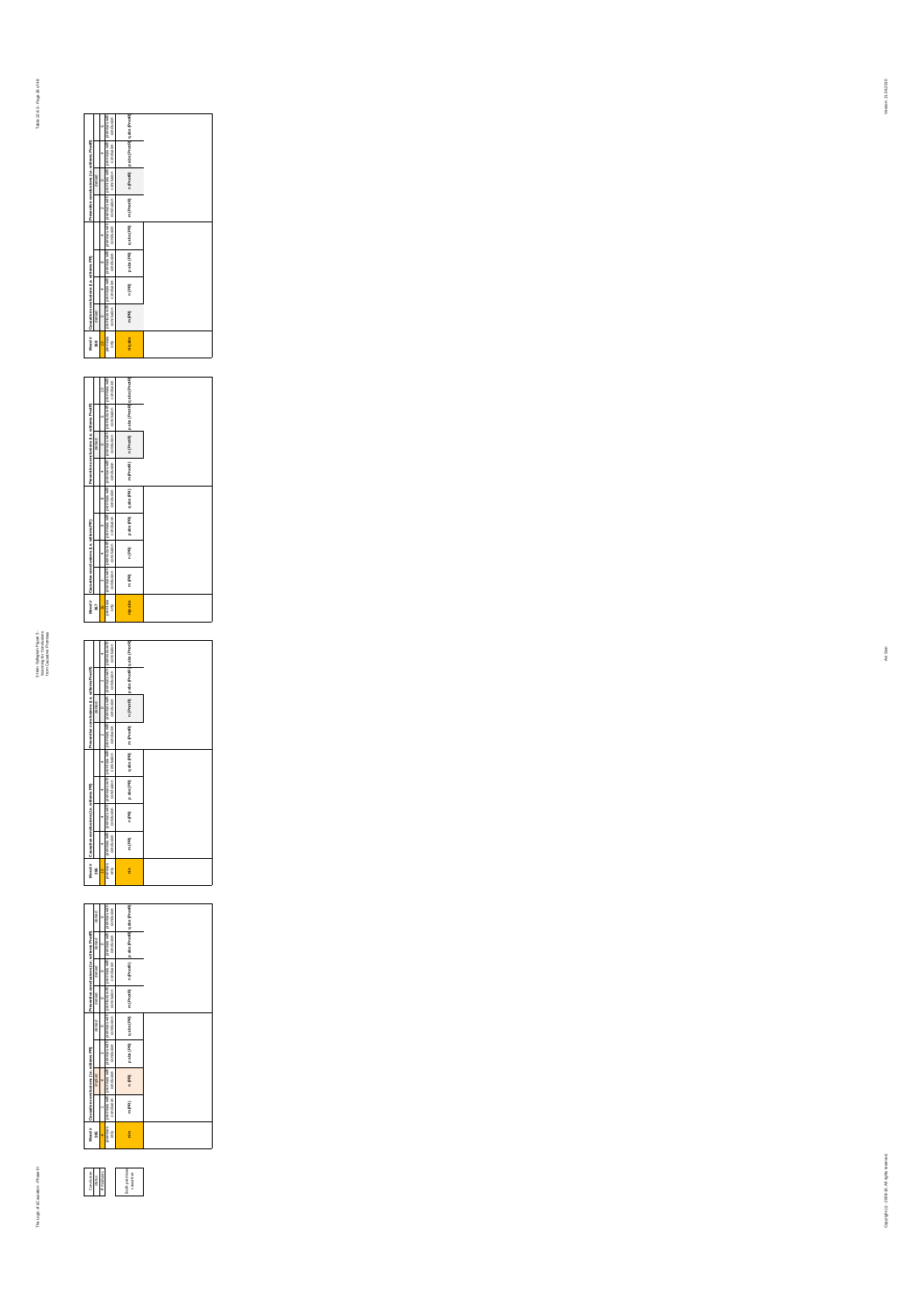Conclusion status # moduses causative Both premises

The Logic of ECausation - Phase III

|                                              |        |           | DON'T SO 5 WITH<br>operation             |                                                                                             |  |
|----------------------------------------------|--------|-----------|------------------------------------------|---------------------------------------------------------------------------------------------|--|
|                                              |        |           | promises with<br>oondusion               |                                                                                             |  |
| Preventive conclusions (i.e. witems Prooff)  | dened  |           | promises with<br>candusion               | q abs (PR) = m (P notR) = n (P notR) = p abs (PnotR) q abs (P notR)                         |  |
|                                              |        |           | promises with<br>conclusion              |                                                                                             |  |
|                                              |        |           | premises with<br>oondusion               |                                                                                             |  |
|                                              |        |           | premises with<br>oondusion               | pats (PR)                                                                                   |  |
|                                              |        |           | promises with<br>condusion               | n (PR)                                                                                      |  |
| ausaive condusions (i.e. witems PR)          | dinind | $\circ$   | promises with<br>conclusion              | m(PR)                                                                                       |  |
| Mood#                                        | 363    | g         | promises<br>only                         | n/qabs                                                                                      |  |
|                                              |        |           |                                          |                                                                                             |  |
|                                              |        | $\approx$ | <b>Systems</b><br>oondusion              |                                                                                             |  |
|                                              |        |           | DY GYN 505 W IT)<br>candualan            |                                                                                             |  |
| Preventive conclusions (i.e. witems Prot R)  | dinied |           | Dream ses with<br>conclusion             | n (PR) pake (PR) qabs (PR) m (PnotR) n (ProeR) pabs (PnotR) qabs (PnotR)                    |  |
|                                              |        |           | promises with<br>oondusion               |                                                                                             |  |
|                                              |        |           | promises with<br>condusion               |                                                                                             |  |
|                                              |        |           | promises with<br>conclusion              |                                                                                             |  |
|                                              |        |           | premises with<br>operation               |                                                                                             |  |
| Causative conclusions (Le. wiltems PR)       |        |           | remises with<br>oondusion                | m (PR)                                                                                      |  |
| Mood#                                        | ä      | 16        | premises<br>σtγ                          | mip also                                                                                    |  |
|                                              |        |           |                                          |                                                                                             |  |
|                                              |        |           | conclusion                               |                                                                                             |  |
|                                              |        |           | Dremises with Dremises with<br>operation |                                                                                             |  |
| Preventive conclusions (i.e. w/lease Prooff) | denied | $\circ$   | premises with<br>oondusion               | qubs (PR)   m (PnotR)   n (PnotR)   pubs (PnotR)   qubs (PnotR)<br>$\overline{\phantom{a}}$ |  |
|                                              |        |           | promises with<br>candusion               |                                                                                             |  |
|                                              |        |           | Dream ses with<br>conclusion             |                                                                                             |  |
| Æ                                            |        |           | wa with<br>oondusion<br><b>Cook</b>      | pabs (PR)                                                                                   |  |
|                                              |        |           | premises with<br>oondusion               | n (PR)                                                                                      |  |
| Causative conclusions (i.e. witems           |        |           | or emission with<br>condusion            | m (PR)                                                                                      |  |
| Mood #                                       | \$     | g         | promises<br>only                         | ş                                                                                           |  |
|                                              |        |           |                                          |                                                                                             |  |
|                                              | dining |           | premises with<br>opriduation             |                                                                                             |  |
|                                              | denied |           | promisies with<br>candualon              | n (P notR) pabs (PnotR) qabs (P notR)                                                       |  |
| Preventive conclusions (Le. wiltems Prooff)  | denied |           | pright sea with<br>conclusion            |                                                                                             |  |
|                                              | denied |           | Dream ses with<br>operation              | m (ProofR)                                                                                  |  |
|                                              | denied |           | premises with<br>oondusion               | qabs (PR)                                                                                   |  |
|                                              |        |           | promises with<br>candusion               | pates (PR)                                                                                  |  |
| Causative condusions (i.e. wiltems PR)       | impled |           | promises with<br>conclusion              | n(PR)                                                                                       |  |
|                                              |        |           | 200m ses with<br>operation               | m (PR)                                                                                      |  |
|                                              |        |           |                                          |                                                                                             |  |

Avi Sion

Opyright (c) - 2008-10. All rights reserved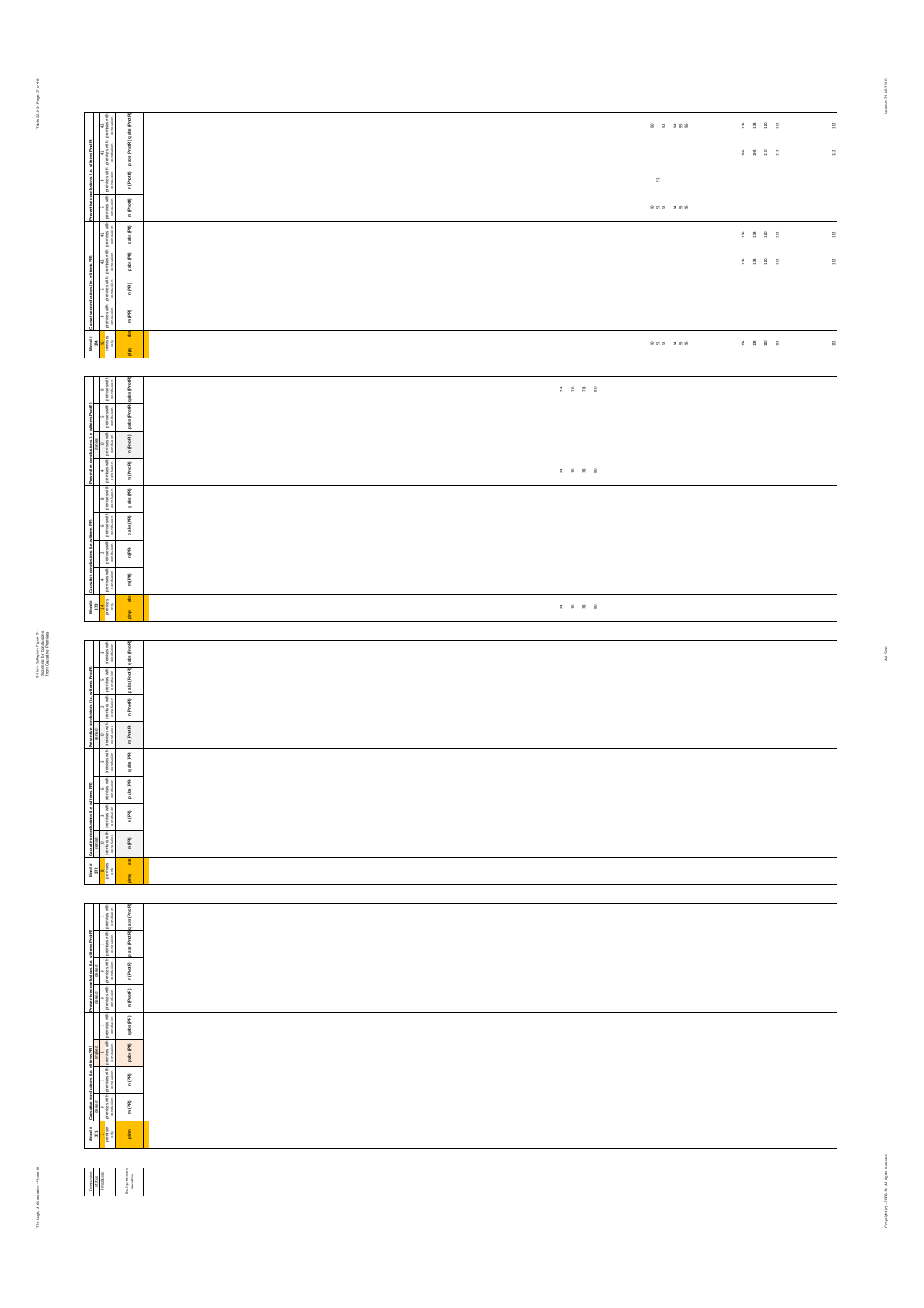| 43<br>promises with<br>conclusion<br>qaba (PnotR)                                                                                                                                                                                                                                                                                                                                                                                                            |                |                                                                                                                                                                                                                                                                                                                                                                                                                                      |                                |
|--------------------------------------------------------------------------------------------------------------------------------------------------------------------------------------------------------------------------------------------------------------------------------------------------------------------------------------------------------------------------------------------------------------------------------------------------------------|----------------|--------------------------------------------------------------------------------------------------------------------------------------------------------------------------------------------------------------------------------------------------------------------------------------------------------------------------------------------------------------------------------------------------------------------------------------|--------------------------------|
| 41<br>promises with<br>patos (Prooft)                                                                                                                                                                                                                                                                                                                                                                                                                        |                | $\begin{array}{ccccccccccccc} \mathbf{3} & \mathbf{3} & \mathbf{3} & \mathbf{3} & \mathbf{3} & \mathbf{3} & \mathbf{3} & \mathbf{3} & \mathbf{3} & \mathbf{3} & \mathbf{3} & \mathbf{3} & \mathbf{3} & \mathbf{3} & \mathbf{3} & \mathbf{3} & \mathbf{3} & \mathbf{3} & \mathbf{3} & \mathbf{3} & \mathbf{3} & \mathbf{3} & \mathbf{3} & \mathbf{3} & \mathbf{3} & \mathbf{3} & \mathbf{3} & \mathbf{3} & \mathbf{3} & \mathbf{3} &$ |                                |
| A<br>promises with<br>$n$ (Pn ofR)                                                                                                                                                                                                                                                                                                                                                                                                                           | 5 <sup>n</sup> |                                                                                                                                                                                                                                                                                                                                                                                                                                      |                                |
| Preventive conclusions (i.e. witems PnotR)<br>promises with<br>condusion<br>$m$ (P nodR)                                                                                                                                                                                                                                                                                                                                                                     | $888 88$       |                                                                                                                                                                                                                                                                                                                                                                                                                                      |                                |
| $q$ abs $\langle \theta R \rangle$                                                                                                                                                                                                                                                                                                                                                                                                                           |                | $\begin{array}{ccccccccccccc} 8 & & 8 & & 8 & & 8 & & 8 \\ \end{array}$                                                                                                                                                                                                                                                                                                                                                              | $\Xi$                          |
| pabs (PR)                                                                                                                                                                                                                                                                                                                                                                                                                                                    |                |                                                                                                                                                                                                                                                                                                                                                                                                                                      | $\sim$ $12$                    |
| $\begin{tabular}{ c c } \hline 6 & \multicolumn{1}{ c }{43} \\ 50 & \multicolumn{1}{ c }{43} \\ 20 & \multicolumn{1}{ c }{43} \\ 0 & \multicolumn{1}{ c }{43} \\ 0 & \multicolumn{1}{ c }{43} \\ 0 & \multicolumn{1}{ c }{43} \\ 0 & \multicolumn{1}{ c }{43} \\ 0 & \multicolumn{1}{ c }{43} \\ 0 & \multicolumn{1}{ c }{43} \\ 0 & \multicolumn{1}{ c }{43} \\ 0 & \multicolumn{1}{ c }{43} \\ 0 & \mult$<br>Causative conclusions (i.e. w/tems PR)<br>nen |                |                                                                                                                                                                                                                                                                                                                                                                                                                                      |                                |
| 4<br>amises with<br>$\mathop{\mathsf{m}}_\theta$                                                                                                                                                                                                                                                                                                                                                                                                             |                |                                                                                                                                                                                                                                                                                                                                                                                                                                      |                                |
| 書<br>$\begin{array}{c} \text{Mod } n \\ 374 \end{array}$<br><b>Resident</b>                                                                                                                                                                                                                                                                                                                                                                                  |                |                                                                                                                                                                                                                                                                                                                                                                                                                                      |                                |
|                                                                                                                                                                                                                                                                                                                                                                                                                                                              |                |                                                                                                                                                                                                                                                                                                                                                                                                                                      | $\sim$ $\sim$ $\sim$ $\approx$ |
| 9<br>rombos with<br>qabs(Prooft)<br>$\begin{array}{ccccccccc} \Xi & & \Xi & & \Xi & & \Xi \end{array}$                                                                                                                                                                                                                                                                                                                                                       |                |                                                                                                                                                                                                                                                                                                                                                                                                                                      |                                |
| abs (Pro R)<br>$\frac{5}{2}$                                                                                                                                                                                                                                                                                                                                                                                                                                 |                |                                                                                                                                                                                                                                                                                                                                                                                                                                      |                                |
| $n$ (P rooff)                                                                                                                                                                                                                                                                                                                                                                                                                                                |                |                                                                                                                                                                                                                                                                                                                                                                                                                                      |                                |
| Parvel Basema (i.e. viljansko eksama al<br>Marvel Basema (i.e. viljansko eksama al                                                                                                                                                                                                                                                                                                                                                                           |                |                                                                                                                                                                                                                                                                                                                                                                                                                                      |                                |
| $\begin{array}{l} \mathfrak{m} \, \mathfrak{p} \, \mathfrak{m} \mathfrak{a} \mathfrak{R} \\ \end{array}$<br>$\begin{array}{ccccc} \pi & \hspace{0.1cm}\mathbb{R} & \hspace{0.1cm}\mathbb{R} & \hspace{0.1cm}\mathbb{R} & \hspace{0.1cm}\mathbb{R} \end{array}$                                                                                                                                                                                               |                |                                                                                                                                                                                                                                                                                                                                                                                                                                      |                                |
| $\frac{2}{\alpha}$ increases with premises with premises with premises with conclusion conclusion conclusion.<br>qabs (PR)                                                                                                                                                                                                                                                                                                                                   |                |                                                                                                                                                                                                                                                                                                                                                                                                                                      |                                |
| pats (PR)<br>Causalive conclusions (i.e. wilems PR)                                                                                                                                                                                                                                                                                                                                                                                                          |                |                                                                                                                                                                                                                                                                                                                                                                                                                                      |                                |
| $\frac{\widehat{\mathbf{g}}}{\mathbf{g}}$                                                                                                                                                                                                                                                                                                                                                                                                                    |                |                                                                                                                                                                                                                                                                                                                                                                                                                                      |                                |
| 4<br>remises with<br>condusion<br>$\frac{\partial}{\partial t}$<br>漫                                                                                                                                                                                                                                                                                                                                                                                         |                |                                                                                                                                                                                                                                                                                                                                                                                                                                      |                                |
| $\begin{array}{c} \text{Mod } n \\ 373 \end{array}$<br>imiass<br>only<br>$\begin{array}{cccccccccc} \Xi & \Xi & \Xi & \Xi & \Xi \end{array}$<br>$\frac{1}{2}$                                                                                                                                                                                                                                                                                                |                |                                                                                                                                                                                                                                                                                                                                                                                                                                      |                                |
|                                                                                                                                                                                                                                                                                                                                                                                                                                                              |                |                                                                                                                                                                                                                                                                                                                                                                                                                                      |                                |
| qabs (ProfR)                                                                                                                                                                                                                                                                                                                                                                                                                                                 |                |                                                                                                                                                                                                                                                                                                                                                                                                                                      |                                |
| sions (i.e. witems Profit)<br>S<br>Sombos with promises with<br>condusion conclusion<br>pates (Prooff)                                                                                                                                                                                                                                                                                                                                                       |                |                                                                                                                                                                                                                                                                                                                                                                                                                                      |                                |
| n (ProotR)                                                                                                                                                                                                                                                                                                                                                                                                                                                   |                |                                                                                                                                                                                                                                                                                                                                                                                                                                      |                                |
| Praventive conclusi<br>deriot<br>0<br>premises with<br>oondusion<br>$m$ (Pn ofR)                                                                                                                                                                                                                                                                                                                                                                             |                |                                                                                                                                                                                                                                                                                                                                                                                                                                      |                                |
| promises with<br>condusion<br>qabs (PR)                                                                                                                                                                                                                                                                                                                                                                                                                      |                |                                                                                                                                                                                                                                                                                                                                                                                                                                      |                                |
| s (i.e. willens PR)<br>ts whi permiss with<br>alon conclusion<br>$p$ abs $\langle \theta   R \rangle$                                                                                                                                                                                                                                                                                                                                                        |                |                                                                                                                                                                                                                                                                                                                                                                                                                                      |                                |
| $\frac{\partial \mathbf{R}}{\partial \mathbf{r}}$                                                                                                                                                                                                                                                                                                                                                                                                            |                |                                                                                                                                                                                                                                                                                                                                                                                                                                      |                                |
| $m \varphi R$<br>Causative                                                                                                                                                                                                                                                                                                                                                                                                                                   |                |                                                                                                                                                                                                                                                                                                                                                                                                                                      |                                |
| 清<br>Mood #<br>है हैं<br>हैं हैं                                                                                                                                                                                                                                                                                                                                                                                                                             |                |                                                                                                                                                                                                                                                                                                                                                                                                                                      |                                |
|                                                                                                                                                                                                                                                                                                                                                                                                                                                              |                |                                                                                                                                                                                                                                                                                                                                                                                                                                      |                                |
| i aba (Pro                                                                                                                                                                                                                                                                                                                                                                                                                                                   |                |                                                                                                                                                                                                                                                                                                                                                                                                                                      |                                |
| sions (i.e. witems Prooff)<br>tions with<br>abs(ProtR                                                                                                                                                                                                                                                                                                                                                                                                        |                |                                                                                                                                                                                                                                                                                                                                                                                                                                      |                                |
| $n$ (P roofR)                                                                                                                                                                                                                                                                                                                                                                                                                                                |                |                                                                                                                                                                                                                                                                                                                                                                                                                                      |                                |
| $m$ (P rooff)<br>overale                                                                                                                                                                                                                                                                                                                                                                                                                                     |                |                                                                                                                                                                                                                                                                                                                                                                                                                                      |                                |
| $q$ abs (PR)                                                                                                                                                                                                                                                                                                                                                                                                                                                 |                |                                                                                                                                                                                                                                                                                                                                                                                                                                      |                                |
| $p$ ats (PR)                                                                                                                                                                                                                                                                                                                                                                                                                                                 |                |                                                                                                                                                                                                                                                                                                                                                                                                                                      |                                |
| lons (i.e. w/ltems PR)<br>$_{\rm n}$ (PR)                                                                                                                                                                                                                                                                                                                                                                                                                    |                |                                                                                                                                                                                                                                                                                                                                                                                                                                      |                                |
| $\frac{\partial R}{\partial t}$<br>astice                                                                                                                                                                                                                                                                                                                                                                                                                    |                |                                                                                                                                                                                                                                                                                                                                                                                                                                      |                                |
| $\begin{array}{c} \text{Mood} \\ 371 \end{array}$                                                                                                                                                                                                                                                                                                                                                                                                            |                |                                                                                                                                                                                                                                                                                                                                                                                                                                      |                                |
|                                                                                                                                                                                                                                                                                                                                                                                                                                                              |                |                                                                                                                                                                                                                                                                                                                                                                                                                                      |                                |

sign: 21.06.2010

Copyright (c) - 2008-10. All rights reserved. Avi Sion Version: 21.06.2010

Avi Sion

Scanning for Conclusions from Causative Premises

3-tem Sytogian Figure 3<br>Saming for Conduisions<br>from Causative Premises

Conclusion<br># moduses<br>xh premis<br>causative Both premises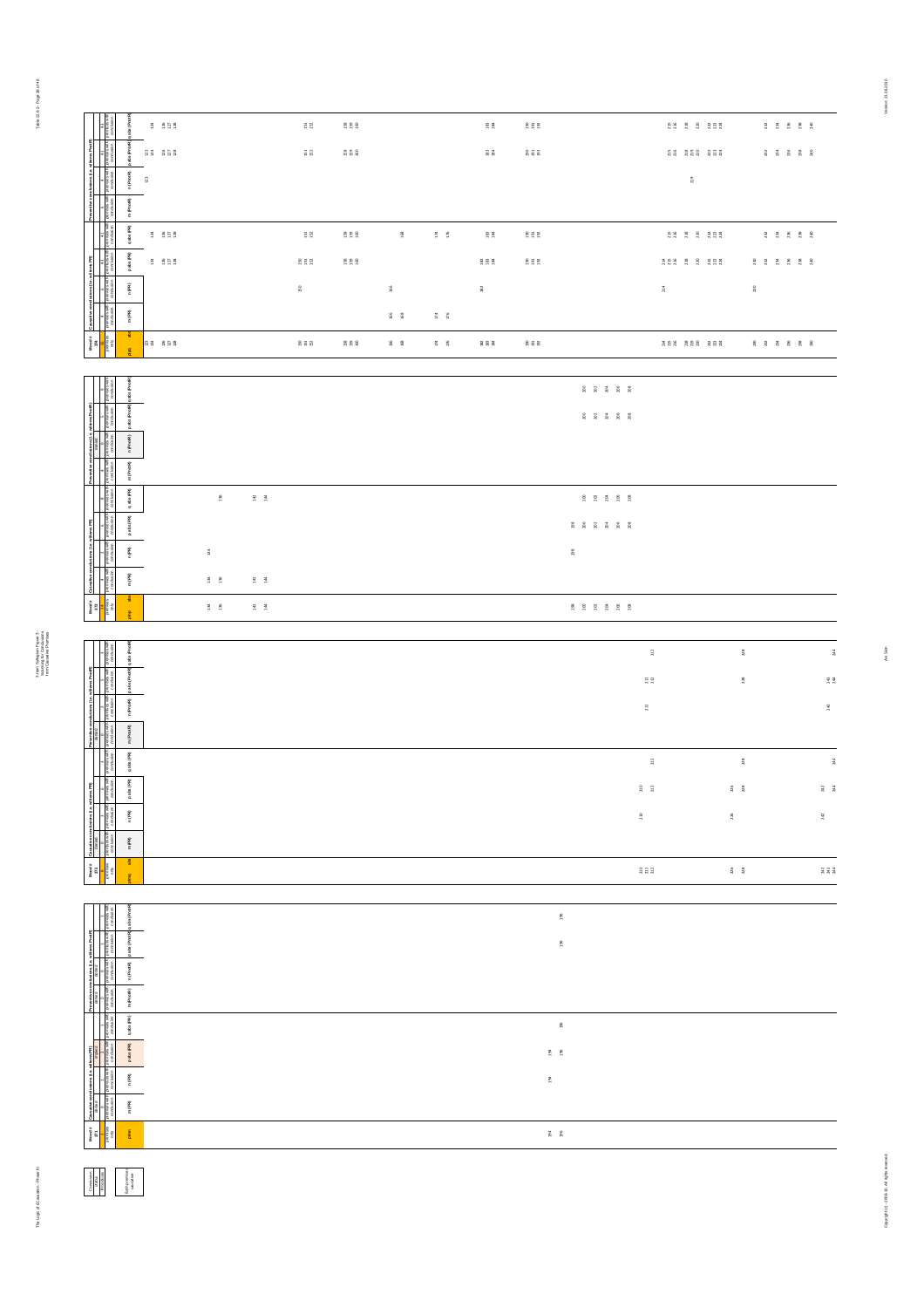## premises with conclusion premises with conclusion premises with conclusion premises with conclusion premises with conclusion premises with conclusion

|                                 | 5 888                                                                                                                                                                                                                                     | S 2                 | 338 |                    |                                           | 景景                       | 858 | <b>AA A A AAA</b> |     |             | B 5 8 8 8          |  |
|---------------------------------|-------------------------------------------------------------------------------------------------------------------------------------------------------------------------------------------------------------------------------------------|---------------------|-----|--------------------|-------------------------------------------|--------------------------|-----|-------------------|-----|-------------|--------------------|--|
|                                 | 88 888                                                                                                                                                                                                                                    | 352                 | 338 |                    |                                           | $\frac{23}{13}$          | 958 | <b>88 888 888</b> |     |             | 33333              |  |
| n (Pn ofR)                      | $\overline{1}3$                                                                                                                                                                                                                           |                     |     |                    |                                           |                          |     |                   | 219 |             |                    |  |
|                                 |                                                                                                                                                                                                                                           |                     |     |                    |                                           |                          |     |                   |     |             |                    |  |
|                                 | 5.888                                                                                                                                                                                                                                     | <u> 즉 명</u>         | 333 | $\frac{\infty}{2}$ | 菩 恩                                       | 38.35                    | 858 | 88 8 8 888        |     |             | B 5 8 8 8          |  |
| ۵Ę.                             | $\frac{3}{2}$ $\frac{3}{2}$ $\frac{5}{2}$                                                                                                                                                                                                 | 353                 | 338 |                    |                                           | 223                      | 858 | 388 8 8 883       |     |             | <b>A A A A A A</b> |  |
| n (PR)                          |                                                                                                                                                                                                                                           | $\frac{\alpha}{10}$ |     | $\frac{9}{26}$     |                                           | $\widetilde{\mathbf{x}}$ |     | $_{\rm 24}$       |     | $_{\rm 20}$ |                    |  |
| $\frac{\partial^2}{\partial t}$ |                                                                                                                                                                                                                                           |                     |     | $16$ $9$           | $\begin{array}{cc} \Xi & \Xi \end{array}$ |                          |     |                   |     |             |                    |  |
|                                 | <b>de la provincia de la provincia de la provincia de la provincia de la provincia de la provincia de</b><br>En 1870, esta de la provincia de la provincia de la provincia de la provincia de la provincia de la provincia<br>De la provi | 252                 | 338 | $166$ $163$        | $174$<br>$376$                            | $\Xi$ $\Xi$ $\Xi$        | 253 | aaa aaa aaa       |     |             | <b>A A A A A A</b> |  |

|                                                               |                                                                 |                        |                                                              | $\begin{matrix} 0 & 0 & 0 \\ 0 & 0 & 0 \\ 0 & 0 & 0 \\ 0 & 0 & 0 \\ 0 & 0 & 0 \\ 0 & 0 & 0 \\ 0 & 0 & 0 \\ 0 & 0 & 0 \\ 0 & 0 & 0 \\ 0 & 0 & 0 & 0 \\ 0 & 0 & 0 & 0 \\ 0 & 0 & 0 & 0 \\ 0 & 0 & 0 & 0 & 0 \\ 0 & 0 & 0 & 0 & 0 \\ 0 & 0 & 0 & 0 & 0 \\ 0 & 0 & 0 & 0 & 0 & 0 \\ 0 & 0 & 0 & 0 & 0 & 0 \\ 0 & 0 & 0 & 0 & 0 & 0$                                                                                                            |
|---------------------------------------------------------------|-----------------------------------------------------------------|------------------------|--------------------------------------------------------------|--------------------------------------------------------------------------------------------------------------------------------------------------------------------------------------------------------------------------------------------------------------------------------------------------------------------------------------------------------------------------------------------------------------------------------------------|
|                                                               |                                                                 |                        |                                                              |                                                                                                                                                                                                                                                                                                                                                                                                                                            |
| nevan tive conclusions (Le. willens Prooff)<br> <br>  derival |                                                                 |                        |                                                              |                                                                                                                                                                                                                                                                                                                                                                                                                                            |
|                                                               |                                                                 |                        |                                                              |                                                                                                                                                                                                                                                                                                                                                                                                                                            |
|                                                               |                                                                 | e (PR)<br>$\mathbf{r}$ | $\Xi$ – $\Xi$<br>136                                         | $\begin{matrix} 0 & 0 & 0 \\ 0 & 0 & 0 \\ 0 & 0 & 0 \\ 0 & 0 & 0 \\ 0 & 0 & 0 \\ 0 & 0 & 0 \\ 0 & 0 & 0 \\ 0 & 0 & 0 \\ 0 & 0 & 0 \\ 0 & 0 & 0 & 0 \\ 0 & 0 & 0 & 0 \\ 0 & 0 & 0 & 0 \\ 0 & 0 & 0 & 0 & 0 \\ 0 & 0 & 0 & 0 & 0 \\ 0 & 0 & 0 & 0 & 0 \\ 0 & 0 & 0 & 0 & 0 & 0 \\ 0 & 0 & 0 & 0 & 0 & 0 \\ 0 & 0 & 0 & 0 & 0 & 0$                                                                                                            |
|                                                               |                                                                 |                        |                                                              | $\begin{array}{ccccccccccccc} \mathbb{S} & & \mathbb{S} & & \mathbb{S} & & \mathbb{S} & & \mathbb{S} & & \mathbb{S} & & \mathbb{S} & & \mathbb{S} & & \mathbb{S} & & \mathbb{S} & & \mathbb{S} & & \mathbb{S} & & \mathbb{S} & & \mathbb{S} & & \mathbb{S} & & \mathbb{S} & & \mathbb{S} & & \mathbb{S} & & \mathbb{S} & & \mathbb{S} & & \mathbb{S} & & \mathbb{S} & & \mathbb{S} & & \mathbb{S} & & \mathbb{S} & & \mathbb{S} & & \math$ |
|                                                               |                                                                 | n (PR)                 | $\frac{\pi}{m}$                                              | $\frac{98}{14}$                                                                                                                                                                                                                                                                                                                                                                                                                            |
| Causalive conclusions (i.e. wiltems PR)                       |                                                                 | Ê                      | $\frac{3}{2}$ $\frac{3}{2}$<br>$\frac{3}{2}$ – $\frac{3}{2}$ |                                                                                                                                                                                                                                                                                                                                                                                                                                            |
|                                                               | $\begin{array}{c}\n\text{Mod } n \\ 373 \\ \hline\n\end{array}$ |                        | $\frac{3}{2}$ $\frac{9}{2}$<br>$\frac{1}{2}$ – $\frac{3}{2}$ |                                                                                                                                                                                                                                                                                                                                                                                                                                            |

|                 |                                                               |                                      | $\begin{array}{cc} \Xi & \Xi \; \Xi \; \Xi \\ \end{array}$                                                                                           |                 |                                                                              | $\frac{53}{12}$                               | $\begin{array}{c} 33.8 \\ 33.8 \\ \end{array}$                                                |                                               |                                                                                                                                                         | $\frac{23}{14}$                                  | 888                                       |                                                                                                                                                                                                                                                                                                                                                                                                                                            | 88 8 8 888                                                                                                                                                                                                                                                                                                                                                                                                                            |                                             | $\begin{array}{cccccccccc} \Xi & \Xi & \Xi & \Xi & \Xi \end{array}$                  |
|-----------------|---------------------------------------------------------------|--------------------------------------|------------------------------------------------------------------------------------------------------------------------------------------------------|-----------------|------------------------------------------------------------------------------|-----------------------------------------------|-----------------------------------------------------------------------------------------------|-----------------------------------------------|---------------------------------------------------------------------------------------------------------------------------------------------------------|--------------------------------------------------|-------------------------------------------|--------------------------------------------------------------------------------------------------------------------------------------------------------------------------------------------------------------------------------------------------------------------------------------------------------------------------------------------------------------------------------------------------------------------------------------------|---------------------------------------------------------------------------------------------------------------------------------------------------------------------------------------------------------------------------------------------------------------------------------------------------------------------------------------------------------------------------------------------------------------------------------------|---------------------------------------------|--------------------------------------------------------------------------------------|
|                 |                                                               |                                      | 33 32                                                                                                                                                |                 |                                                                              | $\substack{51\\52}$                           | 3.38                                                                                          |                                               |                                                                                                                                                         | $\frac{23}{18}$                                  | $\frac{9}{3}$ $\frac{5}{3}$ $\frac{3}{2}$ |                                                                                                                                                                                                                                                                                                                                                                                                                                            | <b>AA AAA AAA</b>                                                                                                                                                                                                                                                                                                                                                                                                                     |                                             | $\begin{array}{cccccccccc} \Xi & \Xi & \Xi & \Xi & \Xi & \Xi \end{array}$            |
|                 |                                                               | §                                    | $\overline{\bf n}$                                                                                                                                   |                 |                                                                              |                                               |                                                                                               |                                               |                                                                                                                                                         |                                                  |                                           |                                                                                                                                                                                                                                                                                                                                                                                                                                            | $\frac{1}{2}$                                                                                                                                                                                                                                                                                                                                                                                                                         |                                             |                                                                                      |
|                 |                                                               |                                      |                                                                                                                                                      |                 |                                                                              |                                               |                                                                                               |                                               |                                                                                                                                                         |                                                  |                                           |                                                                                                                                                                                                                                                                                                                                                                                                                                            |                                                                                                                                                                                                                                                                                                                                                                                                                                       |                                             |                                                                                      |
|                 | 41<br>comisos with                                            |                                      | $\begin{array}{cc} \Xi & \Xi \; \Xi \\ \Xi & \end{array}$                                                                                            |                 |                                                                              | $\begin{array}{c} 53 \\ 24 \\ 36 \end{array}$ | $\begin{array}{c} 8 \\ 2 \\ 3 \\ 4 \end{array} \begin{array}{c} 8 \\ 2 \\ 3 \\ 4 \end{array}$ |                                               | $\begin{array}{ccc} \mathfrak{B} & \mathfrak{B} & \mathfrak{B} & \mathfrak{B} \\ \mathfrak{B} & \mathfrak{B} & \mathfrak{B} & \mathfrak{B} \end{array}$ | $\frac{28}{13}$                                  | 888                                       |                                                                                                                                                                                                                                                                                                                                                                                                                                            | $\begin{array}{cccccccccccccc} \texttt{H} & \texttt{H} & \texttt{H} & \texttt{H} & \texttt{H} & \texttt{H} & \texttt{H} & \texttt{H} & \texttt{H} & \texttt{H} & \texttt{H} & \texttt{H} & \texttt{H} & \texttt{H} & \texttt{H} & \texttt{H} & \texttt{H} & \texttt{H} & \texttt{H} & \texttt{H} & \texttt{H} & \texttt{H} & \texttt{H} & \texttt{H} & \texttt{H} & \texttt{H} & \texttt{H} & \texttt{H} & \texttt{H} & \texttt{H} &$ |                                             |                                                                                      |
|                 |                                                               |                                      | $\begin{array}{cc} \mathbf{3} & \mathbf{3} & \mathbf{3} \\ \mathbf{2} & \mathbf{3} & \mathbf{3} \\ \mathbf{3} & \mathbf{3} & \mathbf{3} \end{array}$ |                 |                                                                              | $\frac{5}{15}$ $\frac{7}{15}$ $\frac{2}{15}$  | 3398                                                                                          |                                               |                                                                                                                                                         | $\begin{array}{c} 23 \\ 23 \\ 34 \\ \end{array}$ | 253                                       |                                                                                                                                                                                                                                                                                                                                                                                                                                            | aaa a aaa                                                                                                                                                                                                                                                                                                                                                                                                                             |                                             |                                                                                      |
|                 |                                                               | n (PR)                               |                                                                                                                                                      |                 |                                                                              | $\stackrel{\mathtt{o}}{\mathtt{s}}$           |                                                                                               | $\%$                                          |                                                                                                                                                         | $\widetilde{\mathfrak{A}}$                       |                                           |                                                                                                                                                                                                                                                                                                                                                                                                                                            | $\vec{a}$                                                                                                                                                                                                                                                                                                                                                                                                                             | $_{\rm 20}$                                 |                                                                                      |
|                 |                                                               | $\mathfrak{m}(\mathsf{PR})$          |                                                                                                                                                      |                 |                                                                              |                                               |                                                                                               | $\begin{matrix} 8 \\ 2 \\ 1 \end{matrix}$     | $\frac{\mathbf{g}}{\mathbf{n}}-\frac{\mathbf{g}}{\mathbf{n}}$                                                                                           |                                                  |                                           |                                                                                                                                                                                                                                                                                                                                                                                                                                            |                                                                                                                                                                                                                                                                                                                                                                                                                                       |                                             |                                                                                      |
|                 | Mood #                                                        | 죜                                    | Bă ăbă                                                                                                                                               |                 |                                                                              | <b>SSS</b>                                    | 3.38                                                                                          | $\begin{array}{c} 36 \\ 26 \\ 36 \end{array}$ | $\frac{1}{2}$ – $\frac{1}{2}$                                                                                                                           | 222                                              | $\frac{5}{2}$ $\frac{5}{2}$ $\frac{5}{2}$ |                                                                                                                                                                                                                                                                                                                                                                                                                                            | aaa aaa aaa                                                                                                                                                                                                                                                                                                                                                                                                                           |                                             |                                                                                      |
|                 |                                                               |                                      |                                                                                                                                                      |                 |                                                                              |                                               |                                                                                               |                                               |                                                                                                                                                         |                                                  |                                           |                                                                                                                                                                                                                                                                                                                                                                                                                                            |                                                                                                                                                                                                                                                                                                                                                                                                                                       |                                             |                                                                                      |
|                 |                                                               |                                      |                                                                                                                                                      |                 |                                                                              |                                               |                                                                                               |                                               |                                                                                                                                                         |                                                  |                                           | $\begin{matrix} 0 & \alpha & \alpha & \alpha \\ \alpha & \alpha & \alpha & \alpha \\ \alpha & \alpha & \alpha & \alpha \end{matrix} \quad \begin{matrix} 0 & \alpha & \alpha \\ \alpha & \alpha & \alpha \\ \alpha & \alpha & \alpha \end{matrix}$                                                                                                                                                                                         |                                                                                                                                                                                                                                                                                                                                                                                                                                       |                                             |                                                                                      |
|                 |                                                               |                                      |                                                                                                                                                      |                 |                                                                              |                                               |                                                                                               |                                               |                                                                                                                                                         |                                                  |                                           | $\begin{matrix} \texttt{R} & \texttt{R} & \texttt{R} & \texttt{R} \\ \texttt{R} & \texttt{R} & \texttt{R} & \texttt{R} \end{matrix}$                                                                                                                                                                                                                                                                                                       |                                                                                                                                                                                                                                                                                                                                                                                                                                       |                                             |                                                                                      |
|                 |                                                               |                                      |                                                                                                                                                      |                 |                                                                              |                                               |                                                                                               |                                               |                                                                                                                                                         |                                                  |                                           |                                                                                                                                                                                                                                                                                                                                                                                                                                            |                                                                                                                                                                                                                                                                                                                                                                                                                                       |                                             |                                                                                      |
| Preven          | EXERCITED                                                     | not Ry<br>ို့                        |                                                                                                                                                      |                 |                                                                              |                                               |                                                                                               |                                               |                                                                                                                                                         |                                                  |                                           |                                                                                                                                                                                                                                                                                                                                                                                                                                            |                                                                                                                                                                                                                                                                                                                                                                                                                                       |                                             |                                                                                      |
|                 | $\frac{8}{2}$ promises with                                   | q abs $(\mathsf{PR})$                |                                                                                                                                                      |                 | $\begin{array}{lll} \Xi & \Xi & \Xi \\ \Xi & \Xi \end{array}$                |                                               |                                                                                               |                                               |                                                                                                                                                         |                                                  |                                           | $\begin{matrix} 0 & 0 & 0 \\ 0 & 0 & 0 \\ 0 & 0 & 0 \\ 0 & 0 & 0 \\ 0 & 0 & 0 \\ 0 & 0 & 0 \\ 0 & 0 & 0 \\ 0 & 0 & 0 \\ 0 & 0 & 0 \\ 0 & 0 & 0 & 0 \\ 0 & 0 & 0 & 0 \\ 0 & 0 & 0 & 0 \\ 0 & 0 & 0 & 0 & 0 \\ 0 & 0 & 0 & 0 & 0 \\ 0 & 0 & 0 & 0 & 0 \\ 0 & 0 & 0 & 0 & 0 & 0 \\ 0 & 0 & 0 & 0 & 0 & 0 \\ 0 & 0 & 0 & 0 & 0 & 0$                                                                                                            |                                                                                                                                                                                                                                                                                                                                                                                                                                       |                                             |                                                                                      |
|                 |                                                               | pates (PR)                           |                                                                                                                                                      |                 |                                                                              |                                               |                                                                                               |                                               |                                                                                                                                                         |                                                  |                                           | $\begin{array}{ccccccccccccc} \mathbb{S} & & \mathbb{S} & & \mathbb{S} & & \mathbb{S} & & \mathbb{S} & & \mathbb{S} & & \mathbb{S} & & \mathbb{S} & & \mathbb{S} & & \mathbb{S} & & \mathbb{S} & & \mathbb{S} & & \mathbb{S} & & \mathbb{S} & & \mathbb{S} & & \mathbb{S} & & \mathbb{S} & & \mathbb{S} & & \mathbb{S} & & \mathbb{S} & & \mathbb{S} & & \mathbb{S} & & \mathbb{S} & & \mathbb{S} & & \mathbb{S} & & \mathbb{S} & & \math$ |                                                                                                                                                                                                                                                                                                                                                                                                                                       |                                             |                                                                                      |
|                 |                                                               | $_{\rm n}$ (PR)                      |                                                                                                                                                      | $\frac{\pi}{2}$ |                                                                              |                                               |                                                                                               |                                               |                                                                                                                                                         |                                                  |                                           | $\frac{98}{11}$                                                                                                                                                                                                                                                                                                                                                                                                                            |                                                                                                                                                                                                                                                                                                                                                                                                                                       |                                             |                                                                                      |
|                 |                                                               | $\frac{6}{6}$                        |                                                                                                                                                      |                 | $\begin{array}{cccccccccc} \Xi & \Xi & \Xi & \Xi & \Xi \end{array}$          |                                               |                                                                                               |                                               |                                                                                                                                                         |                                                  |                                           |                                                                                                                                                                                                                                                                                                                                                                                                                                            |                                                                                                                                                                                                                                                                                                                                                                                                                                       |                                             |                                                                                      |
|                 | $\begin{array}{c} \text{Mood} \; \text{s} \\ 373 \end{array}$ | ē                                    |                                                                                                                                                      |                 | $\begin{array}{cccccccccc} \Xi & \Xi & \Xi & \cdots & \Xi & \Xi \end{array}$ |                                               |                                                                                               |                                               |                                                                                                                                                         |                                                  |                                           |                                                                                                                                                                                                                                                                                                                                                                                                                                            |                                                                                                                                                                                                                                                                                                                                                                                                                                       |                                             |                                                                                      |
|                 |                                                               |                                      |                                                                                                                                                      |                 |                                                                              |                                               |                                                                                               |                                               |                                                                                                                                                         |                                                  |                                           |                                                                                                                                                                                                                                                                                                                                                                                                                                            |                                                                                                                                                                                                                                                                                                                                                                                                                                       |                                             |                                                                                      |
|                 |                                                               |                                      |                                                                                                                                                      |                 |                                                                              |                                               |                                                                                               |                                               |                                                                                                                                                         |                                                  |                                           |                                                                                                                                                                                                                                                                                                                                                                                                                                            | $_{\rm 21}$                                                                                                                                                                                                                                                                                                                                                                                                                           | $_{\rm 23}$                                 | $\frac{3}{8}$                                                                        |
|                 |                                                               |                                      |                                                                                                                                                      |                 |                                                                              |                                               |                                                                                               |                                               |                                                                                                                                                         |                                                  |                                           |                                                                                                                                                                                                                                                                                                                                                                                                                                            | $\mathbb{H}^n$                                                                                                                                                                                                                                                                                                                                                                                                                        | $228\,$                                     | $\substack{+0.3 \\ -0.44}$                                                           |
|                 |                                                               |                                      |                                                                                                                                                      |                 |                                                                              |                                               |                                                                                               |                                               |                                                                                                                                                         |                                                  |                                           |                                                                                                                                                                                                                                                                                                                                                                                                                                            | $\Xi$                                                                                                                                                                                                                                                                                                                                                                                                                                 |                                             | $\frac{24}{3}$                                                                       |
|                 |                                                               | $\widehat{\S}$                       |                                                                                                                                                      |                 |                                                                              |                                               |                                                                                               |                                               |                                                                                                                                                         |                                                  |                                           |                                                                                                                                                                                                                                                                                                                                                                                                                                            |                                                                                                                                                                                                                                                                                                                                                                                                                                       |                                             |                                                                                      |
|                 | romises with                                                  | q abs $\langle P R \rangle$          |                                                                                                                                                      |                 |                                                                              |                                               |                                                                                               |                                               |                                                                                                                                                         |                                                  |                                           |                                                                                                                                                                                                                                                                                                                                                                                                                                            | $-\frac{2}{3}$                                                                                                                                                                                                                                                                                                                                                                                                                        | $228\,$                                     | $^{-\frac{3}{8}}$                                                                    |
|                 |                                                               | $p$ ab s $\left( \mathsf{PR}\right)$ |                                                                                                                                                      |                 |                                                                              |                                               |                                                                                               |                                               |                                                                                                                                                         |                                                  |                                           |                                                                                                                                                                                                                                                                                                                                                                                                                                            | $\mathop{\rm m}_{z}$                                                                                                                                                                                                                                                                                                                                                                                                                  | $\begin{array}{cc} 2.6 \\ 2.28 \end{array}$ | $\frac{24}{3}$                                                                       |
|                 | $\frac{1}{2}$                                                 | $_{\rm n}$ (FR)                      |                                                                                                                                                      |                 |                                                                              |                                               |                                                                                               |                                               |                                                                                                                                                         |                                                  |                                           | $_{\rm 210}$                                                                                                                                                                                                                                                                                                                                                                                                                               |                                                                                                                                                                                                                                                                                                                                                                                                                                       | $_{\rm 226}$                                | $_{\rm 342}$                                                                         |
| Causative       |                                                               | $m \varphi R$                        |                                                                                                                                                      |                 |                                                                              |                                               |                                                                                               |                                               |                                                                                                                                                         |                                                  |                                           |                                                                                                                                                                                                                                                                                                                                                                                                                                            |                                                                                                                                                                                                                                                                                                                                                                                                                                       |                                             |                                                                                      |
| Mood #<br>$372$ |                                                               | 죜                                    |                                                                                                                                                      |                 |                                                                              |                                               |                                                                                               |                                               |                                                                                                                                                         |                                                  |                                           |                                                                                                                                                                                                                                                                                                                                                                                                                                            | $\underset{n}{\mathbb{R}}$                                                                                                                                                                                                                                                                                                                                                                                                            | $\begin{array}{c} 2.26 \\ 2.28 \end{array}$ | $\underset{3}{\mathfrak{A}}\ \underset{3}{\mathfrak{A}}\ \underset{4}{\mathfrak{A}}$ |
|                 |                                                               |                                      |                                                                                                                                                      |                 |                                                                              |                                               |                                                                                               |                                               |                                                                                                                                                         |                                                  |                                           |                                                                                                                                                                                                                                                                                                                                                                                                                                            |                                                                                                                                                                                                                                                                                                                                                                                                                                       |                                             |                                                                                      |
|                 |                                                               |                                      |                                                                                                                                                      |                 |                                                                              |                                               |                                                                                               |                                               |                                                                                                                                                         |                                                  |                                           | $_{\rm 196}$                                                                                                                                                                                                                                                                                                                                                                                                                               |                                                                                                                                                                                                                                                                                                                                                                                                                                       |                                             |                                                                                      |
|                 |                                                               |                                      |                                                                                                                                                      |                 |                                                                              |                                               |                                                                                               |                                               |                                                                                                                                                         |                                                  |                                           | $^{\rm 196}$                                                                                                                                                                                                                                                                                                                                                                                                                               |                                                                                                                                                                                                                                                                                                                                                                                                                                       |                                             |                                                                                      |
|                 |                                                               |                                      |                                                                                                                                                      |                 |                                                                              |                                               |                                                                                               |                                               |                                                                                                                                                         |                                                  |                                           |                                                                                                                                                                                                                                                                                                                                                                                                                                            |                                                                                                                                                                                                                                                                                                                                                                                                                                       |                                             |                                                                                      |
|                 |                                                               |                                      |                                                                                                                                                      |                 |                                                                              |                                               |                                                                                               |                                               |                                                                                                                                                         |                                                  |                                           |                                                                                                                                                                                                                                                                                                                                                                                                                                            |                                                                                                                                                                                                                                                                                                                                                                                                                                       |                                             |                                                                                      |
|                 |                                                               | $q$ abs $(PR)$                       |                                                                                                                                                      |                 |                                                                              |                                               |                                                                                               |                                               |                                                                                                                                                         |                                                  |                                           | $_{\rm 196}$                                                                                                                                                                                                                                                                                                                                                                                                                               |                                                                                                                                                                                                                                                                                                                                                                                                                                       |                                             |                                                                                      |
|                 |                                                               |                                      |                                                                                                                                                      |                 |                                                                              |                                               |                                                                                               |                                               |                                                                                                                                                         |                                                  |                                           | $\frac{3}{2}$ – $\frac{9}{2}$                                                                                                                                                                                                                                                                                                                                                                                                              |                                                                                                                                                                                                                                                                                                                                                                                                                                       |                                             |                                                                                      |
|                 |                                                               | n (PR)                               |                                                                                                                                                      |                 |                                                                              |                                               |                                                                                               |                                               |                                                                                                                                                         |                                                  | $\frac{4}{30}$                            |                                                                                                                                                                                                                                                                                                                                                                                                                                            |                                                                                                                                                                                                                                                                                                                                                                                                                                       |                                             |                                                                                      |
|                 |                                                               |                                      |                                                                                                                                                      |                 |                                                                              |                                               |                                                                                               |                                               |                                                                                                                                                         |                                                  |                                           |                                                                                                                                                                                                                                                                                                                                                                                                                                            |                                                                                                                                                                                                                                                                                                                                                                                                                                       |                                             |                                                                                      |
|                 |                                                               |                                      |                                                                                                                                                      |                 |                                                                              |                                               |                                                                                               |                                               |                                                                                                                                                         |                                                  |                                           | $\frac{34}{196}$                                                                                                                                                                                                                                                                                                                                                                                                                           |                                                                                                                                                                                                                                                                                                                                                                                                                                       |                                             |                                                                                      |

|                | 1               |   | 196                           |
|----------------|-----------------|---|-------------------------------|
| a۳<br>회<br>١Ē, | awth<br>promise |   | g                             |
| ۰۱,            | Ę<br>promis     |   |                               |
| 회              | <b>S</b>        |   |                               |
|                | F<br>promises   | ş | 196                           |
| PRO            | Ę               |   | $\frac{3}{21}$ $\frac{9}{29}$ |
| 3ľ<br>票        | Ę<br>premises   |   | $\overline{z}$                |
| J.             | Boo             |   |                               |
| $\frac{1}{37}$ | E               |   | 34                            |

Conclusion<br># moduses<br>xh premis<br>causative

Both premises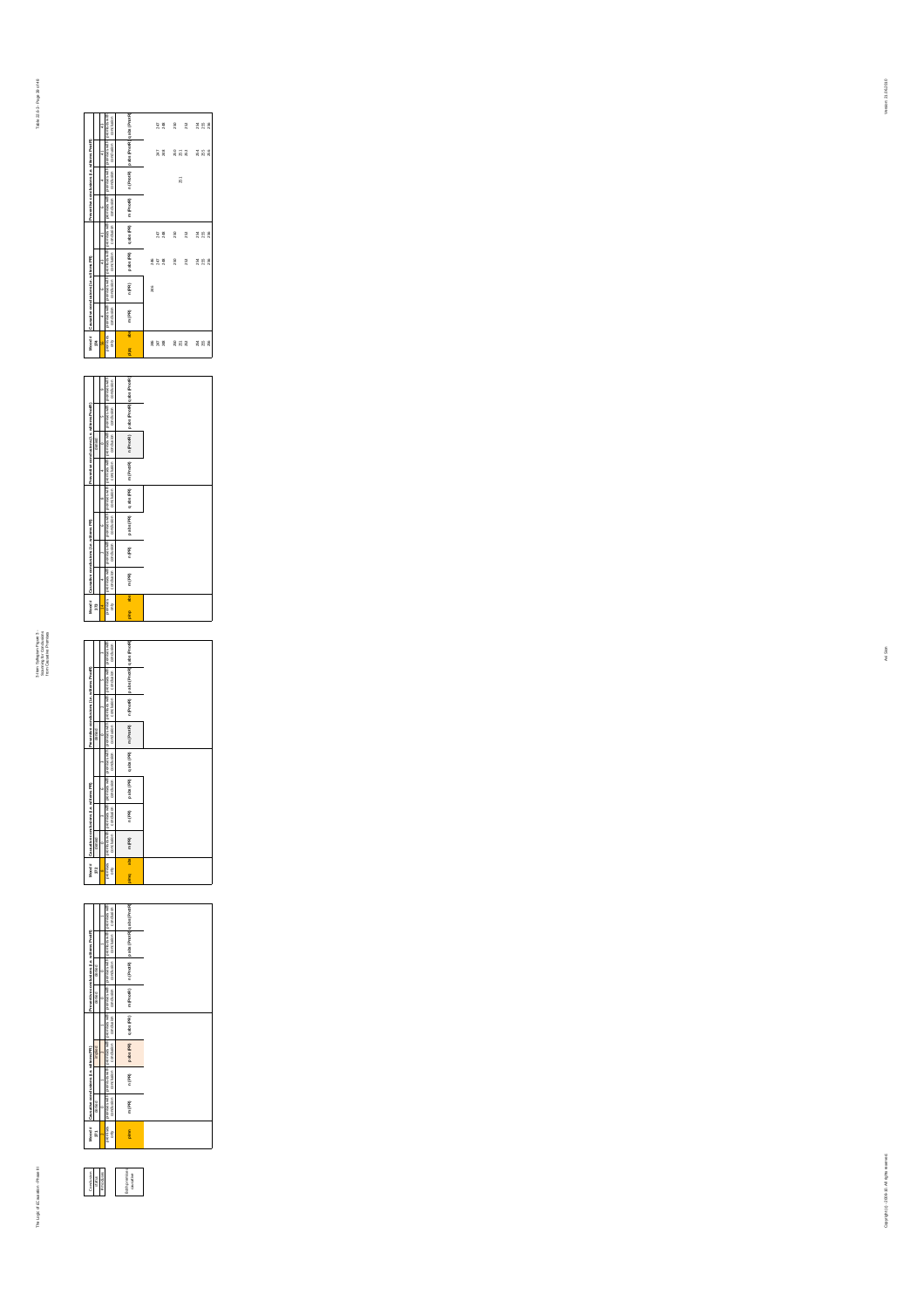| a pos         |                            | Causative conclusions (i.e. wit ems PR) |                            |                             |                            | Preventive con dusions (i.e. wiltems Prooft) |                               |                             |
|---------------|----------------------------|-----------------------------------------|----------------------------|-----------------------------|----------------------------|----------------------------------------------|-------------------------------|-----------------------------|
| Ř             |                            |                                         |                            |                             |                            |                                              |                               |                             |
| ś             |                            | é                                       | ą                          | ą                           | é                          |                                              | ą                             | ą                           |
| im ses<br>È   | premises with<br>condusion | premises with<br>oondusion              | premises with<br>oondusion | Dremises with<br>oorchasion | premises with<br>candusion | premises with<br>oondusion                   | Dremises with<br>oondusion    | premises with<br>conclusion |
| g             | m (PR)                     | n (PR)                                  | pabs (PR)                  | $q$ abs $(PR)$              | m (Prooft)                 | n (PhotP)                                    | patos (ProofR) q abs (ProofR) |                             |
| 246           |                            | g                                       | 246                        |                             |                            |                                              |                               |                             |
| $\frac{1}{2}$ |                            |                                         | $\ddot{x}$                 | 2 8                         |                            |                                              | ã                             | 胃胃                          |
| 248           |                            |                                         | 248                        |                             |                            |                                              | 248                           |                             |
| 250           |                            |                                         | 250                        | 8                           |                            |                                              | 250                           | 290                         |
| ã             |                            |                                         |                            |                             |                            | 51                                           | 251                           |                             |
| 32            |                            |                                         | 252                        | ă                           |                            |                                              | 32                            | 32                          |
| 34            |                            |                                         | 254                        |                             |                            |                                              | 254                           |                             |
| 88            |                            |                                         | 3                          | 38                          |                            |                                              | ă                             | 38                          |





The Logic of ECausation - Phase III

Scanning for Conclusions from Causative Premises

3-tem Sytogian Figure 3<br>Saming for Conduisions<br>from Causative Premises

|                                             |         | ą | oorclusion                               |                                |     | 舞器               | 8   |            | 32  | 翡翠         |     |
|---------------------------------------------|---------|---|------------------------------------------|--------------------------------|-----|------------------|-----|------------|-----|------------|-----|
|                                             |         | ş | promises with promises with<br>oondusion | pates (ProofR) q alss (ProofR) |     | ã<br>248         | 250 | 51         | 252 | 254        | 255 |
| Preventive con dustons (i.e. wittems ProfR) |         |   | premises with<br>oondusion               | n (Pn ofR)                     |     |                  |     | 51         |     |            |     |
|                                             |         |   | promises with<br>candusion               | m (ProfR)                      |     |                  |     |            |     |            |     |
|                                             |         | ą | Dream ses with<br>oorclusion             | $q$ abs $(PR)$                 |     | 2.48             | 290 |            | 32  | 3 8        |     |
|                                             |         | Ş | premises with<br>oondusion               | pabs (PR)                      |     | 222              | 250 |            | 252 | 254        | 255 |
|                                             |         |   | premises with<br>oondusion               | n (PR)                         | 346 |                  |     |            |     |            |     |
| Causative conclusions (i.e. w/tems PR)      |         |   | promises with<br>candusian               | m (PR)                         |     |                  |     |            |     |            |     |
| <b>Mood</b> #                               | š       | 8 | D/01/11 905<br>έ                         | abs.                           |     | <b>g &amp; g</b> |     | <b>SS3</b> |     | 254<br>255 |     |
|                                             |         |   |                                          | 죨                              |     |                  |     |            |     |            |     |
|                                             |         |   | premises with<br>oondusion               |                                |     |                  |     |            |     |            |     |
|                                             |         |   | promises with<br>candusion               | pates (Pro R) q abs (ProfR)    |     |                  |     |            |     |            |     |
|                                             | dened   |   | promises with<br>conclusion              | n (ProtR)                      |     |                  |     |            |     |            |     |
| Preventive conclusions (Le. witems ProtR)   |         |   | Dream ses with<br>operation              | m (Prot <sub>R)</sub>          |     |                  |     |            |     |            |     |
|                                             |         |   | oondusion                                | qabs (PR)                      |     |                  |     |            |     |            |     |
|                                             |         |   | promises with premises with<br>candualon | Gadi.<br>pate                  |     |                  |     |            |     |            |     |
|                                             |         |   | promises with<br>oorclusion              | n (PR)                         |     |                  |     |            |     |            |     |
| Causative conclusions (i.e. willems PR)     |         |   | Dreamises with<br>oondusion              | m (PR)                         |     |                  |     |            |     |            |     |
| Mood #                                      | R       | ă | promises<br>only                         | ă<br>ę                         |     |                  |     |            |     |            |     |
|                                             |         |   |                                          |                                |     |                  |     |            |     |            |     |
|                                             |         |   | promises with<br>candusion               | p abs (P notR) q abs (PnotR)   |     |                  |     |            |     |            |     |
| Preventive conclusions (i.e. witems Pno IR) |         |   | Dream ses with<br>oprehasion             |                                |     |                  |     |            |     |            |     |
|                                             |         |   | promises with<br>opridualon              | n (Prot <sub>R)</sub>          |     |                  |     |            |     |            |     |
|                                             | denied  |   | oondusion                                | m (Pn ofR)                     |     |                  |     |            |     |            |     |
|                                             |         |   | promises with premises with<br>condusion | qabs (PR)                      |     |                  |     |            |     |            |     |
| (i.e. wiltems PR)                           |         |   | Dream ses with<br>oorclusion             | $p$ abs $(PR)$                 |     |                  |     |            |     |            |     |
|                                             |         |   | with<br>oondusion                        | e<br>S                         |     |                  |     |            |     |            |     |
| Causative conclusions                       | denied  |   | premises with premises<br>candusion      | $\omega$ or $\omega$           |     |                  |     |            |     |            |     |
| Mood#                                       | S       |   | promises<br>orly                         | Ą<br><b>Dum/c</b>              |     |                  |     |            |     |            |     |
|                                             |         |   |                                          |                                |     |                  |     |            |     |            |     |
|                                             |         |   | Dream ses with<br>operation              |                                |     |                  |     |            |     |            |     |
|                                             |         |   | promises with<br>oondusion               | paths (Priod R) q abs (PriodR) |     |                  |     |            |     |            |     |
| Preventive condusions (i.e. wiltems Profit) | denied  |   | promises with premises with<br>candusion | n (ProtR)                      |     |                  |     |            |     |            |     |
|                                             | denied  |   | corclusion                               | m (ProfR)                      |     |                  |     |            |     |            |     |
|                                             |         |   | Door sea with<br>operation               | qabs (PR)                      |     |                  |     |            |     |            |     |
|                                             | implied |   | promises with promises with<br>oondusion | pate (PR)                      |     |                  |     |            |     |            |     |
| ausative con dusions (i.e. w/ltems PR)      |         |   | candusion                                | n (PR)                         |     |                  |     |            |     |            |     |
|                                             | densed  |   | Dream sea with<br>conclusion             | $\frac{m(PR)}{E}$              |     |                  |     |            |     |            |     |
| <b>Mood</b> #                               | 571     |   | com ses<br>ğ                             | o/min                          |     |                  |     |            |     |            |     |

Conclusion<br># moduses<br>xh premis<br>causative Both premises

premises only

Aw Sion

Version: 21.06.2010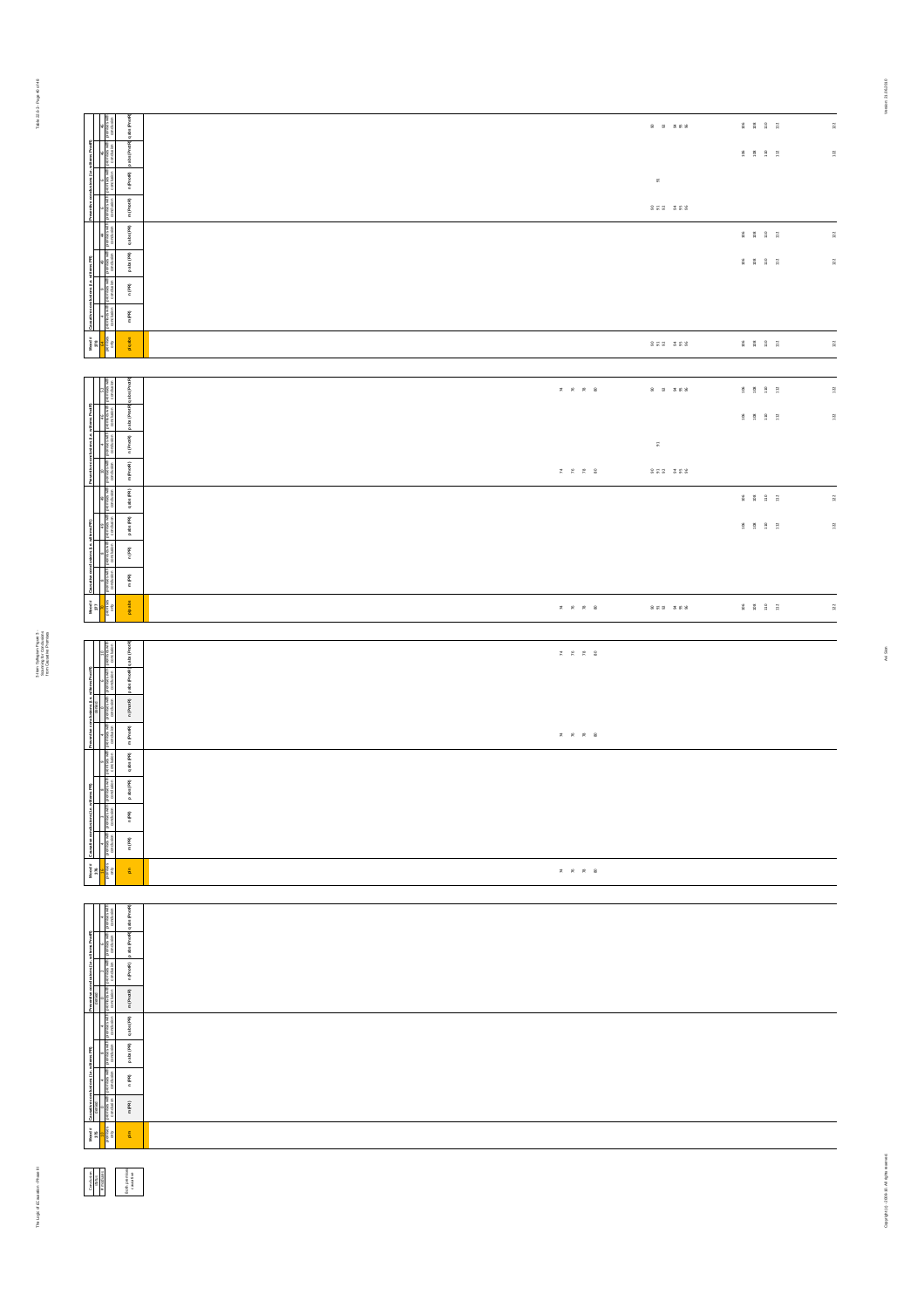| abs (Prot                                                                                                                                                                                                                                           |                                                                     |                |                                                                                                                                                                                                                                                                                                                                                                                                                                      |                          |
|-----------------------------------------------------------------------------------------------------------------------------------------------------------------------------------------------------------------------------------------------------|---------------------------------------------------------------------|----------------|--------------------------------------------------------------------------------------------------------------------------------------------------------------------------------------------------------------------------------------------------------------------------------------------------------------------------------------------------------------------------------------------------------------------------------------|--------------------------|
| p abs (ProtR)<br>46<br>amises with<br>pordusion                                                                                                                                                                                                     |                                                                     |                | $\begin{array}{cccccccccc} 18 & 8 & 9 & 9 & 11 \\ 18 & 18 & 19 & 11 \\ \end{array}$                                                                                                                                                                                                                                                                                                                                                  | $\mathbb{R}^2$           |
| promises with<br>condusion<br>n (ProfR)                                                                                                                                                                                                             |                                                                     | 55             |                                                                                                                                                                                                                                                                                                                                                                                                                                      |                          |
| Preventive conclusions (i.e., witems Profit)<br>5<br>comises with<br>conclusion<br>$m$ (P rooff)                                                                                                                                                    |                                                                     | $853$ 382      |                                                                                                                                                                                                                                                                                                                                                                                                                                      |                          |
| 44<br>premises with<br>condusion<br>$\mathbf{q}$ abs (PR)                                                                                                                                                                                           |                                                                     |                |                                                                                                                                                                                                                                                                                                                                                                                                                                      | $\mathbb{R}^2$           |
| pates (PR)                                                                                                                                                                                                                                          |                                                                     |                |                                                                                                                                                                                                                                                                                                                                                                                                                                      | $\mathbb{R}^n$           |
| $_{\rm n}$ (PR)                                                                                                                                                                                                                                     |                                                                     |                |                                                                                                                                                                                                                                                                                                                                                                                                                                      |                          |
| $\frac{\partial \widehat{R}}{\partial t}$                                                                                                                                                                                                           |                                                                     |                |                                                                                                                                                                                                                                                                                                                                                                                                                                      |                          |
| $M \cos \theta$<br><b>Routians</b><br>piqabs                                                                                                                                                                                                        |                                                                     |                |                                                                                                                                                                                                                                                                                                                                                                                                                                      | $\mathbb{R}^2$           |
|                                                                                                                                                                                                                                                     |                                                                     |                |                                                                                                                                                                                                                                                                                                                                                                                                                                      |                          |
| q abs (Prot R)<br>52<br>comises with<br>condusion                                                                                                                                                                                                   |                                                                     |                |                                                                                                                                                                                                                                                                                                                                                                                                                                      | $\mathbb{R}^2$           |
| abs (PnotR)                                                                                                                                                                                                                                         |                                                                     |                | $\begin{array}{cccccccccccccc} \mathcal{B} & \mathcal{B} & \mathcal{B} & \mathcal{B} & \mathcal{B} & \mathcal{B} \end{array}$                                                                                                                                                                                                                                                                                                        | $\mathbb{R}^n$           |
| $n$ (Prooff)                                                                                                                                                                                                                                        |                                                                     | $\overline{5}$ |                                                                                                                                                                                                                                                                                                                                                                                                                                      |                          |
| <b>Preventive conclusions (i.e. witheres Prock)</b><br>th poember poember of the person poember of the person poember of personal control<br>conclusion conclusion conclusion compete.<br>$m(\mathsf{Proof}\,\mathsf{R})$                           |                                                                     |                |                                                                                                                                                                                                                                                                                                                                                                                                                                      |                          |
| 49<br>  pomises with promises with F<br>  condusson condusion<br>$\boldsymbol{q}$ abs $(\boldsymbol{PR})$                                                                                                                                           |                                                                     |                | $\begin{array}{ccccccccccccc} \mathbf{3} & \mathbf{3} & \mathbf{3} & \mathbf{3} & \mathbf{3} & \mathbf{3} & \mathbf{3} & \mathbf{3} & \mathbf{3} & \mathbf{3} & \mathbf{3} & \mathbf{3} & \mathbf{3} & \mathbf{3} & \mathbf{3} & \mathbf{3} & \mathbf{3} & \mathbf{3} & \mathbf{3} & \mathbf{3} & \mathbf{3} & \mathbf{3} & \mathbf{3} & \mathbf{3} & \mathbf{3} & \mathbf{3} & \mathbf{3} & \mathbf{3} & \mathbf{3} & \mathbf{3} &$ | $\widetilde{\mathbf{u}}$ |
| Causative conclusions (i.e. whenes PR)<br>points at the points of the points of the points of the points of the points of the points of the points of th<br>points of containing the points of the points of the points of the point<br>p alsa (PR) |                                                                     |                | $\begin{array}{cccccccccccccc} \Xi & \Xi & \Xi & \Xi & \Xi \end{array}$                                                                                                                                                                                                                                                                                                                                                              | $\mathbb{R}^n$           |
| $_{\rm e}$ (PR)                                                                                                                                                                                                                                     |                                                                     |                |                                                                                                                                                                                                                                                                                                                                                                                                                                      |                          |
| $\mathfrak{m}$ (PR)                                                                                                                                                                                                                                 |                                                                     |                |                                                                                                                                                                                                                                                                                                                                                                                                                                      |                          |
| $rac{1}{\pi}$<br>premises                                                                                                                                                                                                                           |                                                                     | 858 358        |                                                                                                                                                                                                                                                                                                                                                                                                                                      | $\mathbb{R}^2$           |
|                                                                                                                                                                                                                                                     |                                                                     |                |                                                                                                                                                                                                                                                                                                                                                                                                                                      |                          |
| 30<br>promises with<br>corolasion<br>abs (ProfR)                                                                                                                                                                                                    | $\begin{array}{cccccccccc} \Xi & \Xi & \Xi & \Xi & \Xi \end{array}$ |                |                                                                                                                                                                                                                                                                                                                                                                                                                                      |                          |
| 暑                                                                                                                                                                                                                                                   |                                                                     |                |                                                                                                                                                                                                                                                                                                                                                                                                                                      |                          |
| $n$ (Pro $\theta\theta)$                                                                                                                                                                                                                            |                                                                     |                |                                                                                                                                                                                                                                                                                                                                                                                                                                      |                          |
| Preventive condustions (i.e. whitems Prooft)<br>In premise with powinkels<br>In condusion - condusion - constaliation - co<br>In condusion - condusion - constaliation - c<br>$m$ (ProofR)                                                          | $\mathbb R$ , $\mathbb R$ , $\mathbb R$ , $\mathbb R$               |                |                                                                                                                                                                                                                                                                                                                                                                                                                                      |                          |
| $q$ abs $\langle \mathsf{PR} \rangle$<br>9<br>nomises with<br>conclusion                                                                                                                                                                            |                                                                     |                |                                                                                                                                                                                                                                                                                                                                                                                                                                      |                          |
| pabs (PR)                                                                                                                                                                                                                                           |                                                                     |                |                                                                                                                                                                                                                                                                                                                                                                                                                                      |                          |
| $_{\alpha \phi \text{B}}$                                                                                                                                                                                                                           |                                                                     |                |                                                                                                                                                                                                                                                                                                                                                                                                                                      |                          |
| Mood Causatescoordudent (A. Wienes PR)<br>376 – The President Premier (A. Wienes PR)<br>2009 – Central Premier Premier (Premier Wien<br>2019 – Central Premier (Premier (Premier Wiener)<br>$\mathfrak{m}(\mathsf{PR})$                             |                                                                     |                |                                                                                                                                                                                                                                                                                                                                                                                                                                      |                          |
| $\mathbf{\hat{z}}$                                                                                                                                                                                                                                  | $\begin{array}{cccccccccc} \Xi & & \Xi & & \Xi & & \Xi \end{array}$ |                |                                                                                                                                                                                                                                                                                                                                                                                                                                      |                          |
|                                                                                                                                                                                                                                                     |                                                                     |                |                                                                                                                                                                                                                                                                                                                                                                                                                                      |                          |
| n (PnotR) pata (PnotR) qubs (Pnot<br>$\frac{4}{\pi}$<br>remises with                                                                                                                                                                                |                                                                     |                |                                                                                                                                                                                                                                                                                                                                                                                                                                      |                          |
| Preventive conclusions (Le, witems Prooft)<br>Olivia                                                                                                                                                                                                |                                                                     |                |                                                                                                                                                                                                                                                                                                                                                                                                                                      |                          |
| promises with<br>conclusion                                                                                                                                                                                                                         |                                                                     |                |                                                                                                                                                                                                                                                                                                                                                                                                                                      |                          |
| $m$ (ProofR)<br>0<br>promises with<br>corclusion<br>amissa with                                                                                                                                                                                     |                                                                     |                |                                                                                                                                                                                                                                                                                                                                                                                                                                      |                          |
| qabs $\langle \mathsf{PR} \rangle$                                                                                                                                                                                                                  |                                                                     |                |                                                                                                                                                                                                                                                                                                                                                                                                                                      |                          |
|                                                                                                                                                                                                                                                     |                                                                     |                |                                                                                                                                                                                                                                                                                                                                                                                                                                      |                          |
| s<br>pomises with p<br>condusion<br>pabs (PR)                                                                                                                                                                                                       |                                                                     |                |                                                                                                                                                                                                                                                                                                                                                                                                                                      |                          |
| $4$ $frac{4}{\cosh \theta}$<br>$\frac{\partial \widehat{E}}{\partial \tau}$                                                                                                                                                                         |                                                                     |                |                                                                                                                                                                                                                                                                                                                                                                                                                                      |                          |
| Mood # Causative conclusions (i.e., willenss PR)<br>375 00060<br>to<br>comises with<br>conclusion<br>$\frac{\partial}{\partial t}$<br>cemees<br>only<br>星                                                                                           |                                                                     |                |                                                                                                                                                                                                                                                                                                                                                                                                                                      |                          |

minn: 2106.2010

Copyright (c) - 2008-10. All rights reserved. Avi Sion Version: 21.06.2010

Avi Sion

Conclusion status # moduses causative Both premises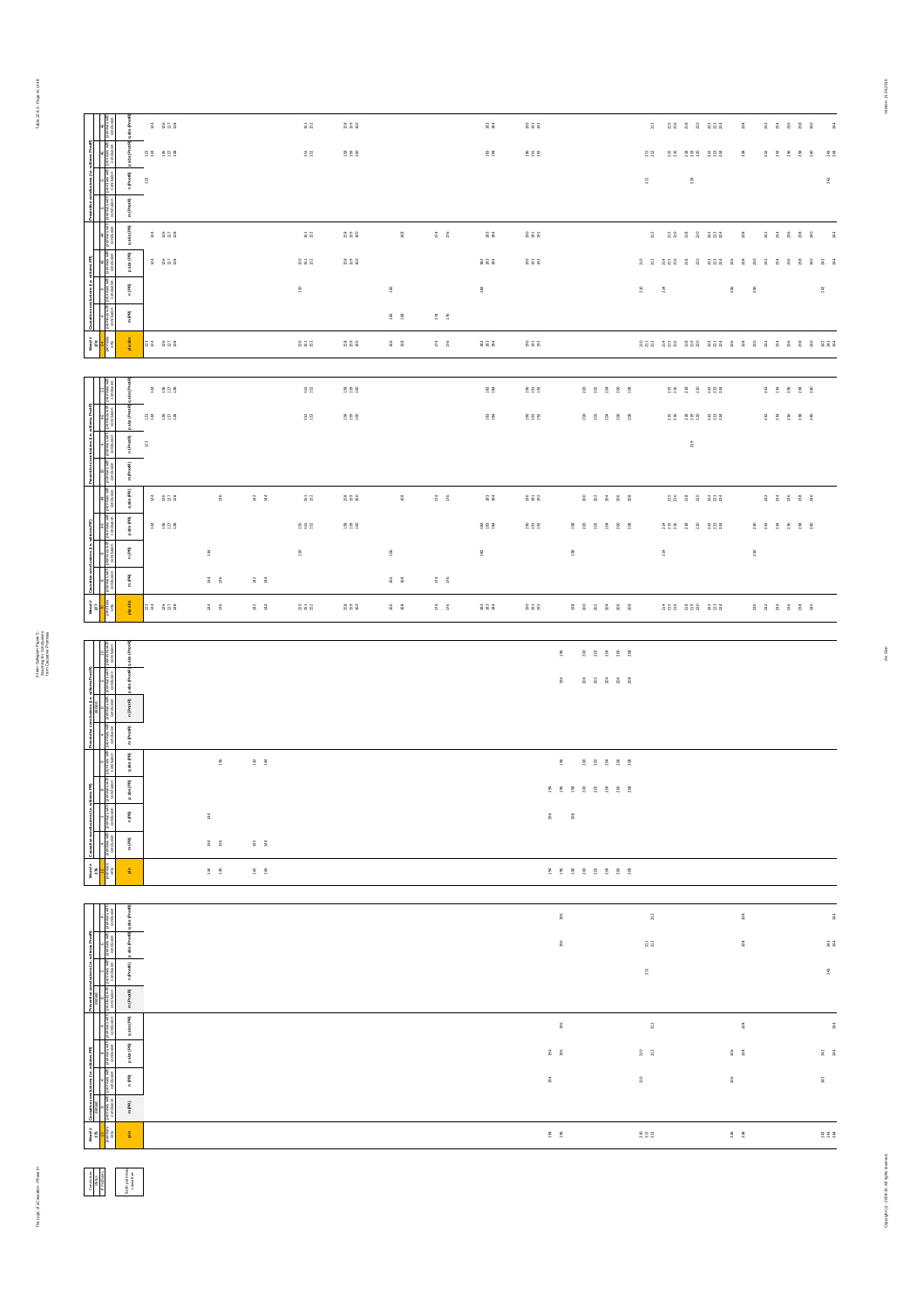| $\frac{3}{2}$ $\frac{3}{2}$                                                                                                                                                                                                                                                                                                                                                                                                                     |                                                       |                                                                                                                                                                                                                                                                                                                                                                                                                                     | 151                                       | 338                                                    |                                                    |                              | $\substack{23 \\ 23}$ | 353   |                                                                                                                                                                                                                                                                                                                                                                                                                                                                     | a aa aa aaa                                                                                                                                                                                                                                                                                                                            |                                                                                                                                                                                | $\begin{array}{ccc} & & \text{if} & \text{if} & \text{if} & \text{if} & \text{if} & \text{if} & \text{if} & \text{if} & \text{if} & \text{if} & \text{if} & \text{if} & \text{if} & \text{if} & \text{if} & \text{if} & \text{if} & \text{if} & \text{if} & \text{if} & \text{if} & \text{if} & \text{if} & \text{if} & \text{if} & \text{if} & \text{if} & \text{if} & \text{if} & \text{if} & \text{if} & \text{if} & \text{if} & \text{if} & \text{if} & \$ |                                                                       |
|-------------------------------------------------------------------------------------------------------------------------------------------------------------------------------------------------------------------------------------------------------------------------------------------------------------------------------------------------------------------------------------------------------------------------------------------------|-------------------------------------------------------|-------------------------------------------------------------------------------------------------------------------------------------------------------------------------------------------------------------------------------------------------------------------------------------------------------------------------------------------------------------------------------------------------------------------------------------|-------------------------------------------|--------------------------------------------------------|----------------------------------------------------|------------------------------|-----------------------|-------|---------------------------------------------------------------------------------------------------------------------------------------------------------------------------------------------------------------------------------------------------------------------------------------------------------------------------------------------------------------------------------------------------------------------------------------------------------------------|----------------------------------------------------------------------------------------------------------------------------------------------------------------------------------------------------------------------------------------------------------------------------------------------------------------------------------------|--------------------------------------------------------------------------------------------------------------------------------------------------------------------------------|----------------------------------------------------------------------------------------------------------------------------------------------------------------------------------------------------------------------------------------------------------------------------------------------------------------------------------------------------------------------------------------------------------------------------------------------------------------|-----------------------------------------------------------------------|
| $33$ $32$                                                                                                                                                                                                                                                                                                                                                                                                                                       |                                                       |                                                                                                                                                                                                                                                                                                                                                                                                                                     | $\frac{51}{252}$                          | 339                                                    |                                                    |                              | $\frac{23}{23}$       | 553   |                                                                                                                                                                                                                                                                                                                                                                                                                                                                     |                                                                                                                                                                                                                                                                                                                                        | aa aa aaa aa ah aa aa aa aa                                                                                                                                                    |                                                                                                                                                                                                                                                                                                                                                                                                                                                                |                                                                       |
| $\Xi$                                                                                                                                                                                                                                                                                                                                                                                                                                           |                                                       |                                                                                                                                                                                                                                                                                                                                                                                                                                     |                                           |                                                        |                                                    |                              |                       |       |                                                                                                                                                                                                                                                                                                                                                                                                                                                                     | $\overline{a}$ and $\overline{a}$                                                                                                                                                                                                                                                                                                      |                                                                                                                                                                                |                                                                                                                                                                                                                                                                                                                                                                                                                                                                | $\Xi$                                                                 |
|                                                                                                                                                                                                                                                                                                                                                                                                                                                 |                                                       |                                                                                                                                                                                                                                                                                                                                                                                                                                     |                                           |                                                        |                                                    |                              |                       |       |                                                                                                                                                                                                                                                                                                                                                                                                                                                                     |                                                                                                                                                                                                                                                                                                                                        |                                                                                                                                                                                |                                                                                                                                                                                                                                                                                                                                                                                                                                                                |                                                                       |
| $q$ abs $(PR)$<br>$\frac{3}{2}$ $\frac{3}{2}$ $\frac{5}{2}$                                                                                                                                                                                                                                                                                                                                                                                     |                                                       |                                                                                                                                                                                                                                                                                                                                                                                                                                     | $\frac{51}{152}$                          | 338                                                    | $\frac{168}{168}$                                  | $\frac{74}{176}$             | $\frac{23}{23}$       | 553   |                                                                                                                                                                                                                                                                                                                                                                                                                                                                     |                                                                                                                                                                                                                                                                                                                                        |                                                                                                                                                                                |                                                                                                                                                                                                                                                                                                                                                                                                                                                                |                                                                       |
| ĝ<br>3.333                                                                                                                                                                                                                                                                                                                                                                                                                                      |                                                       |                                                                                                                                                                                                                                                                                                                                                                                                                                     | $\frac{9}{2}$ $\frac{7}{2}$ $\frac{3}{2}$ | 338                                                    |                                                    |                              | 22.2                  | 553   |                                                                                                                                                                                                                                                                                                                                                                                                                                                                     |                                                                                                                                                                                                                                                                                                                                        | a a ann a ann a a a a a a a a a a                                                                                                                                              |                                                                                                                                                                                                                                                                                                                                                                                                                                                                |                                                                       |
| gen,                                                                                                                                                                                                                                                                                                                                                                                                                                            |                                                       |                                                                                                                                                                                                                                                                                                                                                                                                                                     | $\mathbb{S}^0$                            |                                                        | $\%$                                               |                              | $\mathbbm{R}$         |       |                                                                                                                                                                                                                                                                                                                                                                                                                                                                     |                                                                                                                                                                                                                                                                                                                                        | $\begin{matrix} \ddots & \ddots & \ddots & \ddots \\ \ddots & \ddots & \ddots & \ddots \\ \ddots & \ddots & \ddots & \ddots \\ \ddots & \ddots & \ddots & \ddots \end{matrix}$ |                                                                                                                                                                                                                                                                                                                                                                                                                                                                |                                                                       |
| $\frac{60}{10}$                                                                                                                                                                                                                                                                                                                                                                                                                                 |                                                       |                                                                                                                                                                                                                                                                                                                                                                                                                                     |                                           |                                                        | 8800                                               | $\mathbb{R}$ $\mathbb{R}$    |                       |       |                                                                                                                                                                                                                                                                                                                                                                                                                                                                     |                                                                                                                                                                                                                                                                                                                                        |                                                                                                                                                                                |                                                                                                                                                                                                                                                                                                                                                                                                                                                                |                                                                       |
| Ba aba                                                                                                                                                                                                                                                                                                                                                                                                                                          |                                                       |                                                                                                                                                                                                                                                                                                                                                                                                                                     | <b>SSS</b>                                | 338                                                    | $166$<br>$163$                                     | $174$<br>$776$               | 22.2                  | 953   |                                                                                                                                                                                                                                                                                                                                                                                                                                                                     |                                                                                                                                                                                                                                                                                                                                        | 2012 2022 2023 2024 2025 2026 2027                                                                                                                                             |                                                                                                                                                                                                                                                                                                                                                                                                                                                                |                                                                       |
|                                                                                                                                                                                                                                                                                                                                                                                                                                                 |                                                       |                                                                                                                                                                                                                                                                                                                                                                                                                                     |                                           |                                                        |                                                    |                              |                       |       |                                                                                                                                                                                                                                                                                                                                                                                                                                                                     |                                                                                                                                                                                                                                                                                                                                        |                                                                                                                                                                                |                                                                                                                                                                                                                                                                                                                                                                                                                                                                |                                                                       |
| $\begin{array}{cc} \overline{\alpha} & \phantom{00} \overline{\alpha} & \phantom{0} \overline{\alpha} \\ \phantom{000} \overline{\alpha} & \phantom{00} \overline{\alpha} & \phantom{0} \overline{\alpha} \end{array}$                                                                                                                                                                                                                          |                                                       |                                                                                                                                                                                                                                                                                                                                                                                                                                     | រី វិ                                     | $\begin{array}{c} 0.011 \\ 0.011 \\ 0.011 \end{array}$ |                                                    |                              | $\frac{73}{28}$       | 853   |                                                                                                                                                                                                                                                                                                                                                                                                                                                                     | <b>AA A A A A A A A</b>                                                                                                                                                                                                                                                                                                                |                                                                                                                                                                                |                                                                                                                                                                                                                                                                                                                                                                                                                                                                |                                                                       |
| 88 898                                                                                                                                                                                                                                                                                                                                                                                                                                          |                                                       |                                                                                                                                                                                                                                                                                                                                                                                                                                     | <u>유명</u>                                 | $\begin{array}{c} 31.8 \\ 32.9 \\ 1 \end{array}$       |                                                    |                              | $\frac{28}{13}$       | 8.5%  | $\begin{matrix} 8 & 8 & 8 & 8 & 8 \\ 7 & 8 & 8 & 8 & 8 \\ 1 & 10 & 10 & 10 & 10 \\ 10 & 10 & 10 & 10 & 10 \\ 10 & 10 & 10 & 10 & 10 \\ 10 & 10 & 10 & 10 & 10 \\ 10 & 10 & 10 & 10 & 10 \\ 11 & 10 & 10 & 10 & 10 & 10 \\ 12 & 10 & 10 & 10 & 10 & 10 \\ 13 & 10 & 10 & 10 & 10 & 10 \\ 14 & 10 & 10 & 1$                                                                                                                                                           | 88 888 888                                                                                                                                                                                                                                                                                                                             |                                                                                                                                                                                | $\begin{array}{cccccccccc} R & \bar{A} & \bar{B} & \bar{B} & \bar{B} & \bar{B} \end{array}$                                                                                                                                                                                                                                                                                                                                                                    |                                                                       |
| $\overline{123}$                                                                                                                                                                                                                                                                                                                                                                                                                                |                                                       |                                                                                                                                                                                                                                                                                                                                                                                                                                     |                                           |                                                        |                                                    |                              |                       |       |                                                                                                                                                                                                                                                                                                                                                                                                                                                                     | 219                                                                                                                                                                                                                                                                                                                                    |                                                                                                                                                                                |                                                                                                                                                                                                                                                                                                                                                                                                                                                                |                                                                       |
|                                                                                                                                                                                                                                                                                                                                                                                                                                                 |                                                       |                                                                                                                                                                                                                                                                                                                                                                                                                                     |                                           |                                                        |                                                    |                              |                       |       |                                                                                                                                                                                                                                                                                                                                                                                                                                                                     |                                                                                                                                                                                                                                                                                                                                        |                                                                                                                                                                                |                                                                                                                                                                                                                                                                                                                                                                                                                                                                |                                                                       |
| Ê<br>$\begin{smallmatrix} 3 & \hspace{-2mm} & \hspace{-2mm} 8 & \hspace{-2mm} & \hspace{-2mm} 8 & \hspace{-2mm} & \hspace{-2mm} 8 & \hspace{-2mm} & \hspace{-2mm} 8 & \hspace{-2mm} & \hspace{-2mm} 8 & \hspace{-2mm} & \hspace{-2mm} 8 & \hspace{-2mm} & \hspace{-2mm} 8 & \hspace{-2mm} & \hspace{-2mm} 8 & \hspace{-2mm} & \hspace{-2mm} 8 & \hspace{-2mm} & \hspace{-2mm} 8 & \hspace{-2mm} & \hspace{-2mm} 8 & \hspace{-2mm} & \hspace{-2$ | $\,$ 136 $\,$                                         | $\begin{array}{ccccccccc} \mathbb{C} & & \mathbb{C} & & \mathbb{C} & & \mathbb{C} & \mathbb{C} & \mathbb{C} & \mathbb{C} & \mathbb{C} & \mathbb{C} & \mathbb{C} & \mathbb{C} & \mathbb{C} & \mathbb{C} & \mathbb{C} & \mathbb{C} & \mathbb{C} & \mathbb{C} & \mathbb{C} & \mathbb{C} & \mathbb{C} & \mathbb{C} & \mathbb{C} & \mathbb{C} & \mathbb{C} & \mathbb{C} & \mathbb{C} & \mathbb{C} & \mathbb{C} & \mathbb{C} & \mathbb{C$ | $\frac{1}{10}$ is $2$                     | 388                                                    |                                                    |                              |                       | 252   |                                                                                                                                                                                                                                                                                                                                                                                                                                                                     |                                                                                                                                                                                                                                                                                                                                        |                                                                                                                                                                                |                                                                                                                                                                                                                                                                                                                                                                                                                                                                |                                                                       |
| @<br>5.888<br>å                                                                                                                                                                                                                                                                                                                                                                                                                                 |                                                       |                                                                                                                                                                                                                                                                                                                                                                                                                                     | 858                                       | 28.25                                                  |                                                    |                              | 照照路                   | 8.8.8 | $\begin{array}{cccccccccccccc} \mathcal{B} & \mathcal{B} & \mathcal{B} & \mathcal{B} & \mathcal{B} & \mathcal{B} & \mathcal{B} & \mathcal{B} & \mathcal{B} & \mathcal{B} & \mathcal{B} & \mathcal{B} & \mathcal{B} & \mathcal{B} & \mathcal{B} & \mathcal{B} & \mathcal{B} & \mathcal{B} & \mathcal{B} & \mathcal{B} & \mathcal{B} & \mathcal{B} & \mathcal{B} & \mathcal{B} & \mathcal{B} & \mathcal{B} & \mathcal{B} & \mathcal{B} & \mathcal{B} & \mathcal{B} &$ | 388 8 8 883                                                                                                                                                                                                                                                                                                                            |                                                                                                                                                                                | <b>A H A A A A</b>                                                                                                                                                                                                                                                                                                                                                                                                                                             |                                                                       |
| n (PR)                                                                                                                                                                                                                                                                                                                                                                                                                                          | $\frac{\pi}{2}$                                       |                                                                                                                                                                                                                                                                                                                                                                                                                                     | $\frac{50}{10}$                           |                                                        | $\frac{9}{2}$                                      |                              | $^{\rm 182}$          |       | $^{\rm 198}$                                                                                                                                                                                                                                                                                                                                                                                                                                                        | $\frac{3}{14}$                                                                                                                                                                                                                                                                                                                         |                                                                                                                                                                                | $_{\rm 230}$                                                                                                                                                                                                                                                                                                                                                                                                                                                   |                                                                       |
| mpn                                                                                                                                                                                                                                                                                                                                                                                                                                             | $\frac{3}{2}$ $\frac{8}{2}$                           | $\frac{12}{3}$ – $\frac{3}{2}$                                                                                                                                                                                                                                                                                                                                                                                                      |                                           |                                                        | $166$<br>$163$                                     | 174                          |                       |       |                                                                                                                                                                                                                                                                                                                                                                                                                                                                     |                                                                                                                                                                                                                                                                                                                                        |                                                                                                                                                                                |                                                                                                                                                                                                                                                                                                                                                                                                                                                                |                                                                       |
| aa aaa                                                                                                                                                                                                                                                                                                                                                                                                                                          | $\overline{\mathfrak{m}}$ – $\overline{\mathfrak{m}}$ | $\frac{\alpha}{2}=\frac{\alpha}{2}$                                                                                                                                                                                                                                                                                                                                                                                                 | គី អី អី                                  | នីនិនី                                                 | $\begin{array}{cc} 36 & 32 \\ 36 & 38 \end{array}$ | $\overline{\mathbb{D}}$ . If | $-22.2$               | 853   | $\begin{array}{ccccccccccccc} \mathbb{R} & \mathbb{R} & \mathbb{R} & \mathbb{R} & \mathbb{R} & \mathbb{R} & \mathbb{R} & \mathbb{R} & \mathbb{R} & \mathbb{R} & \mathbb{R} & \mathbb{R} & \mathbb{R} & \mathbb{R} & \mathbb{R} & \mathbb{R} & \mathbb{R} & \mathbb{R} & \mathbb{R} & \mathbb{R} & \mathbb{R} & \mathbb{R} & \mathbb{R} & \mathbb{R} & \mathbb{R} & \mathbb{R} & \mathbb{R} & \mathbb{R} & \mathbb{R} & \mathbb{R} &$                                |                                                                                                                                                                                                                                                                                                                                        |                                                                                                                                                                                |                                                                                                                                                                                                                                                                                                                                                                                                                                                                |                                                                       |
|                                                                                                                                                                                                                                                                                                                                                                                                                                                 |                                                       |                                                                                                                                                                                                                                                                                                                                                                                                                                     |                                           |                                                        |                                                    |                              |                       |       |                                                                                                                                                                                                                                                                                                                                                                                                                                                                     |                                                                                                                                                                                                                                                                                                                                        |                                                                                                                                                                                |                                                                                                                                                                                                                                                                                                                                                                                                                                                                |                                                                       |
|                                                                                                                                                                                                                                                                                                                                                                                                                                                 |                                                       |                                                                                                                                                                                                                                                                                                                                                                                                                                     |                                           |                                                        |                                                    |                              |                       |       |                                                                                                                                                                                                                                                                                                                                                                                                                                                                     |                                                                                                                                                                                                                                                                                                                                        |                                                                                                                                                                                |                                                                                                                                                                                                                                                                                                                                                                                                                                                                |                                                                       |
|                                                                                                                                                                                                                                                                                                                                                                                                                                                 |                                                       |                                                                                                                                                                                                                                                                                                                                                                                                                                     |                                           |                                                        |                                                    |                              |                       |       |                                                                                                                                                                                                                                                                                                                                                                                                                                                                     |                                                                                                                                                                                                                                                                                                                                        |                                                                                                                                                                                |                                                                                                                                                                                                                                                                                                                                                                                                                                                                |                                                                       |
|                                                                                                                                                                                                                                                                                                                                                                                                                                                 |                                                       |                                                                                                                                                                                                                                                                                                                                                                                                                                     |                                           |                                                        |                                                    |                              |                       |       |                                                                                                                                                                                                                                                                                                                                                                                                                                                                     |                                                                                                                                                                                                                                                                                                                                        |                                                                                                                                                                                |                                                                                                                                                                                                                                                                                                                                                                                                                                                                |                                                                       |
|                                                                                                                                                                                                                                                                                                                                                                                                                                                 |                                                       |                                                                                                                                                                                                                                                                                                                                                                                                                                     |                                           |                                                        |                                                    |                              |                       |       |                                                                                                                                                                                                                                                                                                                                                                                                                                                                     |                                                                                                                                                                                                                                                                                                                                        |                                                                                                                                                                                |                                                                                                                                                                                                                                                                                                                                                                                                                                                                |                                                                       |
| $\mathbf{q}$ ab s $(\mathsf{PR})$                                                                                                                                                                                                                                                                                                                                                                                                               | $\frac{35}{2}$                                        | $\frac{9}{2}$ – $\frac{9}{2}$                                                                                                                                                                                                                                                                                                                                                                                                       |                                           |                                                        |                                                    |                              |                       |       |                                                                                                                                                                                                                                                                                                                                                                                                                                                                     |                                                                                                                                                                                                                                                                                                                                        |                                                                                                                                                                                |                                                                                                                                                                                                                                                                                                                                                                                                                                                                |                                                                       |
| $p$ abs $(PR)$                                                                                                                                                                                                                                                                                                                                                                                                                                  |                                                       |                                                                                                                                                                                                                                                                                                                                                                                                                                     |                                           |                                                        |                                                    |                              |                       |       | 3 3 3 3 4 5 8 7                                                                                                                                                                                                                                                                                                                                                                                                                                                     |                                                                                                                                                                                                                                                                                                                                        |                                                                                                                                                                                |                                                                                                                                                                                                                                                                                                                                                                                                                                                                |                                                                       |
| n@R                                                                                                                                                                                                                                                                                                                                                                                                                                             | $\vec{\mathbb{m}}$                                    |                                                                                                                                                                                                                                                                                                                                                                                                                                     |                                           |                                                        |                                                    |                              |                       |       | $\frac{1}{21}$ – $\frac{1}{21}$                                                                                                                                                                                                                                                                                                                                                                                                                                     |                                                                                                                                                                                                                                                                                                                                        |                                                                                                                                                                                |                                                                                                                                                                                                                                                                                                                                                                                                                                                                |                                                                       |
| Causative conclusions (i.e<br>$\mathfrak{m}(\mathsf{PR})$                                                                                                                                                                                                                                                                                                                                                                                       | $\frac{\pi}{\alpha}$ – $\frac{\pi}{\alpha}$           | $\mathbb{R}^+$                                                                                                                                                                                                                                                                                                                                                                                                                      |                                           |                                                        |                                                    |                              |                       |       |                                                                                                                                                                                                                                                                                                                                                                                                                                                                     |                                                                                                                                                                                                                                                                                                                                        |                                                                                                                                                                                |                                                                                                                                                                                                                                                                                                                                                                                                                                                                |                                                                       |
| Mood #<br>376                                                                                                                                                                                                                                                                                                                                                                                                                                   | $\overline{\mathfrak{A}}$ – $\overline{\mathfrak{A}}$ | $\mathbb{R} \setminus \mathbb{R}$                                                                                                                                                                                                                                                                                                                                                                                                   |                                           |                                                        |                                                    |                              |                       |       | 第 第 第 8 8 第 8 8                                                                                                                                                                                                                                                                                                                                                                                                                                                     |                                                                                                                                                                                                                                                                                                                                        |                                                                                                                                                                                |                                                                                                                                                                                                                                                                                                                                                                                                                                                                |                                                                       |
|                                                                                                                                                                                                                                                                                                                                                                                                                                                 |                                                       |                                                                                                                                                                                                                                                                                                                                                                                                                                     |                                           |                                                        |                                                    |                              |                       |       |                                                                                                                                                                                                                                                                                                                                                                                                                                                                     |                                                                                                                                                                                                                                                                                                                                        |                                                                                                                                                                                |                                                                                                                                                                                                                                                                                                                                                                                                                                                                |                                                                       |
|                                                                                                                                                                                                                                                                                                                                                                                                                                                 |                                                       |                                                                                                                                                                                                                                                                                                                                                                                                                                     |                                           |                                                        |                                                    |                              |                       |       | $^{\rm 196}$                                                                                                                                                                                                                                                                                                                                                                                                                                                        | $-\frac{2}{6}$                                                                                                                                                                                                                                                                                                                         | $_{\rm 228}$                                                                                                                                                                   |                                                                                                                                                                                                                                                                                                                                                                                                                                                                | $\frac{3}{24}$                                                        |
| ins (Le. willems PriorR                                                                                                                                                                                                                                                                                                                                                                                                                         |                                                       |                                                                                                                                                                                                                                                                                                                                                                                                                                     |                                           |                                                        |                                                    |                              |                       |       | $\mathfrak{g}_6$                                                                                                                                                                                                                                                                                                                                                                                                                                                    | $\underset{23}{\scriptstyle\pm 2}$                                                                                                                                                                                                                                                                                                     | $\mathbf{z}\mathbf{s}$                                                                                                                                                         |                                                                                                                                                                                                                                                                                                                                                                                                                                                                | $\stackrel{m}{\tilde{\mathbf{a}}} \stackrel{\pi}{\tilde{\mathbf{a}}}$ |
|                                                                                                                                                                                                                                                                                                                                                                                                                                                 |                                                       |                                                                                                                                                                                                                                                                                                                                                                                                                                     |                                           |                                                        |                                                    |                              |                       |       |                                                                                                                                                                                                                                                                                                                                                                                                                                                                     | $\Xi$                                                                                                                                                                                                                                                                                                                                  |                                                                                                                                                                                |                                                                                                                                                                                                                                                                                                                                                                                                                                                                | $\mathbb{R}^n$                                                        |
|                                                                                                                                                                                                                                                                                                                                                                                                                                                 |                                                       |                                                                                                                                                                                                                                                                                                                                                                                                                                     |                                           |                                                        |                                                    |                              |                       |       |                                                                                                                                                                                                                                                                                                                                                                                                                                                                     |                                                                                                                                                                                                                                                                                                                                        |                                                                                                                                                                                |                                                                                                                                                                                                                                                                                                                                                                                                                                                                |                                                                       |
| Ê<br>qabs                                                                                                                                                                                                                                                                                                                                                                                                                                       |                                                       |                                                                                                                                                                                                                                                                                                                                                                                                                                     |                                           |                                                        |                                                    |                              |                       |       | $\frac{1}{2}$                                                                                                                                                                                                                                                                                                                                                                                                                                                       | $\widetilde{\pi}$                                                                                                                                                                                                                                                                                                                      | $_{\rm 223}$                                                                                                                                                                   |                                                                                                                                                                                                                                                                                                                                                                                                                                                                | $-\frac{4}{3}$                                                        |
| ture PR)                                                                                                                                                                                                                                                                                                                                                                                                                                        |                                                       |                                                                                                                                                                                                                                                                                                                                                                                                                                     |                                           |                                                        |                                                    |                              |                       |       | $\mathop{\otimes}\limits^{\text{u}}$                                                                                                                                                                                                                                                                                                                                                                                                                                | $_{\rm 21}^{\rm 0}$                                                                                                                                                                                                                                                                                                                    | $\mathbf{z}_6$ as                                                                                                                                                              |                                                                                                                                                                                                                                                                                                                                                                                                                                                                | $\widetilde{\mathbf{a}}=\widetilde{\mathbf{a}}$                       |
| ons (i.e. wil<br>$\frac{1}{n}$ (PR)                                                                                                                                                                                                                                                                                                                                                                                                             |                                                       |                                                                                                                                                                                                                                                                                                                                                                                                                                     |                                           |                                                        |                                                    |                              |                       |       | $\frac{35}{21}$                                                                                                                                                                                                                                                                                                                                                                                                                                                     | $28 - 1$                                                                                                                                                                                                                                                                                                                               | $226\,$                                                                                                                                                                        |                                                                                                                                                                                                                                                                                                                                                                                                                                                                | $_{\rm 20}$                                                           |
|                                                                                                                                                                                                                                                                                                                                                                                                                                                 |                                                       |                                                                                                                                                                                                                                                                                                                                                                                                                                     |                                           |                                                        |                                                    |                              |                       |       |                                                                                                                                                                                                                                                                                                                                                                                                                                                                     |                                                                                                                                                                                                                                                                                                                                        |                                                                                                                                                                                |                                                                                                                                                                                                                                                                                                                                                                                                                                                                |                                                                       |
|                                                                                                                                                                                                                                                                                                                                                                                                                                                 |                                                       |                                                                                                                                                                                                                                                                                                                                                                                                                                     |                                           |                                                        |                                                    |                              |                       |       | 396                                                                                                                                                                                                                                                                                                                                                                                                                                                                 | $\begin{smallmatrix} 0 & 0 & 0 \\ 0 & 0 & 0 \\ 0 & 0 & 0 \\ 0 & 0 & 0 \\ 0 & 0 & 0 \\ 0 & 0 & 0 \\ 0 & 0 & 0 \\ 0 & 0 & 0 \\ 0 & 0 & 0 \\ 0 & 0 & 0 \\ 0 & 0 & 0 \\ 0 & 0 & 0 \\ 0 & 0 & 0 \\ 0 & 0 & 0 & 0 \\ 0 & 0 & 0 & 0 \\ 0 & 0 & 0 & 0 \\ 0 & 0 & 0 & 0 \\ 0 & 0 & 0 & 0 & 0 \\ 0 & 0 & 0 & 0 & 0 \\ 0 & 0 & 0 & 0 & 0 \\ 0 & $ | $\begin{array}{c} 226 \\ 228 \end{array}$                                                                                                                                      |                                                                                                                                                                                                                                                                                                                                                                                                                                                                | $\begin{smallmatrix} 3 & 2 & 3 \\ 3 & 3 & 3 \end{smallmatrix}$        |

 $194$ 

 $\frac{226}{23}$ 

opyright (c) - 2008-10

Copyright (c) - 2008-10. All rights reserved. Avi Sion Version: 21.06.2010

Avi Sion

sign: 21.06.2010

Table 22.6-3 - Page 41 of 48

able 22.63.

- Page 41 of 48

The Lagic of ECausation

Conclusion status # moduses causative Both premises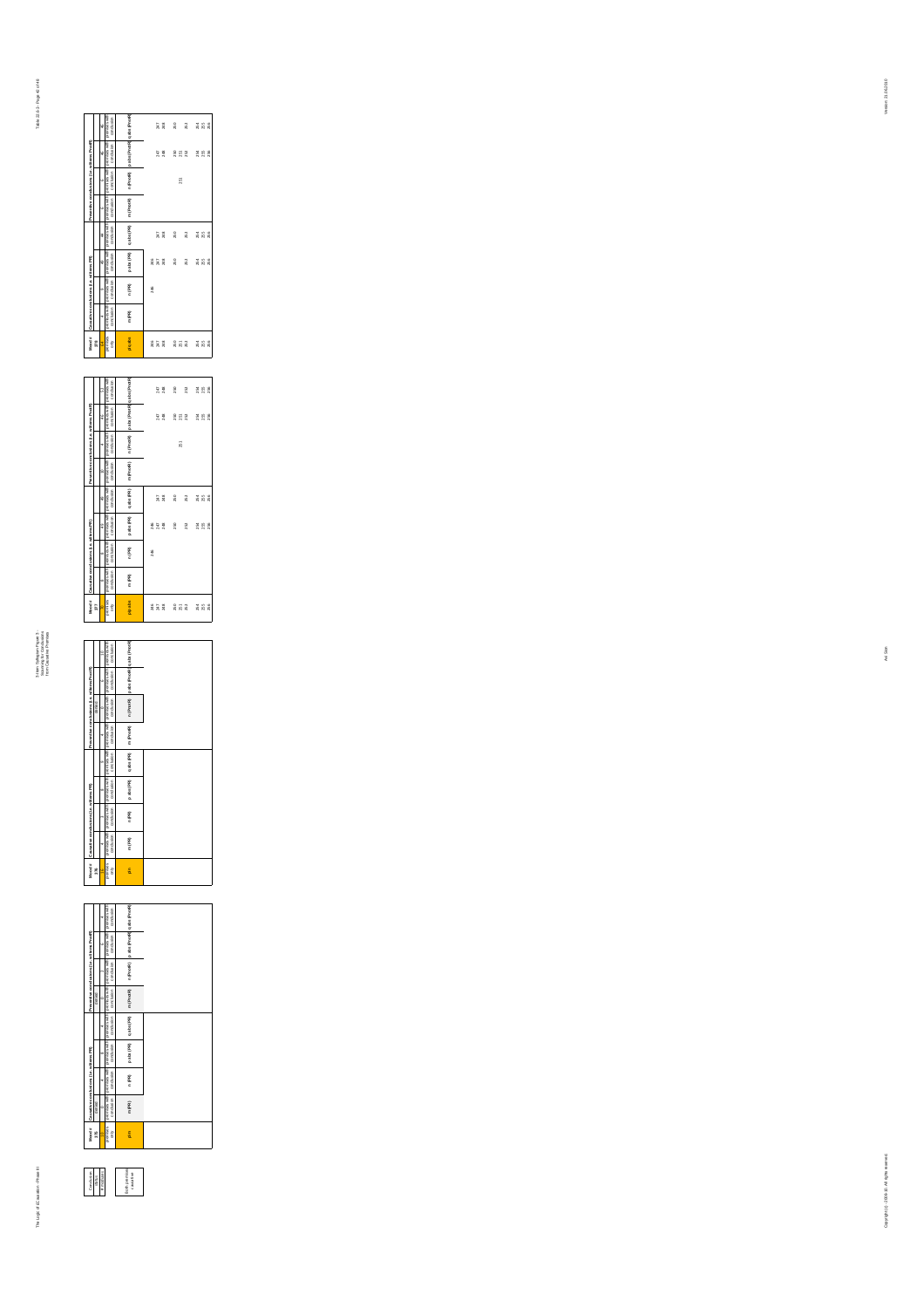|                                               |               | \$        | premises with<br>operation             |                                | R R        | 250        | 252 | 525      |
|-----------------------------------------------|---------------|-----------|----------------------------------------|--------------------------------|------------|------------|-----|----------|
|                                               |               | \$        | premises with<br>oondusion             | pates (ProotR) is abs (ProofR) | 247<br>248 | នី នី នី   |     | 525      |
|                                               |               |           | promises with<br>candualon             | n (ProtR)                      |            | ä          |     |          |
| Preventive conclusions (i.e. wilterns Proof)  |               |           | promises with<br>conclusion            | m (ProtR)                      |            |            |     |          |
|                                               |               | 4         | premises with<br>opriduation           | (PR)<br>qabs                   | 247<br>248 | 250        | 252 | 525      |
|                                               |               | 9         | compare with<br>oondusion              | pabs (PR)                      | 222        | 250        | 252 | 525      |
|                                               |               |           | promises with<br>candusion             | n (PR)                         | 346        |            |     |          |
| Causaive condusions (i.e. wiltems PR)         |               |           | com sea with<br>conclusion             | m(PR)                          |            |            |     |          |
| Mood#                                         | $\frac{1}{2}$ | I         | cos impos<br>only                      | prigrates                      | <b>AR</b>  | <b>SSS</b> |     | 525      |
|                                               |               |           |                                        |                                |            |            |     |          |
|                                               |               | 52        | premises with<br>oondusion             |                                | à g        | 20         | 32  | ងី គី គី |
|                                               |               | \$        | premises with<br>condusion             | pates (PnotR) qabs (PnotR)     | 51 R       | 858        |     | 388      |
|                                               |               |           | Dream ses with<br>conclusion           | n (ProtR)                      |            | 51         |     |          |
| Preventive conclusions (i.e. wiltems PnotR)   |               | $\approx$ | premises with<br>oondusion             | m (Proot R)                    |            |            |     |          |
|                                               |               | 9         | premises with<br>candusion             | qabs (PR)                      | à g        | 20         | 32  | ងី គី គី |
|                                               |               | 9         | promises with<br>conclusion            | p also (PR)                    | 装置器        | 8          | 32  | 388      |
| Causative conclusions (i.e. wiltems PR)       |               |           | premises with<br>operation             | n (PR)                         | 246        |            |     |          |
|                                               |               |           | premises with<br>oondusion             | m (PR)                         |            |            |     |          |
| Mood #                                        | ħ             | p         | <b>200mbs</b><br>orly                  | prip abs                       | x x x      | និគីនី     |     | ងី គី គី |
|                                               |               |           |                                        |                                |            |            |     |          |
|                                               |               |           | own ses with<br>conclusion             | pates (Prooff) q abs (Prooff)  |            |            |     |          |
|                                               |               |           | DYNTH SAS WITH<br>operation            |                                |            |            |     |          |
| Preventive conclusions (i.e. w/ltems Profit)  | denied        |           | premises with<br>oondusion             | n (ProfR)                      |            |            |     |          |
|                                               |               |           | promises with<br>candusion             | m (ProtR)                      |            |            |     |          |
|                                               |               | o         | DYRITTI SIG WITH<br>conclusion         |                                |            |            |     |          |
|                                               |               |           |                                        | $q$ ab $s$ $(PR)$              |            |            |     |          |
|                                               |               |           | oondusion                              | Ê<br>pate                      |            |            |     |          |
| (i.e. w/tems PR)                              |               |           | with premises with<br>oondusion        | n@R                            |            |            |     |          |
| cau sative conclusions                        |               |           | promises with premises<br>condusion    | m (PR)                         |            |            |     |          |
| Mood #                                        | g             | s         | promises<br>only                       | å                              |            |            |     |          |
|                                               |               |           |                                        |                                |            |            |     |          |
|                                               |               |           | premises with<br>condusion             |                                |            |            |     |          |
|                                               |               |           | premises with<br>condusion             | pats (ProtR) qabs (ProfR)      |            |            |     |          |
|                                               |               |           | promises with                          | n (ProofR)                     |            |            |     |          |
| Preventive conclusions (i.e. wiltems Prooff)  | dining        |           | corchasion conclusion<br>premises with | m (ProfR)                      |            |            |     |          |
|                                               |               |           | oondusion<br>premises with             | qabs (PR)                      |            |            |     |          |
|                                               |               |           | promises with<br>candusion             | pats (PR)                      |            |            |     |          |
|                                               |               |           | DY97115935 With<br>conclusion          | n (PR)                         |            |            |     |          |
| ausalve condusions (i.e. witems PR)<br>tood # | diciald       |           | remises with<br>operation<br>amiceas   | m(m)<br>ś                      |            |            |     |          |

|                                                           |         | 4              | conclus<br>commissor                                   |                                | $\frac{1}{2}$<br>$\frac{3}{2}$ | ă          | $\frac{5}{2}$ | $\frac{5}{2}$<br>$\frac{55}{255}$ |
|-----------------------------------------------------------|---------|----------------|--------------------------------------------------------|--------------------------------|--------------------------------|------------|---------------|-----------------------------------|
|                                                           |         | Ş              | premises with<br>oondusion                             | (ProotR) is abso (P)<br>pated  | 243                            | និងី       |               | 254<br>255                        |
|                                                           |         |                | promises with<br>candusion                             | n (ProtR)                      |                                | ä          |               |                                   |
| Preventive conclusions (i.e. willems Prooff)              |         |                | promises with<br>conclusion                            | m (ProtR)                      |                                |            |               |                                   |
|                                                           |         | 4              | premises with<br>oondusion                             | qabs (PR)                      | 243                            | 250        | 252           | 254<br>255                        |
|                                                           |         | 49             | premises with<br>oondusion                             | pabs (PR)                      | 222                            | 250        | 252           | 254<br>255                        |
| Causative con dusions (i.e. wiltems PR)                   |         |                | promises with<br>candusion                             | n (PR)                         | 346                            |            |               |                                   |
|                                                           |         |                | DYRITTI SIG WITH<br>operation                          | $\frac{m(PR)}{E}$              |                                |            |               |                                   |
| tood #                                                    | ã       | I              | DON'T SOS<br>č                                         | prigrates                      | 222                            | <b>SS3</b> |               | 35<br>255                         |
|                                                           |         |                |                                                        |                                |                                |            |               |                                   |
|                                                           |         | $\frac{52}{2}$ | premises with<br>oondusion                             | pates (PnotR) qabs (PnotR)     | à g                            | 20         | 32            | ងី ន័                             |
| Preventive conclusions (i.e. wiltems ProtR)               |         | ş              | promises with<br>candusian                             |                                | 24P                            | 858        |               | 3 8                               |
|                                                           |         |                | Dream ses with<br>operation                            | n (ProtR)                      |                                | 31         |               |                                   |
|                                                           |         | $\frac{1}{2}$  | promises with<br>oondusion                             | m (Proot R)                    |                                |            |               |                                   |
|                                                           |         | 9              | promises with<br>candusion                             | qabs (PR)                      | 5 S                            | 30         | 32            | ងី ដំ                             |
|                                                           |         | 9              | promises with<br>conclusion                            | p atos (PR)                    | $247$<br>246<br>2.48           | 290        | 32            | 3 8                               |
| Causative conclusions (i.e. wiltems PR)                   |         |                | premises with<br>operation                             | e<br>G                         | 246                            |            |               |                                   |
|                                                           |         |                | premises with<br>oondusion                             | m (PR)                         |                                |            |               |                                   |
| Mood #                                                    | ħ       | g              | premises<br>öπ                                         | prip abs                       | 222                            | និងី       |               | 35<br>26                          |
|                                                           |         |                |                                                        |                                |                                |            |               |                                   |
|                                                           |         | g              | promises with<br>oorclusion                            |                                |                                |            |               |                                   |
|                                                           |         |                |                                                        |                                |                                |            |               |                                   |
|                                                           | denied  | $\circ$        | premises with<br>operation                             | pates (ProofR) q also (ProofR) |                                |            |               |                                   |
|                                                           |         |                | premises with<br>oondusion                             | n (Pro (R)                     |                                |            |               |                                   |
| Preventive conclusions (i.e. w/ltems Prooff.)             |         |                | promises with<br>candusion                             | m (ProtR)                      |                                |            |               |                                   |
|                                                           |         |                | Dream ses with<br>conclusion                           | $q$ at $s$ $(PR)$<br>pabs (PR) |                                |            |               |                                   |
| lons (i.e. w/toms PR)                                     |         |                | premises with<br>oondusion<br>misies with<br>oondusion | n (PR)                         |                                |            |               |                                   |
|                                                           |         |                | promises with<br>condusion                             | m (PR)                         |                                |            |               |                                   |
| Cau sative conclus<br>Mood #                              | g       | s              | promises<br>only                                       | 톱                              |                                |            |               |                                   |
|                                                           |         |                |                                                        |                                |                                |            |               |                                   |
|                                                           |         |                | condusion                                              |                                |                                |            |               |                                   |
|                                                           |         |                | premises with premises with<br>candusion               | pates (ProtR) qabs (ProtR)     |                                |            |               |                                   |
|                                                           |         |                | pright sea with<br>conclusion                          | n (ProtR)                      |                                |            |               |                                   |
| Preventive conclusions (Le. witems Profit)                | dining  |                | Dream ses with<br>operation                            | $m(P\text{-}modR)$             |                                |            |               |                                   |
|                                                           |         |                | promises with<br>oondusion                             | qabs (PR)                      |                                |            |               |                                   |
|                                                           |         |                | candusion                                              | pats (PR)                      |                                |            |               |                                   |
|                                                           |         |                | promises with premises with<br>conclusion              | n (PR)                         |                                |            |               |                                   |
| Causalive coindu sions (i.e. willems PR)<br>$\frac{1}{2}$ | diciero |                | DYRITTI SIG WITH<br>oprobasion<br>Titata               | m(m)                           |                                |            |               |                                   |

Conclusion status # moduses causative Both premises

 $\frac{M \cos \theta}{375}$ 

Version: 21.06.2010

Avi Sion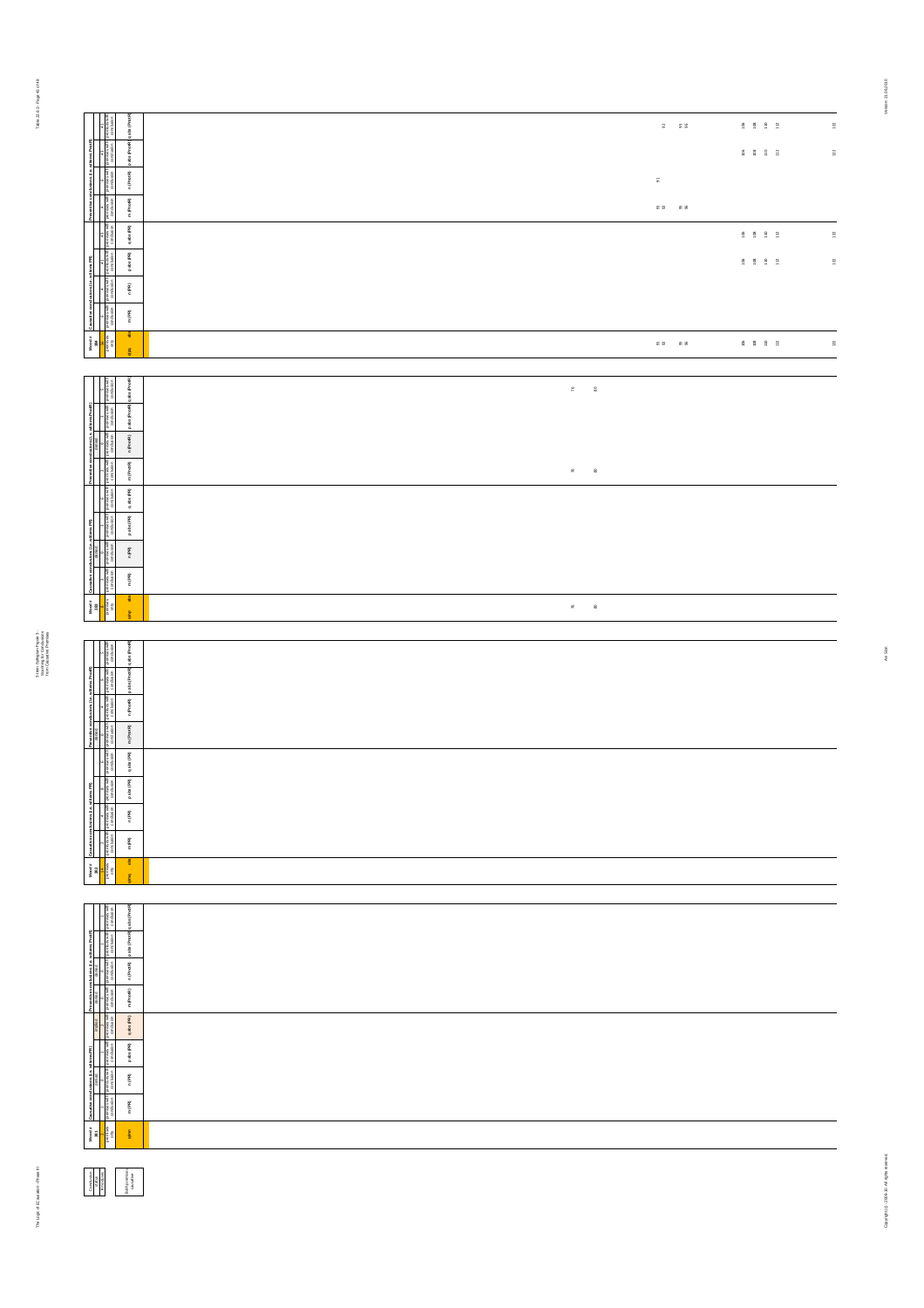| 41<br>promises with<br>corclusion<br>sabs (Prooft)                                                                                                                                                                                                                                                                                                                                                                                                                                                      | 388                                                                                | $\begin{array}{cccccccccc} \mathbf{g} & & \mathbf{g} & & \mathbf{g} & & \mathbf{g} & & \mathbf{g} \end{array}$                                                                                                                                                                                                                    |
|---------------------------------------------------------------------------------------------------------------------------------------------------------------------------------------------------------------------------------------------------------------------------------------------------------------------------------------------------------------------------------------------------------------------------------------------------------------------------------------------------------|------------------------------------------------------------------------------------|-----------------------------------------------------------------------------------------------------------------------------------------------------------------------------------------------------------------------------------------------------------------------------------------------------------------------------------|
| ilons (Le. wilems Prooft)<br>43<br>premises with<br>condusion<br><b>vates</b> (ProofR)                                                                                                                                                                                                                                                                                                                                                                                                                  |                                                                                    | $\begin{array}{cccccccccc} \mathbf{g} & & \mathbf{g} & & \mathbf{g} & & \mathbf{g} & & \mathbf{g} \\ \end{array}$                                                                                                                                                                                                                 |
| 6<br>premises with p<br>condusion<br>n (Pn ofR)                                                                                                                                                                                                                                                                                                                                                                                                                                                         | $\overline{\circ}$                                                                 |                                                                                                                                                                                                                                                                                                                                   |
| Preventive con du<br>$m$ (P rooff)                                                                                                                                                                                                                                                                                                                                                                                                                                                                      | $\begin{array}{ccc} \mathbb{R} & \mathbb{R} & \mathbb{R} & \mathbb{R} \end{array}$ |                                                                                                                                                                                                                                                                                                                                   |
| $\begin{tabular}{ c c } \hline $\bf 43$ & $\bf 40$ \\ \hline \hline \text{pounds with } \text{pounds with } \text{p}} \\ \hline \text{constant} & \text{cordusion} \end{tabular}$<br>$q$ abs $\left( \mathsf{PR}\right)$                                                                                                                                                                                                                                                                                |                                                                                    | $\begin{array}{cccccccccc} \mathbf{g} & \mathbf{g} & \mathbf{g} & \mathbf{g} & \mathbf{g} \end{array}$                                                                                                                                                                                                                            |
| $_{\rm phot\,(PR)}$                                                                                                                                                                                                                                                                                                                                                                                                                                                                                     |                                                                                    | $\begin{array}{cccccccccc} \mathbf{g} & \mathbf{g} & \mathbf{g} & \mathbf{g} & \mathbf{g} \\ \end{array}$                                                                                                                                                                                                                         |
| Causative conclusions (i.e. where PR)<br>  periods   periods   periods   periods   p<br>  periods   periods   periods   periods   periods   periods   periods   periods   periods   periods   periods   p<br>$\mathfrak{so}_{\mathfrak{g}}$                                                                                                                                                                                                                                                             |                                                                                    |                                                                                                                                                                                                                                                                                                                                   |
| $\mathop{\mathsf{m}}\limits_{\mathsf{E}}$                                                                                                                                                                                                                                                                                                                                                                                                                                                               |                                                                                    |                                                                                                                                                                                                                                                                                                                                   |
| 圖<br>Mood #<br>384<br>Pomises<br>only<br>Ã                                                                                                                                                                                                                                                                                                                                                                                                                                                              | $55 - 55$                                                                          | $\begin{array}{cccccccccc} 8 & 8 & 9 & 9 & 3 \\ 1 & 1 & 1 & 1 & 1 \\ 1 & 1 & 1 & 1 & 1 \\ 1 & 1 & 1 & 1 & 1 \\ 1 & 1 & 1 & 1 & 1 \\ 1 & 1 & 1 & 1 & 1 \\ 1 & 1 & 1 & 1 & 1 \\ 1 & 1 & 1 & 1 & 1 \\ 1 & 1 & 1 & 1 & 1 \\ 1 & 1 & 1 & 1 & 1 \\ 1 & 1 & 1 & 1 & 1 \\ 1 & 1 & 1 & 1 & 1 \\ 1 & 1 & 1 & 1 & 1 \\ 1 & 1 & 1 & 1 & 1 & $ |
|                                                                                                                                                                                                                                                                                                                                                                                                                                                                                                         |                                                                                    |                                                                                                                                                                                                                                                                                                                                   |
| 5<br>homises with<br>condusion<br>q abs (ProofR)<br>$\mathbbmss{S}$ as                                                                                                                                                                                                                                                                                                                                                                                                                                  |                                                                                    |                                                                                                                                                                                                                                                                                                                                   |
| Preventive conclusions (Le. witems Prot R)<br>  derival<br>abs (ProfR)<br>premises with                                                                                                                                                                                                                                                                                                                                                                                                                 |                                                                                    |                                                                                                                                                                                                                                                                                                                                   |
| $n$ (ProofR)                                                                                                                                                                                                                                                                                                                                                                                                                                                                                            |                                                                                    |                                                                                                                                                                                                                                                                                                                                   |
| oened<br>  peemises with promises with<br>  conclusion conclusion<br>$m(p \cos \theta)$<br>$\mathbb{R}^n$ .<br><br>: $\mathbb{R}^n$                                                                                                                                                                                                                                                                                                                                                                     |                                                                                    |                                                                                                                                                                                                                                                                                                                                   |
| 6<br>combines with p<br>conduision<br>qabs $\langle \mathsf{PR} \rangle$                                                                                                                                                                                                                                                                                                                                                                                                                                |                                                                                    |                                                                                                                                                                                                                                                                                                                                   |
| $\begin{tabular}{ c c } \hline \multicolumn{1}{ c }{0} & \multicolumn{1}{ c }{3} \\ \hline \multicolumn{1}{ c }{norm} & \multicolumn{1}{ c }{norm} & \multicolumn{1}{ c }{3} \\ \hline \multicolumn{1}{ c }{norm} & \multicolumn{1}{ c }{norm} & \multicolumn{1}{ c }{norm} & \multicolumn{1}{ c }{1} \\ \hline \multicolumn{1}{ c }{norm} & \multicolumn{1}{ c }{conv} & \multicolumn{1}{ c }{conv} & \multicolumn{1}{ c }{1} \\ \hline \multicolumn{1}{ c }{$<br>p abs $\langle \mathsf{PR} \rangle$  |                                                                                    |                                                                                                                                                                                                                                                                                                                                   |
| Causalive conclusions (i.e. willems PR)<br>Causalive conclusions (<br>$\frac{\widehat{\mathfrak{g}}}{\mathfrak{g}}$                                                                                                                                                                                                                                                                                                                                                                                     |                                                                                    |                                                                                                                                                                                                                                                                                                                                   |
| $\frac{3}{2}$<br>comises with<br>$\frac{\partial}{\partial t}$                                                                                                                                                                                                                                                                                                                                                                                                                                          |                                                                                    |                                                                                                                                                                                                                                                                                                                                   |
| 普<br><b>Mood</b><br>pomissa<br>phones<br>$\mathbb R$ - $\mathbb R$<br>$\frac{9}{9}$                                                                                                                                                                                                                                                                                                                                                                                                                     |                                                                                    |                                                                                                                                                                                                                                                                                                                                   |
|                                                                                                                                                                                                                                                                                                                                                                                                                                                                                                         |                                                                                    |                                                                                                                                                                                                                                                                                                                                   |
| qabs (ProfR)<br>promises with<br>condustor                                                                                                                                                                                                                                                                                                                                                                                                                                                              |                                                                                    |                                                                                                                                                                                                                                                                                                                                   |
| ons (i.e. wittems Pro IR)<br>pates (Prooff)<br>promises with<br>conclusion                                                                                                                                                                                                                                                                                                                                                                                                                              |                                                                                    |                                                                                                                                                                                                                                                                                                                                   |
| promises with<br>conduction<br>n (ProtR)                                                                                                                                                                                                                                                                                                                                                                                                                                                                |                                                                                    |                                                                                                                                                                                                                                                                                                                                   |
| (Le Willema PR)<br>http://www.mil.com/www.mil.com/www.mil.com/www.mil.com/www.mil.com/www.mil.com/www.mil.com/www.mil.com/www.mil.com/www.mil.com/www.mil.com/www.mil.com/www.mil.com/www.mil.com/www.mil.com/www.mil.com/www.mil<br>$\mathfrak{m}$ (Pn ofR)                                                                                                                                                                                                                                            |                                                                                    |                                                                                                                                                                                                                                                                                                                                   |
| qabs (PR)                                                                                                                                                                                                                                                                                                                                                                                                                                                                                               |                                                                                    |                                                                                                                                                                                                                                                                                                                                   |
| $p$ als (PR)                                                                                                                                                                                                                                                                                                                                                                                                                                                                                            |                                                                                    |                                                                                                                                                                                                                                                                                                                                   |
| $\frac{1}{n}$                                                                                                                                                                                                                                                                                                                                                                                                                                                                                           |                                                                                    |                                                                                                                                                                                                                                                                                                                                   |
| Causative conc<br>emises with<br>$\mathfrak{g}_{\mathfrak{g}}$<br>$\frac{1}{2}$                                                                                                                                                                                                                                                                                                                                                                                                                         |                                                                                    |                                                                                                                                                                                                                                                                                                                                   |
| $\begin{array}{c}\n\text{Mod } n \\ 382\n\end{array}$<br>promises<br>promises<br>g                                                                                                                                                                                                                                                                                                                                                                                                                      |                                                                                    |                                                                                                                                                                                                                                                                                                                                   |
| 1 abs (Proof<br>nomises                                                                                                                                                                                                                                                                                                                                                                                                                                                                                 |                                                                                    |                                                                                                                                                                                                                                                                                                                                   |
| patos (ProtR) q                                                                                                                                                                                                                                                                                                                                                                                                                                                                                         |                                                                                    |                                                                                                                                                                                                                                                                                                                                   |
| Preventive condusions (i.e. witterns ProdR)<br>derival<br>0<br>premises with premises with<br>condusion condusion<br>$n$ (P rooff)                                                                                                                                                                                                                                                                                                                                                                      |                                                                                    |                                                                                                                                                                                                                                                                                                                                   |
| $m(p \bmod 8)$                                                                                                                                                                                                                                                                                                                                                                                                                                                                                          |                                                                                    |                                                                                                                                                                                                                                                                                                                                   |
| promises with promises with<br>occlusion conclusion<br>$q$ abs $(PR)$<br>pitchung                                                                                                                                                                                                                                                                                                                                                                                                                       |                                                                                    |                                                                                                                                                                                                                                                                                                                                   |
| premises with<br>$p$ abs $\langle \theta R \rangle$                                                                                                                                                                                                                                                                                                                                                                                                                                                     |                                                                                    |                                                                                                                                                                                                                                                                                                                                   |
| $_{\rm n}$ (PR)                                                                                                                                                                                                                                                                                                                                                                                                                                                                                         |                                                                                    |                                                                                                                                                                                                                                                                                                                                   |
| sative con dissilents (i.e. w/lterms PR)<br>$\begin{tabular}{ c c } \hline 1 & 0 \\ \hline 0 & 0 \\ \hline 0 & 0 \\ \hline 0 & 0 \\ \hline 1 & 0 \\ \hline 0 & 0 \\ \hline 1 & 0 \\ \hline 0 & 0 \\ \hline 1 & 0 \\ \hline 0 & 0 \\ \hline 1 & 0 \\ \hline 0 & 0 \\ \hline 1 & 0 \\ \hline 2 & 0 \\ \hline 3 & 0 \\ \hline 4 & 0 \\ \hline 5 & 0 \\ \hline 6 & 0 \\ \hline 7 & 0 \\ \hline 8 & 0 \\ \hline 9 & 0 \\ \hline 1 & 0 \\ \hline 2 & 0 \\ \$<br>$\frac{\widehat{\mathfrak{g}}}{\mathfrak{g}}$ |                                                                                    |                                                                                                                                                                                                                                                                                                                                   |
| 3<br>$M \propto 381$<br><b>Rooming</b><br>q/mn                                                                                                                                                                                                                                                                                                                                                                                                                                                          |                                                                                    |                                                                                                                                                                                                                                                                                                                                   |
|                                                                                                                                                                                                                                                                                                                                                                                                                                                                                                         |                                                                                    |                                                                                                                                                                                                                                                                                                                                   |

Table 22.6-3 - Page 43 of 48 Table 22.6-3 - Page 43 of 48

Conclusion<br># moduses<br>xh premis<br>causative Both premises

 $\frac{1}{\sqrt{2}}$ 

 $^{\rm 12}$  $^{\rm 122}$ 

 $\equiv$ 

Avi Sion

 $\Xi$ 

 $^{\rm 122}$ 

lenion: 21.06.2010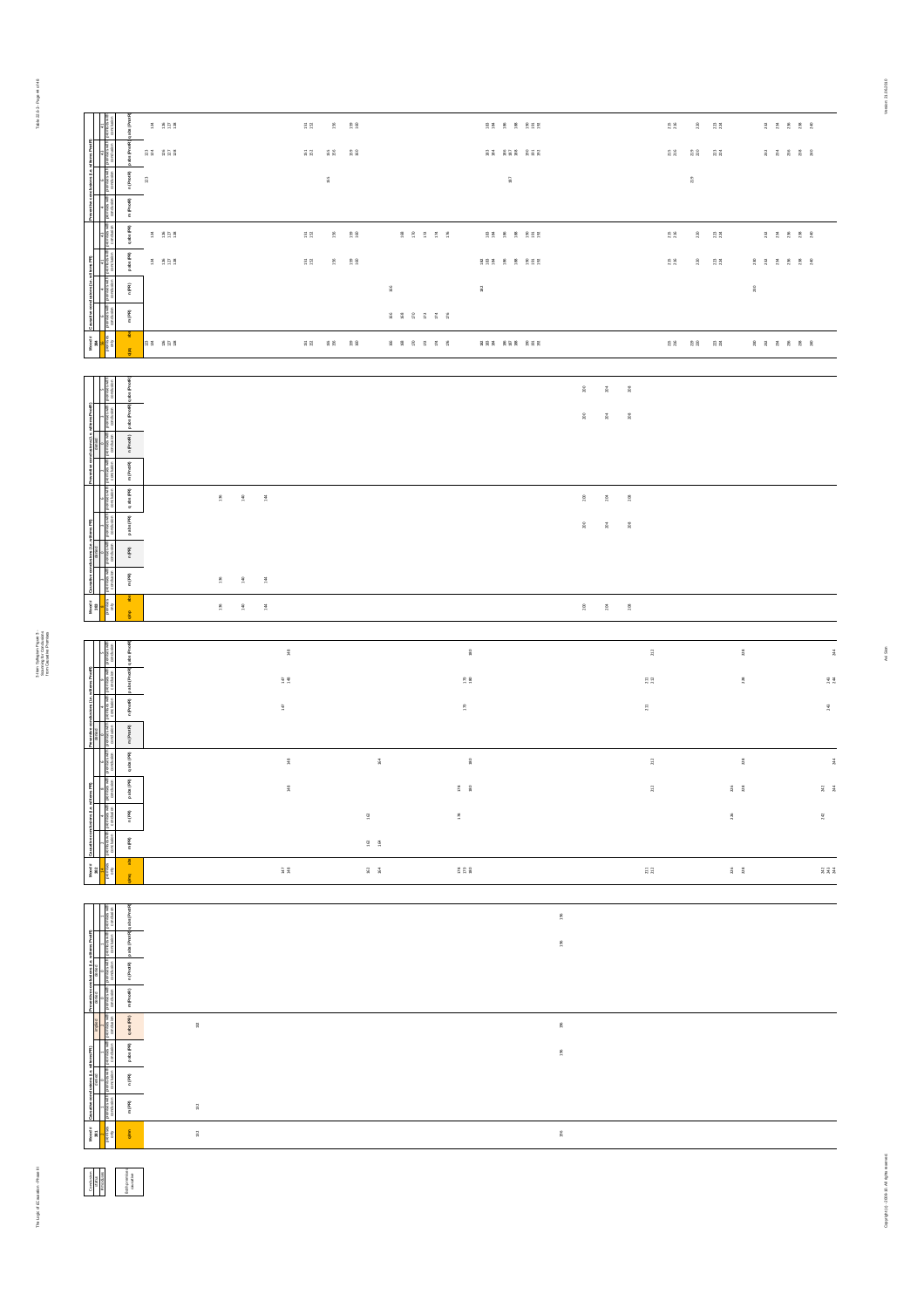|                                        |                                |                                       | $\begin{array}{cc} \Xi & \Xi \; \Xi \; \Xi \\ \end{array}$                                                                                           |              |                                                                                                 |                  | $\begin{array}{cccccccccc} \Xi & \Xi & & & & & & & & \Xi & \Xi & \Xi \\ \Xi & \Xi & & & & & & & & \Xi & \Xi & \Xi \Xi \end{array}$ |                                                                                                                                                                                                                                                                                                                                                                                                                                                                   |                                                                                |      |                                                                                                                                      |                  |                                                                                                     |                | <b>黄黄 青 黄 景質</b> |                   |              |                                                                                                                                           |                                      | $\begin{tabular}{lllllll} \bf 11.8 & \tt 12.1 & \tt 13.1 & \tt 14.1 & \tt 15.1 & \tt 15.1 & \tt 15.1 & \tt 15.1 & \tt 15.1 & \tt 15.1 & \tt 15.1 & \tt 15.1 & \tt 15.1 & \tt 15.1 & \tt 15.1 & \tt 15.1 & \tt 15.1 & \tt 15.1 & \tt 15.1 & \tt 15.1 & \tt 15.1 & \tt 15.1 & \tt 15.1 & \tt 15.1 & \tt 15.1 & \tt 15.1 & \$ |                                                                                                                                                                                                                                                                                                                                                                                                                                                               |                                              |             | $\begin{array}{cccccccccc} \Xi & \Xi & \Xi & \Xi & \Xi \end{array}$       |                                                                |
|----------------------------------------|--------------------------------|---------------------------------------|------------------------------------------------------------------------------------------------------------------------------------------------------|--------------|-------------------------------------------------------------------------------------------------|------------------|------------------------------------------------------------------------------------------------------------------------------------|-------------------------------------------------------------------------------------------------------------------------------------------------------------------------------------------------------------------------------------------------------------------------------------------------------------------------------------------------------------------------------------------------------------------------------------------------------------------|--------------------------------------------------------------------------------|------|--------------------------------------------------------------------------------------------------------------------------------------|------------------|-----------------------------------------------------------------------------------------------------|----------------|------------------|-------------------|--------------|-------------------------------------------------------------------------------------------------------------------------------------------|--------------------------------------|----------------------------------------------------------------------------------------------------------------------------------------------------------------------------------------------------------------------------------------------------------------------------------------------------------------------------|---------------------------------------------------------------------------------------------------------------------------------------------------------------------------------------------------------------------------------------------------------------------------------------------------------------------------------------------------------------------------------------------------------------------------------------------------------------|----------------------------------------------|-------------|---------------------------------------------------------------------------|----------------------------------------------------------------|
|                                        |                                |                                       | $33 - 333$                                                                                                                                           |              |                                                                                                 |                  |                                                                                                                                    | $\begin{tabular}{ccccccccc} \multicolumn{4}{c }{\multicolumn{4}{c }{\multicolumn{4}{c }{\multicolumn{4}{c }{\multicolumn{4}{c }{\multicolumn{4}{c }{\multicolumn{4}{c }{\multicolumn{4}{c }{\multicolumn{4}{c }{\multicolumn{4}{c }{\multicolumn{4}{c }{\multicolumn{4}{c }{\multicolumn{4}{c }{\multicolumn{4}{c }{\multicolumn{4}{c }{\multicolumn{4}{c }{\multicolumn{4}{c }{\multicolumn{4}{c }{\multicolumn{4}{c }{\multicolumn{4}{c }{\multicolumn{4}{c }{$ |                                                                                |      |                                                                                                                                      |                  |                                                                                                     |                |                  | <b>EA BRE SER</b> |              |                                                                                                                                           |                                      |                                                                                                                                                                                                                                                                                                                            | $\begin{array}{ccc}\n\text{11} & \text{12} & \text{13} \\ \text{14} & \text{15} & \text{17}\n\end{array}$                                                                                                                                                                                                                                                                                                                                                     |                                              |             | $\begin{array}{cccccccccc} \Xi & \Xi & \Xi & \Xi & \Xi & \Xi \end{array}$ |                                                                |
|                                        | b<br>semises with              |                                       | $\mathbbm{2}$                                                                                                                                        |              |                                                                                                 |                  | 155                                                                                                                                |                                                                                                                                                                                                                                                                                                                                                                                                                                                                   |                                                                                |      |                                                                                                                                      |                  |                                                                                                     |                | 187              |                   |              |                                                                                                                                           |                                      | 219                                                                                                                                                                                                                                                                                                                        |                                                                                                                                                                                                                                                                                                                                                                                                                                                               |                                              |             |                                                                           |                                                                |
|                                        | promises with                  |                                       |                                                                                                                                                      |              |                                                                                                 |                  |                                                                                                                                    |                                                                                                                                                                                                                                                                                                                                                                                                                                                                   |                                                                                |      |                                                                                                                                      |                  |                                                                                                     |                |                  |                   |              |                                                                                                                                           |                                      |                                                                                                                                                                                                                                                                                                                            |                                                                                                                                                                                                                                                                                                                                                                                                                                                               |                                              |             |                                                                           |                                                                |
|                                        | promises with                  |                                       | $\begin{array}{cc} \Xi & \Xi \; \Xi \\ \Xi & \Xi \; \Xi \; \Xi \end{array}$                                                                          |              |                                                                                                 |                  |                                                                                                                                    |                                                                                                                                                                                                                                                                                                                                                                                                                                                                   |                                                                                |      |                                                                                                                                      |                  |                                                                                                     |                |                  |                   |              |                                                                                                                                           |                                      |                                                                                                                                                                                                                                                                                                                            | $\begin{array}{cccccccccccccc} \texttt{H} & \texttt{H} & \texttt{H} & \texttt{H} & \texttt{H} & \texttt{H} & \texttt{H} & \texttt{H} & \texttt{H} & \texttt{H} & \texttt{H} & \texttt{H} & \texttt{H} & \texttt{H} & \texttt{H} & \texttt{H} & \texttt{H} & \texttt{H} & \texttt{H} & \texttt{H} & \texttt{H} & \texttt{H} & \texttt{H} & \texttt{H} & \texttt{H} & \texttt{H} & \texttt{H} & \texttt{H} & \texttt{H} & \texttt{H} &$                         |                                              |             |                                                                           |                                                                |
|                                        | 41<br>promises with            |                                       | $\begin{array}{cc} \mathbf{3} & \mathbf{3} & \mathbf{3} \\ \mathbf{2} & \mathbf{3} & \mathbf{3} \\ \mathbf{3} & \mathbf{3} & \mathbf{3} \end{array}$ |              |                                                                                                 |                  |                                                                                                                                    | 55 5 59                                                                                                                                                                                                                                                                                                                                                                                                                                                           |                                                                                |      |                                                                                                                                      |                  |                                                                                                     |                |                  |                   |              |                                                                                                                                           |                                      |                                                                                                                                                                                                                                                                                                                            | $\begin{tabular}{lllllllll} \multicolumn{2}{c}{\bf H} & \multicolumn{2}{c}{\bf H} & \multicolumn{2}{c}{\bf H} & \multicolumn{2}{c}{\bf H} & \multicolumn{2}{c}{\bf H} & \multicolumn{2}{c}{\bf H} & \multicolumn{2}{c}{\bf H} & \multicolumn{2}{c}{\bf H} & \multicolumn{2}{c}{\bf H} & \multicolumn{2}{c}{\bf H} & \multicolumn{2}{c}{\bf H} & \multicolumn{2}{c}{\bf H} & \multicolumn{2}{c}{\bf H} & \multicolumn{2}{c}{\bf H} & \multicolumn{2}{c}{\bf H$ |                                              |             |                                                                           |                                                                |
|                                        | 4<br>promises with             | φ                                     |                                                                                                                                                      |              |                                                                                                 |                  |                                                                                                                                    |                                                                                                                                                                                                                                                                                                                                                                                                                                                                   |                                                                                | $\%$ |                                                                                                                                      |                  |                                                                                                     | $\frac{1}{24}$ |                  |                   |              |                                                                                                                                           |                                      |                                                                                                                                                                                                                                                                                                                            |                                                                                                                                                                                                                                                                                                                                                                                                                                                               |                                              | $_{\rm 30}$ |                                                                           |                                                                |
| Causative conclusions (i.e. w/kems PR) | 6<br>promises with             | $\mathfrak{g}_{\mathfrak{m}}$         |                                                                                                                                                      |              |                                                                                                 |                  |                                                                                                                                    |                                                                                                                                                                                                                                                                                                                                                                                                                                                                   |                                                                                |      | $\begin{array}{cccccccccccccc} \mathbf{g} & & \mathbf{g} & & \mathbf{g} & & \mathbf{g} & & \mathbf{g} & & \mathbf{g} \\ \end{array}$ |                  |                                                                                                     |                |                  |                   |              |                                                                                                                                           |                                      |                                                                                                                                                                                                                                                                                                                            |                                                                                                                                                                                                                                                                                                                                                                                                                                                               |                                              |             |                                                                           |                                                                |
|                                        | Mood #                         | 县                                     | na ana                                                                                                                                               |              |                                                                                                 |                  |                                                                                                                                    |                                                                                                                                                                                                                                                                                                                                                                                                                                                                   |                                                                                |      |                                                                                                                                      |                  |                                                                                                     |                |                  |                   |              |                                                                                                                                           |                                      |                                                                                                                                                                                                                                                                                                                            |                                                                                                                                                                                                                                                                                                                                                                                                                                                               |                                              |             |                                                                           |                                                                |
|                                        |                                |                                       |                                                                                                                                                      |              |                                                                                                 |                  |                                                                                                                                    |                                                                                                                                                                                                                                                                                                                                                                                                                                                                   |                                                                                |      |                                                                                                                                      |                  |                                                                                                     |                |                  |                   |              |                                                                                                                                           |                                      |                                                                                                                                                                                                                                                                                                                            |                                                                                                                                                                                                                                                                                                                                                                                                                                                               |                                              |             |                                                                           |                                                                |
|                                        |                                |                                       |                                                                                                                                                      |              |                                                                                                 |                  |                                                                                                                                    |                                                                                                                                                                                                                                                                                                                                                                                                                                                                   |                                                                                |      |                                                                                                                                      |                  |                                                                                                     |                |                  |                   |              | $\begin{matrix} 0 & \mathbb{R} & \mathbb{R} \\ \mathbb{R} & \mathbb{R} & \mathbb{R} \\ \mathbb{R} & \mathbb{R} & \mathbb{R} \end{matrix}$ |                                      |                                                                                                                                                                                                                                                                                                                            |                                                                                                                                                                                                                                                                                                                                                                                                                                                               |                                              |             |                                                                           |                                                                |
|                                        |                                |                                       |                                                                                                                                                      |              |                                                                                                 |                  |                                                                                                                                    |                                                                                                                                                                                                                                                                                                                                                                                                                                                                   |                                                                                |      |                                                                                                                                      |                  |                                                                                                     |                |                  |                   |              | $\begin{matrix} \hat{R} & \hat{R} & \hat{R} \\ \hat{R} & \hat{R} & \hat{R} \end{matrix}$                                                  |                                      |                                                                                                                                                                                                                                                                                                                            |                                                                                                                                                                                                                                                                                                                                                                                                                                                               |                                              |             |                                                                           |                                                                |
|                                        |                                |                                       |                                                                                                                                                      |              |                                                                                                 |                  |                                                                                                                                    |                                                                                                                                                                                                                                                                                                                                                                                                                                                                   |                                                                                |      |                                                                                                                                      |                  |                                                                                                     |                |                  |                   |              |                                                                                                                                           |                                      |                                                                                                                                                                                                                                                                                                                            |                                                                                                                                                                                                                                                                                                                                                                                                                                                               |                                              |             |                                                                           |                                                                |
|                                        | 2<br>premises with             | $m(p \cos R)$                         |                                                                                                                                                      |              |                                                                                                 |                  |                                                                                                                                    |                                                                                                                                                                                                                                                                                                                                                                                                                                                                   |                                                                                |      |                                                                                                                                      |                  |                                                                                                     |                |                  |                   |              |                                                                                                                                           |                                      |                                                                                                                                                                                                                                                                                                                            |                                                                                                                                                                                                                                                                                                                                                                                                                                                               |                                              |             |                                                                           |                                                                |
|                                        | uw sequent                     | $\widehat{\mathbf{g}}$<br>qabs        |                                                                                                                                                      |              | $\begin{array}{cccccccccc} \mathfrak{g} & & & \mathfrak{g} & & \mathfrak{g} & & \\ \end{array}$ |                  |                                                                                                                                    |                                                                                                                                                                                                                                                                                                                                                                                                                                                                   |                                                                                |      |                                                                                                                                      |                  |                                                                                                     |                |                  |                   |              | $\mathbb{R}$ as $\mathbb{R}$                                                                                                              |                                      |                                                                                                                                                                                                                                                                                                                            |                                                                                                                                                                                                                                                                                                                                                                                                                                                               |                                              |             |                                                                           |                                                                |
|                                        | promises with                  | pats (PR)                             |                                                                                                                                                      |              |                                                                                                 |                  |                                                                                                                                    |                                                                                                                                                                                                                                                                                                                                                                                                                                                                   |                                                                                |      |                                                                                                                                      |                  |                                                                                                     |                |                  |                   |              | $\begin{matrix} \mathbf{R} & \mathbf{R} & \mathbf{R} \\ \mathbf{R} & \mathbf{R} & \mathbf{R} \end{matrix}$                                |                                      |                                                                                                                                                                                                                                                                                                                            |                                                                                                                                                                                                                                                                                                                                                                                                                                                               |                                              |             |                                                                           |                                                                |
|                                        | promises with                  | $_{\rm n}$ (PR)                       |                                                                                                                                                      |              |                                                                                                 |                  |                                                                                                                                    |                                                                                                                                                                                                                                                                                                                                                                                                                                                                   |                                                                                |      |                                                                                                                                      |                  |                                                                                                     |                |                  |                   |              |                                                                                                                                           |                                      |                                                                                                                                                                                                                                                                                                                            |                                                                                                                                                                                                                                                                                                                                                                                                                                                               |                                              |             |                                                                           |                                                                |
| Causative conclusions (i.e. witems PR) | 3<br>nomices with              | $\frac{60}{6}$                        |                                                                                                                                                      |              | $36$ $36$ $34$                                                                                  |                  |                                                                                                                                    |                                                                                                                                                                                                                                                                                                                                                                                                                                                                   |                                                                                |      |                                                                                                                                      |                  |                                                                                                     |                |                  |                   |              |                                                                                                                                           |                                      |                                                                                                                                                                                                                                                                                                                            |                                                                                                                                                                                                                                                                                                                                                                                                                                                               |                                              |             |                                                                           |                                                                |
|                                        | $M \sim 33$                    | 圖                                     |                                                                                                                                                      |              | $\begin{array}{cccccccccc} \mathfrak{g} & & & \mathfrak{g} & & \mathfrak{g} & & \\ \end{array}$ |                  |                                                                                                                                    |                                                                                                                                                                                                                                                                                                                                                                                                                                                                   |                                                                                |      |                                                                                                                                      |                  |                                                                                                     |                |                  |                   |              |                                                                                                                                           |                                      |                                                                                                                                                                                                                                                                                                                            |                                                                                                                                                                                                                                                                                                                                                                                                                                                               |                                              |             |                                                                           |                                                                |
|                                        |                                |                                       |                                                                                                                                                      |              |                                                                                                 |                  |                                                                                                                                    |                                                                                                                                                                                                                                                                                                                                                                                                                                                                   |                                                                                |      |                                                                                                                                      |                  |                                                                                                     |                |                  |                   |              |                                                                                                                                           |                                      |                                                                                                                                                                                                                                                                                                                            |                                                                                                                                                                                                                                                                                                                                                                                                                                                               |                                              |             |                                                                           |                                                                |
|                                        |                                |                                       |                                                                                                                                                      |              |                                                                                                 | $\sim 30$        |                                                                                                                                    |                                                                                                                                                                                                                                                                                                                                                                                                                                                                   |                                                                                |      |                                                                                                                                      |                  | $\frac{6}{28}$                                                                                      |                |                  |                   |              |                                                                                                                                           | $\mathbb{R}^2$                       |                                                                                                                                                                                                                                                                                                                            |                                                                                                                                                                                                                                                                                                                                                                                                                                                               | $_{\rm 23}$                                  |             |                                                                           | $-\frac{\pi}{8}$                                               |
| (La witems ProfR)                      | premises with                  |                                       |                                                                                                                                                      |              |                                                                                                 | $\frac{16}{14}$  |                                                                                                                                    |                                                                                                                                                                                                                                                                                                                                                                                                                                                                   |                                                                                |      |                                                                                                                                      |                  | $\mathop{\mathbb{R}}_n$ $\mathop{\mathbb{R}}_n$                                                     |                |                  |                   |              |                                                                                                                                           | $\mathop{\rm m}\nolimits$            |                                                                                                                                                                                                                                                                                                                            |                                                                                                                                                                                                                                                                                                                                                                                                                                                               | $_{\rm 2.33}$                                |             |                                                                           | $\frac{9}{2}$ %                                                |
|                                        | case with                      |                                       |                                                                                                                                                      |              |                                                                                                 | $\frac{5}{24}$   |                                                                                                                                    |                                                                                                                                                                                                                                                                                                                                                                                                                                                                   |                                                                                |      |                                                                                                                                      |                  | $\frac{2}{n}$                                                                                       |                |                  |                   |              |                                                                                                                                           | $\Xi^-$                              |                                                                                                                                                                                                                                                                                                                            |                                                                                                                                                                                                                                                                                                                                                                                                                                                               |                                              |             |                                                                           | $\frac{23}{2}$                                                 |
|                                        |                                | g                                     |                                                                                                                                                      |              |                                                                                                 |                  |                                                                                                                                    |                                                                                                                                                                                                                                                                                                                                                                                                                                                                   |                                                                                |      |                                                                                                                                      |                  |                                                                                                     |                |                  |                   |              |                                                                                                                                           |                                      |                                                                                                                                                                                                                                                                                                                            |                                                                                                                                                                                                                                                                                                                                                                                                                                                               |                                              |             |                                                                           |                                                                |
|                                        | 6<br>promises with             | $\frac{\infty}{6}$<br>$rac{8}{3}$     |                                                                                                                                                      |              |                                                                                                 | $\frac{m}{m}$    |                                                                                                                                    |                                                                                                                                                                                                                                                                                                                                                                                                                                                                   | $\frac{35}{16}$                                                                |      |                                                                                                                                      |                  | $\sim 100$                                                                                          |                |                  |                   |              |                                                                                                                                           | $\overline{\bf n}$                   |                                                                                                                                                                                                                                                                                                                            |                                                                                                                                                                                                                                                                                                                                                                                                                                                               | $\mathbb{Z}$ 28                              |             |                                                                           | $\mathbb{R}^3$                                                 |
| Æ                                      | 8<br>promises with<br>montains | $p$ ab s $\left( \mathsf{PR}\right)$  |                                                                                                                                                      |              |                                                                                                 | $\Xi$            |                                                                                                                                    |                                                                                                                                                                                                                                                                                                                                                                                                                                                                   |                                                                                |      |                                                                                                                                      |                  | $\mathbb{R}^n=\mathbb{R}$                                                                           |                |                  |                   |              |                                                                                                                                           | $\overline{\bf n}$                   |                                                                                                                                                                                                                                                                                                                            |                                                                                                                                                                                                                                                                                                                                                                                                                                                               | $\begin{array}{c} 226 \\ 2.28 \end{array}$   |             |                                                                           | $\frac{5}{2}$ – $\frac{4}{2}$                                  |
|                                        | $rac{1}{8}$<br>seames          | $\alpha$ (PR)                         |                                                                                                                                                      |              |                                                                                                 |                  |                                                                                                                                    |                                                                                                                                                                                                                                                                                                                                                                                                                                                                   | $162\,$                                                                        |      |                                                                                                                                      | $\overline{178}$ |                                                                                                     |                |                  |                   |              |                                                                                                                                           |                                      |                                                                                                                                                                                                                                                                                                                            |                                                                                                                                                                                                                                                                                                                                                                                                                                                               | $_{\rm 226}$                                 |             |                                                                           | $_{\rm 24}$                                                    |
| Causative conclusions                  |                                |                                       |                                                                                                                                                      |              |                                                                                                 |                  |                                                                                                                                    |                                                                                                                                                                                                                                                                                                                                                                                                                                                                   | $\widetilde{\mathbf{x}} - \widetilde{\mathbf{x}}$                              |      |                                                                                                                                      |                  |                                                                                                     |                |                  |                   |              |                                                                                                                                           |                                      |                                                                                                                                                                                                                                                                                                                            |                                                                                                                                                                                                                                                                                                                                                                                                                                                               |                                              |             |                                                                           |                                                                |
|                                        | Mood #<br>382                  |                                       |                                                                                                                                                      |              |                                                                                                 | $\frac{1}{2}$ is |                                                                                                                                    |                                                                                                                                                                                                                                                                                                                                                                                                                                                                   | $\begin{array}{cc} \boxtimes & \boxtimes \\ \boxtimes & \boxtimes \end{array}$ |      |                                                                                                                                      |                  | $\mathop{\mathbb{R}}\limits^{\mathbb{R}}\mathop{\mathbb{R}}\limits^{\mathbb{R}}\mathop{\mathbb{R}}$ |                |                  |                   |              |                                                                                                                                           | $\underset{n}{\mathbb{H}}\mathbb{R}$ |                                                                                                                                                                                                                                                                                                                            |                                                                                                                                                                                                                                                                                                                                                                                                                                                               | $\begin{array}{cc} 2.25 \\ 2.28 \end{array}$ |             |                                                                           | $\begin{smallmatrix} 2 & 2 & 3 \\ 2 & 3 & 3 \end{smallmatrix}$ |
|                                        |                                |                                       |                                                                                                                                                      |              |                                                                                                 |                  |                                                                                                                                    |                                                                                                                                                                                                                                                                                                                                                                                                                                                                   |                                                                                |      |                                                                                                                                      |                  |                                                                                                     |                |                  |                   |              |                                                                                                                                           |                                      |                                                                                                                                                                                                                                                                                                                            |                                                                                                                                                                                                                                                                                                                                                                                                                                                               |                                              |             |                                                                           |                                                                |
|                                        |                                |                                       |                                                                                                                                                      |              |                                                                                                 |                  |                                                                                                                                    |                                                                                                                                                                                                                                                                                                                                                                                                                                                                   |                                                                                |      |                                                                                                                                      |                  |                                                                                                     |                |                  |                   | $^{\rm 196}$ |                                                                                                                                           |                                      |                                                                                                                                                                                                                                                                                                                            |                                                                                                                                                                                                                                                                                                                                                                                                                                                               |                                              |             |                                                                           |                                                                |
| witterns Proof?                        |                                |                                       |                                                                                                                                                      |              |                                                                                                 |                  |                                                                                                                                    |                                                                                                                                                                                                                                                                                                                                                                                                                                                                   |                                                                                |      |                                                                                                                                      |                  |                                                                                                     |                |                  |                   | $^{\rm 196}$ |                                                                                                                                           |                                      |                                                                                                                                                                                                                                                                                                                            |                                                                                                                                                                                                                                                                                                                                                                                                                                                               |                                              |             |                                                                           |                                                                |
|                                        |                                |                                       |                                                                                                                                                      |              |                                                                                                 |                  |                                                                                                                                    |                                                                                                                                                                                                                                                                                                                                                                                                                                                                   |                                                                                |      |                                                                                                                                      |                  |                                                                                                     |                |                  |                   |              |                                                                                                                                           |                                      |                                                                                                                                                                                                                                                                                                                            |                                                                                                                                                                                                                                                                                                                                                                                                                                                               |                                              |             |                                                                           |                                                                |
|                                        |                                |                                       |                                                                                                                                                      |              |                                                                                                 |                  |                                                                                                                                    |                                                                                                                                                                                                                                                                                                                                                                                                                                                                   |                                                                                |      |                                                                                                                                      |                  |                                                                                                     |                |                  |                   |              |                                                                                                                                           |                                      |                                                                                                                                                                                                                                                                                                                            |                                                                                                                                                                                                                                                                                                                                                                                                                                                               |                                              |             |                                                                           |                                                                |
|                                        |                                | $q$ also $(PR)$                       |                                                                                                                                                      | $_{\rm 132}$ |                                                                                                 |                  |                                                                                                                                    |                                                                                                                                                                                                                                                                                                                                                                                                                                                                   |                                                                                |      |                                                                                                                                      |                  |                                                                                                     |                |                  |                   | $^{\rm 196}$ |                                                                                                                                           |                                      |                                                                                                                                                                                                                                                                                                                            |                                                                                                                                                                                                                                                                                                                                                                                                                                                               |                                              |             |                                                                           |                                                                |
| usions (i.e.w/leams PR)                |                                | $p$ abs $\langle \mathsf{PR} \rangle$ |                                                                                                                                                      |              |                                                                                                 |                  |                                                                                                                                    |                                                                                                                                                                                                                                                                                                                                                                                                                                                                   |                                                                                |      |                                                                                                                                      |                  |                                                                                                     |                |                  |                   | $_{\rm 196}$ |                                                                                                                                           |                                      |                                                                                                                                                                                                                                                                                                                            |                                                                                                                                                                                                                                                                                                                                                                                                                                                               |                                              |             |                                                                           |                                                                |
|                                        |                                | $_{\rm n}(\rho\,R)$                   |                                                                                                                                                      |              |                                                                                                 |                  |                                                                                                                                    |                                                                                                                                                                                                                                                                                                                                                                                                                                                                   |                                                                                |      |                                                                                                                                      |                  |                                                                                                     |                |                  |                   |              |                                                                                                                                           |                                      |                                                                                                                                                                                                                                                                                                                            |                                                                                                                                                                                                                                                                                                                                                                                                                                                               |                                              |             |                                                                           |                                                                |
|                                        |                                | $\mathfrak{m}(\mathsf{PR})$           |                                                                                                                                                      | $^{\rm 12}$  |                                                                                                 |                  |                                                                                                                                    |                                                                                                                                                                                                                                                                                                                                                                                                                                                                   |                                                                                |      |                                                                                                                                      |                  |                                                                                                     |                |                  |                   |              |                                                                                                                                           |                                      |                                                                                                                                                                                                                                                                                                                            |                                                                                                                                                                                                                                                                                                                                                                                                                                                               |                                              |             |                                                                           |                                                                |
|                                        | nomises                        |                                       |                                                                                                                                                      | $_{\rm 132}$ |                                                                                                 |                  |                                                                                                                                    |                                                                                                                                                                                                                                                                                                                                                                                                                                                                   |                                                                                |      |                                                                                                                                      |                  |                                                                                                     |                |                  |                   | $^{\rm 196}$ |                                                                                                                                           |                                      |                                                                                                                                                                                                                                                                                                                            |                                                                                                                                                                                                                                                                                                                                                                                                                                                               |                                              |             |                                                                           |                                                                |

Table 22.6-3 - Page 44 of 48

ian 44 of 48

The Logic of Economic of Economic of Economic of Economic Sylvism Figure 3 - Phase III 3-Item Sylvism Figure 3 - Phase III 30-Item Sylvism Figure 3 - Phase III 3-Item Sylvism Figure 3 - Phase III 3-Item Sylvism Figure 3 hase Logic of £Causation-

Conclusion<br># moduses<br>xh premis<br>causative Both premises

2106.2010

Copyright (c) - 2008-10. All rights reserved. Avi Sion Version: 21.06.2010

 $48$ on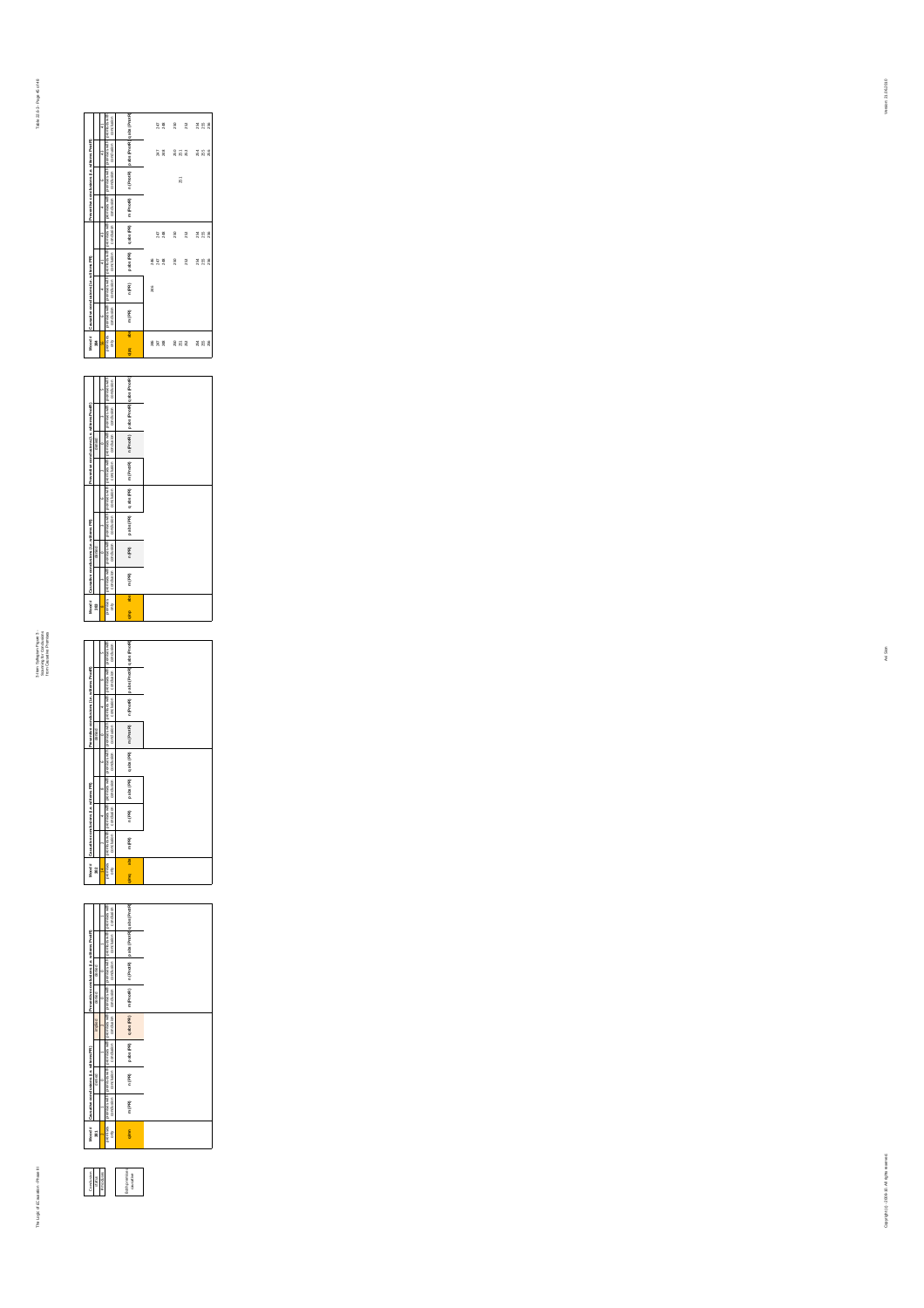| a pos          |                            | Causative conclusions (i.e. witems PR) |                            |                             |                            | Preventive con dusions (i.e. wiltems Proof?) |                                |                             |
|----------------|----------------------------|----------------------------------------|----------------------------|-----------------------------|----------------------------|----------------------------------------------|--------------------------------|-----------------------------|
| ă              |                            |                                        |                            |                             |                            |                                              |                                |                             |
| 8              | é                          | ۰                                      | ş                          | ą                           | ۰                          | é                                            | ş                              | ą                           |
| im ses<br>È    | premises with<br>condusion | premises with<br>oondusion             | premises with<br>oondusion | premises with<br>oorchasion | premises with<br>candusion | premises with<br>oondusion                   | premises with<br>oondusion     | premises with<br>conclusion |
| 3 <sub>5</sub> | m (PR)                     | n (PR)                                 | pabs (PR)                  | $q$ abs $(PR)$              | m (ProtR)                  | n (PhoeR)                                    | pates (P notR) q alss (P notR) |                             |
| 246            |                            | g                                      | 246                        |                             |                            |                                              |                                |                             |
| $\frac{1}{2}$  |                            |                                        | $\frac{1}{2}$              |                             |                            |                                              | ã                              | 247                         |
| 248            |                            |                                        | 248                        | 2 8                         |                            |                                              | 248                            | $\frac{3}{2}$               |
| 250            |                            |                                        | 250                        | 8                           |                            |                                              | 250                            | 8                           |
| ã              |                            |                                        |                            |                             |                            | 251                                          | 251                            |                             |
| 32             |                            |                                        | 252                        | 32                          |                            |                                              | 252                            | 32                          |
| 34             |                            |                                        | 254                        | 254                         |                            |                                              | 254                            | 254                         |
| 35             |                            |                                        | 255                        | 28                          |                            |                                              | 255                            | 28                          |
| 36             |                            |                                        | 256                        | 256                         |                            |                                              | 256                            | 256                         |





Version: 21.06.2010

Aw Sion

Conclusion<br># moduses<br>xh premis<br>causative Both premises

premises only premises with conclusion premises with conclusion premises with conclusion premises with conclusion premises with conclusion premises with conclusion premises with conclusion premises with conclusion

premises only premises with conclusion premises with conclusion premises with conclusion premises with conclusion premises with conclusion premises with conclusion premises with conclusion premises with conclusion

Mood #<br> $382$ 

reventive conclusions (i.e. w.kems Prock)<br>derivat<br>com co. with permada with permana with promises with

abs (Proff

pats (ProfR)

and an man and the search described and managed a search of the search of the search of the search of the search of the search of the search of the search of the search of the search of the search of the search of the sear

abs (Prock) q abs (Prock

n (Prodit)  $m$  (Prooff) q abs (PR)

 $m(\mathsf{PR}) \qquad n(\mathsf{PR}) \qquad \text{p also } (\mathsf{PR})$ 

 $q\bar{q}$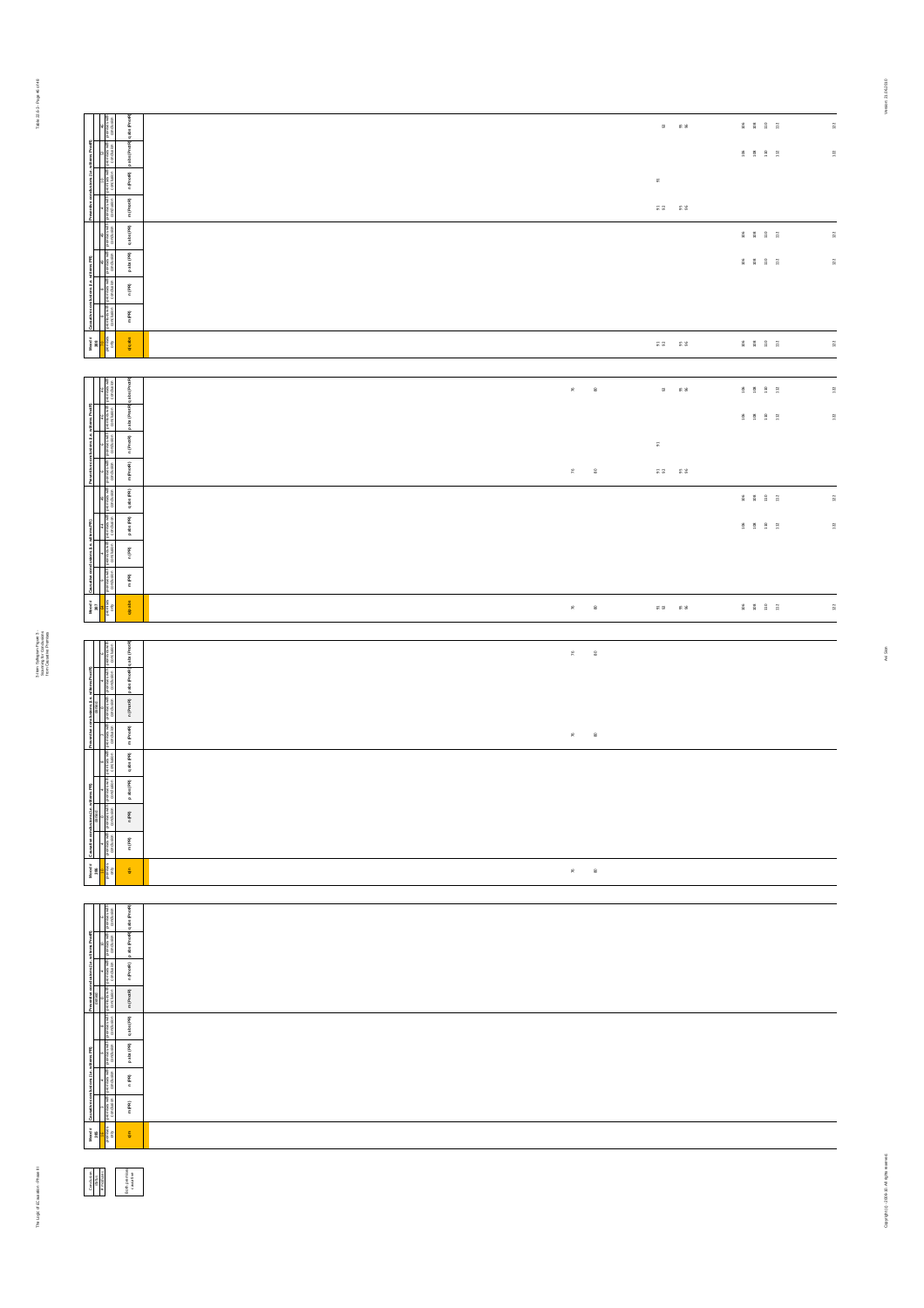| a abs (P notR)<br>46<br>nomi asa with<br>conclusion                                                                                                                                                                                                                                                                                                                                                                                                                      |                               |                                                                                                                                                                                                                                                                                                                                                                                                                                                                                                                                                                                             | $\begin{array}{cccccccccccccc} \mathbb{R} & & \mathbb{R} & \mathbb{R} & & & & & & \mathbb{S} & \mathbb{S} & \mathbb{S} & \mathbb{S} & \mathbb{S} & \mathbb{S} & \mathbb{S} & \mathbb{S} & \mathbb{S} & \mathbb{S} & \mathbb{S} & \mathbb{S} & \mathbb{S} & \mathbb{S} & \mathbb{S} & \mathbb{S} & \mathbb{S} & \mathbb{S} & \mathbb{S} & \mathbb{S} & \mathbb{S} & \mathbb{S} & \mathbb{S} & \mathbb{S} & \mathbb{S} & \mathbb{S} & \$                            | $\mathbb{R}^2$                         |
|--------------------------------------------------------------------------------------------------------------------------------------------------------------------------------------------------------------------------------------------------------------------------------------------------------------------------------------------------------------------------------------------------------------------------------------------------------------------------|-------------------------------|---------------------------------------------------------------------------------------------------------------------------------------------------------------------------------------------------------------------------------------------------------------------------------------------------------------------------------------------------------------------------------------------------------------------------------------------------------------------------------------------------------------------------------------------------------------------------------------------|-------------------------------------------------------------------------------------------------------------------------------------------------------------------------------------------------------------------------------------------------------------------------------------------------------------------------------------------------------------------------------------------------------------------------------------------------------------------|----------------------------------------|
| abs (ProtR)                                                                                                                                                                                                                                                                                                                                                                                                                                                              |                               |                                                                                                                                                                                                                                                                                                                                                                                                                                                                                                                                                                                             | $\begin{array}{ccccccccccccc} \mathcal{B} & \mathcal{B} & \mathcal{B} & \mathcal{B} & \mathcal{B} & \cdots & \cdots & \mathcal{B} \end{array}$                                                                                                                                                                                                                                                                                                                    |                                        |
| $n$ (P rooff)                                                                                                                                                                                                                                                                                                                                                                                                                                                            |                               | $\mathbbm{S}$                                                                                                                                                                                                                                                                                                                                                                                                                                                                                                                                                                               |                                                                                                                                                                                                                                                                                                                                                                                                                                                                   |                                        |
| Preventive conclusions (i.e. witems Prooft)<br>$m(p \text{ node})$                                                                                                                                                                                                                                                                                                                                                                                                       |                               | $\begin{array}{ccc} \mathbb{Z} & \mathbb{S} & \mathbb{Z} & \mathbb{S} & \mathbb{S} \\ \end{array}$                                                                                                                                                                                                                                                                                                                                                                                                                                                                                          |                                                                                                                                                                                                                                                                                                                                                                                                                                                                   |                                        |
| $\mathbf{q}$ abs (PR)                                                                                                                                                                                                                                                                                                                                                                                                                                                    |                               |                                                                                                                                                                                                                                                                                                                                                                                                                                                                                                                                                                                             | $\begin{array}{cccccccccc} 8 & 8 & 9 & 2 & 2 \\ 3 & 3 & 2 & 2 & 3 \\ \end{array}$                                                                                                                                                                                                                                                                                                                                                                                 | $\mathbb{R}^2$                         |
| $\widehat{\mathbf{g}}$<br>$\frac{8}{3}$                                                                                                                                                                                                                                                                                                                                                                                                                                  |                               |                                                                                                                                                                                                                                                                                                                                                                                                                                                                                                                                                                                             | $\begin{array}{cccccccccc} \mathcal{B} & \mathcal{B} & \mathcal{B} & \mathcal{B} & \mathcal{B} & \mathcal{B} & \mathcal{B} & \mathcal{B} & \mathcal{B} & \mathcal{B} & \mathcal{B} & \mathcal{B} & \mathcal{B} & \mathcal{B} & \mathcal{B} & \mathcal{B} & \mathcal{B} & \mathcal{B} & \mathcal{B} & \mathcal{B} & \mathcal{B} & \mathcal{B} & \mathcal{B} & \mathcal{B} & \mathcal{B} & \mathcal{B} & \mathcal{B} & \mathcal{B} & \mathcal{B} & \mathcal{B} & \$ | $\mathbb{R}^2$                         |
| $_{\rm n}$ (PR)                                                                                                                                                                                                                                                                                                                                                                                                                                                          |                               |                                                                                                                                                                                                                                                                                                                                                                                                                                                                                                                                                                                             |                                                                                                                                                                                                                                                                                                                                                                                                                                                                   |                                        |
| $\begin{tabular}{ c c } \hline \textbf{Caus} & \textbf{a} & \textbf{a} & \textbf{a} & \textbf{a} & \textbf{a} & \textbf{a} \\ \hline \textbf{a} & \textbf{a} & \textbf{a} & \textbf{a} & \textbf{a} & \textbf{a} \\ \hline \textbf{a} & \textbf{a} & \textbf{a} & \textbf{a} & \textbf{a} & \textbf{a} \\ \hline \textbf{a} & \textbf{a} & \textbf{a} & \textbf{a} & \textbf{a} & \textbf{a} \\ \hline \textbf{a} & \textbf{a} & \textbf$<br>$\mathfrak{m}(\mathsf{PR})$ |                               |                                                                                                                                                                                                                                                                                                                                                                                                                                                                                                                                                                                             |                                                                                                                                                                                                                                                                                                                                                                                                                                                                   |                                        |
| Mood #<br><b>O</b><br>Remission<br>ojqabs                                                                                                                                                                                                                                                                                                                                                                                                                                |                               | $55$ $58$                                                                                                                                                                                                                                                                                                                                                                                                                                                                                                                                                                                   | $\begin{array}{cccccccccc} 8 & 8 & 9 & 2 & 2 \\ 10 & 10 & 10 & 10 \\ 11 & 10 & 10 & 10 \\ 11 & 10 & 10 & 10 \\ 11 & 10 & 10 & 10 \\ 12 & 10 & 10 & 10 \\ 13 & 10 & 10 & 10 \\ 14 & 10 & 10 & 10 \\ 15 & 10 & 10 & 10 \\ 16 & 10 & 10 & 10 \\ 17 & 10 & 10 & 10 \\ 18 & 10 & 10 & 10 \\ 19 & 10 & 10 & 10 \\ 19 &$                                                                                                                                                 | $\mathbb{R}^2$                         |
|                                                                                                                                                                                                                                                                                                                                                                                                                                                                          |                               |                                                                                                                                                                                                                                                                                                                                                                                                                                                                                                                                                                                             |                                                                                                                                                                                                                                                                                                                                                                                                                                                                   |                                        |
| abs (ProtR)                                                                                                                                                                                                                                                                                                                                                                                                                                                              |                               | $\begin{array}{cccccccccccccc} \varphi & \quad & \varphi & \quad & \varphi & \quad & \varphi & \quad & \varphi & \quad & \varphi & \quad & \varphi & \quad & \varphi & \quad & \varphi & \quad & \varphi & \quad & \varphi & \quad & \varphi & \quad & \varphi & \quad & \varphi & \quad & \varphi & \quad & \varphi & \quad & \varphi & \quad & \varphi & \quad & \varphi & \quad & \varphi & \quad & \varphi & \quad & \varphi & \quad & \varphi & \quad & \varphi & \quad & \varphi & \quad & \varphi & \quad & \varphi & \quad & \varphi & \quad & \varphi & \quad & \varphi & \quad &$ |                                                                                                                                                                                                                                                                                                                                                                                                                                                                   | $\qquad \qquad \mathbb{R}$             |
| Proventive conclusions (i.e. witems ProtR)<br>죔                                                                                                                                                                                                                                                                                                                                                                                                                          |                               |                                                                                                                                                                                                                                                                                                                                                                                                                                                                                                                                                                                             | $\begin{array}{cccccccccccccc} \mathcal{B} & \mathcal{B} & \mathcal{B} & \mathcal{B} & \mathcal{B} & \mathcal{B} \end{array}$                                                                                                                                                                                                                                                                                                                                     | $\mathbb{R}^n$ . In the $\mathbb{R}^n$ |
| Ş.<br>÷,                                                                                                                                                                                                                                                                                                                                                                                                                                                                 |                               | $\overline{\circ}$                                                                                                                                                                                                                                                                                                                                                                                                                                                                                                                                                                          |                                                                                                                                                                                                                                                                                                                                                                                                                                                                   |                                        |
| m(Proot R)                                                                                                                                                                                                                                                                                                                                                                                                                                                               |                               | $\begin{array}{cccccccccccccc} \varphi & \quad & \varphi & \quad & \varphi & \quad & \varphi & \quad & \varphi & \quad & \varphi & \quad & \varphi & \quad & \varphi & \quad & \varphi & \quad & \varphi & \quad & \varphi & \quad & \varphi & \quad & \varphi & \quad & \varphi & \quad & \varphi & \quad & \varphi & \quad & \varphi & \quad & \varphi & \quad & \varphi & \quad & \varphi & \quad & \varphi & \quad & \varphi & \quad & \varphi & \quad & \varphi & \quad & \varphi & \quad & \varphi & \quad & \varphi & \quad & \varphi & \quad & \varphi & \quad & \varphi & \quad &$ |                                                                                                                                                                                                                                                                                                                                                                                                                                                                   |                                        |
| $\widehat{\mathsf{g}}$<br>$\frac{5}{9}$                                                                                                                                                                                                                                                                                                                                                                                                                                  |                               |                                                                                                                                                                                                                                                                                                                                                                                                                                                                                                                                                                                             | $\begin{array}{cccccccccc} \texttt{S} & \texttt{S} & \texttt{S} & \texttt{S} & \texttt{S} & \texttt{S} \end{array}$                                                                                                                                                                                                                                                                                                                                               | $\mathbb{R}^2$                         |
| Causative conclusions (i.e. witems PR)<br>p also (PR)                                                                                                                                                                                                                                                                                                                                                                                                                    |                               |                                                                                                                                                                                                                                                                                                                                                                                                                                                                                                                                                                                             | $\begin{array}{cccccccccccccc} 8 & & 8 & & 8 & & 8 & & 8 \\ \end{array}$                                                                                                                                                                                                                                                                                                                                                                                          | $\mathbb{R}^n$                         |
| $_{\rm n}$ (PR)                                                                                                                                                                                                                                                                                                                                                                                                                                                          |                               |                                                                                                                                                                                                                                                                                                                                                                                                                                                                                                                                                                                             |                                                                                                                                                                                                                                                                                                                                                                                                                                                                   |                                        |
| $m \varphi R$                                                                                                                                                                                                                                                                                                                                                                                                                                                            |                               |                                                                                                                                                                                                                                                                                                                                                                                                                                                                                                                                                                                             |                                                                                                                                                                                                                                                                                                                                                                                                                                                                   |                                        |
| $M_{\text{cool}}$<br>olp abs                                                                                                                                                                                                                                                                                                                                                                                                                                             | $\mathbb R$ , and $\mathbb R$ | $88 - 88$                                                                                                                                                                                                                                                                                                                                                                                                                                                                                                                                                                                   |                                                                                                                                                                                                                                                                                                                                                                                                                                                                   | $\mathbb{R}^2$                         |
|                                                                                                                                                                                                                                                                                                                                                                                                                                                                          |                               |                                                                                                                                                                                                                                                                                                                                                                                                                                                                                                                                                                                             |                                                                                                                                                                                                                                                                                                                                                                                                                                                                   |                                        |
| 죸                                                                                                                                                                                                                                                                                                                                                                                                                                                                        | $\mathcal{R}$ – $\mathcal{R}$ |                                                                                                                                                                                                                                                                                                                                                                                                                                                                                                                                                                                             |                                                                                                                                                                                                                                                                                                                                                                                                                                                                   |                                        |
| 暑                                                                                                                                                                                                                                                                                                                                                                                                                                                                        |                               |                                                                                                                                                                                                                                                                                                                                                                                                                                                                                                                                                                                             |                                                                                                                                                                                                                                                                                                                                                                                                                                                                   |                                        |
| Preventive con diustons (i.e. w/leans Prooft)<br>n (Pro (R)                                                                                                                                                                                                                                                                                                                                                                                                              |                               |                                                                                                                                                                                                                                                                                                                                                                                                                                                                                                                                                                                             |                                                                                                                                                                                                                                                                                                                                                                                                                                                                   |                                        |
| $m$ (P roofR)                                                                                                                                                                                                                                                                                                                                                                                                                                                            | $\kappa$ – $\kappa$           |                                                                                                                                                                                                                                                                                                                                                                                                                                                                                                                                                                                             |                                                                                                                                                                                                                                                                                                                                                                                                                                                                   |                                        |
| $q$ abs $\left( \mathsf{PR}\right)$                                                                                                                                                                                                                                                                                                                                                                                                                                      |                               |                                                                                                                                                                                                                                                                                                                                                                                                                                                                                                                                                                                             |                                                                                                                                                                                                                                                                                                                                                                                                                                                                   |                                        |
| $p$ abs $(PR)$                                                                                                                                                                                                                                                                                                                                                                                                                                                           |                               |                                                                                                                                                                                                                                                                                                                                                                                                                                                                                                                                                                                             |                                                                                                                                                                                                                                                                                                                                                                                                                                                                   |                                        |
| $\omega_{\rm de}$                                                                                                                                                                                                                                                                                                                                                                                                                                                        |                               |                                                                                                                                                                                                                                                                                                                                                                                                                                                                                                                                                                                             |                                                                                                                                                                                                                                                                                                                                                                                                                                                                   |                                        |
| $\begin{tabular}{ c c c c } \hline \textbf{Nood} & \textbf{Causabovs construction of A with one PRG} \\ \hline \textbf{NoO} & \textbf{Causabovs contribution of A with a300 & \textbf{pounds with potential with aconvol & \textbf{pounds with}} \\ \hline \textbf{O} & \textbf{O} & \textbf{O} & \textbf{O} & \textbf{O} \\ \hline \textbf{O} & \textbf{O} & \textbf{O} & \textbf{O} & \textbf{O} & \textbf{O} \\ \hline \end{tabular}$<br>$\mathfrak{m}(\mathsf{PR})$  |                               |                                                                                                                                                                                                                                                                                                                                                                                                                                                                                                                                                                                             |                                                                                                                                                                                                                                                                                                                                                                                                                                                                   |                                        |
| $-\frac{p}{\Phi}$                                                                                                                                                                                                                                                                                                                                                                                                                                                        | $\mathbb{S}$<br>$\mathbb R$   |                                                                                                                                                                                                                                                                                                                                                                                                                                                                                                                                                                                             |                                                                                                                                                                                                                                                                                                                                                                                                                                                                   |                                        |
|                                                                                                                                                                                                                                                                                                                                                                                                                                                                          |                               |                                                                                                                                                                                                                                                                                                                                                                                                                                                                                                                                                                                             |                                                                                                                                                                                                                                                                                                                                                                                                                                                                   |                                        |
| abs (ProtR) q abs (Pn                                                                                                                                                                                                                                                                                                                                                                                                                                                    |                               |                                                                                                                                                                                                                                                                                                                                                                                                                                                                                                                                                                                             |                                                                                                                                                                                                                                                                                                                                                                                                                                                                   |                                        |
| 4<br>ramises with<br>conclusion<br>n (ProfR)                                                                                                                                                                                                                                                                                                                                                                                                                             |                               |                                                                                                                                                                                                                                                                                                                                                                                                                                                                                                                                                                                             |                                                                                                                                                                                                                                                                                                                                                                                                                                                                   |                                        |
| Preventive conclusions (i.e., wile ms PnoR)<br>Online                                                                                                                                                                                                                                                                                                                                                                                                                    |                               |                                                                                                                                                                                                                                                                                                                                                                                                                                                                                                                                                                                             |                                                                                                                                                                                                                                                                                                                                                                                                                                                                   |                                        |
| $q$ also $(pR)$ m $(p$ noon)<br>premises with<br>conclusion<br>8<br>emises with<br>pendusion                                                                                                                                                                                                                                                                                                                                                                             |                               |                                                                                                                                                                                                                                                                                                                                                                                                                                                                                                                                                                                             |                                                                                                                                                                                                                                                                                                                                                                                                                                                                   |                                        |
| pates (PR)                                                                                                                                                                                                                                                                                                                                                                                                                                                               |                               |                                                                                                                                                                                                                                                                                                                                                                                                                                                                                                                                                                                             |                                                                                                                                                                                                                                                                                                                                                                                                                                                                   |                                        |
| amises with<br>conclusion<br>$\frac{1}{n}$ (PR)                                                                                                                                                                                                                                                                                                                                                                                                                          |                               |                                                                                                                                                                                                                                                                                                                                                                                                                                                                                                                                                                                             |                                                                                                                                                                                                                                                                                                                                                                                                                                                                   |                                        |
|                                                                                                                                                                                                                                                                                                                                                                                                                                                                          |                               |                                                                                                                                                                                                                                                                                                                                                                                                                                                                                                                                                                                             |                                                                                                                                                                                                                                                                                                                                                                                                                                                                   |                                        |
| Mood # Causative condusions (i.e. willens PR)<br>385<br>$\frac{\partial \mathbf{R}}{\partial \mathbf{r}}$<br>$\begin{array}{c c}\n\hline\n\text{16} & \text{no} \\ \hline\n\text{prom}{\mathbf{66}} & \text{on} \\ \hline\n\text{m1} & \text{on} \\ \hline\n\end{array}$                                                                                                                                                                                                 |                               |                                                                                                                                                                                                                                                                                                                                                                                                                                                                                                                                                                                             |                                                                                                                                                                                                                                                                                                                                                                                                                                                                   |                                        |
| $\frac{g}{\sigma}$                                                                                                                                                                                                                                                                                                                                                                                                                                                       |                               |                                                                                                                                                                                                                                                                                                                                                                                                                                                                                                                                                                                             |                                                                                                                                                                                                                                                                                                                                                                                                                                                                   |                                        |

Copyright (c) - 2008-10. All rights reserved. Avi Sion Version: 21.06.2010

Conclusion status # moduses causative Both premises

 $\overline{\mathbf{T}}$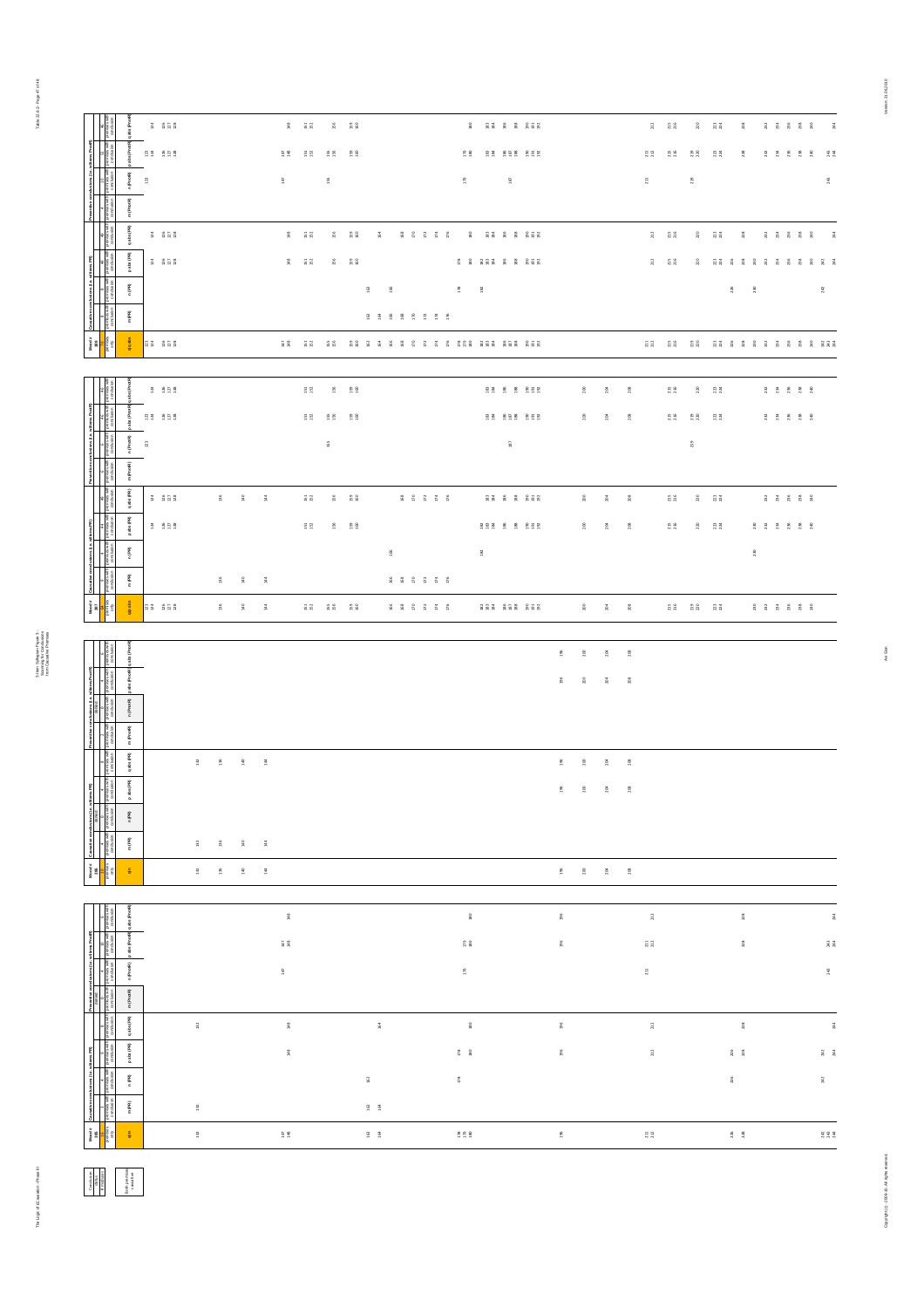|               |                      | $\frac{3}{2}$ $\frac{3}{2}$ $\frac{5}{2}$                                                                                                                                                                                                                                                                                                                                                                                                  |                                                         |                           |                                                                                                |                                                                      | $\frac{8}{2}$ $\frac{73}{2}$ $\frac{8}{2}$ $\frac{8}{2}$ |             |                     |     |                                                                                                                                                                                                                                                                                                                                                                                                                                                                                                                                                                                                       |     |                                                                                                                                                                                                                               |                |                                                                                                                                                                                                                                                                                                                                                                             |             |                                                                                                                                                                                                                                                                                                  | $\begin{tabular}{lllllllllll} \quad & \quad \  \  & \quad \  \  & \quad \  \  & \quad \  \  & \quad \  \  & \quad \  \  & \quad \  \  & \quad \  \  & \quad \  \  & \quad \  \  & \quad \  \  & \quad \  \  & \quad \  \  & \quad \  \  & \quad \  \  & \quad \  \  & \quad \  \  & \quad \  \  & \quad \  \  & \quad \  \  & \quad \  \  & \quad \  \  & \quad \  \  & \quad \  \  & \quad \  \  & \quad \  \  & \quad \  \  & \quad \  \  & \quad \  \  & \$ |                                                                                                                                                        |                                                   |     |  | $\ddot{a}$ $\ddot{a}$ $\ddot{a}$ $\ddot{a}$ $\ddot{a}$ $\ddot{a}$ $\ddot{a}$ $\ddot{a}$ $\ddot{a}$ |
|---------------|----------------------|--------------------------------------------------------------------------------------------------------------------------------------------------------------------------------------------------------------------------------------------------------------------------------------------------------------------------------------------------------------------------------------------------------------------------------------------|---------------------------------------------------------|---------------------------|------------------------------------------------------------------------------------------------|----------------------------------------------------------------------|----------------------------------------------------------|-------------|---------------------|-----|-------------------------------------------------------------------------------------------------------------------------------------------------------------------------------------------------------------------------------------------------------------------------------------------------------------------------------------------------------------------------------------------------------------------------------------------------------------------------------------------------------------------------------------------------------------------------------------------------------|-----|-------------------------------------------------------------------------------------------------------------------------------------------------------------------------------------------------------------------------------|----------------|-----------------------------------------------------------------------------------------------------------------------------------------------------------------------------------------------------------------------------------------------------------------------------------------------------------------------------------------------------------------------------|-------------|--------------------------------------------------------------------------------------------------------------------------------------------------------------------------------------------------------------------------------------------------------------------------------------------------|----------------------------------------------------------------------------------------------------------------------------------------------------------------------------------------------------------------------------------------------------------------------------------------------------------------------------------------------------------------------------------------------------------------------------------------------------------------|--------------------------------------------------------------------------------------------------------------------------------------------------------|---------------------------------------------------|-----|--|----------------------------------------------------------------------------------------------------|
|               |                      | 85 858                                                                                                                                                                                                                                                                                                                                                                                                                                     |                                                         |                           |                                                                                                |                                                                      |                                                          | 33 55 56 59 |                     |     |                                                                                                                                                                                                                                                                                                                                                                                                                                                                                                                                                                                                       |     | 음을 통증 음을을 움을 수 있다.                                                                                                                                                                                                            |                |                                                                                                                                                                                                                                                                                                                                                                             |             |                                                                                                                                                                                                                                                                                                  |                                                                                                                                                                                                                                                                                                                                                                                                                                                                |                                                                                                                                                        |                                                   |     |  | aa aa aa aa aa aa aa aa                                                                            |
|               |                      | $\overline{\mathbf{u}}$                                                                                                                                                                                                                                                                                                                                                                                                                    |                                                         |                           |                                                                                                |                                                                      | $\frac{1}{24}$                                           |             |                     |     |                                                                                                                                                                                                                                                                                                                                                                                                                                                                                                                                                                                                       |     | - 第一 - 第一 - 第                                                                                                                                                                                                                 |                |                                                                                                                                                                                                                                                                                                                                                                             |             | $\mathbb{Z}$ and $\mathbb{Z}$ and $\mathbb{Z}$ and $\mathbb{Z}$ and $\mathbb{Z}$ and $\mathbb{Z}$ and $\mathbb{Z}$ and $\mathbb{Z}$ and $\mathbb{Z}$ and $\mathbb{Z}$ and $\mathbb{Z}$ and $\mathbb{Z}$ and $\mathbb{Z}$ and $\mathbb{Z}$ and $\mathbb{Z}$ and $\mathbb{Z}$ and $\mathbb{Z}$ and |                                                                                                                                                                                                                                                                                                                                                                                                                                                                |                                                                                                                                                        |                                                   |     |  | $\mathbb{R}$                                                                                       |
|               |                      |                                                                                                                                                                                                                                                                                                                                                                                                                                            |                                                         |                           |                                                                                                |                                                                      |                                                          |             |                     |     |                                                                                                                                                                                                                                                                                                                                                                                                                                                                                                                                                                                                       |     |                                                                                                                                                                                                                               |                |                                                                                                                                                                                                                                                                                                                                                                             |             |                                                                                                                                                                                                                                                                                                  |                                                                                                                                                                                                                                                                                                                                                                                                                                                                |                                                                                                                                                        |                                                   |     |  |                                                                                                    |
|               |                      |                                                                                                                                                                                                                                                                                                                                                                                                                                            | $\frac{3}{2}$ $\frac{3}{2}$ $\frac{5}{2}$ $\frac{3}{2}$ |                           |                                                                                                |                                                                      |                                                          |             |                     |     |                                                                                                                                                                                                                                                                                                                                                                                                                                                                                                                                                                                                       |     |                                                                                                                                                                                                                               |                |                                                                                                                                                                                                                                                                                                                                                                             |             |                                                                                                                                                                                                                                                                                                  |                                                                                                                                                                                                                                                                                                                                                                                                                                                                |                                                                                                                                                        |                                                   |     |  |                                                                                                    |
|               |                      |                                                                                                                                                                                                                                                                                                                                                                                                                                            |                                                         |                           |                                                                                                |                                                                      |                                                          |             |                     |     |                                                                                                                                                                                                                                                                                                                                                                                                                                                                                                                                                                                                       |     |                                                                                                                                                                                                                               |                |                                                                                                                                                                                                                                                                                                                                                                             |             |                                                                                                                                                                                                                                                                                                  |                                                                                                                                                                                                                                                                                                                                                                                                                                                                |                                                                                                                                                        |                                                   |     |  |                                                                                                    |
|               |                      | $\frac{3}{2}$ $\frac{3}{2}$ $\frac{5}{2}$                                                                                                                                                                                                                                                                                                                                                                                                  |                                                         |                           |                                                                                                |                                                                      |                                                          |             |                     |     |                                                                                                                                                                                                                                                                                                                                                                                                                                                                                                                                                                                                       |     |                                                                                                                                                                                                                               |                |                                                                                                                                                                                                                                                                                                                                                                             |             |                                                                                                                                                                                                                                                                                                  |                                                                                                                                                                                                                                                                                                                                                                                                                                                                |                                                                                                                                                        |                                                   |     |  | a aa aaaaaaaaaaa                                                                                   |
|               |                      |                                                                                                                                                                                                                                                                                                                                                                                                                                            |                                                         |                           |                                                                                                |                                                                      |                                                          |             |                     |     | $\begin{array}{ccccccccccccc} \widetilde{\omega} & \widetilde{\omega} & \widetilde{\omega} & \widetilde{\omega} & \widetilde{\omega} & \widetilde{\omega} & \widetilde{\omega} & \widetilde{\omega} & \widetilde{\omega} & \widetilde{\omega} & \widetilde{\omega} & \widetilde{\omega} & \widetilde{\omega} & \widetilde{\omega} & \widetilde{\omega} & \widetilde{\omega} & \widetilde{\omega} & \widetilde{\omega} & \widetilde{\omega} & \widetilde{\omega} & \widetilde{\omega} & \widetilde{\omega} & \widetilde{\omega} & \widetilde{\omega} & \widetilde{\omega} & \widetilde{\omega} & \wid$ |     |                                                                                                                                                                                                                               |                |                                                                                                                                                                                                                                                                                                                                                                             |             |                                                                                                                                                                                                                                                                                                  |                                                                                                                                                                                                                                                                                                                                                                                                                                                                |                                                                                                                                                        |                                                   |     |  | $\begin{array}{ccc}\n\ddot{x} & \dot{x} & \dot{x} \\ \dot{x} & \dot{x} & \dot{x}\n\end{array}$     |
|               | $\frac{1}{\epsilon}$ |                                                                                                                                                                                                                                                                                                                                                                                                                                            |                                                         |                           |                                                                                                |                                                                      |                                                          |             |                     |     |                                                                                                                                                                                                                                                                                                                                                                                                                                                                                                                                                                                                       |     |                                                                                                                                                                                                                               |                |                                                                                                                                                                                                                                                                                                                                                                             |             |                                                                                                                                                                                                                                                                                                  |                                                                                                                                                                                                                                                                                                                                                                                                                                                                |                                                                                                                                                        |                                                   |     |  |                                                                                                    |
|               |                      | Bă SB                                                                                                                                                                                                                                                                                                                                                                                                                                      |                                                         |                           |                                                                                                |                                                                      |                                                          |             |                     |     |                                                                                                                                                                                                                                                                                                                                                                                                                                                                                                                                                                                                       |     |                                                                                                                                                                                                                               |                |                                                                                                                                                                                                                                                                                                                                                                             |             |                                                                                                                                                                                                                                                                                                  |                                                                                                                                                                                                                                                                                                                                                                                                                                                                |                                                                                                                                                        |                                                   |     |  |                                                                                                    |
|               |                      |                                                                                                                                                                                                                                                                                                                                                                                                                                            |                                                         |                           |                                                                                                |                                                                      |                                                          |             |                     |     |                                                                                                                                                                                                                                                                                                                                                                                                                                                                                                                                                                                                       |     |                                                                                                                                                                                                                               |                |                                                                                                                                                                                                                                                                                                                                                                             |             |                                                                                                                                                                                                                                                                                                  |                                                                                                                                                                                                                                                                                                                                                                                                                                                                |                                                                                                                                                        |                                                   |     |  |                                                                                                    |
|               |                      | $\begin{smallmatrix} 3 & \hspace{-2mm} & \hspace{-2mm} 8 & \hspace{-2mm} & \hspace{-2mm} 8 & \hspace{-2mm} & \hspace{-2mm} 8 & \hspace{-2mm} & \hspace{-2mm} 8 & \hspace{-2mm} & \hspace{-2mm} 8 & \hspace{-2mm} & \hspace{-2mm} 8 & \hspace{-2mm} & \hspace{-2mm} 8 & \hspace{-2mm} & \hspace{-2mm} 8 & \hspace{-2mm} & \hspace{-2mm} 8 & \hspace{-2mm} & \hspace{-2mm} 8 & \hspace{-2mm} & \hspace{-2mm} 8 & \hspace{-2mm} & \hspace{-2$ |                                                         |                           |                                                                                                |                                                                      | ធី ធី ធី ធី ធី                                           |             |                     |     |                                                                                                                                                                                                                                                                                                                                                                                                                                                                                                                                                                                                       |     | $-23$ $-24$ $-25$ $-25$ $-25$ $-25$ $-25$ $-25$ $-25$ $-25$ $-25$ $-25$ $-25$ $-25$ $-25$ $-25$ $-25$ $-25$ $-25$ $-25$ $-25$ $-25$ $-25$ $-25$ $-25$ $-25$ $-25$ $-25$ $-25$ $-25$ $-25$ $-25$ $-25$ $-25$ $-25$ $-25$ $-25$ |                | $\begin{matrix} \hat{\mathbf{a}} & \hat{\mathbf{a}} & \hat{\mathbf{a}} \\ \hat{\mathbf{a}} & \hat{\mathbf{a}} & \hat{\mathbf{a}} \end{matrix}$                                                                                                                                                                                                                              |             |                                                                                                                                                                                                                                                                                                  |                                                                                                                                                                                                                                                                                                                                                                                                                                                                |                                                                                                                                                        |                                                   |     |  |                                                                                                    |
|               |                      | 88 888                                                                                                                                                                                                                                                                                                                                                                                                                                     |                                                         |                           |                                                                                                |                                                                      | <b>또면 변화 함</b> 을                                         |             |                     |     |                                                                                                                                                                                                                                                                                                                                                                                                                                                                                                                                                                                                       |     |                                                                                                                                                                                                                               |                |                                                                                                                                                                                                                                                                                                                                                                             |             |                                                                                                                                                                                                                                                                                                  |                                                                                                                                                                                                                                                                                                                                                                                                                                                                |                                                                                                                                                        |                                                   |     |  |                                                                                                    |
|               |                      | $\overline{\bf 12}$                                                                                                                                                                                                                                                                                                                                                                                                                        |                                                         |                           |                                                                                                |                                                                      | $\frac{155}{150}$                                        |             |                     |     |                                                                                                                                                                                                                                                                                                                                                                                                                                                                                                                                                                                                       |     | 187                                                                                                                                                                                                                           |                |                                                                                                                                                                                                                                                                                                                                                                             |             |                                                                                                                                                                                                                                                                                                  | 73                                                                                                                                                                                                                                                                                                                                                                                                                                                             |                                                                                                                                                        |                                                   |     |  |                                                                                                    |
|               |                      |                                                                                                                                                                                                                                                                                                                                                                                                                                            |                                                         |                           |                                                                                                |                                                                      |                                                          |             |                     |     |                                                                                                                                                                                                                                                                                                                                                                                                                                                                                                                                                                                                       |     |                                                                                                                                                                                                                               |                |                                                                                                                                                                                                                                                                                                                                                                             |             |                                                                                                                                                                                                                                                                                                  |                                                                                                                                                                                                                                                                                                                                                                                                                                                                |                                                                                                                                                        |                                                   |     |  |                                                                                                    |
|               |                      | $\begin{array}{cc} \overline{\alpha} & \alpha & \alpha \\ \overline{\alpha} & \overline{\alpha} & \overline{\alpha} \end{array}$                                                                                                                                                                                                                                                                                                           |                                                         |                           |                                                                                                |                                                                      |                                                          |             |                     |     | 그리 그 그는 그리고 있는 것을 하고 있는 것을 하고 있는 것을 하고 있다.                                                                                                                                                                                                                                                                                                                                                                                                                                                                                                                                                            |     |                                                                                                                                                                                                                               |                |                                                                                                                                                                                                                                                                                                                                                                             |             |                                                                                                                                                                                                                                                                                                  |                                                                                                                                                                                                                                                                                                                                                                                                                                                                |                                                                                                                                                        |                                                   |     |  |                                                                                                    |
|               |                      |                                                                                                                                                                                                                                                                                                                                                                                                                                            |                                                         |                           |                                                                                                |                                                                      |                                                          |             |                     |     |                                                                                                                                                                                                                                                                                                                                                                                                                                                                                                                                                                                                       |     |                                                                                                                                                                                                                               |                |                                                                                                                                                                                                                                                                                                                                                                             |             |                                                                                                                                                                                                                                                                                                  |                                                                                                                                                                                                                                                                                                                                                                                                                                                                |                                                                                                                                                        |                                                   |     |  |                                                                                                    |
| $100$ PR)     |                      | 5.888                                                                                                                                                                                                                                                                                                                                                                                                                                      |                                                         |                           |                                                                                                |                                                                      | <b>영역 - 영역 - 영역 - 영역 - 영역</b>                            |             |                     |     |                                                                                                                                                                                                                                                                                                                                                                                                                                                                                                                                                                                                       |     |                                                                                                                                                                                                                               |                |                                                                                                                                                                                                                                                                                                                                                                             |             |                                                                                                                                                                                                                                                                                                  |                                                                                                                                                                                                                                                                                                                                                                                                                                                                | $\begin{tabular}{lllllllll} \multicolumn{2}{c}{\bf\#1}&\multicolumn{2}{c}{\bf\#2}&\multicolumn{2}{c}{\bf\#3}&\multicolumn{2}{c}{\bf\#3} \end{tabular}$ |                                                   |     |  |                                                                                                    |
|               | n (PR)               |                                                                                                                                                                                                                                                                                                                                                                                                                                            |                                                         |                           |                                                                                                |                                                                      |                                                          |             |                     | 166 |                                                                                                                                                                                                                                                                                                                                                                                                                                                                                                                                                                                                       | 182 |                                                                                                                                                                                                                               |                |                                                                                                                                                                                                                                                                                                                                                                             |             |                                                                                                                                                                                                                                                                                                  |                                                                                                                                                                                                                                                                                                                                                                                                                                                                |                                                                                                                                                        |                                                   | 230 |  |                                                                                                    |
|               |                      |                                                                                                                                                                                                                                                                                                                                                                                                                                            |                                                         |                           | $\frac{8}{2}$ $\frac{9}{2}$ $\frac{1}{2}$                                                      |                                                                      |                                                          |             |                     |     |                                                                                                                                                                                                                                                                                                                                                                                                                                                                                                                                                                                                       |     |                                                                                                                                                                                                                               |                |                                                                                                                                                                                                                                                                                                                                                                             |             |                                                                                                                                                                                                                                                                                                  |                                                                                                                                                                                                                                                                                                                                                                                                                                                                |                                                                                                                                                        |                                                   |     |  |                                                                                                    |
| ğ in          |                      |                                                                                                                                                                                                                                                                                                                                                                                                                                            |                                                         |                           |                                                                                                |                                                                      |                                                          |             |                     |     |                                                                                                                                                                                                                                                                                                                                                                                                                                                                                                                                                                                                       |     |                                                                                                                                                                                                                               |                |                                                                                                                                                                                                                                                                                                                                                                             |             |                                                                                                                                                                                                                                                                                                  |                                                                                                                                                                                                                                                                                                                                                                                                                                                                |                                                                                                                                                        |                                                   |     |  |                                                                                                    |
|               |                      |                                                                                                                                                                                                                                                                                                                                                                                                                                            |                                                         |                           |                                                                                                |                                                                      |                                                          |             |                     |     |                                                                                                                                                                                                                                                                                                                                                                                                                                                                                                                                                                                                       |     |                                                                                                                                                                                                                               |                |                                                                                                                                                                                                                                                                                                                                                                             |             |                                                                                                                                                                                                                                                                                                  |                                                                                                                                                                                                                                                                                                                                                                                                                                                                |                                                                                                                                                        |                                                   |     |  |                                                                                                    |
|               |                      |                                                                                                                                                                                                                                                                                                                                                                                                                                            |                                                         |                           |                                                                                                |                                                                      |                                                          |             |                     |     |                                                                                                                                                                                                                                                                                                                                                                                                                                                                                                                                                                                                       |     |                                                                                                                                                                                                                               |                | $\begin{matrix} \hat{\mathbf{z}}_1 & \hat{\mathbf{z}}_2 & \hat{\mathbf{z}}_3 & \hat{\mathbf{z}}_4 \end{matrix}$                                                                                                                                                                                                                                                             |             |                                                                                                                                                                                                                                                                                                  |                                                                                                                                                                                                                                                                                                                                                                                                                                                                |                                                                                                                                                        |                                                   |     |  |                                                                                                    |
|               |                      |                                                                                                                                                                                                                                                                                                                                                                                                                                            |                                                         |                           |                                                                                                |                                                                      |                                                          |             |                     |     |                                                                                                                                                                                                                                                                                                                                                                                                                                                                                                                                                                                                       |     |                                                                                                                                                                                                                               |                | $\begin{picture}(180,10) \put(0,0){\vector(1,0){10}} \put(15,0){\vector(1,0){10}} \put(15,0){\vector(1,0){10}} \put(15,0){\vector(1,0){10}} \put(15,0){\vector(1,0){10}} \put(15,0){\vector(1,0){10}} \put(15,0){\vector(1,0){10}} \put(15,0){\vector(1,0){10}} \put(15,0){\vector(1,0){10}} \put(15,0){\vector(1,0){10}} \put(15,0){\vector(1,0){10}} \put(15,0){\vector($ |             |                                                                                                                                                                                                                                                                                                  |                                                                                                                                                                                                                                                                                                                                                                                                                                                                |                                                                                                                                                        |                                                   |     |  |                                                                                                    |
|               |                      |                                                                                                                                                                                                                                                                                                                                                                                                                                            |                                                         |                           |                                                                                                |                                                                      |                                                          |             |                     |     |                                                                                                                                                                                                                                                                                                                                                                                                                                                                                                                                                                                                       |     |                                                                                                                                                                                                                               |                |                                                                                                                                                                                                                                                                                                                                                                             |             |                                                                                                                                                                                                                                                                                                  |                                                                                                                                                                                                                                                                                                                                                                                                                                                                |                                                                                                                                                        |                                                   |     |  |                                                                                                    |
|               |                      |                                                                                                                                                                                                                                                                                                                                                                                                                                            |                                                         |                           |                                                                                                |                                                                      |                                                          |             |                     |     |                                                                                                                                                                                                                                                                                                                                                                                                                                                                                                                                                                                                       |     |                                                                                                                                                                                                                               |                |                                                                                                                                                                                                                                                                                                                                                                             |             |                                                                                                                                                                                                                                                                                                  |                                                                                                                                                                                                                                                                                                                                                                                                                                                                |                                                                                                                                                        |                                                   |     |  |                                                                                                    |
|               | å                    |                                                                                                                                                                                                                                                                                                                                                                                                                                            |                                                         | 日 当 日 田                   |                                                                                                |                                                                      |                                                          |             |                     |     |                                                                                                                                                                                                                                                                                                                                                                                                                                                                                                                                                                                                       |     |                                                                                                                                                                                                                               |                | $\begin{matrix} \hat{\mathbf{z}}_1 & \hat{\mathbf{z}}_2 & \hat{\mathbf{z}}_3 & \hat{\mathbf{z}}_4 \end{matrix}$                                                                                                                                                                                                                                                             |             |                                                                                                                                                                                                                                                                                                  |                                                                                                                                                                                                                                                                                                                                                                                                                                                                |                                                                                                                                                        |                                                   |     |  |                                                                                                    |
|               | Ê                    |                                                                                                                                                                                                                                                                                                                                                                                                                                            |                                                         |                           |                                                                                                |                                                                      |                                                          |             |                     |     |                                                                                                                                                                                                                                                                                                                                                                                                                                                                                                                                                                                                       |     |                                                                                                                                                                                                                               |                | $\begin{matrix} 36 & 0 \\ 0 & 0 \\ 0 & 0 \\ 0 & 0 \\ 0 & 0 \\ 0 & 0 \\ 0 & 0 \\ 0 & 0 \\ 0 & 0 \\ 0 & 0 \\ 0 & 0 \\ 0 & 0 \\ 0 & 0 \\ 0 & 0 \\ 0 & 0 \\ 0 & 0 \\ 0 & 0 \\ 0 & 0 \\ 0 & 0 \\ 0 & 0 \\ 0 & 0 & 0 \\ 0 & 0 & 0 \\ 0 & 0 & 0 & 0 \\ 0 & 0 & 0 & 0 \\ 0 & 0 & 0 & 0 & 0 \\ 0 & 0 & 0 & 0 & 0 \\ 0 & 0 & 0 & 0 & 0 \\ 0 & 0 & $                                   |             |                                                                                                                                                                                                                                                                                                  |                                                                                                                                                                                                                                                                                                                                                                                                                                                                |                                                                                                                                                        |                                                   |     |  |                                                                                                    |
|               | $\frac{5}{2}$        |                                                                                                                                                                                                                                                                                                                                                                                                                                            |                                                         |                           |                                                                                                |                                                                      |                                                          |             |                     |     |                                                                                                                                                                                                                                                                                                                                                                                                                                                                                                                                                                                                       |     |                                                                                                                                                                                                                               |                |                                                                                                                                                                                                                                                                                                                                                                             |             |                                                                                                                                                                                                                                                                                                  |                                                                                                                                                                                                                                                                                                                                                                                                                                                                |                                                                                                                                                        |                                                   |     |  |                                                                                                    |
|               | <b>Ba</b>            |                                                                                                                                                                                                                                                                                                                                                                                                                                            |                                                         |                           |                                                                                                |                                                                      |                                                          |             |                     |     |                                                                                                                                                                                                                                                                                                                                                                                                                                                                                                                                                                                                       |     |                                                                                                                                                                                                                               |                |                                                                                                                                                                                                                                                                                                                                                                             |             |                                                                                                                                                                                                                                                                                                  |                                                                                                                                                                                                                                                                                                                                                                                                                                                                |                                                                                                                                                        |                                                   |     |  |                                                                                                    |
|               |                      |                                                                                                                                                                                                                                                                                                                                                                                                                                            |                                                         | $\overline{\mathbf{3}}$   | $\begin{array}{cccccccccc} \mathcal{B} & & & \mathcal{B} & & & \mathcal{B} & & \\ \end{array}$ |                                                                      |                                                          |             |                     |     |                                                                                                                                                                                                                                                                                                                                                                                                                                                                                                                                                                                                       |     |                                                                                                                                                                                                                               |                |                                                                                                                                                                                                                                                                                                                                                                             |             |                                                                                                                                                                                                                                                                                                  |                                                                                                                                                                                                                                                                                                                                                                                                                                                                |                                                                                                                                                        |                                                   |     |  |                                                                                                    |
| Mood #<br>386 |                      |                                                                                                                                                                                                                                                                                                                                                                                                                                            |                                                         | $\mathbb{R}$ $\mathbb{R}$ | $\frac{1}{2}$ $\frac{1}{2}$                                                                    |                                                                      |                                                          |             |                     |     |                                                                                                                                                                                                                                                                                                                                                                                                                                                                                                                                                                                                       |     |                                                                                                                                                                                                                               |                | $\begin{matrix} 0 & 0 & 0 \\ 0 & 0 & 0 \\ 0 & 0 & 0 \\ 0 & 0 & 0 \\ 0 & 0 & 0 \\ 0 & 0 & 0 \\ 0 & 0 & 0 \\ 0 & 0 & 0 \\ 0 & 0 & 0 \\ 0 & 0 & 0 \\ 0 & 0 & 0 & 0 \\ 0 & 0 & 0 & 0 \\ 0 & 0 & 0 & 0 \\ 0 & 0 & 0 & 0 & 0 \\ 0 & 0 & 0 & 0 & 0 \\ 0 & 0 & 0 & 0 & 0 \\ 0 & 0 & 0 & 0 & 0 & 0 \\ 0 & 0 & 0 & 0 & 0 & 0 \\ 0 & 0 & 0$                                            |             |                                                                                                                                                                                                                                                                                                  |                                                                                                                                                                                                                                                                                                                                                                                                                                                                |                                                                                                                                                        |                                                   |     |  |                                                                                                    |
|               |                      |                                                                                                                                                                                                                                                                                                                                                                                                                                            |                                                         |                           |                                                                                                |                                                                      |                                                          |             |                     |     |                                                                                                                                                                                                                                                                                                                                                                                                                                                                                                                                                                                                       |     |                                                                                                                                                                                                                               |                |                                                                                                                                                                                                                                                                                                                                                                             |             |                                                                                                                                                                                                                                                                                                  |                                                                                                                                                                                                                                                                                                                                                                                                                                                                |                                                                                                                                                        |                                                   |     |  |                                                                                                    |
|               |                      |                                                                                                                                                                                                                                                                                                                                                                                                                                            |                                                         |                           |                                                                                                | $_{\rm 148}^{\rm m}$                                                 |                                                          |             |                     |     | $\frac{\Omega}{\Omega}$                                                                                                                                                                                                                                                                                                                                                                                                                                                                                                                                                                               |     |                                                                                                                                                                                                                               | $^{\rm 196}$   |                                                                                                                                                                                                                                                                                                                                                                             | $_{\rm 21}$ |                                                                                                                                                                                                                                                                                                  |                                                                                                                                                                                                                                                                                                                                                                                                                                                                |                                                                                                                                                        | $_{\rm 228}$                                      |     |  | $\frac{3}{2}$                                                                                      |
|               |                      |                                                                                                                                                                                                                                                                                                                                                                                                                                            |                                                         |                           |                                                                                                |                                                                      |                                                          |             |                     |     |                                                                                                                                                                                                                                                                                                                                                                                                                                                                                                                                                                                                       |     |                                                                                                                                                                                                                               |                |                                                                                                                                                                                                                                                                                                                                                                             |             |                                                                                                                                                                                                                                                                                                  |                                                                                                                                                                                                                                                                                                                                                                                                                                                                |                                                                                                                                                        |                                                   |     |  |                                                                                                    |
|               |                      |                                                                                                                                                                                                                                                                                                                                                                                                                                            |                                                         |                           |                                                                                                | $\stackrel{\scriptstyle \sim}{\pi}\stackrel{\scriptstyle \sim}{\pi}$ |                                                          |             |                     |     | $\stackrel{\circ}{\phantom{}_{\rm B}}$                                                                                                                                                                                                                                                                                                                                                                                                                                                                                                                                                                |     |                                                                                                                                                                                                                               | $\%$           |                                                                                                                                                                                                                                                                                                                                                                             | $\Xi$ $\Xi$ |                                                                                                                                                                                                                                                                                                  |                                                                                                                                                                                                                                                                                                                                                                                                                                                                |                                                                                                                                                        | $_{\rm 23}$                                       |     |  | $\stackrel{m}{\approx} \stackrel{m}{\approx}$                                                      |
|               |                      |                                                                                                                                                                                                                                                                                                                                                                                                                                            |                                                         |                           |                                                                                                | $\frac{m}{2}$                                                        |                                                          |             |                     |     | $\mathcal{R}_n$                                                                                                                                                                                                                                                                                                                                                                                                                                                                                                                                                                                       |     |                                                                                                                                                                                                                               |                |                                                                                                                                                                                                                                                                                                                                                                             | $\Xi$       |                                                                                                                                                                                                                                                                                                  |                                                                                                                                                                                                                                                                                                                                                                                                                                                                |                                                                                                                                                        |                                                   |     |  | $_{\rm 24}$                                                                                        |
|               |                      |                                                                                                                                                                                                                                                                                                                                                                                                                                            |                                                         |                           |                                                                                                |                                                                      |                                                          |             |                     |     |                                                                                                                                                                                                                                                                                                                                                                                                                                                                                                                                                                                                       |     |                                                                                                                                                                                                                               |                |                                                                                                                                                                                                                                                                                                                                                                             |             |                                                                                                                                                                                                                                                                                                  |                                                                                                                                                                                                                                                                                                                                                                                                                                                                |                                                                                                                                                        |                                                   |     |  |                                                                                                    |
|               |                      |                                                                                                                                                                                                                                                                                                                                                                                                                                            |                                                         | $^{\rm 132}$              |                                                                                                | $\frac{9}{24}$                                                       |                                                          |             | 164                 |     | 180                                                                                                                                                                                                                                                                                                                                                                                                                                                                                                                                                                                                   |     |                                                                                                                                                                                                                               | $\frac{96}{1}$ |                                                                                                                                                                                                                                                                                                                                                                             | $\tilde{z}$ |                                                                                                                                                                                                                                                                                                  |                                                                                                                                                                                                                                                                                                                                                                                                                                                                |                                                                                                                                                        |                                                   |     |  | $_{\rm 34}$                                                                                        |
|               |                      |                                                                                                                                                                                                                                                                                                                                                                                                                                            |                                                         |                           |                                                                                                | $\frac{\infty}{24}$                                                  |                                                          |             |                     |     | $\mathbb{R} - \mathbb{R}$                                                                                                                                                                                                                                                                                                                                                                                                                                                                                                                                                                             |     |                                                                                                                                                                                                                               | $\%$           |                                                                                                                                                                                                                                                                                                                                                                             |             |                                                                                                                                                                                                                                                                                                  |                                                                                                                                                                                                                                                                                                                                                                                                                                                                |                                                                                                                                                        |                                                   |     |  |                                                                                                    |
|               |                      |                                                                                                                                                                                                                                                                                                                                                                                                                                            |                                                         |                           |                                                                                                |                                                                      |                                                          |             |                     |     |                                                                                                                                                                                                                                                                                                                                                                                                                                                                                                                                                                                                       |     |                                                                                                                                                                                                                               |                |                                                                                                                                                                                                                                                                                                                                                                             | $_{\rm 21}$ |                                                                                                                                                                                                                                                                                                  |                                                                                                                                                                                                                                                                                                                                                                                                                                                                |                                                                                                                                                        | $\begin{array}{c} 256 \\ \text{ } 23 \end{array}$ |     |  | $\widetilde{\mathbf{x}}=\widetilde{\mathbf{x}}$                                                    |
|               |                      |                                                                                                                                                                                                                                                                                                                                                                                                                                            |                                                         |                           |                                                                                                |                                                                      |                                                          |             | $\overline{\omega}$ |     | $\mathbb{R}$                                                                                                                                                                                                                                                                                                                                                                                                                                                                                                                                                                                          |     |                                                                                                                                                                                                                               |                |                                                                                                                                                                                                                                                                                                                                                                             |             |                                                                                                                                                                                                                                                                                                  |                                                                                                                                                                                                                                                                                                                                                                                                                                                                |                                                                                                                                                        | $226\,$                                           |     |  | $_{\rm 20}$                                                                                        |
|               |                      |                                                                                                                                                                                                                                                                                                                                                                                                                                            |                                                         | $^{\rm 132}$              |                                                                                                |                                                                      |                                                          |             | $\frac{52}{20}$     |     |                                                                                                                                                                                                                                                                                                                                                                                                                                                                                                                                                                                                       |     |                                                                                                                                                                                                                               |                |                                                                                                                                                                                                                                                                                                                                                                             |             |                                                                                                                                                                                                                                                                                                  |                                                                                                                                                                                                                                                                                                                                                                                                                                                                |                                                                                                                                                        |                                                   |     |  |                                                                                                    |

Copyright (c) - 2008-10. All rights reserved. Avi Sion Version: 21.06.2010

 $1300$ 

Table 22.6-3 - Page 47 of 48

able 22.6-3 - Page 47 of 48

The Logic of Economic of Economic of Economic of Economic Sylvism Figure 3 - Phase III 3-Item Sylvism Figure 3 - Phase III 30-Item Sylvism Figure 3 - Phase III 3-Item Sylvism Figure 3 - Phase III 3-Item Sylvism Figure 3 - Logic of ECausation - Phase

Conclusion status # moduses causative Both premises